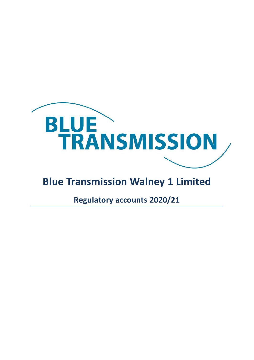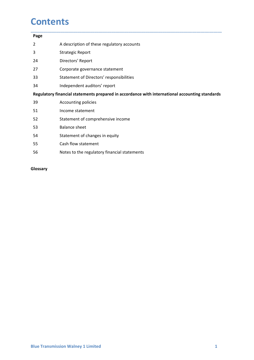### **Contents**

| Page<br>$\overline{2}$ | A description of these regulatory accounts                                                     |
|------------------------|------------------------------------------------------------------------------------------------|
| 3                      | <b>Strategic Report</b>                                                                        |
| 24                     | Directors' Report                                                                              |
| 27                     | Corporate governance statement                                                                 |
| 33                     | Statement of Directors' responsibilities                                                       |
| 34                     | Independent auditors' report                                                                   |
|                        | Regulatory financial statements prepared in accordance with international accounting standards |
| 39                     | Accounting policies                                                                            |
| 51                     | Income statement                                                                               |
| 52                     | Statement of comprehensive income                                                              |
| 53                     | <b>Balance sheet</b>                                                                           |
| 54                     | Statement of changes in equity                                                                 |
| 55                     | Cash flow statement                                                                            |
| 56                     | Notes to the regulatory financial statements                                                   |

### Glossary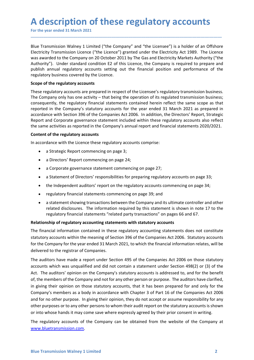A description of these regulatory accounts<br>For the year ended 31 March 2021<br>Blue Transmission Walney 1 Limited ("the Company" and "the Licensee") is a holder of an Offshore<br>Electricity Transmission Licence ("the Licence") **A description of these regulatory accounts**<br>For the year ended 31 March 2021<br>Blue Transmission Walney 1 Limited ("the Company" and "the Licensee") is a holder of an Offshore<br>Electricity Transmission Licence ("the Licence" A description of these regulatory accounts<br>For the year ended 31 March 2021<br>Blue Transmission Walney 1 Limited ("the Company" and "the Licensee") is a holder of an Offshore<br>Electricity Transmission Licence ("the Licence") A description of these regulatory accounts<br>
For the year ended 31 March 2021<br>
Blue Transmission Walney 1 Limited ("the Company" and "the Licensee") is a holder of an Offshore<br>
Electricity Transmission Licence ("the Licence A description of these regulatory accounts<br>For the year ended 31 March 2021<br>Blue Transmission Walney 1 Limited ("the Company" and "the Licensee") is a holder of an Offshore<br>Electricity Transmission Licence ("the Licence") A description of these regulatory accounts<br>For the year ended 31 March 2021<br>Blue Transmission Walney 1 Limited ("the Company" and "the Licensee") is a holder of an Offshore<br>Electricity Transmission Licence ("the Licence") A description of these regulatory accounts<br>For the year ended 31 March 2021<br>Blue Transmission Walney 1 Limited ("the Company" and "the Licensee") is a holder of an Offshore<br>Electricity Transmission Licence ("the Licence") A description of these regulatory accounts<br>For the year ended 31 March 2021<br>Blue Transmission Walney 1 Limited ("the Company" and "the Licensee") is a holder of an Offshore<br>Electricity Transmission Licence ("the Licence") **A description of these regulatory accounts**<br>For the year ended 31 March 2021<br>Blue Transmission Walney 1 Limited ("the Company" and "the Licensee") is a holder of an Offsh<br>Electricity Transmission Licence ("the Licence") g

\_\_\_\_\_\_\_\_\_\_\_\_\_\_\_\_\_\_\_\_\_\_\_\_\_\_\_\_\_\_\_\_\_\_\_\_\_\_\_\_\_\_\_\_\_\_\_\_\_\_\_\_\_\_\_\_\_\_\_\_\_\_\_\_\_\_\_\_\_\_\_\_\_\_\_\_\_\_\_\_\_\_\_\_\_\_\_\_\_\_

**A description of these regulatory accounts**<br>For the year ended 31 March 2021<br>Blue Transmission Walney 1 Limited ("the Company" and "the Licensee") is a holder of an Offshore<br>Electricity Transmission Licence ("the Licence" A description of these regulatory accounts<br>For the year ended 31 March 2021<br>Blue Transmission Walney 1 Limited ("the Licence") granted under the Electricity Act 1989. The Licence<br>Electricity Transmission Licence ("the Lice A description of these regulatory accounts<br>For the year ended 31 March 2021<br>Blue Transmission Walney 1 Limited ("the Company" and "the Licensee") is a holder of an Offshore<br>Electricity Transmission Licence ("the Licence") A description of these regulatory accounts<br>For the year ended 31 March 2021<br>Blue Transmission Walney 1 Limited ("the Company" and "the Licensee") is a holder of an Offshore<br>Electricity Transmission Licence ("the Licence") **A description of these regulatory accounts**<br>
For the year ended 31 March 2021<br>
Blue Transmission Walney 1 Limited ("the Company" and "the Licensee") is a holder of an Offshore<br>
Electricity Transmission Licence ("the Licen A **description of these regulatory accounts**<br>For the year ended 31 March 2021<br>Blue Transmission Walney 1 Limited ("the Company" and "the Licensee") is a holder of an Offshore<br>Electricity Transmission Licence ("the Licence" A description of these regulatory accounts<br>For the year ended 31 March 2021<br>Blue Transmission Walney 1 Limited ("the Company" and "the Licensee") is a holder of an Offshore<br>Electricky Transmission Licence ("the Licence") g For the year ended 31 March 2021<br>
Blue Transmission Walney 1 Limited ("the Company" and "the Licensee") is a holder of an Offshor<br>
Electricity Transmission Licence ("the Licence") granted under the Electricity Act 1989. Th Blue Transmission Walney 1 Limited ("the Company" and "the Licensee") is a holder of an Offshore<br>Electricity Transmission Licence ("the Licence") granted under the Electricity Act 1989. The Licence<br>was awarded to the Compa nsmission Walney 1 Limited ("the Company" and "the Licensee") is a holder of an Offshore<br>Iy Transmission Licence" ("the Licence") granted under the Electricity At 1989. The Licence<br>Inded to the Company on 20 October 2011 b  $\gamma$  rarial mission Licentic ( wire tuceinte  $\gamma$  giantic united time the eterctivity Axt 1980s. The there is not defined to the Company on 20 October 2011 by The Gas and Electricity Markets Authority ("the annual regulat s/<sup>9</sup>). Under standard condition E2 of this Licence, the Company is required to prepare and annual regulatory accounts setting out the financial position and performance of the pry business covered by the Licence.<br>
If the a Interaction are teamed to the methanic methanic methanic methanic response to the methanic regulatory accounts<br>signalatory accounts are prepared in respect of the Liencee's regulatory transmission business;<br>reparing only f the regulatory accounts<br>
sigulatory accounts are prepared in respect of the Licensee's regulated transmission business;<br>
prapay only has one activity -- that being the operation of its regulated transmission business;<br>
p igulatory accounts are prepared in respect of the Licensee's regulatory transmission business,<br>papay only has one activity -- that being the operation of its regulated transmission business;<br>nently, the regulatory financia npany only has one activity – that being the operation of its regulated transmission busines;<br>enerty, the regulatory financial statements contained herein reflect the same scope as that<br>in the Company's statutory accounts ently, the regulatory financial statements contained herein reflect the same scope as that in the Company's stattory accounts for the year ended 31 March 2021 as prepared in the Companies Act 2006. In addition, the Directo If in the Company's stattutory accounts for the year ended 31 March 2021 as prepared in<br>the chemany's stattutory accounts for the Queen endependent included within these regulatory accounts also reflect<br>and Corporate gover

- 
- 
- 
- 
- 
- 
- 

acturationship of regulatory accounting statements with statutor), the buckions helport and Corporate governance statement included within these regulatory accounts also reflect<br>the same activities as reported in the Compa the same activities as reported in the Company's annual report and financial statements 2020/2021.<br> **Content of the regulatory accounts**<br>
• a Strategic Report commencing on page 2;<br>
• a Dietotors' fequot commencing on page Content of the regulatory accounts<br>
• a Strategic Report commencing on page 3;<br>
• a Directors' Report commencing on page 24;<br>
• a Corporate governance statement commencing on page 27;<br>
• a Statement of Directors' responsib In accordance with the Licence these regulatory accounts comprise:<br>
• a Strategic Report commencing on page 24;<br>
• a Corporate governance statement commencing on page 27;<br>
• a Statement of Directors' responsibilities for p

for the compary or the year ended 31 MMTcm 2021, to which the innancial imformation relates, will be<br>delivered to the registrar of Companies.<br>The auditors have made a report under Section 495 of the Companies Act 2006 on t In accousince with the cluence intereferomenting on page 3;<br>
• a Strategic Report commencing on page 3;<br>
• a Corporate governance statement commencing on page 27;<br>
• a Statement of Directors' responsibilities for preparing **Example 1.1** and the members of the companies of the Companies and the Companies of the members of the members of the members of the members of the members of the members of the members of the members of the members of th a Directors' Report commencing on page 24;<br>
• a Gorporate governance statement commencing on page 27;<br>
• a Statement of Directors' responsibilities for preparing regulatory accounts on page 33;<br>
• the Independent auditors' • a Corporate governance statement commencing on page 27;<br>• a Statement of Directors' responsibilities for preparing regulatory accounts on page 33;<br>• the Independent auditors' report on the regulatory accounts commencing • a Statement of Directors' responsibilities for preparing regulatory accounts on page 33;<br>• the Independent auditors' report on the regulatory accounts commencing on page 34;<br>• regulatory financial statements commencing o **in the image of the complete statution** is the independent auditors' report on the regulatory accounts commencing on page 34;<br> **e** regulatory financial statements commencing on page 39; and<br> **a** a statement showing transa • the Independent auditors report on the regulatory accounts commencing on page 34;<br>• regulatory financial statements commencing on page 39; and<br>• a statement showing transactions between the Company and its ultimate contr • regulatory financial statements commencing on page 39; and<br>• a statement showing transactions betwenen the Company and its ultimate controller and other<br>related disclosures. The information required by this statement is • a statement showing transactions between the Company and its ultimate controller and other<br>
related disclosures. The information required by this statement is shown in note 17 to the<br>
regulatory financial statements "rel related disclosures. The information required by this statement is shown in note 17 to the regulatory finnacial statements "related party transactions" on pages 66 and 67.<br>Relationship of regulatory accounting statements w regulatory inneritial statements related printy translations on pages to and o7.<br>
Relationship of regulatory accounting statements with stattutory accounts of the financial information contained in these regulatory account

www.bluetransmission.com.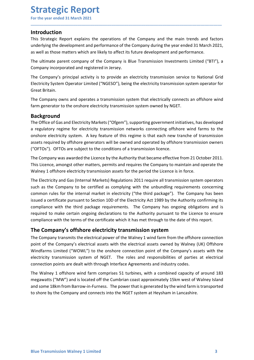### Introduction

Strategic Report<br>
For the year ended 31 March 2021<br>
Introduction<br>
This Strategic Report explains the operations of the Company and the main trends and **Strategic Report**<br>For the year ended 31 March 2021<br>Introduction<br>This Strategic Report explains the operations of the Company and the main trends and factors<br>underlying the development and performance of the Company during **Strategic Report**<br>For the year ended 31 March 2021<br>Introduction<br>This Strategic Report explains the operations of the Company and the main trends and factors<br>underlying the development and performance of the Company during **Strategic Report**<br>For the year ended 31 March 2021<br>Introduction<br>This Strategic Report explains the operations of the Company and the main trends and factors<br>underlying the development and performance of the Company during **Strategic Report**<br>For the year ended 31 March 2021<br>Introduction<br>This Strategic Report explains the operations of the Company and the main trends and factors<br>underlying the development and performance of the Company during **Strategic Report**<br>This Strategic Report explains the operations of the Company and the main trends and factors<br>This Strategic Report explains the operations of the Company during the year ended 31 March 2021,<br>as well as t **Strategic Report**<br>
For the year ended 31 March 2021<br>
Introduction<br>
This Strategic Report explains the operations of the Company and the main trends and factors<br>
underlying the development and performance of the Company du **Strategic Report**<br>For the year ended 31 March 2021<br>Introduction<br>This Strategic Report explains the operations of the Company and the main trends and factors<br>underlying the development and performance of the Company during **Strategic Report**<br>
For the year ended 31 March 2021<br>
Introduction<br>
This Strategic Report explains the operations of the Company and the main trends and factors<br>
underlying the development and performance of the Company du **Strategic Report**<br>For the year ended 31 March 2021<br>Introduction<br>This Strategic Report explains the operations of the Company and the mai<br>underlying the development and performance of the Company during the year e<br>as well **Strategic Report**<br>For the year ended 31 March 2021<br>This Strategic Report explains the operations of the Company and the main trends and factors<br>This Strategic Report explains the operations of the Company during the year **Strategic Report**<br>
For the year ended 31 March 2021<br>
Introduction<br>
This Strategic Report explains the operations of the Company and the main trends and factors<br>
Introduction<br>
ans well as those matters which are likely to

\_\_\_\_\_\_\_\_\_\_\_\_\_\_\_\_\_\_\_\_\_\_\_\_\_\_\_\_\_\_\_\_\_\_\_\_\_\_\_\_\_\_\_\_\_\_\_\_\_\_\_\_\_\_\_\_\_\_\_\_\_\_\_\_\_\_\_\_\_\_\_\_\_\_\_\_\_\_\_\_\_\_\_\_\_\_\_\_\_\_

### Background

For the year ended 31 March 2021<br>
Introduction<br>
This Strategic Report explains the operations of the Company and the main trends and factors<br>
underlying the development and performance of the Company during the year ended **Introduction**<br>This Strategic Report explains the operations of the Company and the main trends and factors<br>underlying the development and performance of the Company during the year ended 31 March 2021,<br>as well as those ma **Introduction**<br>This Strategic Report explains the operations of the Company and the main trends and factors<br>underlying the development and performance of the Company during the year ended 31 March 2021,<br>as well as those ma This Strategic Report explains the operations of the Company and the main trends and factors<br>underlying the development and performance of the Company during the year ended 31 March 2021,<br>as well as those matters which are underlying the development and performance of the Company during the year ended 31 March 2021,<br>as well as those matters which are likely to affect its future development and performance.<br>The ultimate parent company of the as well as those matters which are likely to affect its future development and performance.<br>The ultimate parent company of the Company is Blue Transmission Investments Limited ("BTI"), a<br>Company incorporated and registered The ultimate parent company of the Company is Blue Transmission Investments Limited ("BTI"), a<br>Company incorporated and registered in Jersey.<br>The Company's principal activity is to provide an electricity transmission servi Company incorporated and registered in Jersey.<br>The Company's principal activity is to provide an electricity transmission service to National Grid<br>Electricity System Operator Limited ("NGESO"), being the electricity transm

The Company's principal activity is to provide an electricity transmission service to National Grid<br>Electricity System Operator Limited ("NGESO"), being the electricity transmission system operator for<br>Great Britain.<br>The C Electricity System Operator Limited ("NGESO"), being the electricity transmission system operator for<br>Great Britain.<br>The Company owns and operates a transmission system that electrically connects an offshore wind<br>Tam gener Great Britain.<br>The Company owns and operates a transmission system that electrically connects an offshore wind<br>farm generator to the onshore electricity transmission system owned by NGET.<br>**Background**<br>The Office of Gas and The Company owns and operates a transmission system that electrically connects an offshore wind<br>farm generator to the onshore electricity transmission system owned by NGET.<br>The Office of Gas and Electricity Markets ("Ofgem The Company owns and operators of the company of the Company of the Company of the Company of the Company of the Company term and the Company regime for electricity transmission system owned by NGET.<br> **Background**<br>
The Off **Background**<br>**Background**<br>**Background**<br>**Background**<br>**Background**<br>**The Office of Gas and Electricity Markets ("Ofgem"), supporting government initiatives, has developed<br>a regulatory regime for electricity transmission netwo Background**<br>The Offices of Gas and Electricity Markets ("Ofgem"), supporting government initiatives, has developed<br>a regulatory regime for electricity transmission networks connecting offshore wind farms to the<br>onshore el The Company of the controllary and the company is a presentent in the company system and a regulatory regime for electricity transmission networks connecting offshore wind farms to the onshore electricity system. A key fea The Company was awarded the Licensies of the electrical power line of the Company of the Company was sets required by offshore generators will be owned and operated by offshore transmission owners ("OFTOS"). OFTOs are subj of the Company of the Company transmits the electrical assets with the company of the Company was awarded the Licence by the Authority that became effective from 21 October 2011.<br>The Company was awarded the Licence by the User-1 quality and the company was awarded the technical service of the company was awarded the licence by the Authority that became effective from 21 October 2011. This Licence, amongst other matters, permits and requires (Carical many was awarded the Licence by the Authority that became effective from 21 October 2011.<br>This Licence, amongst order matters, permits and requires the Company to maintain and operate the Walney 1 offshore electri The Company was awarded the Licence by the Authority that became effective from 21 October 2011.<br>This Licence, amongst other matters, permits and requires the Company to maintain and operate the<br>The Electricity and Gas (In ma tectron and farm compression assets for the period the Licence is in force.<br>Walney 1 offshore electricity transmission assets for the period the Licence is in force.<br>The Electricity and Gas (Internal Markets) Regulation Whe Electricity and Gas (Internal Markets) Regulations 2011 require all transmission system operators<br>The Electricity and Gas (Internal Markets) Regulations 2011 require all transmission system operators<br>such as the Compan The Electricity and Gas (Internal Markets) Regulations 2011 require all transmission system operators<br>as the company to be certified as complying with the unbunding requirements concerning<br>common rules for the internal mar such as the Company to be certified as complying with the unbundling requirements concerning<br>common rules for the internal market in electricity ("the third package"). The Company has been<br>issued a certificate pursuant to

point of the Company's electrical assess with the electrical asses covined by walney (UK) UTShore<br>
Windfarms Limited ("WOWL") to the onshore connection point of the Company's assess with the<br>
electricity transmission syste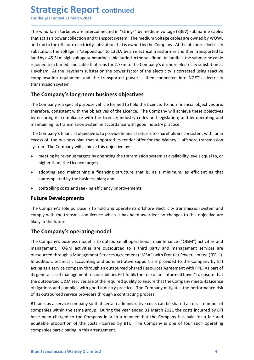Strategic Report continued<br>
For the year ended 31 March 2021<br>
The wind farm turbines are interconnected in "strings" by medium voltage (33kV) submarine<br>
that act as a power collection and transport system. The medium volta **Strategic Report continued**<br>For the year ended 31 March 2021<br>The wind farm turbines are interconnected in "strings" by medium voltage (33kV) submarine cables<br>that act as a power collection and transport system. The medium **Strategic Report continued**<br>For the year ended 31 March 2021<br>The wind farm turbines are interconnected in "strings" by medium voltage (33kV) submarine cables<br>that act as a power collection and transport system. The medium **Strategic Report continued**<br>For the year ended 31 March 2021<br>The wind farm turbines are interconnected in "strings" by medium voltage (33kV) submarine cables<br>that act as a power collection and transport system. The medium **Strategic Report continued**<br>For the year ended 31 March 2021<br>The wind farm turbines are interconnected in "strings" by medium voltage (33kV) submarine cables<br>that act as a power collection and transport system. The medium **Strategic Report continued**<br>For the year ended 31 March 2021<br>The wind farm turbines are interconnected in "strings" by medium voltage (33kV) submarine cables<br>that act as a power collection and transport system. The medium **Strategic Report continued**<br>For the year ended 31 March 2021<br>The wind farm turbines are interconnected in "strings" by medium voltage (33kV) submarine cables<br>that act as a power collection and transport system. The medium **Strategic Report continued**<br>For the year ended 31 March 2021<br>The wind farm turbines are interconnected in "strings" by medium voltage (33kV) submarine cables<br>that act as a power collection and transport system. The medium **Strategic Report continued**<br>For the year ended 31 March 2021<br>The wind farm turbines are interconnected in "strings" by medium voltage (33kV) submarine cables<br>that atd as a power collection and transport system. The medium **Strategic Report continued**<br>For the year ended 31 March 2021<br>The wind farm turbines are interconnected in "strings" by medium voltage (33kV) submarine cables<br>that act as a power collection and transport system. The medium **Strategic Report continued**<br>
For the year ended 31 March 2021<br>
The wind farm turbines are interconnected in "strings" by medium voltage (33kV) submarine cables<br>
that act as a power collection and transport system. The med **Strategic Report continued**<br>The wind farm turbines are interconnected in "strings" by medium voltage (33kV) submarine cables<br>that act as a power collection and transport system. The medium voltage cables are owned by WOWL **Strategic Report continued**<br>
For the year ended 31 March 2021<br>
The wind farm turbines are interconnected in "strings" by medium voltage (33kV) submarine cables<br>
that act as a power collection and transport system. The med **CONSTRIMENT CONSTRIMERED**<br>The wind farm turbines are interconnected in "strings" by medium voltage (33kV) submarine cables<br>that act as a power collection and transport system. The medium voltage cables are owned by WOWL<br>a For the year ended 31 March 2021<br>
The wind farm turbines are interconnected in "strings" by medium voltage (33kV) submarine cables<br>
that act as a power collection and transport system. The medium voltage cables are owned b The wind farm turbines are interconnected in "strings" by medium voltage (33kV) submarine cables<br>
that act as a power collection and transport system. The medium voltage cables are owned by WOWL<br>
and run to the offshore el Find that the action and transport system. The meldium voltage cables are owned by WOWL<br>
and run to the offshore electricity substation that is owned by the Company. At the offshore electricity<br>
substation, the voltage is where the effshore electricity substation that is owed by the Company. At the offshore electricity substation, the voltage is "stepped up" to 132kV by an electrical transformer and then transported to substation, the volta tation, the voltage is "stepped up" to 132kV by an electrical transformer and then transported to<br>
by a 45.3km high voltage submarine cable buried in the seal foor. At land fall, the submarine cable<br>
lined to a buried land Iby a 45.3km high voltage submarine cable buried in the sea floor. At landfall, the submarine cable than the loch buried land cable that runs for 2.7km to the Company's onshore electricity substation at the Heyshan . At th

\_\_\_\_\_\_\_\_\_\_\_\_\_\_\_\_\_\_\_\_\_\_\_\_\_\_\_\_\_\_\_\_\_\_\_\_\_\_\_\_\_\_\_\_\_\_\_\_\_\_\_\_\_\_\_\_\_\_\_\_\_\_\_\_\_\_\_\_\_\_\_\_\_\_\_\_\_\_\_\_\_\_\_\_\_\_\_\_\_\_

mento to a unreal cannot cannot extation the power factor of the electricity is corrected using reactive<br>sham. At the Heysham substation the power factor of the electricity is corrected using reactive<br>pensation equipment a Sharm. At the responant substable the power latter that is a phenometrical persation equipment and the transported power is then connected into NGET's electricity smission system.<br> **Company's long-term business objectives** smission system.<br> **e Company's long-term business objectives**<br> **Company's long-term business objectives**<br> **Company is a special purpose vehicle formed to hold the Licence.** Its non-financial objectives are,<br>
efore, consist The **Company's long-term business objectives**<br>The **Company** is a special purpose vehicle formed to hold the Licence. Its non-finan<br>therefore, consistent with the objectives of the Licence. The Company will achiev<br>by ensuri The Company is a special purpose vehicle formed to hold the Licence. Its non-financial objectives are,<br>the refore, consistent with the objectives of the Licence. The Company will achieve these electricity<br>the purpose is to therefore, consistent with the objectives of the Licence. The Company will achieve these objectives<br>ty ensuring its compliance with the licence; industry codes and legislation; and by operating and<br>maintalning its complian

**Solutionary** its compliance with the Licence; industry codes and legislation; and by maintaining its transmission system in accordance with good industry practice.<br>The Company's financial objective is to provide financial

- 
- 
- 

management. O&M activities are outsourced to a third party and management services are outsourced through a Management Services Agreement ("MSA") with Frontier Power Limited ("FPL"). In addition, technical, accounting and maintaining its transmission system in accordance with good moustry practice.<br>The Company's financial objective is to provide financial returns to shareholders consistent with, or in<br>The Company's financial objective is to The Company's musical outsource is to pluvide immission systeme involvements of the business plan that supported its tender offer for the Walney 1 offshore transmission<br>system. The Company will achieve this objective by:<br> Extern. The Company show that approach is tended to the venture of the station of the station of the meeting its revenue targets by operating the transmission system at availability levels equal to, or higher than, the Lic system. The Company win earlieve curs objective by.<br>
• meeting its revenue targets by operating the transmission system at availability levels equal to, or<br>
higher than, the Licence target;<br>
• adopting and maintaining a fi • meeting its revenue targets by operating the transmission system at availability levels equal to, or<br>
• dopting and maintaining a financing structure that is, as a minimum, as efficient as that<br>
contemplated by the busin **by the multimage of the multimage as a service company as a service comparison of the business plan; and<br>
Controlling costs and seeking efficiency improvements.<br>
<b>Fulture Developments**<br>
Controlling costs and seeking effic • adopting and maintaining a financing structure that is, as a minimum, as efficient as that<br>
• controlling costs and seeking efficiency improvements.<br> **Future Developments**<br> **Future Developments**<br> **Future Developments**<br> contemplated by the business plan; and<br> **e** controlling costs and seeking efficiency improvements.<br> **Future Developments**<br>
The Company's sole purpose is to hold and operate its offshore electricity transmission system and<br> **•** controlling costs and seeking efficiency improvements.<br> **Future Developments**<br> **Future Developments**<br> **Future Developments**<br> **Functions** and seeking efficiency improvements.<br> **The Company's sole purpose is to hold and** • controlling costs and seeking efficiency improvements.<br> **Future Developments**<br>
The Company's sole purpose is to hold and operate its offshore electricity transmission system and<br>
comphy with the truncmission licence whic **Future Developments**<br>The Company's sole purpose is to hold and operate its offshore electricity transmission system and<br>comply with the transmission licence which it has been awarded; no changes to this objective are<br>like The Company's sole purpose is to hold and operate its offshore electricity transmission system and<br>comply with the transmission licence which it has been awarded; no changes to this objective are<br>likely in the future.<br>The Fric Company Jours Care of the constant of the Company is such a manner of the Company's business model is to outsource all operational, maintenance ("O&M") activities and management. O&M activities are outsourced to a thi extrate the costs in the costs in the costs increase that the company is one of four such a the company's business model is to outsource all operational, maintenance ("O&M") activities and management. O&M activities are ou The **Company's operating model**<br>The **Company's operating model**<br>The Company's business model is to outsource all operational, maintenance ("O&M") activities and<br>management. O&M activities are outsourced to a third party an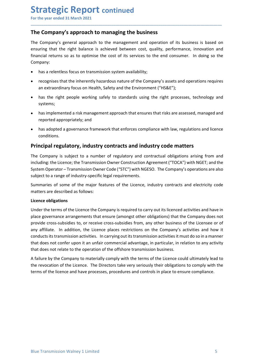**Strategic Report continued**<br>For the year ended 31 March 2021<br>The Company's approach to managing the business<br>The Company's general approach to the management and operation of its business is based on<br>ensuring that the rig **Strategic Report continued**<br>For the year ended 31 March 2021<br>The Company's approach to managing the business<br>The Company's general approach to the management and operation of its business is based on<br>ensuring that the rig **Strategic Report continued**<br>For the year ended 31 March 2021<br>The Company's approach to managing the business<br>The Company's general approach to the management and operation of its business is based on<br>ensuring that the rig **Strategic Report continued**<br>
For the year ended 31 March 2021<br> **The Company's approach to managing the business**<br>
The Company's general approach to the management and operation of its business is based on<br>
ensuring that t **Strategic Report continued**<br>For the year ended 31 March 2021<br>**The Company's approach to managing the business**<br>The Company's general approach to the management and operation of its business is based on<br>ensuring that the r Company: **Example 3 A Figure 11 Constituted**<br> **Example 3 A March 2021**<br> **Example 3 A March 2021**<br> **Example 3 a pyroach to managing the business**<br>
Company's general approach to the management and operation of its business is based o **rategic Report continued**<br> **Example 31 March 2021**<br> **Example 31 March 2021**<br> **Example 31 March 2021**<br> **Example 31 March 2021**<br> **Example 32 Approach to the management and operation of its business is based on<br>
prany:<br>
that Example 2018 CONTRIG (SEP)**<br> **Example 31 March 2021**<br> **Example 31 March 2021**<br> **Example 31 March 2021**<br> **Example 31 March 2021**<br> **Example 31 March 10211**<br> **Example 31 March 10211**<br> **Example 31 March 2021**<br> **Example 31 Mar Example 1.1**<br> **Example 1998 Supproach to managing the business**<br> **Example working safely and the right palance is achieved between cost, quality, performance, innovation and<br>
pring that the right balance is achieved betwe The state of the system of the system of the system of the system of the system of the system approach to management and operation of its business is based on company's approach to the management and operation of its busi** reported 31 March 2021<br>
He year ended 31 March 2021<br>
Le Company's approach to managing the business<br>
Company's general approach to the management and operation of its business is based on<br>
uring that the right balance is a **Example any's approach to managing the business**<br>
Compan**y's general approach to the management and operation** of its business is based on<br>
uring that the right balance is achieved between cost, quality, performance, inno The Company's general approach to the management and operation of its business is based on<br>ensuring that the right balance is achieved between cost, quality, performance, innovation and<br>financial returns so as to optimise

\_\_\_\_\_\_\_\_\_\_\_\_\_\_\_\_\_\_\_\_\_\_\_\_\_\_\_\_\_\_\_\_\_\_\_\_\_\_\_\_\_\_\_\_\_\_\_\_\_\_\_\_\_\_\_\_\_\_\_\_\_\_\_\_\_\_\_\_\_\_\_\_\_\_\_\_\_\_\_\_\_\_\_\_\_\_\_\_\_\_

- 
- 
- systems;
- 
- conditions.

ensuring that the right balance is achieved between cost, quality, performance, innovation and<br>
financial returns so as to optimise the cost of its services to the end consumer. In doing so the<br>
Company:<br>
• has a relentles Inancial returns so as to optimise the cost of its services to the end consumer. In doing so the<br>
• has a relentless focus on transmission system availability;<br>
• recognises that the inherently hazardous nature of the Comp Company:<br>
• has arelentless focus on transmission system availability;<br>
• recognises that the inherently hazardous nature of the Company's assets and operations requires<br>
an extraordinary focus on Health, Safety and the En • has a relentless focus on transmission system availability;<br>• recognises that the inherently hazardous nature of the Company's assets and operations requires<br>• an extraordinary focus on Health, Safety and the Environment • recognises that the inherently hazardous nature of the Company's assets and operations requires<br>
• has in eight people working safely to standards using the right processes, technology and<br>
systems;<br>
• has implemented a an extraordinary focus on Health, Safety and the Environment ("HS&E");<br>
• has the right people working safely to standards using the right processes, technology a<br>
systems;<br>
• has implemented a risk management approach tha

• has the right people working safely to standards using the right process<br>systems;<br>
• has implemented a risk management approach that ensures that risks are asse<br>
reported appropriately; and<br>
• has adopted a governance fr systems;<br>
• has implemented a risk management approach that ensures that risks are assessed, managed and<br>
reported appropriately; and<br>
• has adopted a governance framework that enforces compliance with law, regulations and • has implemented a risk management approach that ensures that risks are assessed, managed and<br>• has adopted a governance framework that enforces compliance with law, regulations and licence<br>conditions.<br>**Principal regulato Provided appropriately; and**<br> **•** has adopted a governance framework that enforces compliance with law, regulations and licence<br>
conditions.<br> **Principal regulatory, industry contracts and industry code matters**<br>
The Compa • has adopted a governance framework that enforces compliance with law, regulations and licence<br>conditions.<br> **Principal regulatory, industry contracts and industry code matters**<br>
The Company is subject to a number of regul • mas approved a governance trannework that entorces compliance with law, regulations and licence<br> **Principal regulatory, industry contracts and industry code matters**<br>
The Company is subject to a number of regulatory and conditions.<br>The Company is subject to a number of regulatory and contractual obligations arising from and<br>the including: the licence; the Transmission Owner Construction Agreement ("TOCA") with NGET; and the<br>including: the **Principal regulatory, industry contracts and industry code matters**<br>The Company is subject to a number of regulatory and contractual obligations arising from and<br>including: the Licence; the Transmission Owner Construction The Company is subject to a number of regulatory and contractual obligations arising from and<br>including: the Licence; the Transmission Owner Construction Agreement ("TOCA") with NGET; and the<br>System Operator – Transmission including: the Licence; the Transmission Owner Construction Agreement ("TOCA") with NGET; and the System Operator – Transmission Owner Code ("STC") with NGESO. The Company's operations are also subject to a range of indust System Operator – Transmission Owner Code ("STC") with NGESO. The Company's operations are also subject to a range of industry-specific legal requirements.<br>
Summaries of some of the major features of the Licence, industry

and does not center upon the operation of the offshore transmission business.<br>
A failure by the Company to materially comply with the terms of the Licence could ultimately lead to<br>
A failure by the Company to materially co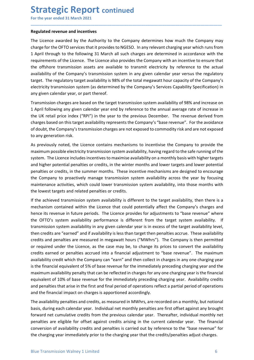# **Strategic Report continued**<br>
For the year ended 31 March 2021<br>
Regulated revenue and incentives<br>
The Licence awarded by the Authority to the Company determines how much the Compar

**Strategic Report continued**<br>For the year ended 31 March 2021<br>Regulated revenue and incentives<br>The Licence awarded by the Authority to the Company determines how much the Company may<br>charge for the OFTO services that it pr **Strategic Report continued**<br>For the year ended 31 March 2021<br>Regulated revenue and incentives<br>The Licence awarded by the Authority to the Company determines how much the Company r<br>charge for the OFTO services that it prov **Strategic Report continued**<br>For the year ended 31 March 2021<br>Regulated revenue and incentives<br>The Licence awarded by the Authority to the Company determines how much the Company may<br>charge for the OFTO services that it pr **Strategic Report continued**<br>For the year ended 31 March 2021<br>The Licence awarded by the Authority to the Company determines how much the Company may<br>charge for the OFTO services that it provides to NGESO. In any relevant **Strategic Report continued**<br>For the year ended 31 March 2021<br>Regulated revenue and incentives<br>The Licence awarded by the Authority to the Company determines how much the Company may<br>charge for the OFTO services that it pr **Strategic Report continued**<br>For the year ended 31 March 2021<br>The Licence awarded by the Authority to the Company determines how much the Company may<br>charge for the OFTO services that it provides to NGESO. In any relevant **Strategic Report continued**<br>For the year ended 31 March 2021<br>The Licence awarded by the Authority to the Company determines how much the Company may<br>charge for the OFTO services that it provides to NGESO. In any relevant **Strategic Report continued**<br>For the year ended 31 March 2021<br>The Licence awarded by the Authority to the Company determines how much the Company may<br>charge for the OFTO services that it provides to NGESO. In any relevant **Strategic Report continued**<br> **For the year ended 31 March 2021**<br> **Regulated revenue and incentives**<br>
The Licence awarded by the Authority to the Company determines how much the Company may<br>
charge for the OFTO services th **Strategic Report continued**<br>For the year ended 31 March 2021<br>Regulated revenue and incentives<br>The Licence awarded by the Authority to the Company determines how much the Company may<br>charge for the OFTO services that it pr **Strategic Report continued**<br>For the year ended 31 March 2021<br>Regulated revenue and incentives<br>The Licence awarded by the Authority to the Company determines how much the Company may<br>charge for the OFTO services that it pr **Strategic Report continued**<br>For the year ended 31 March 2021<br>Regulated revenue and incentives<br>The Licence awarded by the Authority to the Company determines how much the Company may<br>charge for the OFTO services that it pr **Strategic Report continued**<br>
For the year ended 31 March 2021<br>
Regulated revenue and incentives<br>
The Licence awarded by the Authority to the Company determines how much the Company may<br>
rhave for the OFTO services that it **STIT CHE THE THE PROFIC CONTITIMED**<br>For the year ended 31 March 2021<br>**Regulated revenue and incentives**<br>The Licence awarded by the Authority to the Company determines how much the Company may<br>charge for the OFTO services For the year ended 31 March 2021<br> **Regulated revenue and incentives**<br>
The Licence awarded by the Authority to the Company determines how much the Company may<br>
charge for the OFTO services that it provides to NGESO. In any **Regulated revenue and incentives**<br>The Licence awarded by the Authority to the Company determines how much the Company may<br>charge for the OFTO services that it provides to NGESO. In any relevant charging year which runs fr **Regulated revenue and incentives**<br>The Licence awarded by the Authority to the Company determines how much the Company charge for the OFTO services that it provides to NGESO. In any relevant charging year which 1 April thr The Licence awarded by the Authority to the Company determines how much the Company may<br>charge for the OFTO services that it provides to NGESO. In any relevant charging year which runs from<br>thapef or the OFTO services that charge for the OFTO services that it provides to NGESO. In any relevant charging year which runs from<br>1 April through to the following 31 March all such charges are determined in accordance with the<br>1 April through to the

\_\_\_\_\_\_\_\_\_\_\_\_\_\_\_\_\_\_\_\_\_\_\_\_\_\_\_\_\_\_\_\_\_\_\_\_\_\_\_\_\_\_\_\_\_\_\_\_\_\_\_\_\_\_\_\_\_\_\_\_\_\_\_\_\_\_\_\_\_\_\_\_\_\_\_\_\_\_\_\_\_\_\_\_\_\_\_\_\_\_

1 April through to the following 31 March all such charges are determined in accordance with the requirements of the Licence is to percone abso provides the Company with an incentive to ensure that the difshore transmissio requirements of the Licence. The Licence also provides the Company with an incentive to ensure that<br>the offshore transmission assets are available to transmit electricity by reference to the actual<br>availability of the Comp the offshore transmission assets are available to transmit electricity by reference to the actual<br>availability of the Company's transmission system in any given calendar year errasus the regulatory<br>target. The regulatory t availability of the Company's transmission system in any given calendar year versus the regulatory<br>
atraget. The regulatory target availability is 98% of the total megawatt hour capacity of the Company's<br>
electricity trans target. The regulatory target availability is 98% of the total megawatt hour capacity of the Company's any given calentricity transmission system availability Specification) in electricity transmission system availability electricity transmission system (as determined by the Company's Services Capability Specification) in<br>any given calendar year, or part thereof.<br>Transmission charges are based on the target transmission system availability any given calendar year, or part thereor.<br>Transmission system availability of 98% and increase on<br>Transmission charges are based on the target transmission system availability of 98% and increase in<br>The UK retail price ind Transmission charges are based on the target transmission system availability of 98% and increase on<br>1 April following any gliven callend year are to by reference to the annual average rate of increase in<br>the UK retail pri 1 April following any given calendar year end by reference to the annual average rate of increase in<br>the UK retail price index ("RBPI") in the year to the previous December. The revenue derived from<br>charges based on this t

or required under the Licence, as the case may be, to change its prices to convert the availability credits sarned or penalties accrued into a financial adjustment to "base revenue". The maximum availability recdit which t the UK retail price index ("RPI") in the year to the previous December. The revenue derived from<br>endages based on this target availability represents the Company's "base revenue". For the avoidance<br>of doubt, the Company's charges based on this target availability represents the Company's "base revenue". For the avoidance of doubt, the Company is transmission charges are not exposed to commodity risk and are not exposed to compressed to comp of doubt, the Company's transmission charges are not exposed to commodity risk and are not exposed<br>ot any generation risk.<br>As previously noted, the Licence contains mechanisms to incentivise the Company to provide the<br>maxi to any generation risk.<br>As previously noted, the lience contains mechanisms to incentivise the Company to provide the maximum possible electricity transmission system availability, having regard to the safer numing of the As previously noted, the Licence contains mechanisms to incentivise the Company to provide the maximum possible electricity transmission system availability, having regard to the safe running of the same implement impleme sy perotoxy mote, the cate contrains in the mathemation of the mediately preceding charging year. Availability constrained into the safe running of the system. The Licence includes incentives to maximise availability, havi msum possible electionty orisinismoin system. The Licence includes incentives to maximise availability on a monthly basis with higher targets and higher potential penalties or credits, in the winter months and lower target system: The tecne motousal members of meanimise availably or ambitiony was with mean ligher potential penalties or credits, in the winter months and lower targets and lower repetital<br>penalties or credits, in the summer mon and my er pocketion and methals or celects, an the winter montins and user a marker pectantical perparaties or credits, in the summer months. These incentive mechanisms are designed to encourage the Company to proactively penators or cocoursy. The summer information as: "nete incentre incocurations are despect or encouring maintenance activities, which could lower transmission system availability across the year by focusing maintenance acti the company or phoatine per anassimation system arous and year of the company extern ary of the system arous the penalties or credits.<br>If the achieved transmission system availability is different to the target availabilit mentement extertions, which count of the conditional individual methaporality, the methal and the financial inpact the compary's charges and methalism contained within the Licence that could potentially affect the Company' If the achieved transmission system availability is different to the target availability, then there is a<br>mechanism contained within the Licence that could potentially affect the Company's charges and<br>thence its revenue in net eachiever unsimulated with the Licence that could potentially affect the Company's charges and<br>hence its revenue in future periods. The Licence provides for adjustments to "base revenue" where<br>the OFTO's system availab metaniani consinent whim the tructure that count potential since the complany state. The comparation of the OFTO's system availability performance is different from the target system availability. If the OFTO's system avai iente are twender in nucling performance is different from the tragtet system availability. If transmission system availability in any given calendar year is in excess of the target availability is transmission system avai core are the more and if a may approximate is a uncerer nominal transmission system availability in any given calendar year is in excess of the target availability ivel, then credits are "earned" and if availability is les transmission system avaniantly in any givet canciutar years in in excess of the clarge avaniantly reserved is and penalties are "earned" and if availability is less than target then penalties accrue. These availability cre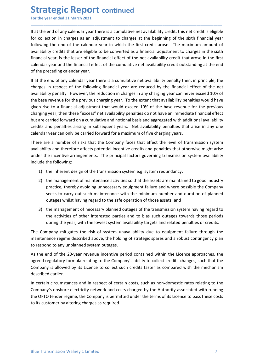**Strategic Report continued**<br>
For the year ended 31 March 2021<br>
If at the end of any calendar year there is a cumulative net availability credit, this net credit is of<br>
for collection in charges as an adjustment to charges **Strategic Report continued**<br>For the year ended 31 March 2021<br>If at the end of any calendar year there is a cumulative net availability credit, this net credit is eligible<br>for collection in charges as an adjustment to char **Strategic Report continued**<br>For the year ended 31 March 2021<br>If at the end of any calendar year there is a cumulative net availability credit, this net credit is eligible<br>for collection in charges as an adjustment to char **Strategic Report continued**<br>For the year ended 31 March 2021<br>If at the end of any calendar year there is a cumulative net availability credit, this net credit is eligible<br>for collection in charges as an adjustment to char **Strategic Report continued**<br>For the year ended 31 March 2021<br>If at the end of any calendar year there is a cumulative net availability credit, this net credit is eligible<br>for collection in charges as an adjustment to char **Strategic Report continued**<br>For the year ended 31 March 2021<br>If at the end of any calendar year there is a cumulative net availability credit, this net credit is eligible<br>for collection in charges as an adjustment to char **Strategic Report continued**<br>For the year ended 31 March 2021<br>If at the end of any calendar year there is a cumulative net availability credit, this net credit is eligible<br>for collection in charges as an adjustment to char **Strategic Report continued**<br>For the year ended 31 March 2021<br>If at the end of any calendar year there is a cumulative net availability credit, this net credit is eligible<br>for collection in charges as an adjustment to char **Strategic Report continued**<br>For the year ended 31 March 2021<br>If at the end of any calendar year there is a cumulative net availability credit, this net credit is eligibl<br>for collection in charges as an adjustment to charg **Strategic Report continued**<br>For the year ended 31 March 2021<br>If at the end of any calendar year there is a cumulative net availability credit, this net credit is eligible<br>for collection in charges as an adjustment to char **Strategic Report continued**<br>For the year ended 31 March 2021<br>If at the end of any calendar year there is a cumulative net availability credit, this net credit is eligible<br>for collection in charges as an adjustment to char

\_\_\_\_\_\_\_\_\_\_\_\_\_\_\_\_\_\_\_\_\_\_\_\_\_\_\_\_\_\_\_\_\_\_\_\_\_\_\_\_\_\_\_\_\_\_\_\_\_\_\_\_\_\_\_\_\_\_\_\_\_\_\_\_\_\_\_\_\_\_\_\_\_\_\_\_\_\_\_\_\_\_\_\_\_\_\_\_\_\_

**Strategic Report continued**<br>For the year ended 31 March 2021<br>If at the end of any calendar year there is a cumulative net availability credit, this net credit is eligible<br>for collection in charges as an adjustment to char **Strategic Report continued**<br>If at the end of any calendar year there is a cumulative net availability credit, this net credit is eligible<br>for collection in charges as an adjustment to charges at the beginning of the sixth **Strategic Report continued**<br>For the year ended 31 March 2021<br>If at the end of any calendar year there is a cumulative net availability credit, this net credit is eligible<br>for collection in charges as an adjustment to char **Strategic Report continued**<br>For the year ended 31 March 2021<br>If at the end of any calendar year there is a cumulative net availability credit, this net credit is eligible<br>for collection in charges as an adjustment to char For the year ended 31 March 2021<br>
If at the end of any calendar year there is a cumulative net availability credit, this net credit is eligible<br>
for collection in charges as an adjustment to charges at the beginning of the If at the end of any calendary arriverate is a cumulative net availability redit, this net credit is eligibele<br>for collection in charges as an adjustment to charges at the beginning of the sixth financial year<br>following th If at the end of any calendar year there is a cumulative net availability credit, this net credit is eligible<br>for collection in charges as an adjustment to charges at the beginning of the sixth financial year<br>stollatoning for collection in charges as an adjustment to charges at the beginning of the sixth financial year<br>collowing the end of the calendar year in which the first credit areas. The maximum amount of<br>columibity credits that are e following the end of the calendar year in which the first credit arose. The maximum amount of availability credit shat are eligible to be converted as a financial adjectment to charges in the sixth financial year, is the l availability credits that are eligible to be converted as a financial adjustment to charges in the sixth financial year, is the lesser of the financial effect of the cumulative net availability credit that arose in the fir financial year, is the lesser of the financial effect of the net availability credit that calendar year and the financial effect of the cumulative net availability credit outstar<br>of the preceding calendar year.<br>If at the maar year and the innancial ettect of the cumulative net availability credit outstanding at the end<br>the end of any calendar year there is a cumulative net availability penalty then, in principle, the<br>ges in respect of the the end of any calendar year there is a cumulative net availability penalty then, in principle, the ges in respect of the following financial year are reduced by the financial effect of the net ability penalty. However, th end of any calendary peractiones as cumulative net availability penality penality conditions, in principle, the<br>in respect of the following financial year are reduced by the financial effect of the net<br>ity penalty. However in respect of the following financial year are reduced by the financial effect of the net<br>ity penalty. However, the reduction in charges in any charging year can never exceed 10% of<br>revenue for the previous charging year. ity penalty. However, the reduction in charges in any chargeny ear can never exceed 10% of<br>if events from the previous charging year. To the extent that availability penalties would have<br>to the financial adjustment that wo n rise to a financial adjustment that would exceed 10% of the base revenue for the previous<br>ging year, then these "excess" net availability penalties do not have an immediate financial effect<br>transmission on acumulative an tyear, then these "excess" net availability penalties do not have an immediate financial effect<br>carried forward on a cumulative and notional basis and aggregated with additional availability<br>partied forward on a cumulative

credits and penalties arising in subsequent years. Net availability penalties that arise in any one<br>
calendar year a number of risk that the Company faces that affect the level of transmission system<br>
There are a number of calendar year can only be carried forward for a maximum of five charging years.<br>
There are a number of risks that the Company faces that affect the level of transmission system<br>
under the incentive arrangements. The princi

- 
- Constrained forward on a cumulative and notional basis and aggregated with additional availability<br>and penalties arising in subsequent vears. Net availability penalties that arise in any one<br>vear can only be carried forwa
- 

to respond to any unplanned system outages.<br>As the end of the 20-year revenue incentive period contained within the Licence approaches, the<br>agreed regulatory formula relating to the Company's ability to collect credits cha There are a number of risks that the Company faces that affect the level of transmission system<br>availability and therefore affects potential incentive credits and penalties that otherwise might arise<br>under the incentive ar availability and therefore affects potential incentive credits and penalties that otherwise might arise<br>
uncude the incentive arrangements. The principal factors governing transmission system availability<br>
include the foll under the incentive arrangements. The principal factors governing transmission system availability<br>include the following:<br>
2) the innenagement of maintenance activities so that the assets are maintained to good industry<br>
p include the following:<br>
1) the inherent design of the transmission system e.g. system redundancy:<br>
2) the management of maintenance activities so that the assets are maintained to good industry<br>
preactice, thereby avoiding 1) the inherent design of the transmission system e.g. system redundancy;<br>
2) the management of maintenance activities so that the assets are maintaine<br>
practice, thereby avoiding unnecessary equipment failure and where po 2) the management of maintenance activities so that the assets are maintained to good industry<br>practice, thereby avoiding unnecessary equipment failure and where possible the Company<br>seeks to carry out such maintenance wit practice, thereby avoiding unnecessary equipment fallure and where possible the Company<br>seeks to carry out such maintenance with the minimum number and duration of planned<br>outages whilst having regard to the safe operation seeks to carry out such maintenance with the minimum number and duration of planned<br>outages whilst having regard to the safe operation of those assets; and<br>3) the management of necessary planned outages of the transmission outages whilst having regard to the safe operation of those assets; and<br>3) the management of necessary planned outages of the transmission system having regard to<br>the activities of other interested parties and to bias such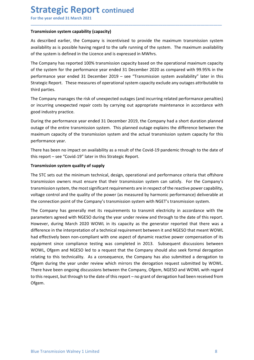# **Strategic Report continued**<br>
For the year ended 31 March 2021<br>
Transmission system capability (capacity)<br>
As described earlier, the Company is incentivised to provide the maximum transmission

**Strategic Report continued**<br>For the year ended 31 March 2021<br>Transmission system capability (capacity)<br>As described earlier, the Company is incentivised to provide the maximum transmission system<br>availability as is possib **Strategic Report continued**<br>For the year ended 31 March 2021<br>Transmission system capability (capacity)<br>As described earlier, the Company is incentivised to provide the maximum transmission system<br>availability as is possib **Strategic Report continued**<br>For the year ended 31 March 2021<br>Transmission system capability (capacity)<br>As described earlier, the Company is incentivised to provide the maximum transmission system<br>availability as is possib

\_\_\_\_\_\_\_\_\_\_\_\_\_\_\_\_\_\_\_\_\_\_\_\_\_\_\_\_\_\_\_\_\_\_\_\_\_\_\_\_\_\_\_\_\_\_\_\_\_\_\_\_\_\_\_\_\_\_\_\_\_\_\_\_\_\_\_\_\_\_\_\_\_\_\_\_\_\_\_\_\_\_\_\_\_\_\_\_\_\_

**Strategic Report continued**<br>For the year ended 31 March 2021<br>Transmission system capability (capacity)<br>As described earlier, the Company is incentivised to provide the maximum transmission system<br>availability as is possib **Strategic Report continued**<br>For the year ended 31 March 2021<br>**Transmission system capability (capacity)**<br>As described earlier, the Company is incentivised to provide the maximum transmission system<br>availability as is poss **Strategic Report continued**<br>
For the year ended 31 March 2021<br> **Transmission system capability (capacity)**<br>
As described earlier, the Company is incentivised to provide the maximum transmission system<br>
of the system is de **Strategic Report continued**<br>
For the year ended 31 March 2021<br> **Transmission system capability (capacity)**<br>
As described earlier, the Company is incentivised to provide the maximum transmission system<br>
availability as is **Strategic Report continued**<br>For the year ended 31 March 2021<br>Transmission system capability (capacity)<br>As described earlier, the Company is incentivised to provide the maximum transmission system<br>availability as is possib **Strategic Report continued**<br>
For the year ended 31 March 2021<br> **Transmission system capability (capacity)**<br>
As described earlier, the Company is incentivised to provide the maximum transmission system<br>
availability as is **Strategic Report continued**<br>For the year ended 31 March 2021<br>Transmission system capability (capacity)<br>As described earlier, the Company is incentivised to provide the maximum<br>availability as is possible having regard to **Strategic Report continued**<br>For the year ended 31 March 2021<br>Transmission system capability (capacity)<br>As described earlier, the Company is incentivised to provide the maximum transmission system<br>of the system is defined **Strategic Report continued**<br>
Fransmission system capability (capacity)<br>
Transmission system capability (capacity)<br>
As described earlier, the Company is incentivised to provide the maximum transmission system<br>
availability **Strategic Report continued**<br>For the year ended 31 March 2021<br>Transmission system capability (capacity)<br>As described earlier, the Company is incentivised to provide the maximum transmi<br>availability as is possible having re For the year ended 31 March 2021<br> **Transmission system capability (capacity)**<br>
As described earlier, the Company is incentivised to provide the maximum transmission system<br>
availability as is possible having regard to the **Transmission system capability (capacity)**<br>As described earlier, the Company is incentivised to provide the maximum transmission system<br>availability as is possible having regard to the safe running of the system. The maxi Transmission system capability (capacity)<br>As described earlier, the Company is incentivised to provide the maximum transmission system<br>availability as is possible having regard to the safe running of the system. The maximu As described earlier, the Company is incentivised to provide the maximum transm<br>availability as is possible having regard to the safe running of the system. The maxim<br>of the system is defined in the Licence and is expresse availability as is possible having regard to the safe running of the system. The maximum availability<br>of the system is defined in the Licence and is expressed in MWhrs.<br>The Company has reported 100% transmission capacity b of the system is defined in the Licence and is expressed in MWhrs.<br>The Company has reported 100% transmission capacity based on the operational maximum capacity<br>of the system for the performance year ended 31 December 2020 The Company has reported 100% transmission capacity based on the operational maximum capacity<br>of the system for the performance year ended 31 December 2020 as compared with 99.95% in the<br>performance year ended 31 December

of the system for the performance year ended 31 December 2020 as compared with 99.95% in the<br>performance year ended 31 December 2019 – see "Transmission system availability" later in this<br>Strategic Report. These measures o performance year ended 31 December 2019 – see "Transmission system availability" later in this<br>Strategic Report. These measures of operational system capacity exclude any outages attributable to<br>third parties.<br>The Company Strategic Report. These measures of operational system capacity exclude any outages attributable to<br>third parties.<br>The Company manages the risk of unexpected outages (and incurring related performance penalties)<br>To ricurri third parties.<br>The Company manages the risk of unexpected outages (and incurring related performance penalties)<br>or incurring unexpected repair costs by carrying out appropriate maintenance in accordance with<br>good industry The Company manages the risk of unexpected outages (and incurring related performance penalties)<br>or incurring unexpected repair costs by carrying out appropriate maintenance in accordance with<br>good industry practice.<br>Durin

equipment since comparance tesnig was completed in 2015. Sonsequent usuassions between the company should also seek formal derogation relating to this technicality. As a consequence, the Company has also submitted a deroga or incurring unexpected repair costs by carrying out appropriate maintenance in accordance with<br>poord industry practice.<br>
Bourding the performance vear ended 31 December 2019, the Company had a short duration planned<br>
outa good industry practice.<br>
During the performance year ended 31 December 2019, the Company had a short duration planned<br>
outage of the entire transmission system. This planned outage explains the difference between the<br>
maxi During the performance year ended 31 December 2019, the Company had a short duration planned<br>outage of the entire transmission system. This planned outage explains the difference between the<br>maximum capacity of the transmi outage of the entire transmission system. This planned outage explains the difference between the maximum capacity of the transmission system and the actual transmission system capacity for this performance evar.<br>The prefe maximum capacity of the transmission system and the actual transmission system capacity for this<br>performance year.<br>There has been no impact on availability as a result of the Covid-19 pandemic through to the date of<br>this r performance year.<br>There has been no impact on availability as a result of the Covid-19 pandemic through to the date of<br>this report – see "Covid-19" later in this Strategic Report.<br> **Transmission system quality of supply**<br> There has been no impact on availability as a result of the Covid-19 pandemic through to the date of<br>this report – see "Covid-19" later in this Strategic Report.<br> **Transmission system quality of supply**<br>
The STC sets out t There has been no impatch on availability as a result of the Covid-19 pandemic through to the date of<br>this report—see "Covid-19" later in this Strategic Report.<br>
Transmission system quality of supply<br>
The STC sets out the this report – see "Covid-19" later in this Strategic Report.<br>
Transmission system quality of supply<br>
The STC sets out the minimum technical, design, operational and performance criteria that offshore<br>
The STC sets out the **Transmission system quality of supply**<br>The STC sets out the minimum technical, design, operational and performance criteria that offshore<br>Transmission owners must ensure that their transmission system can satisfy. For the The STC sets out the minimum technical, design, operational and performance criteria that offshore<br>transmission oweres must ensure that their transmission system can satisfy. For the Company's<br>transmission system, the most Ofgem.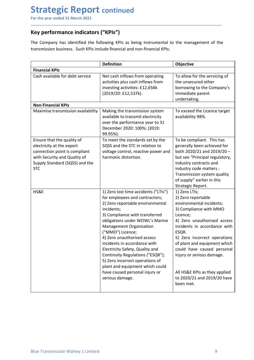**Strategic Report continued**<br>For the year ended 31 March 2021<br>Key performance indicators ("KPIs")<br>The Company has identified the following KPIs as being instrumental to the management of the<br>transmission business. Such KPI Strategic Report continued<br>
For the year ended 31 March 2021<br>
Key performance indicators ("KPIs")<br>
The Company has identified the following KPIs as being instrumental to the management of<br>
transmission business. Such KPIs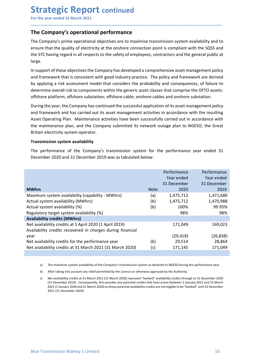# **Strategic Report continued**<br>
For the year ended 31 March 2021<br>
The Company's operational performance<br>
The Company's prime operational objectives are to maximise transmission system availability

**Strategic Report continued**<br>For the year ended 31 March 2021<br>The Company's operational performance<br>The Company's prime operational objectives are to maximise transmission system availability and to<br>ensure that the quality **Strategic Report continued**<br>For the year ended 31 March 2021<br>The Company's operational performance<br>The Company's prime operational objectives are to maximise transmission system availability and to<br>ensure that the quality **Strategic Report continued**<br>For the year ended 31 March 2021<br>The Company's operational performance<br>The Company's prime operational objectives are to maximise transmission system availability and to<br>ensure that the quality **Strategic Report continued**<br>For the year ended 31 March 2021<br>The Company's operational performance<br>The Company's prime operational objectives are to maximise transmission system availability and to<br>ensure that the quality **Strategic Report continued**<br>For the year ended 31 March 2021<br>The Company's operational performance<br>The Company's prime operational objectives are to maximise transmission system availability and to<br>ensure that the quality large.

\_\_\_\_\_\_\_\_\_\_\_\_\_\_\_\_\_\_\_\_\_\_\_\_\_\_\_\_\_\_\_\_\_\_\_\_\_\_\_\_\_\_\_\_\_\_\_\_\_\_\_\_\_\_\_\_\_\_\_\_\_\_\_\_\_\_\_\_\_\_\_\_\_\_\_\_\_\_\_\_\_\_\_\_\_\_\_\_\_\_

**Strategic Report continued**<br>
For the year ended 31 March 2021<br> **The Company's operational performance**<br>
The Company's prime operational objectives are to maximise transmission system availability and to<br>
the sTC having re **Strategic Report continued**<br>The **Company's operational performance**<br>The Company's operational objectives are to maximise transmission system availability and to<br>ensure that the quality of electricity at the onshore connec **Strategic Report continued**<br>For the year ended 31 March 2021<br>The Company's operational objectives are to maximise transmission system availability and to<br>The Company's prime operational objectives are to maximise transmis **Strategic Report continued**<br>The **Company's operational performance**<br>The **Company's prime operational objectives** are to maximise transmission system availability and to<br>ensure that the quality of electricity at the onshor **Strategic Report continued**<br>The **Company's operational performance**<br>The **Company's prime operational objectives** are to maximise transmission system availability and to<br>ensure that the quality of electricity at the onshor The Company's operational performance<br>The Company's prime operational objectives are to maximise transmission system availability and<br>ensure that the quality of electricity at the onshore connection point is compliant with The Company's previewer performation to maximise transmission system availability ather Company's prime operational objectives are to maximise transmission system availability ensure that the quality of electricity at the

**Strategic Report continued**<br>For the year ended 31 March 2021<br>The **Company's operational performance**<br>The **Company's prime operational objectives** are to maximise transmission system availability and to<br>ensure that the qua **Strategic Report continued**<br>For the year ended 31 March 2021<br>The Company's operational performance<br>The Company's prime operational objectives are to maximise transmission system availability and to<br>ensure that the quality **Example 18 and 19 and 19 and 19 and 19 and 19 and 19 and 19 and 19 and 19 and 19 and 19 and 19 and 19 and 19 and 19 and 19 and 19 and 19 and 19 and 19 and 19 and 19 and 19 and 19 and 19 and 19 and 19 and 19 and 19 and 19** The Company's operational performance<br>The Company's prime operational objectives are to maximise transmission system availability and to<br>ensure that the quality of electricity at the oshere connection point is compliant wi ensure that the quality of electricity at the onshore connection point is complant with the SQSS and<br>the STC having regard in all respects to the safety of employees, contractors and the general public at<br>large.<br>In support the STC having regard in all respects to the safety of employees, contractors and the general public at large.<br>
large.<br>
In support of these objectives the Company has developed a comprehensive asset management policy<br>
In s

|              | and framework that is consistent with good industry practice. The policy and framework are derived<br>by applying a risk assessment model that considers the probability and consequences, of failure to<br>determine overall risk to components within the generic asset classes that comprise the OFTO assets:<br>offshore platform; offshore substation; offshore cable; onshore cables and onshore substation.                                      | in support or these objectives the Company has developed a comprehensive asset management policy. |             |                                                                                                                               |
|--------------|---------------------------------------------------------------------------------------------------------------------------------------------------------------------------------------------------------------------------------------------------------------------------------------------------------------------------------------------------------------------------------------------------------------------------------------------------------|---------------------------------------------------------------------------------------------------|-------------|-------------------------------------------------------------------------------------------------------------------------------|
|              | During the year, the Company has continued the successful application of its asset management policy<br>and framework and has carried out its asset management activities in accordance with the resulting<br>Asset Operating Plan. Maintenance activities have been successfully carried out in accordance with<br>the maintenance plan, and the Company submitted its network outage plan to NGESO, the Great<br>Britain electricity system operator. |                                                                                                   |             |                                                                                                                               |
|              | <b>Transmission system availability</b>                                                                                                                                                                                                                                                                                                                                                                                                                 |                                                                                                   |             |                                                                                                                               |
|              | The performance of the Company's transmission system for the performance year ended 31<br>December 2020 and 31 December 2019 was as tabulated below:                                                                                                                                                                                                                                                                                                    |                                                                                                   |             |                                                                                                                               |
|              |                                                                                                                                                                                                                                                                                                                                                                                                                                                         |                                                                                                   | Performance | Performance                                                                                                                   |
|              |                                                                                                                                                                                                                                                                                                                                                                                                                                                         |                                                                                                   | Year ended  | Year ended                                                                                                                    |
|              |                                                                                                                                                                                                                                                                                                                                                                                                                                                         |                                                                                                   | 31 December | 31 December                                                                                                                   |
| <b>MWhrs</b> |                                                                                                                                                                                                                                                                                                                                                                                                                                                         | <b>Note</b>                                                                                       | 2020        | 2019                                                                                                                          |
|              | Maximum system availability (capability - MWhrs)                                                                                                                                                                                                                                                                                                                                                                                                        | (a)                                                                                               | 1,475,712   | 1,471,680                                                                                                                     |
|              | Actual system availability (MWhrs)                                                                                                                                                                                                                                                                                                                                                                                                                      | (b)                                                                                               | 1,475,712   | 1,470,988                                                                                                                     |
|              | Actual system availability (%)                                                                                                                                                                                                                                                                                                                                                                                                                          | (b)                                                                                               | 100%        | 99.95%                                                                                                                        |
|              | Regulatory target system availability (%)                                                                                                                                                                                                                                                                                                                                                                                                               |                                                                                                   | 98%         | 98%                                                                                                                           |
|              | <b>Availability credits (MWhrs)</b>                                                                                                                                                                                                                                                                                                                                                                                                                     |                                                                                                   |             |                                                                                                                               |
|              | Net availability credits at 1 April 2020 (1 April 2019)<br>Availability credits recovered in charges during financial                                                                                                                                                                                                                                                                                                                                   |                                                                                                   | 171,049     | 169,023                                                                                                                       |
| year         |                                                                                                                                                                                                                                                                                                                                                                                                                                                         |                                                                                                   | (29, 418)   | (26, 838)                                                                                                                     |
|              | Net availability credits for the performance year                                                                                                                                                                                                                                                                                                                                                                                                       | (b)                                                                                               | 29,514      | 28,864                                                                                                                        |
|              | Net availability credits at 31 March 2021 (31 March 2020)                                                                                                                                                                                                                                                                                                                                                                                               | (c)                                                                                               | 171,145     | 171,049                                                                                                                       |
|              |                                                                                                                                                                                                                                                                                                                                                                                                                                                         |                                                                                                   |             |                                                                                                                               |
| a)           | The maximum system availability of the Company's transmission system as declared to NGESO during the performance year.                                                                                                                                                                                                                                                                                                                                  |                                                                                                   |             |                                                                                                                               |
|              | After taking into account any relief permitted by the Licence or otherwise approved by the Authority.                                                                                                                                                                                                                                                                                                                                                   |                                                                                                   |             |                                                                                                                               |
| b)           |                                                                                                                                                                                                                                                                                                                                                                                                                                                         |                                                                                                   |             | Net availability credits at 31 March 2021 (31 March 2020) represent "banked" availability credits through to 31 December 2020 |

et availability credits at 31 March 2021 (31 March 2020)<br>
a) The maximum system availability of the Company's transmission system as declared to NGESO during the performance year.<br>
b) After taking into account any relief p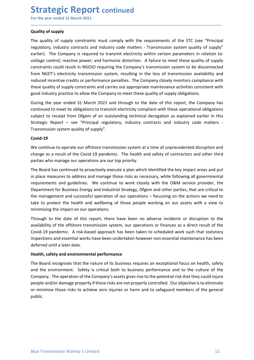# **Strategic Report continued**<br>
For the year ended 31 March 2021<br>
Quality of supply<br>
The quality of supply constraints must comply with the requirements of the STC (see "Pi

**Strategic Report continued**<br>For the year ended 31 March 2021<br>Quality of supply<br>The quality of supply constraints must comply with the requirements of the STC (see "Principa<br>regulatory, industry contracts and industry code **Strategic Report continued**<br>For the year ended 31 March 2021<br>Quality of supply<br>The quality of supply constraints must comply with the requirements of the ST<br>regulatory, industry contracts and industry code matters - Trans **Strategic Report continued**<br>For the year ended 31 March 2021<br>Quality of supply<br>The quality of supply constraints must comply with the requirements of the STC (see "Principal<br>regulatory, industry contracts and industry cod **Strategic Report continued**<br>For the year ended 31 March 2021<br>Quality of supply<br>The quality of supply constraints must comply with the requirements of the STC (see "Principal<br>regulatory, industry contracts and industry cod **Strategic Report continued**<br>For the year ended 31 March 2021<br>Quality of supply<br>The quality of supply constraints must comply with the requirements of the STC (see "Principal<br>regulatory, industry contracts and industry cod **Strategic Report continued**<br>
For the year ended 31 March 2021<br>
Quality of supply<br>
The quality of supply<br>
The quality of supply constraints must comply with the requirements of the STC (see "Principal<br>
regulatory, industry **Strategic Report continued**<br>For the year ended 31 March 2021<br>Quality of supply<br>The quality of supply constraints must comply with the requirements of the STC (see "Principal<br>regulatory, industry contracts and industry cod **Strategic Report continued**<br>
For the year ended 31 March 2021<br>
Quality of supply<br>
The quality of supply constraints must comply with the requirements of the STC (see "Principal<br>
regulatory, industry contracts and industry **Strategic Report continued**<br>For the year ended 31 March 2021<br>Quality of supply<br>The quality of supply<br>The quality of supply<br>The quality of supply<br>The quality of supply<br>Constraints control; reactive power; and hardstry code **Strategic Report continued**<br>For the year ended 31 March 2021<br>Quality of supply<br>The quality of supply<br>The quality of supply constraints must comply with the requirements of the STC (see "Principal<br>regulatory, industry cont **Strategic Report continued**<br>
For the year ended 31 March 2021<br>
Quality of supply<br>
The quality of supply<br>
The quality of supply<br>
The quality of supply<br>
The campany is required to transmise lectricity within certain paramet **Strategic Report continued**<br>
For the year ended 31 March 2021<br>
Quality of supply<br>
The quality of supply<br>
The quality of supply<br>
The quality of supply<br>
The quality of supply<br>
regulatory, industry contracts and industry cod **Strategic Report** continued<br>For the year ended 31 March 2021<br>Quality of supply<br>The quality of supply constraints must comply with the requirements of the STC (see "Principal<br>regulatory, industry contarats and industry cod **STIT CHE THE THE FROM THE CONTIMERED CONTIMERED (SEE "**Principal **Quality of supply**<br>
The quality of supply<br>
The quality of supply<br>
The quality of supply<br>
The quality of supply<br>
The quality of supply is equived to transmi For the year ended 31 March 2021<br> **Quality of supply**<br>
The quality of supply constraints must comply with the requirements of the STC (see "Principal<br>
regulatory, industry contracts and industry code matters - Transmission **Quality of supply**<br> **The quality of supply constraints must comply with the requirements of the STC (see "Principal<br>
regulatory, industry contracts and industry code matters - Transmission system quality of supply"<br>
bearl** The quality of supply constraints must comply with the requirements of the SUC (see "Principal<br>regulatory, industry contrasts and industry code matters - Transmission system quality of supply"<br>earlier). The Company is requ regulatory, industry contracts and industry code matters - Iransmission system quality of supply<br>earlier). The Company is required to transmit electricity within certain parameters in relation to:<br>voltage control; reactive earier). The Company is required to transmit electricity within certain parameters in relation to:<br>Voltage control; reactive power; and harmonic distortion. A failure to meet these quality of supply<br>constraints could resul

\_\_\_\_\_\_\_\_\_\_\_\_\_\_\_\_\_\_\_\_\_\_\_\_\_\_\_\_\_\_\_\_\_\_\_\_\_\_\_\_\_\_\_\_\_\_\_\_\_\_\_\_\_\_\_\_\_\_\_\_\_\_\_\_\_\_\_\_\_\_\_\_\_\_\_\_\_\_\_\_\_\_\_\_\_\_\_\_\_\_

### Covid-19

constraints could result in NGESO requiring the Company's transmission system to be disconnected<br>from NGET's electricity transmission system, resulting in the loss of transmission availability and<br>reduced incentive redits from NGET's electricity transmission system, resulting in the loss of transmission availability and<br>reduced incentive credits or performance penalties. The Company dosely monitors compliance with<br>these quality of supply co reduced incentive credits or performance penalties. The Company closely monitors compliance with<br>these quality of supply constraints and carries out appropriate maintenance activities consistent with<br>fieod industry practic these quality of supply constraints and carries out appropriate maintenance activities consistent with<br>good industry practice to allow the Company to meet these quality of supply obligations.<br>During the year ended 31 March Experiment for Business Energy and Industrial Strategy, Of supply obligations.<br>
During the year ended 31 March 2021 and through to the date of this report, the Company has<br>
continued to meet its obligations to transmit ele During the year ended 31 March 2021 and through to the date of this report, the Company has<br>continued to meet its obligations to transmit electricity compliant with these operational obligations<br>subject to receipt from Ofg During the year ended 31 March 2021 and through to the date of this report, the Company has<br>continued to meet its obligations to transmit leedtricity compilant with these operational obligations<br>subject to receipt from Ofg subject to receipt from Ofgem of an outstanding technical derogation as explained earlier in this Strategic Report – see "Principal regulatory, industry contracts and industry code matters –<br>Transmission system quality of Strategic Report — see "Principal regulatory, industry contracts and industry code matters -<br>Transmission system quality of supply".<br> **Covid-19**<br>
We continue to operate our offshore transmission system at a time of unprece Transmission system quality of supply".<br>
Covid-19<br>
We continue to operate our offshore transmission system at a time of unprecedented disruption and<br>
change as a result of the Covid-19 pandemic. The healt and safety of con **Covid-19**<br> **Covid-19**<br>
We continue to operate our offshore transmission system at a time of unprecedented disruption and<br>
change as a result of the Covid-19 pandemic. The health and safety of contractors and other third<br> Covid-19<br>We continue to operate our offshore transmission system at a time of unprecedented disruptive<br>dename as a result of the Covid-19 pandemic. The health and safety of contractors and othe<br>parties who manage our opera We continue to operate our offshore transmission system at a time of unprecedented disruption and<br>change as a result of the Coord-19 pandemic. The health and safety of contractors and other third<br>parties who manage our ope mattes who manage our operations are our top priority.<br>The Board has continued to proactively execute a plan which identified the key impact areas and put<br>in place measures to address and manage those risks as necessary, w The Board has continued to proactively execute a plan which identified the key impact areas and put<br>in place measures to address and manage those risks as necessary, while following all governmental<br>requirements and guidel The Board has continued to proactively exectute a plan which identified the key impact areas and put<br>In place measures to address and manage those risks as necessary, while following all governmental<br>requirements and guide

deferred until a later date.<br>Health, safety and environmental performance<br>The Board recognises that the nature of its business requires an exceptional focus on health, safety<br>and the environment. Safety is critical both to In place measures to address and manage those rasks are necessary, while following all governmental properment<br>requirements and guidelines. We continue to work closely with the O&M service provider, the<br>Department for Busi requirements and gudelines. We continue to work closely with the O&M service provider, the papartment for Business Energy and Industrial Strategy. Ofgem and other parties, that are critical to the management and successful public.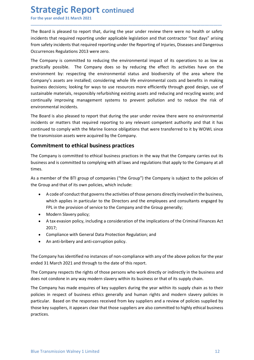Strategic Report continued<br>
For the year ended 31 March 2021<br>
The Board is pleased to report that, during the year under review there were no health or<br>
incidents that required reporting under applicable legislation and th **Strategic Report continued**<br>For the year ended 31 March 2021<br>The Board is pleased to report that, during the year under review there were no health or safety<br>incidents that required reporting under applicable legislation **Strategic Report continued**<br>For the year ended 31 March 2021<br>The Board is pleased to report that, during the year under review there were no health or safety<br>incidents that required reporting under applicable legislation **Strategic Report continued**<br>For the year ended 31 March 2021<br>The Board is pleased to report that, during the year under review there were no health or safety<br>incidents that required reporting under applicable legislation **Strategic Report continued**<br>For the year ended 31 March 2021<br>The Board is pleased to report that, during the year under review there were no health or safety<br>incidents that required reporting under applicable legislation

\_\_\_\_\_\_\_\_\_\_\_\_\_\_\_\_\_\_\_\_\_\_\_\_\_\_\_\_\_\_\_\_\_\_\_\_\_\_\_\_\_\_\_\_\_\_\_\_\_\_\_\_\_\_\_\_\_\_\_\_\_\_\_\_\_\_\_\_\_\_\_\_\_\_\_\_\_\_\_\_\_\_\_\_\_\_\_\_\_\_

**Strategic Report continued**<br>For the year ended 31 March 2021<br>The Board is pleased to report that, during the year under review there were no health or safety<br>incidents that required reporting under applicable legislation **Strategic Report continued**<br>For the year ended 31 March 2021<br>The Board is pleased to report that, during the year under review there were no health or safety<br>incidents that required reporting under the Reporting of injuri **Strategic Report continued**<br>For the year ended 31 March 2021<br>The Board is pleased to report that, during the year under review there were no health or safety<br>incidents that required reporting under applicable legislation **Strategic Report continued**<br>For the year ended 31 March 2021<br>The Board is pleased to report that, during the year under review there were no health or safety<br>incidents that required reporting under applicable legislation **Strategic Report continued**<br>For the year ended 31 March 2021<br>The Board is pleased to report that, during the year under review there were no health or safety<br>incidents that required reporting under applicable legislation **Strategic Report continued**<br>For the year ended 31 March 2021<br>The Board is pleased to report that, during the year under review there were no health or safety<br>incidents that required reporting under applicable legislation **Strategic Report continued**<br>The Board is pleased to report that, during the year under review there were no health or safety<br>incidents that required reporting under applicable legislation and that contractor "lost days" a **Strategic Report continued**<br>The Board is pleased to report that, during the year under review there were no health or safety<br>incidents that required reporting under applicable legislation and that contractor "lost days" a **Strategic Report continued**<br>For the year ended 31 March 2021<br>The Board is pleased to report that, during the year under review there were no hea<br>incidents that required reporting under applicable legislation and that cont **STIT CHE EXECT AS ANTIMUM EXECT ASSOCIAT** CONTITION THE ROW THE BOARD IS DREVIRT THE BOARD IS pleased to report that, during the year under review there were no health or safety incidents that required reporting under app For the year ended 31 March 2021<br>
The Board is pleased to report that, during the year under review there were no health or safety<br>
incidents that required reporting under applicable legislation and that contractor "lost d The Board is pleased to report that, during the year under review there were no health or safety incidents that required reporting under applicable legislation and that contractor "lost days" arising from safety incidents The Board is pleased to report that, during the year under review there were no health or safety<br>incidents that required reporting under applicable legislation and that contractor "lost days" arising<br>from safety incidents Incoments in at required repeating under approach and into the Companyiston and the Company at all the nearborrow steps profits business and Dangerous<br>
The Company is committed to reducing the environmental impact of its o Occurrences Regulations 2013 were zero.<br>The Company is committed to reducing the environmental impact of its operations to as low as<br>practically possible. The Company does so by reducing the effect its activities have on t The Company is committed to reducing the environmental impact of its operations to as low as<br>practically possible. The Company does so by reducing the effect its activities have on the<br>environment by: respecting the enviro environment by: respecting the environmental status and biodiversity of the area where the Company's assets are installed; considering whole life environmental costs and benefits in making<br>business decisions; looking for w Company's assets are installed; considering whole life environmental costs and benefits in making<br>bustiness decisions; looking for ways to use resources more efficiently through good design, use of<br>sustiainable materials,

oecasons; looking for ways to use resources more entricintly frorugin good esegn, use or<br>ble materials, responsibly refurbishing existing assets and reducing and recycling waste; and<br>ally improving management systems to pr ble materials, responsibly returbshing existing assets and reducing and recycling waste; and<br>plily improving management systems to prevent pollution and to reduce the risk of<br>mental incidents.<br>The sides pleased to report t any mproving management systems to prevent pointution and to reduce the risk of<br>mental incidents.<br>The provision of service to the company and the vervice to the review there were no environmental<br>so rot matters that requir rleman incluents.<br>
are also pleased to report that during the year under review there were no environment is or matters that required reporting to any relevant competent authority and that it<br>
are or matters that required rd is also pleased to report that during the year under review there were no environmental<br>so or matters that required reporting to any relevant competent authority and that it has<br>so to matters that required reporting to

times. ed to comply with the Marine licence obligations that were transferred to it by WOWL since<br>smission assets were acquired by the Company.<br> **itment to ethical business practices**<br>
spany is committed to ethical business pract smission assets were acquired by the Company.<br> **itment to ethical business practices**<br>
ppany is committed to ethical business practices<br>
phany that the Company carries out its<br>
and is committed to complying with all laws a The Company is committed to ethical business practices in the way that the Company carries out its<br>business and is committed to complying with all laws and regulations that apply to the Company at all<br>times.<br>The amome of t

- Ine Company is committed to ethical business practices in the way that the Company carries out its<br>business and is committed to complying with all laws and regulations that apply to the Company at all<br>times.<br>As a member of
	-
	- 2017;
	-
	-

The Company has identified no instances of non-compliance with any of the above polices for the year<br>ended 31 March 2021 and through to the date of this report.<br>The Company respects the rights of those persons who work dir It imes.<br>
As a member of the BTI group of companies ("the Group") the Company is subject to the policies of<br>
the Group and that of its own policies, which include:<br>
• A code of conduct that governs the activities of those As a member of the BTI group of companies ("the Group") the Company is subject to the policies of<br>
the Group and that of its own policies, which include:<br>
• A code of conduct that governs the activities of those persons di the Group and that of its own policies, which include:<br>
• A code of conduct that governs the activities of those persons directly involved in the business,<br>
which applies in particular to the Directors and the employees an • A code of conduct that governs the activities of those persons directly involved in the business,<br>which applies in particular to the Directors and the employees and consultants engaged by<br>FPL in the provision of service • Acode or conduct that governs the activites of those persons directly involved in the business,<br>which applies in particular to the Directors and the employees and consultants engaged by<br>FPL in the provision of service to which appliers in particular to the Directors and the employees and consultants engaged by<br>Fig. in the provision of service to the Company and the Group generally;<br>A tax evasion policy, including a consideration of the imp practices.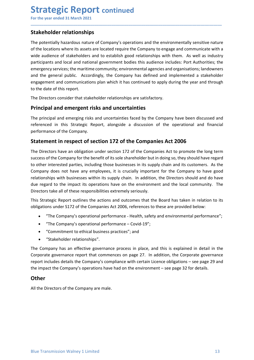# Strategic Report continued<br>
For the year ended 31 March 2021<br>
Stakeholder relationships<br>
The notentially hazardous nature of Company's operations and the environmentally sensitive

**Strategic Report continued**<br>For the year ended 31 March 2021<br>**Stakeholder relationships**<br>The potentially hazardous nature of Company's operations and the environmentally sensitive nature<br>of the locations where its assets **Strategic Report continued**<br>For the year ended 31 March 2021<br>**Stakeholder relationships**<br>The potentially hazardous nature of Company's operations and the environmentally sens<br>of the locations where its assets are located **Strategic Report continued**<br>For the year ended 31 March 2021<br>**Stakeholder relationships**<br>The potentially hazardous nature of Company's operations and the environmentally sensitive nature<br>of the locations where its assets **Strategic Report continued**<br>For the year ended 31 March 2021<br>**Stakeholder relationships**<br>The potentially hazardous nature of Company's operations and the environmentally sensitive nature<br>of the locations where its assets **Strategic Report continued**<br>For the year ended 31 March 2021<br>**Stakeholder relationships**<br>The potentially hazardous nature of Company's operations and the environmentally sensitive nature<br>of the locations where its assets **Strategic Report continued**<br>
For the year ended 31 March 2021<br> **Stakeholder relationships**<br>
The potentially hazardous nature of Company's operations and the environmentally sensitive nature<br>
of the locations where its ass **Strategic Report continued**<br>For the year ended 31 March 2021<br>The potentially hazardous nature of Company's operations and the environmentally sensitive nature<br>of the locations where its assets are located require the Comp **Strategic Report continued**<br>For the year ended 31 March 2021<br>**Stakeholder relationships**<br>The potentially hazardous nature of Company's operations and the environmentally sensitive nature<br>of the locations where its assets **Strategic Report continued**<br>For the year ended 31 March 2021<br>The potentially hazardous nature of Company's operations and the environmentally sensitive nature<br>of the locations where its assets are located require the Comp **Strategic Report continued**<br>For the year ended 31 March 2021<br>**Stakeholder relationships**<br>The potentially hazardous nature of Company's operations and the environmentally sensitive<br>of the locations where its assets are loc **Strategic Report continued**<br>For the year ended 31 March 2021<br>Stakeholder relationships<br>The potentially hazardous nature of Company's operations and the environmentally sensitive nature<br>of the locations where its assets ar **Strategic Report continued**<br>For the year ended 31 March 2021<br>Stakeholder relationships<br>The potentially hazardous nature of company's operations and the environmentally sensitive nature<br>of the locations where its assets ar **Stakeholder relationships**<br>The potentially hazardous nature of Company's operations and the environmentally sensitive nature<br>of the locations where its assets are located require the Company to engage and communicate with For the year ended 31 March 2021<br>
Stakeholder relationships<br>
The potentially hazardous nature of Company's operations and the environmentally sensitive nature<br>
of the locations where its assets are located require the Comp **Stakeholder relationships**<br> **Stakeholder relationships**<br>
The potentially hazardous nature of Company's operations and the environmentally sensitive<br>
or of the locations where its assets are located require the Company to **Example 12**<br> **Example the potentially hazardoss nature of Company's operations and the environmentally sensitive nature<br>
of the locations where its assets are located require the Company to engage and communicate with a<br>** The locations where its assets are located require the Company to engage and communicate with a<br>wide audience of stakeholders and to establish good relationships with them. As well as industry<br>aparticipants and local and n

\_\_\_\_\_\_\_\_\_\_\_\_\_\_\_\_\_\_\_\_\_\_\_\_\_\_\_\_\_\_\_\_\_\_\_\_\_\_\_\_\_\_\_\_\_\_\_\_\_\_\_\_\_\_\_\_\_\_\_\_\_\_\_\_\_\_\_\_\_\_\_\_\_\_\_\_\_\_\_\_\_\_\_\_\_\_\_\_\_\_

stime and the and the Company for the company for the Companisher of the Company of the Company success the mattern community; environmental agences of the Company shareholders and the general public. Accordingly, the Comp metricipants and local and national government bodies this audience includes: Port Authorities; the<br>emergency services; the maritime community; environmental agencies and organisations; landowners<br>and the general public. A Entergency services; the matter community, environmental agencies and organisations; landowners<br>and the general public. Accordingly, the Company has defined and implemented a stakeholder<br>engagement and communications plan relationships with businesses within its supply chain. In addition, the Domay of the Company has defined and implemented a stakeholder engagement and communications plan which it has continued to apply during the year and and the gatern beat is the impact in the impact of the companished and substitute the impact increasement and communications plan which it has continued to apply during the year and through<br>to the date of this report.<br>The From the directors the directors that stakeholder relationships are satisfactory.<br>
The Directors consider that stakeholder relationships are satisfactory.<br> **Principal and emergent risks and uncertainties**<br>
The principal an The Directors consider that stakeholder relationships are satisfactory.<br> **Principal and emerging** risks a**nd uncertainties**<br>
The principal and emerging risks and uncertainties faced by the Company have been discussed and<br> **Principal and emergent risks and uncertainties**<br> **The principal and emerging risks and uncertainties**<br> **The principal and emerging risks and uncertainties faced by the Company have been discussed and<br>
referenced in this S** or and entergent risks and uncertainties<br>
ficiplial and emerging risks and uncertainties faced by the Company have been discussed and<br>
riced in this Strategic Report, alongside a discussion of the operational and financial oripal and emerging risks and uncertainties faced by the Company have been discussed and<br>nance of the Company.<br>The Companysion of the operational and financial<br>ance of the Company,<br>**nent in respect of section 172 of the Co** ied in this strategic Report, alongiside a discussion of the operational and financial<br>ance of the Company.<br> **nent in respect of section 172 of the Companies Act 2006**<br>
rectors have an obligation under section 172 of the C ment in respect of section 172 of the Companies Act 2006<br>
relationships are an obligation under section 172 of the Companies Act to promote the long<br>
of the Company for the benefit of its sole shareholder but in doing so, Statement in respect or section 172 or the Companies Act 2006<br>The Directors have an obligation under section 172 of the Companies Act to promote the long term<br>success of the Company for the benefit of its sole shareholder The Directors have an obligation under section 172 of the Companies Act to promote the long term<br>success of the Company for the benefit of its sole shareholder but in doing so, they should have regard<br>to other interested p success of the Company for the benefit of its sole shareholder but in doing so, they should have regard<br>to other interested partics, including those businesses in its supply chain and its customers. As the<br>Company does not to other interested parties, including those businesses in its supply chain and its customers. As the Company does not have any employees, it is crucially important for the Company to have good<br>crelationships with business

- 
- 
- 
- 

The Company has an effective governance process in place, and this is explained in detail in the<br>Corporate governance report that commences on page 27. In addition, the Corporate governance<br>report includes details the Comp due regard to the impact its operations have on the environment and the local community. The Directors take all of these responsibilities extremely seriously.<br>This Strategic Report outlines the actions and outcomes that th

### **Other**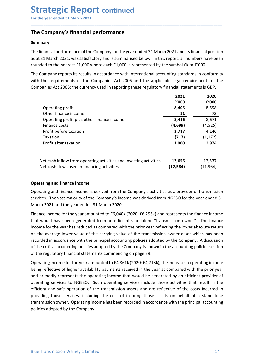### Summary

**Strategic Report continued**<br>
For the year ended 31 March 2021<br> **The Company's financial performance**<br>
Summary<br>
The financial performance of the Company for the year ended 31 March 2021 and its financial position<br>
as at 31 **Strategic Report continued**<br>For the year ended 31 March 2021<br>The Company's financial performance<br>Summary<br>The financial performance of the Company for the year ended 31 March 2021 and its financial position<br>as at 31 March **Strategic Report continued**<br>For the year ended 31 March 2021<br>The Company's financial performance<br>Summary<br>The financial performance of the Company for the year ended 31 March 2021 and its financial position<br>as at 31 March **Strategic Report continued**<br>For the year ended 31 March 2021<br>**The Company's financial performance**<br>Summary<br>The financial performance of the Company for the year ended 31 March 2021 and its financial position<br>as at 31 Marc **Strategic Report continued**<br>
For the year ended 31 March 2021<br> **The Company's financial performance**<br> **Summary**<br>
The financial performance of the Company for the year ended 31 March 2021 and its financial position<br>
as at **Strategic Report continued**<br>
For the year ended 31 March 2021<br> **The Company's financial performance**<br> **Summary**<br>
The financial performance of the Company for the year ended 31 March 2021 and its financial position<br>
as at

| The Company's financial performance                                                                                                                                                                                                                                                                                                                                                                                                                                                                                                                                                                                           |           |           |
|-------------------------------------------------------------------------------------------------------------------------------------------------------------------------------------------------------------------------------------------------------------------------------------------------------------------------------------------------------------------------------------------------------------------------------------------------------------------------------------------------------------------------------------------------------------------------------------------------------------------------------|-----------|-----------|
| <b>Summary</b>                                                                                                                                                                                                                                                                                                                                                                                                                                                                                                                                                                                                                |           |           |
| The financial performance of the Company for the year ended 31 March 2021 and its financial position<br>as at 31 March 2021, was satisfactory and is summarised below. In this report, all numbers have been<br>rounded to the nearest $£1,000$ where each $£1,000$ is represented by the symbol $£k$ or $£'000$ .                                                                                                                                                                                                                                                                                                            |           |           |
| The Company reports its results in accordance with international accounting standards in conformity<br>with the requirements of the Companies Act 2006 and the applicable legal requirements of the<br>Companies Act 2006; the currency used in reporting these regulatory financial statements is GBP.                                                                                                                                                                                                                                                                                                                       |           |           |
|                                                                                                                                                                                                                                                                                                                                                                                                                                                                                                                                                                                                                               | 2021      | 2020      |
|                                                                                                                                                                                                                                                                                                                                                                                                                                                                                                                                                                                                                               | £'000     | £'000     |
| Operating profit                                                                                                                                                                                                                                                                                                                                                                                                                                                                                                                                                                                                              | 8,405     | 8,598     |
| Other finance income                                                                                                                                                                                                                                                                                                                                                                                                                                                                                                                                                                                                          | 11        | 73        |
| Operating profit plus other finance income                                                                                                                                                                                                                                                                                                                                                                                                                                                                                                                                                                                    | 8,416     | 8,671     |
| Finance costs                                                                                                                                                                                                                                                                                                                                                                                                                                                                                                                                                                                                                 | (4,699)   | (4, 525)  |
| Profit before taxation                                                                                                                                                                                                                                                                                                                                                                                                                                                                                                                                                                                                        | 3,717     | 4,146     |
| Taxation                                                                                                                                                                                                                                                                                                                                                                                                                                                                                                                                                                                                                      | (717)     | (1, 172)  |
| Profit after taxation                                                                                                                                                                                                                                                                                                                                                                                                                                                                                                                                                                                                         | 3,000     | 2,974     |
| Net cash inflow from operating activities and investing activities                                                                                                                                                                                                                                                                                                                                                                                                                                                                                                                                                            | 12,656    | 12,537    |
| Net cash flows used in financing activities                                                                                                                                                                                                                                                                                                                                                                                                                                                                                                                                                                                   | (12, 584) | (11, 964) |
| <b>Operating and finance income</b>                                                                                                                                                                                                                                                                                                                                                                                                                                                                                                                                                                                           |           |           |
| Operating and finance income is derived from the Company's activities as a provider of transmission<br>services. The vast majority of the Company's income was derived from NGESO for the year ended 31<br>March 2021 and the year ended 31 March 2020.                                                                                                                                                                                                                                                                                                                                                                       |           |           |
| Finance income for the year amounted to £6,040k (2020: £6,296k) and represents the finance income<br>that would have been generated from an efficient standalone "transmission owner". The finance<br>income for the year has reduced as compared with the prior year reflecting the lower absolute return<br>on the average lower value of the carrying value of the transmission owner asset which has been<br>recorded in accordance with the principal accounting policies adopted by the Company. A discussion<br>of the critical accounting policies adopted by the Company is shown in the accounting policies section |           |           |

| Net cash inflow from operating activities and investing activities | 12,656   | 12,537    |
|--------------------------------------------------------------------|----------|-----------|
| Net cash flows used in financing activities                        | (12,584) | (11, 964) |

Finance costs<br>
Front before taxation and the priori and investing activities<br>
Taxation and the priori after taxation and investing activities<br>
Net cash inflow from operating activities and investing activities<br>
Net cash f Profit before taxation<br>
Taxation<br>
Taxation<br>
Profit after taxation<br>
Profit after taxation<br>
Profit after taxation<br>
Profit after taxation<br>
Net cash inflow from operating activities and investing activities<br>
(12,584) (11,964) Taxation<br>
Profit after taxation<br>
Profit after taxation<br>
Net cash inflow from operating activities and investing activities<br>
Net cash flows used in financing activities<br>
(12,584) (11,964)<br>
Operating and finance income<br>
Ope Profit after taxation<br>
Net cash inflow from operating activities and investing activities<br>
12,656 12,537<br>
Net cash flows used in financing activities<br>
12,584 12,584 11,964)<br>
Operating and finance income is derived from th Net cash inflow from operating activities and investing activities 12,656 12,537<br>
Net cash flows used in financing activities (12,584) (11,964)<br>
Operating and finance income<br>
experating and finance income<br>
services. The va Net cash inflow from operating activities and investing activities **12,656** (12,537)<br>
Net cash flows used in financing activities (12,584) (11,964)<br>
Operating and finance income<br>
Operating and finance income<br>
Operating and between the metallomic increases and financing activities (accounts) (12,584) (11,964)<br>
Deperating and finance income is derived from the Company's activities as a provider of transmission<br>
Operating and finance income is

of the critical accounting policies adopted by the Company is shown in the accounting policies section<br>of the regulatory financial statements commencing on page 39.<br>Operating income for the year amounted to £4,861k (2020: **CELTE (THET)** (TETT) (TETT) (TETT) (TETT) (TETT) (Depending and finance income is derived from the Company's activities as a provider of transmission services. The vast majority of the Company's income was derived from N **Operating and finance income**<br>Operating and finance income is derived from the Company's activities as a provider of transmission<br>services. The vast majority of the Company's income was derived from NGESO for the year end Operating and finance income<br>
expreding and finance income is derived from the Company's activities as a provider of transmission<br>
Derevices. The vast ranjority of the Company's income was derived from NGESO for the year e Operating and finance income is derived from the Company's activities as a provider of transmission services. The wast majority of the Company's income was derived from NGESO for the year ended 31 March 2020.<br>
Finance inco services. The vast majority of the Company's income was derived from NGESO for the year ended 31 March 2021 and the year ended 31 March 2020.<br>Finance income for the year amounted to E6,040k (2020: E6,296k) and represents t March 2021 and the year ended 31 March 2020.<br>
Finance income for the year amounted to £6,040k (2020:£6,296k) and represents the finance income for the year amounted to £6,040k (2020:£6,296k) and represents the finance inco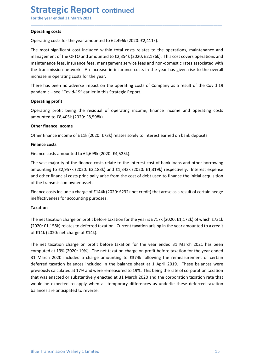## **Strategic Report continued**<br>
For the year ended 31 March 2021<br> **Operating costs**<br>
Operating costs for the year amounted to £2,496k (2020: £2,411k). Strategic Report continued<br>
For the year ended 31 March 2021<br>
Operating costs<br>
Operating costs for the year amounted to £2,496k (2020: £2,411k).<br>
The most significant cost included within total costs relates to the operati

**Strategic Report continued**<br>For the year ended 31 March 2021<br> **Operating costs**<br>
Operating costs for the year amounted to £2,496k (2020: £2,411k).<br>
The most significant cost included within total costs relates to the oper **Strategic Report continued**<br>For the year ended 31 March 2021<br>Operating costs<br>Operating costs for the year amounted to £2,496k (2020: £2,411k).<br>The most significant cost included within total costs relates to the operation **Strategic Report continued**<br>For the year ended 31 March 2021<br>Operating costs<br>Operating costs for the year amounted to £2,496k (2020: £2,411k).<br>The most significant cost included within total costs relates to the operation **Strategic Report continued**<br>For the year ended 31 March 2021<br>Operating costs<br>Operating costs for the year amounted to £2,496k (2020: £2,411k).<br>The most significant cost included within total costs relates to the operation **Strategic Report continued**<br>
For the year ended 31 March 2021<br>
Operating costs<br>
Operating costs<br>
for the year amounted to £2,496k (2020: £2,411k).<br>
The most significant cost included within total costs relates to the oper **Strategic Report continued**<br>For the year ended 31 March 2021<br>Operating costs<br>Operating costs for the year amounted to £2,496k (2020: £2,411k).<br>The most significant cost included within total costs relates to the operation **Strategic Report continued**<br>For the year ended 31 March 2021<br>Operating costs<br>Operating costs for the year amounted to £2,496k (2020: £2,411k).<br>The most significant cost included within total costs relates to the operation **Strategic Report continued**<br>
For the year ended 31 March 2021<br> **Operating costs**<br> **Operating costs**<br> **Operating costs**<br> **The most significant cost included within total costs relates to the operations, maintenance and<br>
ma Strategic Report continued**<br>
For the year ended 31 March 2021<br> **Operating costs**<br>
Operating costs<br>
Operating costs for the year amounted to £2,496k (2020: £2,411k).<br>
The most significant cost included within total costs r **Strategic Report continued**<br>For the year ended 31 March 2021<br>Operating costs<br>Operating costs for the year amounted to £2,496k (2020: £2,411k).<br>The most significant cost included within total costs relates to the operation **Strategic Report continued**<br>
For the year ended 31 March 2021<br>
Operating costs<br>
Operating costs<br>
Operating costs for the year amounted to E2,496k (2020: E2,411k).<br>
Imamos emeration of the OFTO and amounted to E2,354k (202 **BUT ALLEGT NE POTT CONTINUED**<br>For the year ended 31 March 2021<br>Operating costs<br>Operating costs for the year amounted to £2,496k (2020: £2,411k).<br>The most significant cost included within total costs relates to the operati Operating costs<br>
Operating costs for the year amounted to £2,496k (2020: £2,411k).<br>
The most significant cost included within total costs relates to the operations, main<br>
management of the OFTO and amounted to £2,354k (202 Operating costs<br>
Operating costs for the year amounted to £2,496k (2020: £2,411k).<br>
The most significant cost included within total costs relates to the operations, maintenance and<br>
maintenance from the OFTO and amounted t Operating costs for the year amounted to £2,496k (2020: £2,411k).<br>The most significant cost included within total costs relates to the operations<br>management of the OFTO and amounted to £2,354k (2020: £2,176k). This cost co The most significant cost included within total costs relates to the operations, maintenance amanagement of the OFTO and amounted to £2,354k (2020: £2,176k). This cost covers operations amaintenance fees, insurance fees, m

\_\_\_\_\_\_\_\_\_\_\_\_\_\_\_\_\_\_\_\_\_\_\_\_\_\_\_\_\_\_\_\_\_\_\_\_\_\_\_\_\_\_\_\_\_\_\_\_\_\_\_\_\_\_\_\_\_\_\_\_\_\_\_\_\_\_\_\_\_\_\_\_\_\_\_\_\_\_\_\_\_\_\_\_\_\_\_\_\_\_

management of the OFTO and amounted to £2,354k (2020: £2,176k). This cost covers operations and<br>maintenance fees, insurance fees, management service fees and non-domestic rates associated with<br>the transmission network. An maintenance fees, insurance fees, management service fees and non-domestic rates associated with<br>the transmission network. An increase in insurance costs in the year has given rise to the overall<br>increase in operating cost the transmission network. An increase in insurance costs in the year has given rise to the overall<br>increase in operating costs for the year.<br>There has been no adverse impact on the operating costs of Company as a result of increase in operating costs for the year.<br>
There has been no adverse impact on the operating costs of Company as a result of the Covid-1:<br>
Darademic – see "Covid-19" earlier in this Strategic Report.<br>
Operating profit<br>
Ope There has been no adverse impact on the operating costs of Company as a result of the Covid-19<br> **Operating profit**<br> **Operating profit**<br> **Operating profit**<br> **Operating profit**<br> **Operating profit**<br> **Operating profit**<br> **Other** pandemic – see "Covid-19" earlier in this Strategic Report.<br>
Operating profit<br>
Operating profit<br>
Operating profit<br>
Dereating profit<br>
Dereating profit<br>
Other finance income<br>
Other finance income<br>
Other finance income<br>
Other Expaining the net taxation control of film (2020: £738) relates solely to interest earned on bank deposits.<br>
Finance costs<br>
Finance costs<br>
Finance costs amounted to £4,699k (2020: £4,525k).<br>
The vast majority of the financ Content finance incomes<br>
(2020: E73k) relates solely to interest earned on bank deposits.<br>
Finance costs amounted to £4,699k (2020: £4,525k).<br>
The vast majority of the finance costs relate to the interest cost of bank loan Other finance income<br>
Other finance income of £11k (2020: £73k) relates solely to interest earned on bank deposits.<br>
Finance costs<br>
Finance costs<br>
Finance costs<br>
Finance costs<br>
The vast majority of the finance costs relate

### Taxation

Ine net taxation charge on profit before taxation for the year ended 31 March 2012 has been<br>accomputed at 19% (2020: 19%). The ret taxation charge on profit before taxation for the year ended<br>31 March 2020 included a charg Ethance costs amounted to *EA,* 699k (2020: £4,525k).<br>
Finance costs amounted to £4,699k (2020: £4,525k).<br>
The vast majority of the finance costs relate to the interest cost of bank loans and other borrowing<br>
amounting to **Finance costs**<br>The wast samounted to £4,699k (2020: £4,525k).<br>The vast majority of the finance costs relate to the interest cost of bank loans and other borrowing<br>amounting to £2,957k (2020: £3,183k) and £1,343k (2020: £ Finance costs amounted to £4,699k (2020: £4,525k).<br>The vast majority of the finance costs relate to the interest cost of bank loans and other borrowing<br>amounting to £2,357k (2020: £3,138k) and £1,343k (2020: £1,319k) resp The vast majority of the finance costs relate to the interest cost of bank loans and other borrowing<br>amounting to £2,957k (2020: £3,183k) and £1,343k (2020: £1,319k) respectively. Interest expense<br>ond other financial costs The was tingtof of the finitence costs leater to the finite exist of our brains and other borrowing<br>amounting to E2,957k (2020: E3,183k) and E1,343k (2020: E1,319k) respectively. Interest expense<br>of the transmission owner and other financial costs (*LOUC*: Ex, LONS) and E1, J-B-J-BX (*LOUC*). EL, J-J-J-D-A) respectively. Interest expense<br>and other financial costs principally arise from the cost of debt used to finance the initial acquisitio and one manutan coss pinnupany anse in online tost of oreot used to finance the mitari acquisition<br>of the transmission owner asset.<br>Finance costs include a charge of £144k (2020: £232k net credit) that arose as a result of brinne costs include a charge of £144k (2020: £232k net credit) that arose as a result of certain hedge<br>Finance costs include a charge of £144k (2020: £232k net credit) that arose as a result of certain hedge<br>ineffectivene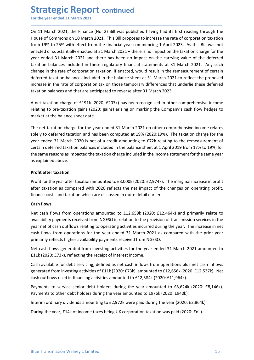Strategic Report continued<br>
For the year ended 31 March 2021<br>
On 11 March 2021, the Finance (No. 2) Bill was published having had its first reading throu<br>
House of Commons on 10 March 2021. This Bill proposes to increase t **Strategic Report continued**<br>For the year ended 31 March 2021<br>On 11 March 2021, the Finance (No. 2) Bill was published having had its first reading through the<br>House of Commons on 10 March 2021. This Bill proposes to incre **Strategic Report continued**<br>For the year ended 31 March 2021<br>On 11 March 2021, the Finance (No. 2) Bill was published having had its first reading through the<br>House of Commons on 10 March 2021. This Bill proposes to incre **Strategic Report continued**<br>For the year ended 31 March 2021<br>On 11 March 2021, the Finance (No. 2) Bill was published having had its first reading through the<br>House of Commons on 10 March 2021. This Bill proposes to incre **Strategic Report continued**<br>For the year ended 31 March 2021<br>On 11 March 2021, the Finance (No. 2) Bill was published having had its first reading through the<br>House of Commons on 10 March 2021. This Bill proposes to incre **Strategic Report continued**<br>For the year ended 31 March 2021<br>On 11 March 2021, the Finance (No. 2) Bill was published having had its first reading through the<br>House of Commons on 10 March 2021. This Bill proposes to incre **Strategic Report continued**<br>For the year ended 31 March 2021<br>On 11 March 2021, the Finance (No. 2) Bill was published having had its first reading through the<br>House of Commons on 10 March 2021. This Bill proposes to incre **Strategic Report continued**<br>For the year ended 31 March 2021<br>On 11 March 2021, the Finance (No. 2) Bill was published having had its first reading through the<br>House of Commons on 10 March 2021. This Bill proposes to incre **Strategic Report continued**<br>For the year ended 31 March 2021<br>On 11 March 2021, the Finance (No. 2) Bill was published having had its first reading through the<br>House of Commons on 10 March 2021. This Bill proposes to incr **Strategic Report continued**<br>For the year ended 31 March 2021<br>On 11 March 2021, the Finance (No. 2) Bill was published having had its first reading through the<br>House of Commons on 10 March 2021. This Bill proposes to incr **Strategic Report continued**<br>For the year ended 31 March 2021<br>On 11 March 2021, the Finance (No. 2) Bill was published having had its first reading through the<br>House of Commons on 10 March 2021. This Bill proposes to incre **Strategic Report continued**<br>For the year ended 31 March 2021<br>On 11 March 2021, the Finance (No. 2) Bill was published having had its first reading through the<br>House of Commons on 10 March 2021. This Bill proposes to incre **Strategic Report continued**<br>
On 11 March 2021, the Finance (No. 2) Bill was published having had its first reading through the<br>
House of Commons on 10 March 2021. This Bill proposes to increase the rate of corporation tax **Strategic Report continued**<br>For the year ended 31 March 2021<br>On 11 March 2021, the Finance (No. 2) Bill was published having had its first reading through the<br>House of Commons on 10 March 2021. This Bill proposes to incre **STITATE SIC REPOTT CONTIMED**<br>For the year ended 31 March 2021<br>On 11 March 2021, the Finance (No. 2) Bill was published having had its first reading through the<br>House of Commons on 10 March 2021. This Bill proposes to incr On 11 March 2021, the Finance (No. 2) Bill was published having had its first reading through the<br>House of Commons on 10 March 2021. This Bill proposes to increase the rate of corporation taxation<br>from 19% to 25% with effe On 11 March 2021, the Finance (No. 2) Bill was published having had its first reading through the<br>House of Commons on 10 March 2021. This Bill proposes to increase the rate of corporation taxation<br>from 19% to 25% with eff House of Commons on 10 March 2021. This Bill proposes to increase the rate of corporation taxation<br>from 19% to 25% with effect from the financial year commencing 1 April 2023. As this Bill was not<br>enated or substantially e from 19% to 25% with effect from the financial year commencing 1 April 2023. As this Bill was notenacted or substantially enacted at 31 March 2021 – there is no impact on the taxation charge for the vear endel 31 Ahorch 20 enacted or substantially enacted at 31 March 2021 – there is no impact on the taxation charge for the vear ended 31 March 2021 and there has been no impact on the carrying value of the deferred taxation balances included i year ended 31 March 2021 and there has been no impact on the carrying value of the datation balances included in these regulatory financial statements at 31 March 20 change in the rate of corporation taxation, if enacted,

\_\_\_\_\_\_\_\_\_\_\_\_\_\_\_\_\_\_\_\_\_\_\_\_\_\_\_\_\_\_\_\_\_\_\_\_\_\_\_\_\_\_\_\_\_\_\_\_\_\_\_\_\_\_\_\_\_\_\_\_\_\_\_\_\_\_\_\_\_\_\_\_\_\_\_\_\_\_\_\_\_\_\_\_\_\_\_\_\_\_

datation batanus linutions in these regulatory limitional statenties at 31 wiathin stated.<br>
Achange in the rate of corporation taxation, if enacted, would result in the remeasure<br>
deferred taxation balances included in the deferred taxation balances included in the balance sheet at 31 March 2021 to reflect the proposed<br>increase in the rate of corporation tax on those temporary differences that underlie these deferred<br>taxation balance and tha increase in the rate of corporation tax on those temporary differences that underlie these deferred<br>taxation balances and that are anticipated to reverse after 31 March 2023.<br>A net taxation charge of £191k (2020: £207k) ha taxation balances and that are anticipated to reverse after 31 March 2023.<br>
A net taxation charge of £191k (2020: £207k) has been recognised in other comprehensive income<br>
relating to pre-taxation gains (2020: gains) arisi A net taxation charge of £191k (2020: £207k) has been recognised in other creating to pre-taxation gains (2020: gains) arising on marking the Company'<br>market at the balance sheet date.<br>The net taxation charge for the year relating to pre-taxation gains (2020: gains) arising on marking the Company's cash flow hedges to<br>market at the balance sheet date.<br>The net taxation charge for the year ended 31 March 2021 on other comprehensive income rel market at the balance sheet date.<br>The net taxation charge for the year ended 31 March 2021 on other comprehensive income relates<br>solely to deferred taxation and has been computed at 19% (2020:19%). The taxation charge for The net taxation charge for the year ended 31 March 2021 on other comprehensive income relates<br>solely to deferred taxation and has been computed at 19% (2020:19%). The taxation charge for the<br>year ended 31 March 2020 is ne The net taxation charge for the year ended 31 March 2021 on other comprehensive income relates<br>solely to deferred taxation and has been computed at 19% (2020:19%). The taxation charge for the<br>year ended 31 March 2020 is ne

solely to deferred taxation and has been computed at 19% (2020:19%). The taxation charge for the<br>year ended 31 March 2020 is net of a credit amounting to £72k relating to the remeasurement of<br>orection deferred taxation bal year enture 32 I wiatur 2020 S net 01 a cleud and the balance sheet at 1 April 2019 from 17% to 19%, for<br>eneratin deferred taxation balances included in the balance sheet at 1 April 2019 from 17% to 19%, for<br>the same reaso Everall userlate and action batalleas included in the brainties sheet at 1 Aplin 2019 Holm 17% to 19%, for<br>the same reasons as impacted the taxation charge included in the income statement for the same year<br>**Profit after t Profit after taxation**<br> **Profit after taxation**<br> **Profit after taxation**<br> **Profit for the year after taxation amounted to £3,000k (2020: £2,974k). The marginal increase in profit<br>
direct taxation as compared with 2020 re Profit after taxation**<br>**Profit for the year after taxation amounted to £3,000k** (2020: £2,974k). The marginal increase in profit<br>after taxation as compared with 2020 reflects the net impact of the changes on operating pr **Profit after taxation**<br> **Profit for the year after taxation amounted to £3,000k (2020: £2,974k). The marginal increase in profit<br>
after taxation as compared with 2020 reflects the net impact of the changes on operating p** Profit for the year after taxation amounted to £3,000k (2020: £2,974k). The marginal increase in profit<br>after taxation as compared with 2020 reflects the net impact of the changes on operating profit,<br>finance costs and tax after taxation as compared with 2020 reflects the net impact of the changes on operating profit,<br>finance costs and taxation which are discussed in more detail earlier.<br>**Cash flows** from operations amounted to £12,659k (202 Interim costs and casation winter are usedsseen immore decain earnier.<br> **Cash flows** from operations amounted to £12,659k (2020: £12,464k) and primarily relate to<br>
Nevi cash flows from operations amounted to £12,659k (2020 Least nows<br>
Net cash flows from operations amounted to £12,659k (2020: £12,464k) and primarily relate to<br>
Net availability payments received from NGESO in relation to the provision of transmission services in the<br>
year net

Net cash flows generated from investing activities for the year ended 31 March 2021 amounted to<br>E11k (2020: E73k), reflecting the receipt of interest income.<br>Cash available for debt servicing, defined as net cash inflows f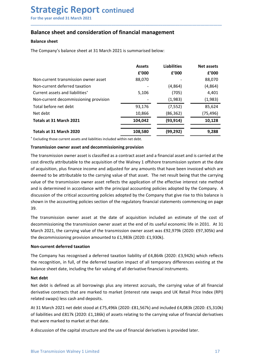## Strategic Report continued<br>
For the year ended 31 March 2021<br>
Balance sheet and consideration of financial management<br>
Balance sheet Strategic Report continued<br>
For the year ended 31 March 2021<br>
Balance sheet and consideration of financial management<br>
Balance sheet<br>
The Company's belance sheet at 21 March 2021 is summaried below. **Strategic Report continued**<br>
For the year ended 31 March 2021<br> **Balance sheet and consideration of financial management**<br>
Balance sheet<br>
The Company's balance sheet at 31 March 2021 is summarised below:

| <b>Strategic Report continued</b><br>For the year ended 31 March 2021                                                                                                                                                                                                                                             |               |                    |                   |
|-------------------------------------------------------------------------------------------------------------------------------------------------------------------------------------------------------------------------------------------------------------------------------------------------------------------|---------------|--------------------|-------------------|
|                                                                                                                                                                                                                                                                                                                   |               |                    |                   |
|                                                                                                                                                                                                                                                                                                                   |               |                    |                   |
|                                                                                                                                                                                                                                                                                                                   |               |                    |                   |
|                                                                                                                                                                                                                                                                                                                   |               |                    |                   |
|                                                                                                                                                                                                                                                                                                                   |               |                    |                   |
|                                                                                                                                                                                                                                                                                                                   |               |                    |                   |
|                                                                                                                                                                                                                                                                                                                   |               |                    |                   |
|                                                                                                                                                                                                                                                                                                                   |               |                    |                   |
|                                                                                                                                                                                                                                                                                                                   |               |                    |                   |
| <b>Balance sheet and consideration of financial management</b>                                                                                                                                                                                                                                                    |               |                    |                   |
| <b>Balance sheet</b>                                                                                                                                                                                                                                                                                              |               |                    |                   |
| The Company's balance sheet at 31 March 2021 is summarised below:                                                                                                                                                                                                                                                 |               |                    |                   |
|                                                                                                                                                                                                                                                                                                                   |               |                    |                   |
|                                                                                                                                                                                                                                                                                                                   | <b>Assets</b> | <b>Liabilities</b> | <b>Net assets</b> |
|                                                                                                                                                                                                                                                                                                                   | f'000         | f'000              | f'000             |
| Non-current transmission owner asset                                                                                                                                                                                                                                                                              | 88,070        |                    | 88,070            |
| Non-current deferred taxation                                                                                                                                                                                                                                                                                     |               | (4,864)            | (4,864)           |
| Current assets and liabilities <sup>+</sup>                                                                                                                                                                                                                                                                       | 5,106         | (705)              | 4,401             |
| Non-current decommissioning provision                                                                                                                                                                                                                                                                             |               | (1,983)            | (1,983)           |
| Total before net debt                                                                                                                                                                                                                                                                                             | 93,176        | (7, 552)           | 85,624            |
| Net debt                                                                                                                                                                                                                                                                                                          | 10,866        | (86, 362)          | (75, 496)         |
| Totals at 31 March 2021                                                                                                                                                                                                                                                                                           | 104,042       | (93, 914)          | 10,128            |
| Totals at 31 March 2020                                                                                                                                                                                                                                                                                           | 108,580       | (99, 292)          | 9,288             |
| Excluding those current assets and liabilities included within net debt.                                                                                                                                                                                                                                          |               |                    |                   |
| Transmission owner asset and decommissioning provision                                                                                                                                                                                                                                                            |               |                    |                   |
| The transmission owner asset is classified as a contract asset and a financial asset and is carried at the                                                                                                                                                                                                        |               |                    |                   |
| cost directly attributable to the acquisition of the Walney 1 offshore transmission system at the date                                                                                                                                                                                                            |               |                    |                   |
| of acquisition, plus finance income and adjusted for any amounts that have been invoiced which are                                                                                                                                                                                                                |               |                    |                   |
|                                                                                                                                                                                                                                                                                                                   |               |                    |                   |
|                                                                                                                                                                                                                                                                                                                   |               |                    |                   |
| deemed to be attributable to the carrying value of that asset. The net result being that the carrying                                                                                                                                                                                                             |               |                    |                   |
| value of the transmission owner asset reflects the application of the effective interest rate method                                                                                                                                                                                                              |               |                    |                   |
|                                                                                                                                                                                                                                                                                                                   |               |                    |                   |
| and is determined in accordance with the principal accounting policies adopted by the Company. A<br>discussion of the critical accounting policies adopted by the Company that give rise to this balance is<br>shown in the accounting policies section of the regulatory financial statements commencing on page |               |                    |                   |

Non-current deferred taxation (a.864) (705) (a.864) (4.864)<br>Current assets and liabilities<sup>+</sup> 5.106 (705) 4.401<br>Total before net debt<br>Totals at 31 March 2021 1.1993. (1.988) (1.9522) (1.988)<br>Totals at 31 March 2021 1.10,3 Current sasets and liabilities<sup>-</sup><br>
Non-current decommissioning provision<br>
Total before net debt<br>
Total act and March 2021<br>
Total act 31 March 2020<br>
Total act 31 March 2020<br>
Total as a 31 March 2020<br>
Total as a 31 March 20 Non-current decommissioning provision<br>
Total before net debt<br>
Net debt<br>
Totals at 31 March 2021<br>
Totals at 31 March 2021<br>
Totals at 31 March 2020<br>
Totals at 31 March 2020<br>
Totals at 31 March 2020<br>
Totals at 31 March 2020<br> 39. Net debt<br>
Totals at 31 March 2021<br>
Totals at 31 March 2020<br>
Totals at 31 March 2020<br>
Totals at 31 March 2020<br>
Textuding those current assets and liabilities included within net debt.<br>
Transmission owner asset and decommis Totals at 31 March 2021<br>
Totals at 31 March 2020<br>
Totals at 31 March 2020<br>
Excluding those current assets and liabilities included within net debt.<br>
Transmission owner asset and decommissioning provision<br>
The transmission Totals at 31 March 2020<br>
Texcluding those current assets and liabilities included within net debt.<br> **Transmission owner asset and decommissioning provision**<br>
The transmission owner asset and decommissioning provision<br>
The Totals at 31 March 2020<br>
The Commission owner assets and liabilities included within met detail.<br>
The transmission owner asset and decommissioning provision<br>
The transmission owner asset is classified as a contract asset a Excluding those current assets and ladiomets including provision<br> **Transmission owner asset and decommissioning provision**<br>
The transmission owner asset is classified as a contract asset and a financial asset and is carrie The transmission owner asset at computation of the Walney 1 of the Company and the Cost directly attributable to the acquisition of the Walney 1 offshore transmission system at the date cost directly attributable to the ac The transmission owner assett is dassilfed as a contract asset and a linancial asset and is carried at the deformation and the deformation and the deformation plus finance income and adjusted for any amounts that have been cost directly attributable to the acquisition of the Walney 1 offsioner transmission system at the date<br>of acquisition, plus finance income and adjusted for any amounts that have been invoiced which are<br>deemed to be attrib Decembed to be attributable to the carrying value of that asset. The net result<br>value of the transmission owner asset reflects the application of the effectiv<br>and is determined in accordance with the principal accounting p value of the transmission owner asset reflects the application of the effective interest rate method<br>and is determined in accordance with the principal accounting policies adopted by the Company. A<br>discussion of the critic and is determined in accordance with the principal accounting policies adopted by the Company. A<br>discussion of the critical accounting policies adopted by the Company that give rise to this balance is<br>shown in the accounti

discussion of the critical accounting policies adopted by the Company that give rise to this balance is<br>shown in the accounting policies section of the regulatory financial statements commencing on page<br>39.<br>Shown in the ac shown in the accounting policies section of the regulatory financial statements commencing on page<br>39.<br>The transmission owner asset at the date of acquisition included an estimate of the cost of<br>decommissioning the transmi 39.<br>The transmission owner asset at the date of acquisition included an estimate of the cost of<br>decommissioning the transmission owner asset at the end of its useful economic life in 2031. At 31<br>March 2021, the carrying va The transmission owner asset at the date of acquisition included an estimate of the cost of<br>decommissioning the transmission owner asset at the end of its useful economic life in 2031. At 31<br>March 2021, the carrying value

Non-current deferred taxation<br>The Company has recognised a deferred taxation liability of £4,864k (2020: £3,942k) which reflects<br>the recognition, in full, of the deferred taxation impact of all temporary differences existi decommissioning the transmission owner asset at the end of its useful economic life in 2031. At 31<br>March 2021, the carrying value of the transmission owner asset was £92,979k (2020: £97,305k) and<br>the decommissioning provis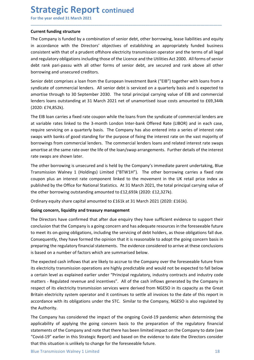Strategic Report continued<br>
For the year ended 31 March 2021<br>
Current funding structure<br>
The Company is funded by a combination of senior debt, other borrowing, lease liabilities and **Strategic Report continued**<br>For the year ended 31 March 2021<br>Current funding structure<br>The Company is funded by a combination of senior debt, other borrowing, lease liabilities and equity<br>in accordance with the Directors' **Strategic Report continued**<br>For the year ended 31 March 2021<br>Current funding structure<br>The Company is funded by a combination of senior debt, other borrowing, lease liabilities<br>in accordance with the Directors' objectives **Strategic Report continued**<br>For the year ended 31 March 2021<br>Current funding structure<br>The Company is funded by a combination of senior debt, other borrowing, lease liabilities and equity<br>in accordance with the Directors' **Strategic Report continued**<br>For the year ended 31 March 2021<br>**Current funding structure**<br>The Company is funded by a combination of senior debt, other borrowing, lease liabilities and equity<br>in accordance with the Director **Strategic Report continued**<br>For the year ended 31 March 2021<br>Current funding structure<br>The Company is funded by a combination of senior debt, other borrowing, lease liabilities and equity<br>in accordance with the Directors' **Strategic Report continued**<br>For the year ended 31 March 2021<br>The Company is funded by a combination of senior debt, other borrowing, lease liabilities and equity<br>in accordance with the Directors' objectives of establishin **Strategic Report continued**<br>For the year ended 31 March 2021<br>The Company is funded by a combination of senior debt, other borrowing, lease liabilities and equity<br>in accordance with the Directors' objectives of establishin **Strategic Report continued**<br>For the year ended 31 March 2021<br>The Company is funded by a combination of senior debt, other borrowing, lease liabilities and equitin<br>in accordance with the Directors' objectives of establishi **Strategic Report continued**<br>
For the year ended 31 March 2021<br>
Current funding structure<br>
The Company is funded by a combination of senior debt, other borrowing, lease liabilities and equity<br>
in accordance with the Direct **Strategic Report continued**<br>For the year ended 31 March 2021<br>Current funding structure<br>The Company is funded by a combination of senior debt, other borrowing, lease liabilities and equity<br>in accordance with the Directors' **Strategic Report continued**<br>
For the year ended 31 March 2021<br>
Current funding structure<br>
The Company is funded by a combination of senior debt, other borrowing, lease liabilities and equity<br>
in accordance with the Direct **Strategic Report continued**<br>
For the year ended 31 March 2021<br> **Current funding structure**<br>
The Company is funded by a combination of senior debt, other borrowing, lease liabilities and equity<br>
in accordance with the Dire **SUT CHE POFT CONTINUED**<br>
Current funding structure<br>
The Company is funded by a combination of senior debt, other borrowing, lease liabilities and equity<br>
The Company is funded by a combination of senior debt, other borrow

\_\_\_\_\_\_\_\_\_\_\_\_\_\_\_\_\_\_\_\_\_\_\_\_\_\_\_\_\_\_\_\_\_\_\_\_\_\_\_\_\_\_\_\_\_\_\_\_\_\_\_\_\_\_\_\_\_\_\_\_\_\_\_\_\_\_\_\_\_\_\_\_\_\_\_\_\_\_\_\_\_\_\_\_\_\_\_\_\_\_

(2020: £74,852k).

For the year ended 31 March 2021<br> **Current funding structure**<br>
The Company is funded by a combination of senior debt, other borrowing, lease liabilities and equity<br>
in accordance with the Directors' objectives of establish **Current funding structure**<br>The Company is funded by a combination of senior debt, other borrowing, lease liabilities and equity<br>in accordance with the Directors' objectives of establishing an appropriately funded business Current funding structure<br>The Company is funded by a combination of senior debt, other borrowing, lease liabilities and equity<br>The Company is funded by a combination of senior establishing an appropriately funded business<br> The Company is funded by a combination of senior debt, other borrowing, lease liabilities and equity<br>in accordance with the Directors' objettives of establishing an appropriately funded business<br>consistent with that of a p in accordance with the Directors' objectives of establishing an appropriately funded business<br>consistent with that of a pudent offshore electricity transmission operator and the terms of all legal<br>and regulatory obligation consistent with that of a prudent offshore electricity transmission operator and the terms of all<br>and regulatory obligations including those of the Licence and the Utilities Act 2000. All forms of select<br>rank pari-passu wi and regulatory obligations including those of the Licence and the Utilities Act 2000. All forms of senior<br>borrowing and unsecured creditors.<br>Senior debt comprises a loan from the European Investment Bank ("ElB") together w debt rank pari-passiu with all other torms of senior debt, are secured and rank above all other<br>borrowing and unsecured creditors.<br>Senior debt comprises a loan from the European Investment Bank ("EIB") together with loans borrowing and unsecured creditors.<br>
Seynior debt comprises a loan from the European Investment Bank ("EIB") together with loans from a<br>
syndicate of commercial lenders. All senior debt is serviced on a quarterly basis and Senior debt comprises a loan from the European Investment Bank ("EiB") together with loans from a<br>syndicate of commercial lenders. All senior debt is serviced on a quaretriv basis and is sepected to<br>amortise through to 30 syndicate of commercial lenders. All senior debt is serviced on a quarterly basis and is expected to<br>amortise through to 30 September 2030. The total principal carrying value of ElB and commercial<br>lenders loans outstanding amortise through to 30 September 2030. The total principal carrying value of ElB and commercial<br>lenders loans outstanding at 31 March 2021 net of unamortised issue costs amounted to £69,344k<br>(2020: £74,852k).<br>The EIB loan (2020: £74,852k).<br>The EIB loan carries a fixed rate coupon while the loans from the syndicate of commercial lenders are<br>at variable rates linked to the 3-month London Inter-bank Offrede Rate (LIBOR) and in each case,<br>erequ The EIB loan carries a fixed rate coupon while the loans from the syndicate of commercial lenders are<br>evalue servicing on a quaretry basis. The Company has also entered fate (LIBOR) and in each case,<br>evapy swith banks of g at variable rates linked to the 3-month London Inter-bank Offered Rate (LIBOR) and in each case,<br>require servicing on a quarterly basis. The Company has also entered into a series of interest rate<br>swaps with banks of good

require servicing on a quarterly basis. The Company has also entered into a series of interest rate<br>exwaps with banks of good standing for the purpose of fixing the interest rate on the vast majority of<br>bororowings from co swaps with banks of good standing for the purpose of fixing the interest rate on the vast majority of<br>borrowings from commercial lenders. The commercial lenders loans and related interest rate swaps<br>are at the same rate ov borrowings from commercial lenders. The commercial lenders loans and related interest rate swaps<br>amortise at the same rate over the life of the loan/swap arrangements. Further details of the interest<br>rate swaps are shown l amortise at the same rate over the life of the loan/swap arrangements. Further details of the interest<br>rate swaps are shown later.<br>The other borrowing is unsecured and is held by the Company's immediate parent undertaking, rate swaps are shown later.<br>The other borrowing is unsecured and is held by the Company's immediate parent undertaking, Blue<br>Transmission Walney 1 (Holdings) limited ("BTW1H"). The other borrowing carries a fixed rate<br>coup

preparing the regulatory financial statements. The evidence considered to arrive at these conclusions<br>is based on a number of factors which are summarised below.<br>The expected cash inflows that are likely to accreu to the C The other borrowing is unsecured and is held by the Company's immediate parent undertaking, Blue<br>Transmission Walney 1 (Holdings) Limited ("BTW1H"). The other borrowing carries a fixed rate<br>coupon plus an interest rate com Transmission Walney 1 (Holdings) limited ("BTW1H"). The other borrowing carries a fixed rate coupon plus an interest rate component linked to the movement in the UK retail price index as exploribiled by the Office for Nati coupon plus an interest rate component linked to the movement in the UK retail price index as<br>published by the Office for National Statistics. At 31 March 2021, the total principal carrying value of<br>the other borrowing out published by the Office for National Statistics. At 31 March 2021, the total principal carrying value of<br>the other borrowing outstanding amounted to £12,693k (2020: £12,327k).<br>Ordinary equity share capital amounted to £12, the other borrowing outstanding amounted to £12,693k (2020: £12,327k).<br>
Ordinary equity share capital amounted to £161k at 31 March 2021 (2020: £161k).<br> **Soing concern, liquidity and treasury management**<br>
The Directors hav Ordinary equity share capital amounted to £161k at 31 March 2021 (2020: £161k).<br>
Going concern, liquidity and treasury management<br>
The Directors have confirmed that after due enquiry they have sufficient evidence to suppor Ordinary equity share capital amounted to £161k at 31 March 2021 (2020: £1<br>
Going concern, liquidity and treasury management<br>
The Directors have confirmed that after due enquiry they have sufficient ev<br>
conclusion that the **Gomg concern, Inquidity and treasury management**<br>The Directors have confirmed that after due enquiry they have sufficient evidence to support their<br>conclusion that the Company is a going concern and has adequate resources The Directors have confirmed that after due enquiry they have sufficient evidence to support their conclusion that the Company is a going concern and has adequate resources in the foreseable future to meet its on-going obl conclusion that the Company is a going concern and has adequate resources in the foreseeable future<br>to meet its on-going obligations, including the servicing of debt holders, as those obligations fall due.<br>Consequently, th to meet its on-going obligations, including the servicing of debt holders, as those obligations fall due.<br>Consequently, they have formed the opinion that it is reasonable to adopt the going concern basis in<br>preparing the r Consequently, they have formed the opinion that it is reasonable to adopt the going concern basis in preparing the regulatory financial statements. The evidence considered to arrive at these conclusions is based on a numbe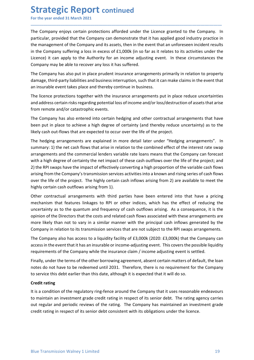**Strategic Report continued**<br>
For the year ended 31 March 2021<br>
The Company enjoys certain protections afforded under the Licence granted to the Compa<br>
particular, provided that the Company can demonstrate that it has appl **Strategic Report continued**<br>For the year ended 31 March 2021<br>The Company enjoys certain protections afforded under the Licence granted to the Company. In<br>particular, provided that the Company can demonstrate that it has a **Strategic Report continued**<br>For the year ended 31 March 2021<br>The Company enjoys certain protections afforded under the Licence granted to the Company. In<br>particular, provided that the Company can demonstrate that it has a **Strategic Report continued**<br>For the year ended 31 March 2021<br>The Company enjoys certain protections afforded under the Licence granted to the Company. In<br>particular, provided that the Company can demonstrate that it has a **Strategic Report continued**<br>For the year ended 31 March 2021<br>The Company enjoys certain protections afforded under the Licence granted to the Company. In<br>particular, provided that the Company can demonstrate that it has a **Strategic Report continued**<br>For the year ended 31 March 2021<br>The Company enjoys certain protections afforded under the Licence granted to the Company. In<br>particular, provided that the Company can demonstrate that it has a **Strategic Report continued**<br>
For the year ended 31 March 2021<br>
The Company enjoys certain protections afforded under the Licence granted to the Company. In<br>
particular, provided that the Company and its assets, then in th **Strategic Report continued**<br>For the year ended 31 March 2021<br>The Company enjoys certain protections afforded under the Licence granted to the Company. In<br>particular, provided that the Company and emonstrate that it has ap **Strategic Report continued**<br>For the year ended 31 March 2021<br>The Company enjoys certain protections afforded under the Licence granted to the Company. In<br>particular, provided that the Company can demonstrate that it has a **Strategic Report continued**<br>For the year ended 31 March 2021<br>The Company enjoys certain protections afforded under the Licence granted to the Company. In<br>particular, provided that the Company can demonstrate that it has a **Strategic Report continued**<br>For the year ended 31 March 2021<br>The Company enjoys certain protections afforded under the Licence granted to the Company. In<br>particular, provided that the Company can demonstrate that it has a **Strategic Report continued**<br>The Company enjoys certain protections afforded under the licence granted to the Company. In<br>particular, provided that the Company can demonstrate that it has applied good industry practice in<br> **Strategic Report continued**<br>The Company enjoys certain protections afforded under the Licence granted to the Company. In<br>The Company enjoys certain protections afforded under the Licence granted to the Company. In<br>particu **Strategic Report continued**<br>For the year ended 31 March 2021<br>The Company enjoys certain protections afforded under the Licence granted to the Company. In<br>particular, provided that the Company can demonstrate that it has a **The Company enjoys pertain protections afforded under the Licence granted to the Company. In<br>The Company enjoys pertain protections afforded under the Licence granted to the Company. In<br>particular, provided that the Compa** For the year ended 31 March 2021<br>The Company enjoys certain protections afforded under the Licence granted of indexprypractice in<br>particular, provided that the Company can demonstrate that it has applied good industry prac The Company enjoys certain protections afforded under the Licence granted to the Company. In particular, provided that the Company can demonstrate that it has applied good industry practice in the management of the Company

\_\_\_\_\_\_\_\_\_\_\_\_\_\_\_\_\_\_\_\_\_\_\_\_\_\_\_\_\_\_\_\_\_\_\_\_\_\_\_\_\_\_\_\_\_\_\_\_\_\_\_\_\_\_\_\_\_\_\_\_\_\_\_\_\_\_\_\_\_\_\_\_\_\_\_\_\_\_\_\_\_\_\_\_\_\_\_\_\_\_

particular, provided that the Company can demonstrate that it has applied good industry practice in<br>the management of the Company and its assets, then in the event that an unforeseen incident results<br>in the Company sufferi in the management of the Company and its assets, then in the event that an unforeseen incident results<br>in the Company suffering a loss in excess of £1,000k (in so far as it relates to its activities under the<br>licence) it c in the Company suffering a loss in excess of £1,000k (in so far as it relates to its activities under the licence) it can apply to the Authority for an income adjusting event. In these circumstances the Company may be able Licence) it can apply to the Authority for an income adjusting event. In these circumstances the Company may be able to recover any loss it has suffered.<br>The Company may be able to recover any loss it has suffered.<br>The Com Company may be able to recover any loss it has suffered.<br>The Company may be able to recover any loss it has suffered.<br>The Company has also put in place prudent insurance arrangements primarily in relation to property<br>damag The Company has also put in place prudent insurance arrangements primarily in relation to property damage, third-party liabilities and business interruption, such that it can make claims in the event that an insurable even The Company has also put in place prudent insurance arrangements primarily in relation to property<br>
damage, third-party liabilities and business interruption, such that it can make claims in the event that<br>
an insurable ev damage, third-party llabilities and business interruption, such that it can make claims in the event that<br>an insurable event takes place and thereby continue in business.<br>The licence protections together with the insurance The licence protections together with the insurance arrangements put in place reduce uncertainties<br>and address certain risks regarding potential loss of income and/or loss/destruction of assets that arise<br>from remote and/o The licente protections together with the insurance arrangements put in piace reduce uncertainties<br>and address certain risks regarding potential loss of income and/or loss/destruction of assets that arise<br>from remote and/o and address certain risks regarding potentialloss of income and/or loss/destruction of assets that arise<br>from remote and/or catastrophic events.<br>The Company has also entered into certain hedging and other contractual arran If the Company has also entieted into certain hedging and other contractual arrangements that have<br>The Company has also entered into certain hedging and other contractual arrangements that have<br>the eben put in place to sch The Company has also entered into certain hedging and other contractual arrangements that have<br>been put in place to achieve a high degree of certainty (and threety reduce uncertainty) as to the<br>likely cash out-flows that a been put in place to achieve a high degree of certainty (and thereby reduce uncertainty) as to the likely cash out-flows that are expected to occur over the life of the project.<br>The hedging arrangements are explained in mo Ilkely cash out-flows that are expected to occur over the life of the project.<br>The hedging arrangements are explained in more edtail later under direlaying arrangements". In<br>summary: 1) the net cash flows that arise in rel The hedging arrangements are explained in more detail later under "Hedging arrangements". In the metalling of the inclusion to the combined effect of the interest rate wap arrangements and the commercial lenders variable r summary: 1) the net cash flows that arise in relation to the combined effect of the interest rate swap<br>arrangements and the commercial lenders variable rate loans means that the Company can forecast<br>with a high degree of c

arrangements and the commercal lenders variable rate loans means that the Company can toreast<br>with a high degree of certainty the net impact of these cash outflows over the life of the project; and<br>2) the RPI swaps have th with a high degree of certainty the net imped to these cash outtlows over the life of the project; and<br>2) the RPI swaps have the impact of effectively converting a high proportion of the variable cash flows<br>arising from th 2) the RPI swaps have the impact of effectively converting a high proportion of the variable cash llows<br>arising from the Company's transmission services activities into a known and rising series of cash flows<br>over the life East over the life of the project. The highly certain cash inflows arising from 2) are a bighly certain cash outflows arising from 1).<br>
Other contractual arrangements with third parties have been entered into mechanism tha highly certain cash outflows arising from 1).<br>Other contractual arrangements with thid parties have been entered into that have a pricing the mechanism that features linkages to RPI or other indices, which has the effect o Other contractual arrangements with third parties have been entered into that have a pricing mechanism that features linkages to RPI or other indices, which has the effect of reducing the equal mechanism as to the quantum Oncel controlocour on internal with anny particular control control mechanism that factures linkages to RPI or other indices, which has the effect of reducing the uncertainty as to the quantum and frequency of cash outflow incuration of the Direction of the respective intervals, when the critical consistent with the consistent of the pointing in the constrained consisted with these arrangements are pointing to the Directors that the costs an

access in the event that it has an insurable or income-adjusting event. This covers the possible liquidity<br>requirements of the Company while the insurance claim / income adjusting event is settled.<br>Finally, under the terms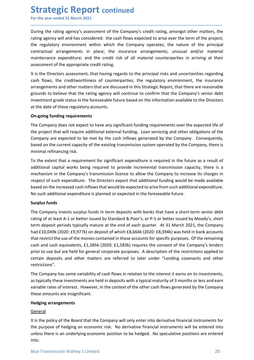**Strategic Report continued**<br>
For the year ended 31 March 2021<br>
During the rating agency's assessment of the Company's credit rating, amongst other matte<br>
rating agency will and has considered: the cash flows expected to a **Strategic Report continued**<br>For the year ended 31 March 2021<br>During the rating agency's assessment of the Company's credit rating, amongst other matters, the<br>rating agency will and has considered: the cash flows expected **Strategic Report continued**<br>For the year ended 31 March 2021<br>During the rating agency's assessment of the Company's credit rating, amongst other matters, the<br>rating agency will and has considered: the cash flows expected **Strategic Report continued**<br>For the year ended 31 March 2021<br>During the rating agency's assessment of the Company's credit rating, amongst other matters, the<br>rating agency will and has considered: the cash flows expected **Strategic Report continued**<br>For the year ended 31 March 2021<br>During the rating agency's assessment of the Company's credit rating, amongst other matters, the<br>rating agency will and has considered: the cash flows expected **Strategic Report continued**<br>For the year ended 31 March 2021<br>During the rating agency's assessment of the Company's credit rating, amongst other matters, the<br>rating agency will and has considered: the cash flows expected **Strategic Report continued**<br>For the year ended 31 March 2021<br>During the rating agency's assessment of the Company's credit rating, amongst other matters, the<br>rating agency will and has considered: the cash flows expected **Strategic Report continued**<br>For the year ended 31 March 2021<br>During the rating agency's assessment of the Company's credit rating, amongst other matters, the<br>rating agency will and has considered: the cash flows expected **Strategic Report continued**<br>For the year ended 31 March 2021<br>During the rating agency's assessment of the Company's credit rating, amongst other matters, the<br>rating agency will and has considered: the cash flows expected **Strategic Report continued**<br>For the year ended 31 March 2021<br>During the rating agency's assessment of the Company's credit rating, amongst other matters, the<br>rating agency will and has considered: the cash flows expected **Strategic Report continued**<br>For the year ended 31 March 2021<br>During the rating agency's assessment of the Company's credit rating, amongst other matters, the<br>rating agency will and has considered: the cash flows expected **Strategic Report continued**<br>For the year ended 31 March 2021<br>During the rating agency's assessment of the Company's credit rating, amongst other matters, the<br>rating agency will and has considered: the cash flows expected **Strategic Report continued**<br>
For the year ended 31 March 2021<br>
During the rating agency's assessment of the Company's credit rating, amongst other matters, the<br>
rating agency will and has considered: the cash flows expect **Strategic Report continued**<br>For the year ended 31 March 2021<br>
The year ended 31 March 2021<br>
During the rating agency's assessment of the Company's credit rating, amongst other matters, the<br>
rating agency will and has cons **STITATE EXECTS FREDOTT CONTITIMED**<br>For the year ended 31 March 2021<br>During the rating agency's assessment of the Company's credit rating, amongst other ma<br>rating agency will and has considered: the cash flows expected to For the year ended 31 March 2021<br>
During the rating agency's assessment of the Company's credit rating, amongst other matters, the<br>
rating agency will and has considered: the cash flows expected to arise over the term of t During the rating agency's assessment of the Company's credit rating, amongst other matters, the rating agency will and has considered: the cash flows expected to arise over the term of the project; the regulatory environm

\_\_\_\_\_\_\_\_\_\_\_\_\_\_\_\_\_\_\_\_\_\_\_\_\_\_\_\_\_\_\_\_\_\_\_\_\_\_\_\_\_\_\_\_\_\_\_\_\_\_\_\_\_\_\_\_\_\_\_\_\_\_\_\_\_\_\_\_\_\_\_\_\_\_\_\_\_\_\_\_\_\_\_\_\_\_\_\_\_\_

During the rating agency s assessment of the Company's credit rating, amongst other matters, the<br>rating agency will and has considered: the cash flows expected to arise over the term of the priorical<br>the regulatory environ rating agency will and an considered: the cash flows expected to arise over the term of the project, the mature of the principal contractual arrangements in place; the insurance arrangements; unusual and/or material mainte the regulatory environment within which the Company operates; the nature of the prontractual arrangements in place; the insurance arrangements; unusual and/or notinatell arrangements in place; the insurance arrangements; u maintenance expenditure; and the credit risk of all material counterparties in arriving at their<br>assessment of the appropriate credit rating,<br>cass assessment, that having regards to the principal risks and uncertainties re

assessment of the appropriate credit rating.<br>
It is the Directors assessment, that having regards to the principal risks and uncertainties regarding<br>
cash flows, the creditworthiness of counterparties; the regulatory envir It is the Directors assessment, that having regards to the principal risks and uncertainties regarding<br>cash flows, the creditworthiness of counterparties; the regulatory environment, the insurance<br>arrangements and other ma It is the Directors assessment, that having regards to the principal rists and uncertainties regarding<br>respectively. He creditworthiness of counterparties; the regulatory environment, the insurance<br>arrangements and other m cash flows, the creditworthmess or counterparties; the regulatory environment, the insurance<br>arrangements and other matters that are discussed in this Strategic Report, that there are reasonable<br>grounds to believe that the arrangements and other matters that are discussed in this strategic Report, that there are reasonable<br>grounds to believe that the rating agency will continue to confirm that the Company's senior debt<br>investment grade statu investment grade status in the foreseeable future based on the information availant the date of these regulatory accounts.<br> **On-going funding requirements**<br> **On-going funding requirements**<br> **Company** does not expect to hav at the date of these regulatory accounts.<br>
On-going funding requirements<br>
The Company does not expect to bave any significant funding requirements over the expected life of<br>
the project that will require additional externa

**On-going funding requirements**<br>The Company does not expect to have any significant funding, conservering and other obligations of the<br>the project that will require additional external funding. Loon servicing and other obl The Company does not expect to have any significant funding requirements over the expected life of<br>the project that will require additional external funding. Loan servicing and other obligations of the<br>Company are expected The Company does not expect to have any signinctant funding requirements over the expected life of<br>the project that will require additional external funding. Loan servicing and other obligations of the<br>Company are expected the projett hat will require additional external funding. Loan servicing and other obilgations of the<br>Company are expected to be met by the cash inflows generated by the Company. Consequently,<br>based on the current capacity Company are expected to be met by the cash inflows generated by the Company. Consequently,<br>
Dosed on the current capacity of the existing transmission system operated by the Company, there is<br>
minimal refinancing risk.<br>
To based on the current capacity of the existing transmission system operated by the Company, there is<br>To the setent that a requirement for significant expenditure is required in the future as a result of<br>additional capital w minimal reftinancing risk.<br>To the extent that a requirement for significant expenditure is required in the future as a result of<br>additional capital works being required to provide incremental transmission capacity, there i restrictions". additional capital works being required to provide incremental transmission capacity, there is a<br>mechanism in the Company's transmission lience to allow the Company to increase its charges in<br>respect of such expenditure. T mechanism in the Company's transmission licence to allow the Company to increase its charges in the company is<br>respect of such expenditure. The Directors expect that additional funding would be made available<br>based on the respect of such expenditure. The Directors expect that additional truding would be made available<br>these don the increased cash inflows that would be expected in the foreseeable future.<br>No such additional expenditure is pla based on the increased cash inflows that would be expected to arise from such additional experts<br>No such additional expenditure is planned or expected in the foreseeable future.<br>Surplus funds<br>The Company invests surplus fu **Surplus funds**<br>
The Company invests surplus funds in term deposits with banks that have a shore<br>
rating of at least A-1 or better issued by Standard & Poor's, or P-1 or better issued<br>
term deposit periods typically matur Incellation of the policy interests are the policy of the beard that the company will only character a since that standard and the policy of the Board that the end of each quarter. At 31 March 2021, the Company the them de term deposit periods variable youth and of your 1 or bucklichards of your and the enterm deposit periods typically mature at the end of each quarter. At 31 March 2021, the Company thad £10,049k (2020: £9,977k) on deposit o Earth and thought protein and the conomic term of the conomic term of the conomic term of the company interaction that restrict the use of the monies contained in those accounts for specific purposes. Of the remaining that

cash and cash equivalents, £1,385k (2020: £1,583k) requires the consent of the Company's lenders<br>prior to use but are held for general corporate purposes. A description of the restrictions applied to<br>prior to use but are h

### General

into.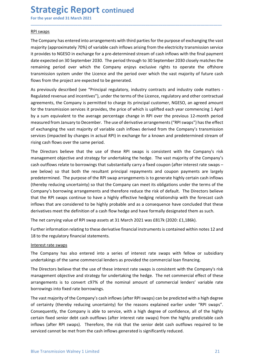**Strategic Report continued**<br>
For the year ended 31 March 2021<br>
RPI swaps<br>
The Company has entered into arrangements with third parties for the purpose of exchanging t **Strategic Report continued**<br>For the year ended 31 March 2021<br>RPI swaps<br>The Company has entered into arrangements with third parties for the purpose of exchanging the vast<br>majority (approximately 70%) of variable cash infl **Strategic Report continued**<br>For the year ended 31 March 2021<br>RPI swaps<br>The Company has entered into arrangements with third parties for the purpos<br>majority (approximately 70%) of variable cash inflows arising from the ele **Strategic Report continued**<br>For the year ended 31 March 2021<br>The Company has entered into arrangements with third parties for the purpose of exchanging the vast<br>majority (approximately 70%) of variable cash inflows arisin **Strategic Report continued**<br>For the year ended 31 March 2021<br>The Company has entered into arrangements with third parties for the purpose of exchanging the vast<br>majority (approximately 70%) of variable cash inflows arisin **Strategic Report continued**<br>For the year ended 31 March 2021<br>The Company has entered into arrangements with third parties for the purpose of exchanging the vast<br>majority (approximately 70%) of variable cash inflows arisin **Strategic Report continued**<br>For the year ended 31 March 2021<br>The Company has entered into arrangements with third parties for the purpose of exchanging the vast<br>majority (approximately 70%) of variable cash inflows arisin **Strategic Report continued**<br>For the year ended 31 March 2021<br>The Company has entered into arrangements with third parties for the purpose of exchanging the vast<br>majority (approximately 70%) of variable cash inflows arisin **Strategic Report continued**<br>For the year ended 31 March 2021<br>The Company has entered into arrangements with third parties for the purpose of exchanging the vast<br>majority (approximately 70%) of variable cash inflows arisin **Strategic Report continued**<br>For the year ended 31 March 2021<br>**RPI swaps**<br>**RPI swaps**<br>**RPI swaps**<br>**RPI swaps**<br>**RPI swaps**<br>**RPI swaps**<br>**RPI swaps**<br>**RPI swaps**<br>**CRIPY** (approximately 70%) of variable cash inflows arising fro **Strategic Report continued**<br>
And some the vera rended 31 March 2021<br>
API swaps<br>
The Company has entered into arrangements with third parties for the purpose of exchanging the vast<br>
majority (approximately 70%) of variable **Strategic Report continued**<br>Refl swaps<br>The Company has entered into arrangements with third parties for the purpose of exchanging the vast<br>majority (approximately 70%) of variable cash inflows arising from the electricity

\_\_\_\_\_\_\_\_\_\_\_\_\_\_\_\_\_\_\_\_\_\_\_\_\_\_\_\_\_\_\_\_\_\_\_\_\_\_\_\_\_\_\_\_\_\_\_\_\_\_\_\_\_\_\_\_\_\_\_\_\_\_\_\_\_\_\_\_\_\_\_\_\_\_\_\_\_\_\_\_\_\_\_\_\_\_\_\_\_\_

**Strategic Report continued**<br> **Agreements** wanter and a March 2021<br> **Agreements** with third parties for the purpose of exchanging the vast<br>
majority (approximately 70%) of variable cash inflows arising from the electricity **Strategic Report continued**<br>For the year ended 31 March 2021<br>The Company has entered into arrangements with third parties for the purpose of exchanging the vast<br>misjority (approximately 70%) of variable cash inflows arisi **STIT CHE EXECT COLUT COLUT COLUT COLUT**<br> **RPI SWADS**<br> **RPI SWADS**<br>
The Company has entered into arrangements with third parties for the purpose of exchanging the vast<br>
majority (approximately 70%) of variable cash inflows For the year ended 31 March 2021<br> **RPI swaps**<br>
The Company has entered into arrangements with third parties for the purpose of exchanging the vast<br>
majority (approximately 70%) of variable cash inflows arising from the ele RPI swaps<br>The Company has entered into arrangements with third parties for the purpose of exchanging the vast<br>majority (approximately 70%) of variable cash inflows arising from the electricity transmission service<br>it provi RPI swaps<br>The Company has entered into arrangements with third parties for the purpose of exchanging the vast<br>majority (approximately 70%) of variable cash inflows arising from the electricity transmission service<br>it provi The Company has entered into arrangements with third parties for the purpose of exchanging the vast<br>majority (approximately 70%) of variable cash inflows arising from the electricity transmission service<br>it provides to NGE majority (approximately 70%) of variable cash inflows arising from the electricity transmission service<br>the varoises to NGESO in exchange for a pre-determined stream of cash inflows with the final payment<br>date expected on it provides to NGESO in exchange for a pre-determined stream of cash inflows with the final payment<br>date expected on 30 September 2030. The period through to 30 September 2030 closely matches the<br>remaining period over whic date expected on 30 September 2030. The period through to 30 September 2030 closely matches the remaining period over which the Company enjoys exclusive rights to operate the offshore transmission system under the Licence remaining period over which the Company enjoys exclusive rights to operate the offshore<br>
fromsmission system under the Licence and the period over which the vast majority of future cash<br>
flows from the project are expected

transmission system under the Licence and the period over which the vast majority of future cash<br>As previously described (see "Pirincipal regulatory, industry contracts and industry code matters-<br>As previously described (s flows from the project are expected to be generated.<br>As previously described (see "Principal regulatory, industry contracts and industry code matters-<br>Regulated revenue and incentives"), under the terms of the Lience, regu As previously described (see "Principal regulatory, industry contracts and industry code matters-<br>Regulated revenue and incentives"), under the terms of the Licence, regulatory and other contractual<br>agreements, the Company As perototy usern the RPI swaps continue to the RPI swaps continue to the forecast and monary contractual agreements, the Company is permitted to charge its principal customer, NGESO, an agreed amount agreements, the Compa inguatore and microlous provide to the pays that increases that a conclusted to the avera that are considered to the average mements, the Company is permitted to charge its principal customer, NGESO, an agreed amount<br>for t eyetments, ree company is permineted to the price of which is uplified each year commencing 1 April<br>by a sum equivalent to the average percentage change in RPI over the previous 12-month period<br>of a sum equivalent to the a by a sum equivalent to the average percentage change in RPI over the previous 12-month period<br>of exchanging the vast majority of variable cash inflows derived from the Company's transmission<br>services (impacted by changes i measured from lanuary to December. The use of derivative arrangements ("RPI swaps") has the effect these derivative of developing cash flows oer the same period.<br>The Directors believe that the use of these RPI swaps is con of exchanging the vast majority of variable cash inflows derived from the Company's transmission<br>services (impacted by changes in actual RPI) in exchange for a known and predetermined stream of<br>string cash flows over the s Triangle and thousable and the same period.<br>
The Directors believe that the use of these RPI swaps is consistent with the C<br>
management objective and strategy for undertaking the hedge. The vast majority of<br>
transagement o The Directors believe that the use of these RPI swaps is consistent with the Company's risk<br>management objective and strategy for undertaking the hedge. The vast majority of the Company's<br>cash outflows relate to borowings Incellent of the same commercial commercial commercial comparity of the Company's transference where the substantially carry a fixed coupon (after interest rate swaps-<br>cash outflows relate to borrowings that substantially cash outflows relate to borrowings that substantially carry a fixed coupon (after interest rate swaps-<br>see beleve) so that both the resultant principal repayments and coupon payments are largely<br>predetermined. The purpose see below) so that both the resultant principal repayments and coupon payments are largely<br>predetermined. The purpose of the RPI swap arrangements is to generate highly cretin cm ash inflows<br>(thereby reducing uncertainty) predetermined. The purpose of the RPI swap arrangements is to generate highly certain cash inflows<br>(thereby reducing uncertainty) so that the Company can meet its obligations under the terms of the<br>(Company's borrowing arr (thereby reducing uncertainty) so that the Company can meet its obligations under the terms of th<br>Company's borrowing arrangements and therefore reduce the risk of default. The Directors believe<br>that the RPI swaps continue

Interest rate swaps<br>The Company has also entered into a series of interest rate swaps with fellow or subsidiary<br>The Directors believe that the use of these interest rate swaps is consistent with the Company's risk<br>The Dire Company's ofrrowing arrangements and therefore reduce the risk of derialit. The Directors believe the companys ontinue to have a highly prifective hedging relationship with the forecast cash inflows that are considered to that the KPI swaps continue to nave a nightly errective heregaing relationship with the forecast cash those transformed inflows that ere concluded that these derivatives meet the definition of a cash flow hedge and have fo Influows that are considered to be highly probable and as a consequence have concluded that these<br>derivatives meet the definition of a cash flow hedge and have formally designated them as such.<br>The net carrying value of RP derivatives meet the definition of a cash flow hedge and have formally designated them as such.<br>The net carrying value of RPI swap assets at 31 March 2021 was £817k (2020: £1,186k).<br>Further information relating to these de The net carrying value of RPI swap assets at 31 March 2021 was £817k (2020: £1,186k).<br>Further information relating to these derivative financial instruments is contained within notes 12 and<br>18 to the regulatory financial s Further information relating to these derivative financial instruments is contained within notes 12 and<br>18 to the regulatory financial statements.<br>
Interest rate swaps<br>
The Company has also entered into a series of interes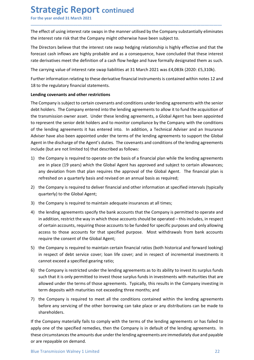**Strategic Report continued**<br>
For the year ended 31 March 2021<br>
The effect of using interest rate swaps in the manner utilised by the Company substantially elin<br>
the interest rate risk that the Company might otherwise have **Strategic Report continued**<br>For the year ended 31 March 2021<br>The effect of using interest rate swaps in the manner utilised by the Company substantially eliminates<br>the interest rate risk that the Company might otherwise h

\_\_\_\_\_\_\_\_\_\_\_\_\_\_\_\_\_\_\_\_\_\_\_\_\_\_\_\_\_\_\_\_\_\_\_\_\_\_\_\_\_\_\_\_\_\_\_\_\_\_\_\_\_\_\_\_\_\_\_\_\_\_\_\_\_\_\_\_\_\_\_\_\_\_\_\_\_\_\_\_\_\_\_\_\_\_\_\_\_\_

**Strategic Report continued**<br>For the year ended 31 March 2021<br>The effect of using interest rate swaps in the manner utilised by the Company substantially eliminates<br>the interest rate risk that the Company might otherwise h **Strategic Report continued**<br>For the year ended 31 March 2021<br>The effect of using interest rate swaps in the manner utilised by the Company substantially eliminates<br>the interest rate risk that the Company might otherwise h **Strategic Report continued**<br>For the year ended 31 March 2021<br>The effect of using interest rate swaps in the manner utilised by the Company substantially eliminates<br>the interest rate risk that the Company might otherwise h **Strategic Report continued**<br>For the year ended 31 March 2021<br>The effect of using interest rate swaps in the manner utilised by the Company substantially eliminates<br>the interest rate risk that the Company might otherwise h **Strategic Report continued**<br>For the year ended 31 March 2021<br>The effect of using interest rate swaps in the manner utilised by the Company substantially eliminates<br>the interest rate risk that the Company might otherwise h **Strategic Report continued**<br>
For the year ended 31 March 2021<br>
The effect of using interest rate swaps in the manner utilised by the Company substantially eliminates<br>
the interest rate risk that the Company might otherwis **Strategic Report continued**<br>For the year ended 31 March 2021<br>The effect of using interest rate swaps in the manner utilised by the Company substantially eliminates<br>the interest rate risk that the Company might otherwise h **Strategic Report continued**<br>
For the year ended 31 March 2021<br>
The effect of using interest rate swaps in the manner utilised by the Company substantially eliminates<br>
the interest rate risk that the Company might otherwis

**Strategic Report continued**<br>For the year ended 31 March 2021<br>The effect of using interest rate swaps in the manner utilised by the Company substantially eliminates<br>the interest rate risk that the Company might otherwise h **Strategic Report continued**<br>The effect of using interest rate swaps in the manner utilised by the Company substantially eliminates<br>the interest rate risk that the Company might otherwise have been subject to.<br>The Director **Strategic Report continued**<br>For the year ended 31 March 2021<br>The effect of using interest rate swaps in the manner utilised by the Company substantially eliminates<br>the interest rate is that the Company might otherwise hav **STIGTEG IC REPOFT continued**<br>The effect of using interest rate swaps in the manner utilised by the Company substantially eliminates<br>The effect of using interest rate swaps in the manner utilised by the Company substantial For the year ended 31 March 2021<br>The effect of using interest rate swaps in the manner utilised by the Company substantially eliminates<br>the interest rate risk that the Company might otherwise have been subject to.<br>The Dire The effect of using interest rate swaps in the manner utilised by the Company substantially eliminates<br>the interest rate risk that the Company might otherwise have been subject to.<br>The Directors believe that the interest r The effect of using interest rate swaps in the manner utilised by the Company substantially eliminates<br>the interest rate risk that the interest rate swap hedging relationship is highly refective and that the<br>The Directors the interest rate risk that the Company might otherwise have been subject to.<br>The Directors believe that the interest rate swap hedging relationship is highly effective and that the<br>forecast cash inflows are highly probabl The Directors believe that the interest rate swap hedging relationship is highly effective and that the forecast cash inflows are highly probable and as a consequence, have concluded that these interest rate derivatives me forecast cash inflows are highly probable and as a consequence, have concluded that these interest<br>rate derivatives meet the definition of a cash flow hedge and have formally designated them as such.<br>The carrying value of derivatives meet the definition of a cash flow hedge and have formally designated them as such.<br>carrying value of interest rate swap liabilities at 31 March 2021 was £4,083k (2020: £5,310k).<br>Her information relating to the carrying value of interest rate swap liabilities at 31 March 2021 was £4,083k (2020: £5,310k).<br>
her information relating to these derivative financial instruments is contained within notes 12 and<br>
of the regulatory financi refreshed on relations and other states and relations and the register of the regulatory financial statements.<br>The refreshendor relating to these derivative financial instruments is contained within notes 12 and<br>ding coven 2) the Company is required to deliver financial and conditions and the Company is subject to certain covenants and conditions under lending agreements with the senior debt holders. The Company entered into the lending agre of the regalatory minimals state. Then<br>
ding coven ants and other restrictions<br>
Company is subject to certain covenants and conditions under lending agreements with the senior<br>
chompany is subject to certain covenants and Entering correlations unto the restance of the Eorhay is required to certain coverants and conditions under lending agreements with the senior<br>debt holders. The Company entered into the lending agreements to allow it to fu debt holders. The Company entered into the lending agreements to allow it to fund the acquisition of<br>the transmission owner asset. Under these lending agreements, a Global Agent has been appointed<br>to represent the senior d transmission owner asset. Under these lending agreements, a Global Agent has been appointed<br>present the senior debt holders and to monitor compliance by the Company with the conditions<br>ele relaring agreements it has entere epresent the senior debt holders and to monitor compliance by the Company with the conditions<br>be lending agreements it has entered into. In addition, a Technical Adviser and an Insurance<br>bise have also been appointed under

- 
- 
- 
- ine lending agreements it has entered into. In addition, a Technical Adviser and an Insurance<br>iser have also been appointed under the terms of the lending agreements to support the Global<br>tion the interdischarge of the Age iser have also been appointed under the terms of the lending agreements to support the Global<br>thin the discharge of the Agent's duties. The covenants and conditions of the lending agreements<br>de (but are not limited to) tha Agent in the discharge of the Agent's duties. The covenants and conditions of the lending agreements<br>
include (but are not limited to) that described as follows:<br>
1) the Company is required to operate on the basis of a fin ide (but are not limited to) that described as follows:<br>
the Company is required to operate on the basis of a financial plan while the lending agreements<br>
are in place (19 years) which the Global Agentt, as a paproved and the Company is required to operate on the basis of a financial plan while the lending agreements<br>are in place (19 years) which the Global Agent has approved and subject to certain allowances;<br>any deviation from that plan r are in place (19 years) which the Global Agent has approved and subject to certain allowances;<br>any deviation from that plan requires the approval of the Global Agent.<br>The financial plan is<br>refreshed on a quarterly basis an any deviation from that plan requires the approval of the Global Agent. The financial plan is<br>refreshed on a quarterly basis and revised on an annual basis as required;<br>the Company is required to deliver financial and othe refreshed on a quarterly basis and revised on an annual basis as required;<br>the Company is required to deliver financial and other information at specified intervals (typically<br>quarterly) to the Global Agent;<br>the Company is the Company is required to deliver financial and other information at specified intervals (typically<br>quarterly) to the Global Agent;<br>the Company is required to maintain adequate insurances at all times;<br>the lending agreeme quarterly) to the Global Agent;<br>
3) the Company is required to maintain adequate insurances at all times;<br>
4) the lending agreements specify the bank accounts that the Company is permitted to operate and<br>
in addition, rest the Company is required to maintain adequate insurances at all times;<br>the lending agreements specify the bank accounts should be operated – this includes, in respect<br>in addition, restrict the way in which those accounts sh If the Company materially falls to comply with the terms of the lending agreements or the Company is in respect<br>of certain accounts, requiring those accounts to be funded for specific purposes and only allowing<br>access to t
- 
- 5) the Company is required to maintain certain financial ratios (both historical and forward looking)<br>in respect of debt service cover; loan life cover; and in respect of incremental investments it<br>cannot exceed a specifie of certain accounts, requiring those accounts to be funded for specific purposes and only allowing<br>access to those accounts for that specified purpose. Most withdrawals from bank accounts<br>require the consent of the Global exacts to those accounts for that specified purpose. Most withdrawals from bank accounts<br>require the consent of the Global Agent;<br>5) the Company is required to maintain certain financial ratios (both historical and forward require the consent of the Global Agent;<br>The Company is required to maintain certain financial ratios (both historical and forward in respect of debt service cover; loan life cover; and in respect of incremental investreme
- shareholders.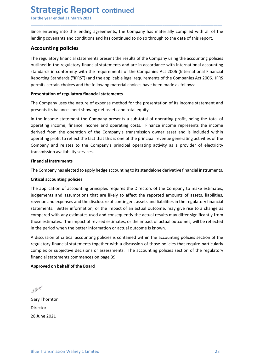Strategic Report continued<br>
For the year ended 31 March 2021<br>
Since entering into the lending agreements, the Company has materially complied with all<br>
lending covenants and conditions and has continued to do so through to **Strategic Report continued**<br>For the year ended 31 March 2021<br>Since entering into the lending agreements, the Company has materially complied with all of the<br>lending covenants and conditions and has continued to do so thro **Strategic Report continued**<br>For the year ended 31 March 2021<br>Since entering into the lending agreements, the Company has materially complied with all of the<br>lending covenants and conditions and has continued to do so thro

\_\_\_\_\_\_\_\_\_\_\_\_\_\_\_\_\_\_\_\_\_\_\_\_\_\_\_\_\_\_\_\_\_\_\_\_\_\_\_\_\_\_\_\_\_\_\_\_\_\_\_\_\_\_\_\_\_\_\_\_\_\_\_\_\_\_\_\_\_\_\_\_\_\_\_\_\_\_\_\_\_\_\_\_\_\_\_\_\_\_

**Strategic Report continued**<br>For the year ended 31 March 2021<br>Since entering into the lending agreements, the Company has materially complied with all of the<br>lending covenants and conditions and has continued to do so thro **Strategic Report continued**<br>For the year ended 31 March 2021<br>Since entering into the lending agreements, the Company has materially complied wi<br>lending covenants and conditions and has continued to do so through to the da **Strategic Report continued**<br>For the year ended 31 March 2021<br>Since entering into the lending agreements, the Company has materially complied with all of the<br>lending covenants and conditions and has continued to do so thro **Strategic Report continued**<br>For the year ended 31 March 2021<br>Since entering into the lending agreements, the Company has materially complied with all of the<br>lending covenants and conditions and has continued to do so thro **Strategic Report continued**<br>For the year ended 31 March 2021<br>Since entering into the lending agreements, the Company has materially complied with all of the<br>lending covenants and conditions and has continued to do so thro **Strategic Report continued**<br>For the year ended 31 March 2021<br>Since entering into the lending agreements, the Company has materially complied with all of the<br>lending covenants and conditions and has continued to do so thro **Strategic Report continued**<br>For the year ended 31 March 2021<br>Since entering into the lending agreements, the Company has materially complied with all of the<br>lending covenants and conditions and has continued to do so thro **Strategic Report continued**<br>For the year ended 31 March 2021<br>Since entering into the lending agreements, the Company has materially complied with all of the<br>lending covenants and conditions and has continued to do so thro **Strategic Report continued**<br>For the year ended 31 March 2021<br>Since entering into the lending agreements, the Company has materially complied with all of the<br>lending covenants and conditions and has continued to do so thro **Strategic Report continued**<br>For the year ended 31 March 2021<br>Since entering into the lending agreements, the Company has materially complied with all of the<br>lending covenants and conditions and has continued to do so thro

**IFFORT THE COMPATE CONSTRANT THE COMPATE CONSTRANT THE STATE SINCT THE VERTIFIES SINCT THE VERTIFIES THE VERTIFIES THE COMPATE THE COMPATE THE COMPATE THE COMPATE THE COMPATE COMPATE COMPATE THE COMPATE COMPATE COMPATE OU** For the year ended 3.1 March 2021<br>
Since entering into the lending agreements, the Company has materially complied with all of the<br>
Hending covenants and conditions and has continued to do so through to the date of this re Since entering into the lending agreements, the Company has materially complied with all of the<br>lending covenants and conditions and has continued to do so through to the date of this report.<br>**Accounting policies**<br>The regu since entering into the lending agreements, the Company has materially complied with all or the lending covenants and conditions and has continued to do so through to the date of this report.<br> **Accounting policies**<br>
The re relating covenants and conditions and nas continued to do so through to the date of this report.<br>The regulatory financial statements present the results of the Company using the accounting policies<br>standards in the regulat **Accounting policies**<br>The regulatory financial statements present the results of the Company using the accounting polic<br>outlined in the regulatory financial statements and are in accordance with international account<br>stand The regulatory financial statements present the results of the Company using the a<br>outlined in the regulatory financial statements and are in accordance with interna<br>standards in conformity with the requirements of the Com outlined in the regulatory financial statements and are in accordance with international accounting<br>standards in conformity with the requirements of the Companies Act 2006 (International Financial<br>Reporting Standards ("IFR Standards in contining with the requirements of the comparines of the Comparines Stat 200 minimily with the requirements of the Comparines Act 20<br>Reporting Standards ("IFRS")) and the applicable legal requirements of the C permits certain choices and the following material choices have been made as follows:<br> **Presentation of regulatory financial statements**<br>
The Company uses the nature of expense method for the presentation of its income sta

**Presentation of regulatory financial statements**<br>The Company uses the nature of expense method for the presentation of its income statement and<br>presents its balance sheet showing net assets and total equity.<br>In the income resentation or regulatory minitial statements<br>The Company uses the nature of expense method for the presentation of its income statement and<br>presents its balance sheet showing net assets and total equity.<br>In the income sta The Company uses the nature of expense method for the presentation of its income statement and<br>In the income statement the Company presents a sub-total of operating profit, being the total of<br>operating income, finance inco presents its balance sheet showing net assets and total equity.<br>In the income statement the Company presents a sub-total of operating profit, being the total of<br>operating income, finance income and operating costs. Finance In the income statement the Company presents a sub-total of operating profit, being the total of<br>operating income, finance income and operating costs. Finance income represents the income<br>operating profit to reflection of operating income, finance income and operating costs. Finance income represents the income<br>operating income, finance income and operating costs. Finance income represents the income<br>derived from the operation of the Compan derived from the operation of the Company's transmission owner asset and is included within<br>operating profit to reflect the fact that this is one of the principal revenue generating activities of the<br>Company and relates to operating profit to reflect the fact that this is one of the principal revenue generating activities of the Company's principal operating activity as a provider of electricity Company and relates to the Company's principal Company and relates to the Company's principal operating activity as a provider of electricity transmission availability services.<br> **Financial Instruments**<br>
The Company has elected to apply hedge accounting to its standalo transmission availability services.<br> **Financial Instruments**<br>
The Company has elected to apply hedge accounting to its standalone derivative financial instruments.<br>
Critical accounting policies<br>
The application of accounti Financial Instruments<br>The Company has elected to apply hedge accounting to its standalone derivative financial instruments.<br>Critical accounting policies<br>The application of accounting principles requires the Directors of th judgements and assumptions that are likely to affect the reported amount<br>revenue and expenses and the disclosure of contingent assets and liabilities in t<br>statements. Better information, or the impact of an actual outcome,

regulatory infinited statements togener with a discussion of those poinces that require particularly<br>complex or subjective decisions or assessments. The accounting policies section of the regulatory<br>financial statements co Statements. Better information, or the impact of an actuar ottation and outcomes, may give compared with any estimates used and consequently the actual results may difference setimates. The impact of revised estimates, or

Director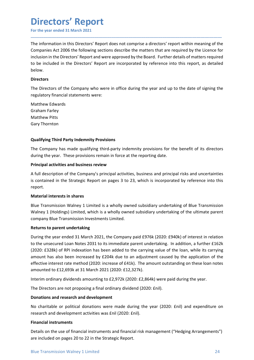### Directors' Report

**Directors' Report**<br>For the year ended 31 March 2021<br>The information in this Directors' Report does not comprise a directors' report within meaning of the<br>Companies Act 2006 the following sections describe the matters that **Directors' Report**<br>For the year ended 31 March 2021<br>The information in this Directors' Report does not comprise a directors' report within meaning of the<br>Companies Act 2006 the following sections describe the matters that For the year ended 31 March 2021<br>
For the year ended 31 March 2021<br>
The information in this Directors' Report does not comprise a directors' report within meaning of the<br>
Companies Act 2006 the following sections describe **included Standard Standard Standard Standard Standard Standard Standard Standard Standard Standard Standard Companies Act 2006 the following sections describe the matters that are required by the Licence for inclusion in Directors' Report**<br>For the year ended 31 March 2021<br>The information in this Directors' Report does not comprise a directors' report within meaning of the<br>Companies Act 2006 the following sections describe the matters that below. **Directors' Report**<br>The information in this Directors' Report does not comprise a directors' report within meaning of the<br>Companies Act 2006 the following sections describe the matters that are required by the Licence for<br> **Directors' Report**<br>For the year ended 31 March 2021<br>The information in this Directors' Report does not comprise a directors' report within meaning of the<br>Companies Act 2006 the following sections describe the matters that **Directors' Report**<br>For the year ended 31 March 2021<br>The information in this Directors' Report does not comprise a directors' report with<br>Companies Act 2006 the following sections describe the matters that are required<br>inc **Directors' Report**<br>For the year ended 31 March 2021<br>The information in this Directors' Report does not comprise a directors' report with<br>Companies Act 2006 the following sections describe the matters that are require<br>incl **Directors' Report**<br>For the year ended 31 March 2021<br>The information in this Directors' Report does not comprise a directors' report with<br>Companies Act 2006 the following sections describe the matters that are required<br>inc **Directors' Report**<br>For the year ended 31 March 2021<br>The information in this Directors' Report does not comprise a directors' report<br>Companies Act 2006 the following sections describe the matters that are required<br>inclusio The information in this Directors' Report does not comprise a directors' report within meaning of the Companies Act 2006 the following sections describe the matters that are required by the Licence for inclusion in the Dir The information in this Directors' Report does not comprise a directors' report within meaning of the Companies Act 2006 the following sections describe the matters that are required by the Licence for cinclusion in the Di Companies Act 2006 the following sections describe the matters that are required by the Licence for includion in the Directors' Report and were approved by the Board. Further details of matters required to be included in t

\_\_\_\_\_\_\_\_\_\_\_\_\_\_\_\_\_\_\_\_\_\_\_\_\_\_\_\_\_\_\_\_\_\_\_\_\_\_\_\_\_\_\_\_\_\_\_\_\_\_\_\_\_\_\_\_\_\_\_\_\_\_\_\_\_\_\_\_\_\_\_\_\_\_\_\_\_\_\_\_\_\_\_\_\_\_\_\_\_\_

### **Directors**

Inclusion<br>In the brincis report and were approved by the board. Further details of interesting the<br>to be included in the Directors' Report are incorporated by reference into this report, as detailed<br>below.<br>Directors<br>The Di Directors<br>The Directors<br>The Directors of the Company who were in office during the year and up to the date of signing the<br>regulatory financial statements were:<br>Craham Farley<br>Craham Farley<br>Matthew Pitts<br>Mathew Pitts<br>Mathew **Directors**<br>
The Directors of the Company who were in office during the year and up to the date of signing the<br>
regulatory financial statements were:<br>
Matthew Edwards<br>
Matthew Edwards<br>
Matthew Pitts<br>
Gary Thornton<br> **Qualif** report. The Dietclors of the Company who were in office during the year and up to the date of significal<br>regulatory financial statements were:<br>
Matthew Edwards<br>
Gary Thornton<br>
Qualifying Third Party Indemnity Provisions<br>
The Compa Matthew Edwards<br>
Graham Farley<br>
Gary Thornton<br>
Gary Thornton<br>
Clearly Thornton<br>
The Company has made qualifying third-party indemnity provisions for the benefit of its directors<br>
during the year. These provisions remain in waturew cowards<br>
Gary Thornton<br>
Gary Thornton<br>
Qualifying Third Party Indemnity Provisions<br>
The Company has made qualifying third-party indemnity provisions for the benefit of its directors<br>
during the year. These provisio Commanter<br> **Company Property Company** Provisions<br> **Qualifying Third Party Indemnity Provisions**<br>
Chergapy has made qualifying third-party indemnity provisions for the benefit of its directors<br>
The Company has made qualifyi

to the unsecure to can routes 2003 to this immether partier untercusting; in accuration, a nuriner 1000;<br>(2020: £328k) of RPI indexation has been added to the carrying value of the loan, while its carrying<br>amount has also Gary Thornton<br> **Qualifying Third Party Indemnity Provisions**<br>
The Company has made qualifying third-party indemnity provisions for the benefit of its<br>
during the year. These provisions remain in force at the reporting date Qualifying Third Party Indemnity Provisions<br>The Company has made qualifying third-party indemnity provisions for the benefit of its directors<br>during the year. These provisions remain in force at the reporting date.<br>Princip Qualifying Third Party Indemnity Provisions<br>The Company has made qualifying third-party indemnity provisions for the benefit of its directors<br>during the year. These provisions remain in force at the reporting date.<br>
A full The Company has made qualifying third-party indemnity provisions for the benefit of its directors<br>during the year. These provisions remain in force at the reporting date.<br>**Principal activities and business review**<br>A full d The Compary has indee years and puring throughair through polynomial of the benefit of its directions<br>adviring the year. These provisions remain in force at the reporting date.<br> **Principal activities and business review**<br> ouring the year. These provisions reliable method is a the reporting date.<br> **Principal activities and business review**<br>
is contained in the Strategic Report on pages 3 to 23, which is incorporated by reference into this<br> **Principal activities and business review**<br>**A** full description of the Company's principal activities, business and principal risks and uncertainties<br>is contained in the Strategic Report on pages 3 to 23, which is incorpor A full description of the Company's principal activities, business and principal risks and uncertainties<br>is contained in the Strategic Report on pages 3 to 23, which is incorporated by reference into this<br>report.<br>**Material** Is contained in the strategic wepote on pages 3 to 2.5, which is incorporated by reterence into this **Material interests in shares**<br>
Blue Transmission Walney 1 Limited is a wholly owned subsidiary undertaking of Blue Trans Material interests in shares<br>Blue Transmission Walney 1 Limited is a wholly owned subsidiary undertaking of Blue Transmission<br>Walney 1 (Holdings) Limited, which is a wholly owned subsidiary undertaking of the ultimate pare Blue Transmission Walney 1 Limited is a wholly owned subsidiary undertaking of Blue Transmission<br>Walney 1 (Holdings) Limited, which is a wholly owned subsidiary undertaking of the ultimate parent<br>company Blue Transmission ENDIM Waller The University Tunneet is a wholly owned substailary undertacking of the ultimate parent<br>
Walney 1 (Holdings) Limited, which is a wholly owned subsidiary undertaking of the ultimate parent<br>
company Blue Trans company Blue Transmission Investments Limited.<br> **Returns to parent undertaking**<br>
During the year ended 31 March 2021, the Company paid £976k (2020: £940k) of i<br>
to the unsecured Loan Notes 2031 to its immediate parent unde Returns to parent undertaking<br>
During the year ended 31 March 2021, the Company paid £976k (2020: £940k) of interest in relation<br>
to the unsecured Loan Notes 2031 to its immediate parent undertaking. In addition, a further During the year ended 31 March 2021, the Company paid £976k (2020: £940k) of interest in relation<br>to the unsecured Loan Notes 2031 to its immediate parent undertaking. In addition, a further £162k<br>(2020: £328k) of RPI inde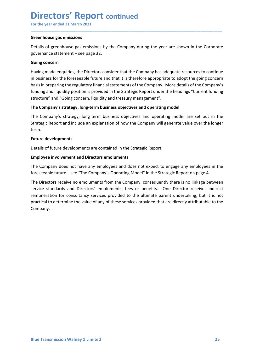### Directors' Report continued

**Directors' Report continued**<br>For the year ended 31 March 2021<br>Greenhouse gas emissions<br>Details of greenhouse gas emissions by the Company during the year are shown in the Corporate<br>governance statement – see page 32. **Directors' Report continued**<br>For the year ended 31 March 2021<br>Greenhouse gas emissions<br>Details of greenhouse gas emissions by the Company during the year are shown in the<br>governance statement – see page 32.<br>Going concern **Directors' Report continued**<br>For the year ended 31 March 2021<br>Details of greenhouse gas emissions by the Company during the year are shown in the Corporate<br>governance statement – see page 32.<br>Going concern<br>Having made enq

\_\_\_\_\_\_\_\_\_\_\_\_\_\_\_\_\_\_\_\_\_\_\_\_\_\_\_\_\_\_\_\_\_\_\_\_\_\_\_\_\_\_\_\_\_\_\_\_\_\_\_\_\_\_\_\_\_\_\_\_\_\_\_\_\_\_\_\_\_\_\_\_\_\_\_\_\_\_\_\_\_\_\_\_\_\_\_\_\_\_

**Directors' Report continued**<br>For the year ended 31 March 2021<br>Greenhouse gas emissions<br>Details of greenhouse gas emissions by the Company during the year are shown in the Corporate<br>governance statement – see page 32.<br>Goin **Directors' Report continued**<br>
For the year ended 31 March 2021<br>
Greenhouse gas emissions<br>
Details of greenhouse gas emissions by the Company during the year are sho<br>
governance statement – see page 32.<br>
Going concern<br>
Hav **Directors' Report continued**<br>For the year ended 31 March 2021<br>Greenhouse gas emissions<br>Details of greenhouse gas emissions by the Company during the year are shown in the Corporate<br>governance statement – see page 32.<br>Goin **Directors' Report continued**<br>For the year ended 31 March 2021<br>**Greenhouse gas emissions**<br>Details of greenhouse gas emissions by the Company during the year are shown in the Corporate<br>governance statement – see page 32.<br>**G Directors' Report continued**<br>
For the year ended 31 March 2021<br> **Greenhouse gas emissions**<br>
Details of greenhouse gas emissions by the Company during the year are shown in the Corporate<br>
governance statement – see page 32 **Directors' Report continued**<br>For the year ended 31 March 2021<br>**Greenhouse gas e**missions<br>betails of greenhouse gas emissions by the Company during the year are shown in the Corporate<br>experannce statement – see page 32.<br>**G Directors' Report continued**<br>For the year ended 31 March 2021<br>Oreenhouse gas emissions<br>governance statement—see page 32.<br>Going concern<br>Having made enquiries, the Directors consider that the Company has adequate resources **Directors' Report continued**<br>For the year ended 31 March 2021<br>Oreenhouse gas emissions<br>governance statement – see page 32.<br>Going concern<br>Having made enquiries, the Directors consider that the Company has adequate resource **Directors' Report continued**<br>For the year ended 31 March 2021<br>Oferenhouse gas emissions<br>governance statement – see page 32.<br>governance statement – see page 32.<br>Going concern<br>Having made enquiries, the Directors consider t **COLOTS REPOTL CONTINUED**<br>
Streenhouse gas emissions<br>
Greenhouse gas emissions<br>
Details of greenhouse gas emissions by the Company during the year are shown in the Corporate<br>
governance statement – see page 32.<br>
Going conc Greenhouse gas emissions<br>Details of greenhouse gas emissions by the Company during the year are show<br>governance statement – see page 32.<br>Going concern<br>Having made enquiries, the Directors consider that the Company has adeq Details of greenhouse gas emissions by the Company during the year are shown in the Corporate<br>governance statement – see page 32.<br>Going concern<br>Having made enquiries, the Directors consider that the Company has adequate re governance statement – see page 32.<br> **Going concern**<br>
Having made enquiries, the Directors consider that the Company has adequate resources to continue<br>
In business for the foreseable future and that it is therefore approp **Going concern**<br>Having made enquiries, the Directors consider that the Company has adequate resources to continue<br>In business for the foreseeable future and that it is therefore appropriate to adopt the going concern<br>In bu Having made enquiries, the Directors consider that the Company has adequate resources to continue<br>in business for the foreseeable future and that it is therefore appropriate to adopt the going concern<br>basis in preparing th

term.

in business for the foreseeable future and that it is therefore appropriate to adopt the going concern<br>basis in preparing the regulatory financial statements of the Company. More details of the Company's<br>funding and liquid basis in preparing the regulatory financial statements of the Company. More details of the Company's<br>
structure" and "Going concern, liquidity and treastargic Report under the headings "Current funding<br>
structure" and "Goi funding and liquidity position is provided in the Strategic Report under the headings "Current funding<br>structure" and "Going concern, liquidity and treasury management".<br>The Company's strategy, long-term business objective structure" and "Going concern, liquidity and treasury management".<br>The Company's strategy, long-term business objectives and operating model<br>The Company's strategy, long-term business objectives and operating model are set Company.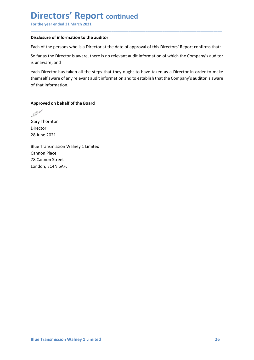## Directors' Report continued Directors' Report continued<br>
For the year ended 31 March 2021<br>
Disclosure of information to the auditor<br>
Each of the persons who is a Director at the date of approval of this Directors' Report confirms that:<br>
So far as the

\_\_\_\_\_\_\_\_\_\_\_\_\_\_\_\_\_\_\_\_\_\_\_\_\_\_\_\_\_\_\_\_\_\_\_\_\_\_\_\_\_\_\_\_\_\_\_\_\_\_\_\_\_\_\_\_\_\_\_\_\_\_\_\_\_\_\_\_\_\_\_\_\_\_\_\_\_\_\_\_\_\_\_\_\_\_\_\_\_\_

Directors' Report continued<br>
For the year ended 31 March 2021<br>
Disclosure of information to the auditor<br>
Each of the persons who is a Director at the date of approval of this Directors' Report confirms that:<br>
So far as the **Directors' Report continued**<br>
For the year ended 31 March 2021<br>
Disclosure of information to the auditor<br>
Each of the persons who is a Director at the date of approval of this Directors' Report confirms that:<br>
So far as t

**Directors' Report continued**<br>
For the year ended 31 March 2021<br>
Disclosure of information to the auditor<br>
Each of the persons who is a Director at the date of approval of this Directors' Report confirms that:<br>
So far as t **Directors' Report continued**<br>For the year ended 31 March 2021<br>Disclosure of information to the auditor<br>Each of the persons who is a Director at the date of approval of this Directors' Report<br>So far as the Director is awar **Directors' Report continued**<br>For the year ended 31 March 2021<br>Bisclosure of information to the auditor<br>Each of the persons who is a Director at the date of approval of this Directors' Report confirms that:<br>So far as the D **Directors' Report continued**<br>For the year ended 31 March 2021<br>Disclosure of information to the auditor<br>Each of the persons who is a Director at the date of approval of this Directors' Report confirms that:<br>So far as the D **Directors' Report continued**<br>For the year ended 31 March 2021<br>Disclosure of information to the auditor<br>Each of the persons who is a Director at the date of approval of this Directors' Re<br>So far as the Director is aware, t **Directors' Report continued**<br>
For the year ended 31 March 2021<br>
Disclosure of information to the auditor<br>
Each of the persons who is a Director at the date of approval of this Directors' Report confirms that:<br>
So far as t **DIFECTOFS' REPOFT continued**<br>For the year ended 31 March 2021<br>Disclosure of information to the auditor<br>Each of the persons who is a Director at the date of approval of this Directors'<br>So far as the Director is aware, ther Disclosure of information to the auditor<br>
Each of the persons who is a Director at the date of approval of this Directors' Rep<br>
So far as the Director is aware, there is no relevant audit information of which the<br>
is unawa Example The presons who is a Director at the date of approval of this Directors' Report confirms that:<br>Bo far as the Director is aware, there is no relevant audit information of which the Company's auditor<br>is unaware; and<br> Each of the persons who is a Director at the date of approval of this Directors' Rep<br>So far as the Director is aware, there is no relevant audit information of which the<br>is unaware; and<br>each Director has taken all the step So far as the Director is aware, there is no relevant audit information of which the Co<br>is unaware; and<br>each Director has taken all the steps that they ought to have taken as a Director in<br>themself aware of any relevant au is unaware; and<br>each Director has taken all the steps that they ought to have taken as a Director in o<br>themself aware of any relevant audit information and to establish that the Company's aud<br>of that information.<br>Approved

Director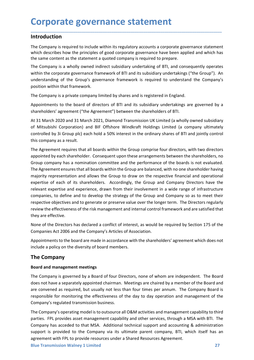### Introduction

**Corporate governance statement<br>
Introduction**<br>
The Company is required to include within its regulatory accounts a corporate governance statement<br>
which describes how the principles of good corporate governance have been **Corporate governance statement**<br>The Company is required to include within its regulatory accounts a corporate governance statement<br>which describes how the principles of good corporate governance have been applied and whic

**Corporate governance statement**<br>Introduction<br>The Company is required to include within its regulatory accounts a corporate governance statement<br>which describes how the principles of good corporate governance have been app **Corporate governance statement**<br> **Introduction**<br>
The Company is required to include within its regulatory accounts a corporate governance statement<br>
which describes how the principles of good corporate governance have bee **Corporate governance statement**<br> **Introduction**<br>
The Company is required to include within its regulatory accounts a corporate governance statement<br>
which describes how the principles of good corporate governance have bee **Corporate governance statement**<br>The Company is required to include within its regulatory accounts a corporate governance statement<br>which describes how the principles of good corporate governance have been applied and whic **Corporate governance statement**<br>The Company is required to include within its regulatory accounts a corporate governance statement<br>which describes how the principles of good corporate governance have been applied and whic **Corporate governance statement**<br> **Introduction**<br>
The Company is required to include within its regulatory accounts a corporate governance sta<br>
which describes how the principles of good corporate governance have been appl **Corporate governance statement**<br> **Introduction**<br>
The Company is required to include within its regulatory accounts a corporate governance statement<br>
The Company is a wholly owned indirect subsidiary undertaking of BTI, an **Corporate governance statement**<br> **Introduction**<br> **Intercompany is required to include within its regulatory accounts a corporate governance statement<br>
The Company is a wholly owned indirect subsidiary undertaking of BTI,** 

**Corporate governance statement**<br>The Company is required to indude within its regulatory accounts a corporate governance statement<br>which describes how the principles of good corporate governance have been applied and which **Corporate governance statement**<br>The Company is required to include within its regulatory accounts a corporate governance statement<br>which describes how the principles of good corporate governance have been applied and whic **Corporate governance statement**<br>Introduction<br>The Company is required to include within its regulatory accounts a corporate governance statement<br>which describes how the principles of good corporate governance have been app **Introduction**<br>The Company is required to include within its regulatory accounts a corporate governance statement<br>which describes how the principles of good corporate governance have been applied and which has<br>the same con

**Introduction**<br>The Company is required to include within its regulatory accounts a corporate governance s<br>which describes how the principles of good corporate governance have been applied and v<br>the same content as the stat The Company is required to include within its regulatory accounts a corporate governance statement<br>which describes how the principles of good corporate governance have been applied and which has<br>the same content as the sta which describes how the principles of good corporate governance have been applied and which has<br>the same content as the statement a quoted company is required to prepare.<br>The Company is a wholly owned indirect subsidiary u The Same content as the statement a quoted company is required to prepare.<br>The Company is a wholly owned indirect subsidiary undertaking of BTI, and consequently operates<br>within the corporate governance framework of BTI an The Company is a wholly owned indirect subsidiary undertaking of BTI, and consequently operates<br>within the corporate governance framework of BTI and its subsidiary undertakings ("the Group"). An<br>understanding of the Group" within the corporate governance framework of BTI and its subsidiary undertakings ("the Group"). An understanding of the Group"s governance framework is required to understand the Company's position within that framework.<br>T understanding of the Group's governance framework is required to understand the Company's<br>position within that framework.<br>The Company is a private company limited by shares and is registered in England.<br>Appointments to the position within that framework.<br>The Company is a private company limited by shares and is registered in England.<br>Appointments to the board of directors of BTI and its subsidiary undertakings are governed by a<br>shareholders' The Company is a private company limited by shares and is registered in England.<br>Appointments to the board of directors of BTI and its subsidiary undertakings are governed by a<br>shareholders' agreement ("the Agreement") bet The Company is a private company limited by shares and is registered in England.<br>Appointments to the board of directors of BTI and its subsidiary undertakings are governed by a<br>Shareholders' agreement ("the Agreement") bet Appointments to the board of directors of BTI and its subsidiary undertakings are governed by a<br>Stareholders' agreement ("the Agreement") between the shareholders of BTI.<br>At 31 March 2020 and 31 March 2021, Diamond Transmi shareholders' agreement ("the Agreement") between the shareholders of BTI.<br>At 31 March 2020 and 31 March 2021, Diamond Transmission UK Limited (a wholl<br>of Mitsubishi Corporation) and BIF Offshore Windkraft Holdings Limited At 31 March 2020 and 31 March 2021, Diamond Transmission UK Limited (a wholly owned subsidiary<br>of Mitsubishi Corporation) and BIF Offshore Windkraft Holdings Limited (a company ultimately<br>of Mitsubishi Corporation) and BIF of Mitsubishi Corporation) and BIF Offshore Windkraft Holdings Limited (a company ultimately<br>controlled by 3i Group plc) each hold a 50% interest in the ordinary shares of BTI and jointly control<br>this company as a result.<br> controlled by 3i Group plc) each hold a 50% interest in the ordinary shares of BTI and jointly controlled by as insult.<br>The Agreement requires that all boards within the Group comprise four directors, with two directors<br>ap this company as a result.<br>The Agreement requires that all boards within the Group comprise four directors, with two directors<br>appointed by each shareholder. Consequent upon these arrangements between the shareholders, no<br>G The rayes entent requires that an useaus whilm the cloup compinse both are appointed by each shareholder. Consequent upon these arrangements between Group company has a nomination committee and the performance of the both Group company has a nomination committee and the performance of the boards is not evaluat<br>The Agreement ensures that all boards within the Group are balanced, with no one shareholder having<br>majority representation and allo Ine *Regenement* ensures that all boards within the Group are balanced, with no one snareholder having presentation and allows the Group to draw on the respective financial and operational expertise of each of its sharehol majority representation and allows the Group to draw on the respecture intancal and operational<br>expertise of each of its shareholders. Accordingly, the Group and Company Directors have the<br>relevant expertise and experience expertise of each or its snatenoiders. Accordingly, the Group and Company Unetcors have the<br>relevant expertise and experience, drawn from their involvement in a wide range of infrastructure<br>companies, to define and to deve

Appointments to the board are made in accordance with the shareholders' agreement which does not<br>include a policy on the diversity of board members.<br> **The Company**<br> **Board and management meetings**<br>
The Company is governed relevant expertise and experience, drawn from their involvement in a wide range of infrastructure<br>companies, to define and to develop the strategy of the Group and Company so as to meet their<br>respective objectives and to g compannes, to dene and to develop the strategy of the Group and Company so as to meet their<br>respective objectives and to generate or preserve value over the longer term. The Directors regularly<br>review the effectiveness of review the effectiveness of the risk management and internal control framework and are satisfied that<br>they are effective.<br>None of the Directors has declared a conflict of interest, as would be required by Section 175 of th they are effective.<br>
None of the Directors has declared a conflict of interest, as would be required by Section 175 of the<br>
Companies Act 2006 and the Company's Articles of Association.<br>
Appointments to the board are made None of the Directors has declared a conflict of interest, as would be required by Section 175 of the Companies Act 2006 and the Company's Articles of Association.<br>Appointments to the board are made in accordance with the None or the Directors ins acetare a commict of interests, as would be required by section 1/5 or the Companies Act 2006 and the Company's Articles of Association.<br>Appointments to the board are made in accordance with the s Companies Act 2006 and the Company's Articles or Association.<br>
Appointments to the board are made in accordance with the shareholders' agreement which does not<br>
include a policy on the diversity of board members.<br>
The Comp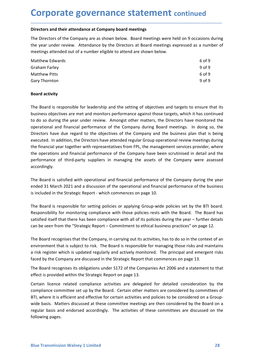**Corporate governance statement continued**<br>Directors and their attendance at Company board meetings<br>The Directors of the Company are as shown below. Board meetings were held on 9 occasions during<br>the vear under review. Att **Corporate governance statement continued**<br>Directors and their attendance at Company board meetings<br>The Directors of the Company are as shown below. Board meetings were held on 9 occasions during<br>the year under review. Att **Corporate governance statement continued**<br>
Directors and their attendance at Company board meetings<br>
The Directors of the Company are as shown below. Board meetings were held on 9 occasions during<br>
the year under review.

| <b>Corporate governance statement continued</b>                                                      |        |
|------------------------------------------------------------------------------------------------------|--------|
|                                                                                                      |        |
| Directors and their attendance at Company board meetings                                             |        |
| The Directors of the Company are as shown below. Board meetings were held on 9 occasions during      |        |
| the year under review. Attendance by the Directors at Board meetings expressed as a number of        |        |
| meetings attended out of a number eligible to attend are shown below.                                |        |
| <b>Matthew Edwards</b>                                                                               | 6 of 9 |
| <b>Graham Farley</b>                                                                                 | 9 of 9 |
| <b>Matthew Pitts</b>                                                                                 | 6 of 9 |
| Gary Thornton                                                                                        | 9 of 9 |
| <b>Board activity</b>                                                                                |        |
| The Board is responsible for leadership and the setting of objectives and targets to ensure that its |        |
| business objectives are met and monitors performance against those targets, which it has continued   |        |
|                                                                                                      |        |
| to do so during the year under review. Amongst other matters, the Directors have monitored the       |        |

**Corporate governance statement continued**<br>Directors and their attendance at company board meetings<br>The Directors of the Company are as shown below. Board meetings expressed as a number of<br>the set under review. Attendance **Corporate governance statement continued**<br>
Directors and their attendance at Company board meetings<br>
The Directors of the Company are as shown below. Board meetings were held on 9 occasions during<br>
the year under review. **COT POOT ATTE SOVETTIATICE STATEMENT CONTINUED**<br>
Directors and their attendance at Company board meetings<br>
The Directors of the Company are as shown below. Board meetings were held on 9 occasions during<br>
the year under re Directors and their attendance at Company board meetings<br>
The Directors of the Company are as shown below. Board meetings were held on 9 occasions during<br>
the year under review. Attendance by the Directors at Board meeting Directors and their attendance at Company board meetings<br>
The Directors of the Company are as shown below. Board meetings were held on 9 occasions during<br>
the year under review. Attendance by the Directors at Board meeting The Directors of the Company are as shown below. Board meetings were held on 9 occasions during<br>the year under review. Attendance by the Directors at Board meetings expressed as a number of<br>meetings attended out of a numbe The Drectous of the Company are associal year to the Company were reliefiting stendard out of a number eligible to attend are shown below.<br>
Matthew Edwards an uniber eligible to attend are shown below.<br>
Matthew Edwards<br>
So the pear unit everware company and the setting of the Company during the vear the Company of the Company of the Company have the Company of the Company of the Company of the Company of the Company of the Company of the Com metalling such the Company of the Company and the Section of the Company of the Company Conditions Conditions Contains a party the Board activity<br> **Board activity**<br>
The Board is responsible for leadership and the setting o accordingly. Matthew Pitts 609<br>
Board activity<br>
The Board is responsible for leadership and the setting of objectives and targets to ensure that its<br>
business objectives are met and monitors performance against those targets, which it Gary Thornton<br> **Board activity**<br>
The Board is responsible for leadership and the setting of objectives and targets to ensure that its<br>
business objectives are met and monitors performance against those targets, which it ha **Board activity**<br>The Board is responsible for leadership and the setting of objectives and targets to ensure that its<br>business objectives are met and monitors performance against those targets, which it has continued<br>to do The Board is responsible for leadership and the setting of objectives and targets to ensure that its business objectives are met and monitors performance against those targets, which it has continued to do so during the ye The Board is responsible for leadership and the setting of objectives and targets to ensure that its<br>business objectives are met and monitors performance against those targets, which it has continued<br>to do so during the ye business objectives are met and monitors performance against those targets, which it has continued<br>to do so during the year under review. Amongst other matters, the Directors have monitored the<br>operational and financial pe to do so during the year under review. Amongst other matters, the Directors have monitored the<br>operational and financial performance of the Company during Board meetings. In doing so, the<br>Directors have due regard to the o Directors have due regard to the objectives of the Company and the business plan that is being<br>executed. In addition, the Directors have attended regular Group operational review meetings during<br>the financial year together executed. In addition, the Directors have attended regular Group operational review meetings during<br>the financial year tregther with representatives from FPL, the management services provider, where<br>the operations and fina

the financial year together with representatives from FPL, the management services provider, where<br>the operations and financial performance of the Company have been scrutinised in detail and the<br>performance of third-party the operations and financial performance of the Company have been scrutinised in detail and the<br>performance of third-party suppliers in managing the assets of the Company were assessed<br>accordingly.<br>The Board is satisfied w personance of emmeplary suppress in managing the assess of the Company were assessed<br>accordingly.<br>The Board is satisfied with operational and financial performance of the Company during the year<br>ended 31 March 2021 and a d

The Board recognises that the Company, in carrying out its activities, has to do so in the context of an environment that is subject to risk. The Board is responsible for managing those risks and maintains an risk register Ethe Board is satisfied with operational and financial performance of the Company during the year<br>ended 31 March 2021 and a discussion of the operational and financial performance of the business<br>is included in the Strateg The Board is satisfied with operational and financial performance of the Company during the year<br>ended 31 March 2021 and a discussion of the operational and financial performance of the business<br>is included in the Strategi ended 31 March 2021 and a discussion of the operational and financial performance of the business<br>is included in the Strategic Report - which commences on page 10.<br>The Board is responsible for setting policies or applying is included in the Strategic Report - which commences on page 10.<br>The Board is responsible for setting policies or applying Group-wide policies set by the BTI board.<br>Responsibility for monitoring compliance with those poli The Board is responsible for setting policies or applying Group-wide policies set by the BTI board.<br>Responsibility for monitoring compliance with those policies rests with the Board. The Board has<br>satisfied itself that the The Board is responsible for setting policies or applying Group-wide policies set by the BTI board.<br>Responsibility for monitoring compliance with those policies rests with the Board. The Board activities are discussed as<br>s Responsibility for monitoring compliance with those policies rests with the Boar<br>satisfied itself that there has been compliance with all of its policies during the yea<br>can be seen from the "Strategic Report – Commitment t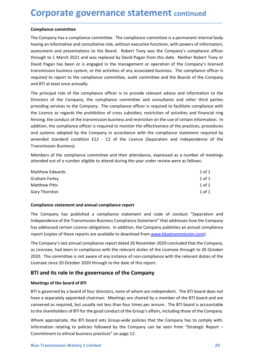**Corporate governance statement continued**<br> **Compliance committee**<br>
The Company has a compliance committee. The compliance committee is a permanent internal body<br>
having an informative and consultative role, without execut **Corporate governance statement contin<br>
Compliance committee**<br>
The Company has a compliance committee. The compliance committee is a permaner<br>
having an informative and consultative role, without executive functions, with **Corporate governance statement continued**<br>
The Company has a compliance committee. The compliance committee is a permanent internal body<br>
having an informative and consultative role, without executive functions, with powe **Corporate governance statement continued**<br>The Compliance committee<br>The Company has a compliance committee. The compliance committee is a permanent internal body<br>having an informative and consultative role, without executi **Corporate governance statement continued**<br>The Company has a compliance committee. The compliance committee is a permanent internal body<br>having an informative and consultative role, without executive functions, with powers **Corporate governance statement continued**<br>The Company has a compliance committee. The compliance committee is a permanent internal body<br>having an informative and consultative role, without executive functions, with powers **Corporate governance statement** continued<br>The Company has a compliance committee. The compliance committee is a permanent internal body<br>having an informative and consultative role, without executive functions, with powers **Corporate governance statement continued**<br>The Company has a compliance committee. The compliance committee is a permanent internal body<br>having an informative and consultative role, without executive functions, with powers **Corporate governance statement** continued<br>The Company has a compliance committee. The compliance committee is a permanent internal body<br>having an informative and consultative role, without executive functions, with powers **Corporate governance statement continued**<br> **Compliance committee**<br>
The Company has a compliance committee. The compliance committee is a permanent interna<br>
having an informative and consultative role, without executive fu **Corporate governance statement** continued<br>The Compainne committee<br>The Compainsy has a compliance committee. The compliance committee is a permanent internal body<br>having an informative and consultative role, without execut **Corporate governance statement continued**<br>The Company has a compliance committee. The compliance committee is a permanent internal body<br>having an informative and consultative role, without executive functions, with powers **Corporate governance statement** continued<br>
compliance committee<br>
The Company has a compliance committee. The compliance committee is a permanent internal booky<br>
The Company has a company compliance officer through to 1 Ma

\_\_\_\_\_\_\_\_\_\_\_\_\_\_\_\_\_\_\_\_\_\_\_\_\_\_\_\_\_\_\_\_\_\_\_\_\_\_\_\_\_\_\_\_\_\_\_\_\_\_\_\_\_\_\_\_\_\_\_\_\_\_\_\_\_\_\_\_\_\_\_\_\_\_\_\_\_\_\_\_\_\_\_\_\_\_\_\_\_\_

**Corporate governance statement** continued<br> **Compliance committee**<br>
The Company has a compliance committee. The compliance committee is a permanent internal body<br>
having an informative and consultative role, without execut **COPY CONTROM CONTROM CONTROM CONTROM CONTROM CONTROM**<br>The Company has a compliance committee. The compliance committee is a permanent internal body<br>having an informative and consultative role, without executive functions, **Compliance committee**<br>The Company has a compliance committee. The compliance committee is a permanent internal body<br>having an informative and consultative role, without executive functions, with powers of information,<br>ass **Compliance committee**<br>The Company has a compliance committee. The compliance committee is a permanent internal body<br>having an informative and consultative role, without executive functions, with powers of information,<br>ass The Company has a compliance committee. The compliance committee is a permanent internal body<br>having an informative and consultative role, without executive functions, with powers of information,<br>assessment and presentatio Incompary was a computance committele. In economication, whis may informative and consultative role, without executive functions, with powers assessment and presentations to the Board. Robert Tivey was the Company's comple assessment and presentations to the Board. Robert Tivey was the Company's compliance officer<br>through to 1 March 2021 and was replaced by David Pagan from this date. Neither Robert Tivey or<br>David Pagan has been or is engage through to 1 March 2021 and was replaced by David Pagan from this date. Neither Robert Tivey or<br>David Pagan has been or is engaged in the management or operation of the Company's licensed<br>ratmsmission business system, or t Example and setence in severage in the management of operation to incompany shocked and parameters are the through the transmission business system, or the activities of any associated business. The compliance officer is r required to report to the compliance committee, and vasuation unsumess. The compliance one required to report to the compliance committee, and it committee and the Boards of the Company<br>and BTI at least once annually.<br>The require to trap to the complainter committee, about committee and the boards of the Compary<br>and BTI at least once annually.<br>The principal role of the complaince officer is to provide relevant advice and information to the<br> and britaties of the compliance officer is to provide relevant advice and information to the<br>The principal role of the compaliance officer is to provide relevant advice and information to the<br>Directors of the Company, the Directors of the Company, the compliance committee and consultants and other third parties<br>providing services to the Company. The compliance officer is required to facilitate compliance with<br>the Licence as regards the proh pluous services to the Company. The company has published a compliance when the reduction of activities and financial ring<br>fencing; the conduct of the transmission business and restriction on the use of certain information Interfactive as regarits to report from the complete of the Transmission Business and restriction on the use of certain information. In<br>delition, the complaince officer is required to monitor the effectiveness of the pract entime, the complainted of the complained of the complained of the practices, procedures<br>and systems adopted by the Company in accordance with the complaince statement required by<br>and systems adopted by the Company in acco

| addition, the compilance onicer is required to monitor the enectiveness or the practices, procedures<br>and systems adopted by the Company in accordance with the compliance statement required by<br>amended standard condition E12 - C2 of the Licence (Separation and Independence of the                                                                                              |            |  |  |  |
|-------------------------------------------------------------------------------------------------------------------------------------------------------------------------------------------------------------------------------------------------------------------------------------------------------------------------------------------------------------------------------------------|------------|--|--|--|
| Transmission Business).                                                                                                                                                                                                                                                                                                                                                                   |            |  |  |  |
| Members of the compliance committee and their attendance, expressed as a number of meetings<br>attended out of a number eligible to attend during the year under review were as follows:                                                                                                                                                                                                  |            |  |  |  |
| <b>Matthew Edwards</b>                                                                                                                                                                                                                                                                                                                                                                    | $1$ of $1$ |  |  |  |
| <b>Graham Farley</b>                                                                                                                                                                                                                                                                                                                                                                      | $1$ of $1$ |  |  |  |
| <b>Matthew Pitts</b>                                                                                                                                                                                                                                                                                                                                                                      | $1$ of $1$ |  |  |  |
| <b>Gary Thornton</b>                                                                                                                                                                                                                                                                                                                                                                      | $1$ of $1$ |  |  |  |
| Compliance statement and annual compliance report                                                                                                                                                                                                                                                                                                                                         |            |  |  |  |
| The Company has published a compliance statement and code of conduct "Separation and<br>Independence of the Transmission Business Compliance Statement" that addresses how the Company<br>has addressed certain Licence obligations. In addition, the Company publishes an annual compliance<br>report (copies of these reports are available to download from www.bluetransmission.com). |            |  |  |  |
| The Company's last annual compliance report dated 26 November 2020 concluded that the Company,<br>as Licensee, had been in compliance with the relevant duties of the Licensee through to 20 October<br>2020. The committee is not aware of any instance of non-compliance with the relevant duties of the<br>Licensee since 20 October 2020 through to the date of this report.          |            |  |  |  |
| BTI and its role in the governance of the Company                                                                                                                                                                                                                                                                                                                                         |            |  |  |  |
| <b>Meetings of the board of BTI</b>                                                                                                                                                                                                                                                                                                                                                       |            |  |  |  |
| BTI is governed by a board of four directors, none of whom are independent. The BTI board does not<br>have a separately appointed chairman. Meetings are chaired by a member of the BTI board and are<br>convened as required, but usually not less than four times ner annum. The RTI hoard is accountable                                                                               |            |  |  |  |

Graham Farley<br>
1 of 1<br>
Matthew Pitts<br>
1 of 1<br>
Gary Thornton<br>
1 of 1<br>
1 of 1<br>
1 of 1<br>
1 of 1<br>
1 of 1<br>
1 of 1<br>
1 of 1<br>
1 of 1<br>
1 of 1<br>
1 of 1<br>
1 of 1<br>
1 of 1<br>
1 of 1<br>
1 of 1<br>
1 of 1<br>
1 of 1<br>
1 of 1<br>
1 of 1<br>
1 of 1<br>
1 of 1<br>
1

The Company's last annual compliance report dated 26 November 2020 concluded that the Company,<br>as Licensee, had been in compliance with the relevant duties of the Licensee through to 20 October<br>2020. The committee is not a Matthew Pitts 10011<br>
1611<br>
Compliance statement and annual compliance report<br>
The Company has published a compliance statement and code of conduct "Separation and<br>
Independence of the Transmission Business Compliance State 1 of 1 1<br>
Compliance statement and annual compliance report<br>
The Company has published a compliance statement and code of conduct "Separation and<br>
Independence of the Transmission Business Compliance Statement" that addre **Compliance statement and annual compliance report**<br>The Company has published a compliance statement" that addresses how the Company<br>Independence of the Transmission Business Compliance Statement" that addresses how the Co **Compliance statement and annual compliance report**<br>The Company has published a compliance statement and code of conduct "Separation and<br>Independence of the Transmission Business Compliance Statement" that addresses how th The Company has published a compliance statement and code of conduct "Separation and<br>undependence of the Transmission Business Compliance Statement" that addresses how the Company<br>has addressed certain Licence obligations. Independence of the Transmission Business. Compliance Statement" that addresses how the Company<br>has addressed certain Licence obligations. In addition, the Company publishes an annual compliance<br>report (topies of these rep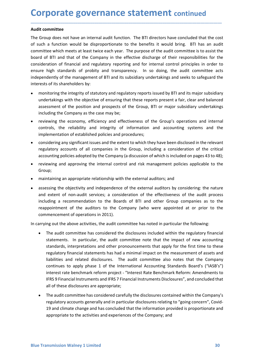**Corporate governance statement continued**<br>Audit committee<br>The Group does not have an internal audit function. The BTI directors have concluded that the cost<br>of such a function would be disproportionate to the benefits it **Corporate governance statement con-**<br>Audit committee<br>The Group does not have an internal audit function. The BTI directors have co<br>of such a function would be disproportionate to the benefits it would brin<br>committee which **Corporate governance statement continued**<br> **Audit committee**<br>
The Group does not have an internal audit function. The BTI directors have concluded that the cost<br>
of such a function would be disproportionate to the benefit **Corporate governance statement continued**<br>The Group does not have an internal audit function. The BTI directors have concluded that the cost<br>of such a function would be disproportionate to the benefits it would bring. BTI **Corporate governance statement continued**<br>The Group does not have an internal audit function. The BTI directors have concluded that the cost<br>of such a function would be disproportionate to the benefits it would bring. BTI **Corporate governance statement continued**<br>The Group does not have an internal audit function. The BTI directors have concluded that the cost<br>of such a function would be disproportionate to the benefits it would bring. BTI **Corporate governance statement continued**<br> **Audit committee**<br>
The Group does not have an internal audit function. The BTI directors have concluded that the cost<br>
of such a function would be disproportionate to the benefit **Corporate governance statement continued**<br> **Audit committee**<br>
The Group does not have an internal audit function. The BTI directors have concluded that the cost<br>
of such a function would be disproportionate to the benefit **Corporate governance statement continued**<br>The Group does not have an internal audit function. The BTI directors have concluded that the cost<br>of such a function would be disproportionate to the benefits it would bring. BTI **Corporate governance statement continued**<br> **Audit committee**<br>
The Group does not have an internal audit function. The BTI directors have concluded that the cost<br>
of such a function would be disproportionate to the benefit **DIPOOTATE GOVETNANCE STATEMENT C** continued<br>
The integrity of some and the disproportionate to the benefits it would bring. BTI alter thich mets at least twice each year. The purpose of the audit committee which mets at l **DIFOOTATE GOVET CONTERNATE STATEMENT CONTERNATE CONTERNATE COMPUT ACCOMPT AND A function would be disproportionate to the benefits it would bring. BTI has an audit untite which meets at least twice each year. The purpose DIFORT THE SOVET THATE STATEM CONTROM CONTROM CONTROM CONTROM (SCOND 10000** and interval and form of the proposition and provide the cost of the proposition and provide the and provide the and the cost of the and the comp **DIFIDENT SOVET TRANCE STATEMENT CONTINUES**<br> **In the Company discussed Scale Scale Scale Scale Scale Scale Scale Scale in the Company of the Company intermediate with a function would be disproportionate to the benefits it** The provident and the economy and the economic state of the economic state of the control of the control of the economic state of of BTI alternative which a function would be disproportionate to the benefits it would bring **it committee**<br>Group does not have an internal audit function. The BTI directors have concluded that the cost<br>uch a function would be disproportionate to the benefits it would bring. BTI has an audit<br>imittee which meets at it committee<br>
Group does not have an internal audit function. The BTI directors have concluded that the cost<br>
Group does not have an internal audit function. The BTI directors have concluded that the cost<br>
uch a function w Group does not have an internal audit function. The BTI directors have concluded that the cost<br>uch a function would be disproportionate to the benefits it would bring. BTI has an audit<br>unitee which meets at least twice eac uch a function would be disproportionate to the benefits it would bring. BTI has an audit<br>mitter which metes at least twice each year. The purpose of the audit committee is to assist the<br>ide of BTI and that of the Company mittee which meets at least twice each year. The purpose of the audit committee is to assist the<br>doff BTI and that of the Company in the effective discharge of their responsibilities for the<br>dislectation of financial and r of of BTI and that of the Company in the eftective discharge of their responsibilities for the company in the editor of independently of the management of BTI and its subsidiary undertakings and seeks to safeguard the pred

\_\_\_\_\_\_\_\_\_\_\_\_\_\_\_\_\_\_\_\_\_\_\_\_\_\_\_\_\_\_\_\_\_\_\_\_\_\_\_\_\_\_\_\_\_\_\_\_\_\_\_\_\_\_\_\_\_\_\_\_\_\_\_\_\_\_\_\_\_\_\_\_\_\_\_\_\_\_\_\_\_\_\_\_\_\_\_\_\_\_

- 
- 
- 
- Group;
- 
- ine may sammatos or prototy and unasperancy. Thi so uoring, the stout communicate acts<br>peperdently of the management of BTI and its subsidiary undertakings and seeks to safeguard the<br>rests of its shareholders by:<br>monitorin rests of its shareholders by:<br>monitoring the integrity of statutory and regulatory reports issued by BTI and its major subsidiary<br>undertakings with the objective of ensuring that these reports present a fair, clear and bal monitoring the integrity of statutory and regulatory reports issued by BTI and its major subsidiary<br>undertakings with the objective of ensuring that these reports present a fair, clear and balanced<br>assessment of the positi mundum guerance, we statuture and explained the disclosure of the Boards of the Boards of the Boards and the Boards assessment of the position and prospects of the Group, B1 or major subsidiary undertakings including the C and the measure and band the point of each engine at the engines are reports piesent a ran, team and bandled the company as the case may be;<br>
reviewing the economy, efficiency and effectiveness of the Group, BTI or major s sissisment of the position and plotsplaces of the Groupy, Bir of inaylor substituty directantings<br>including the Company as the case may be;<br>reviewing the economy, efficiency and effectiveness of the Group's operations and • reviewing the economy, efficiency and effectiveness of the Group's operations and internal<br>controls, the reliability and integrity of information and accounting systems and the<br>implementation of established policies and

- statements. In particular, the audit committee note that the impact of new accounting<br>standards, interpretations and other pronouncements that apply for the first time to these<br>regulatory financial statements has had a min rotis, the reliability and integrity of information and accounting systems and the elementation of established policies and procedures;<br>identing any significant issues and he extent to which they have been disclosed in the Iementation of established policies and procedures;<br>
stidering any significant issuess and the extent to which they have been disclosed in the relevant<br>
alatory accounts of all companies in the Group, including a considera sidering any significant issues and the extent to which they have been disclosed in the relevant<br>alatory accounts of all companies in the Group, including a consideration of the critical<br>unutring policies adopted by the Co alatory accounts of all companies in the Group, including a consideration of the critical<br>punting policies adopted by the Company (a discussion of which is included on pages 43 to 48);<br>ewing and approving the internal cont unting policies adopted by the Company (a discussion of which is included on pages 43 to 48);<br>ewing and approving the internal control and risk management policies applicable to the<br>upicality and internal control and risk ewing and approving the internal control and risk management policies applicable to the externaling an appropriate relationship with the external auditors; and<br>existing the objectivity and independence of the external audi Figure 11.1 The suppropriate relationship with the external auditors; and<br>sing the objectivity and independence of the external auditors by considering: the nature<br>extent of non-audit services; a consideration of the effec Figure and propriate relationship with the external auditors; and<br>ssing the objectivity and independence of the external auditors by considering: the nature<br>extent of non-audit services; a consideration of the effectivenes ntalning an appropriate relationship with the external auditors; and<br>ssing the objectivity and independence of the external auditors by considering: the nature<br>extent of non-audit sevices; a consideration of the effectiven sising the objectivity and independence of the external auditors by considering: the nature<br>extent of non-audit services; a consideration of the effectiveness of the audit process<br>ding a recommendation to the Boards of BTI extent or non-autour sevices; a consideration or the emetiveness or the audit process<br>uding a recommendation to the Boards of BTI and other Group companies as to the<br>piopitment of the auditors to the Company (who were appo ioning a recommenation to the boards or BII and other Group companies as to the population of the auditors to the Company (who were appointed at or prior to the immedement of operations in 2011).<br>
Ing out the above activit plonment or the autotross to the Company (who were appointed at or prior to the mencement of operations in 2011).<br>
Ing out the above activities, the audit committee has noted in particular the following:<br>
The audit committ
	-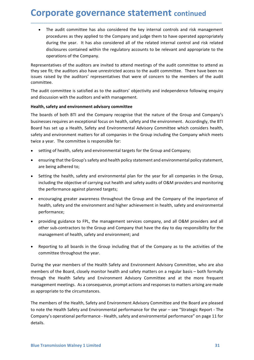**Corporate governance statement continued**<br>• The audit committee has also considered the key internal controls and risk management<br>procedures as they applied to the Company and judge them to have operated appropriately<br>dur **porate governance statement continued**<br>The audit committee has also considered the key internal controls and risk management<br>procedures as they applied to the Company and judge them to have operated appropriately<br>during t porate governance statement continued<br>The audit committee has also considered the key internal controls and risk management<br>procedures as they applied to the Company and judge them to have operated appropriately<br>during the **porate governance statement continued**<br>The audit committee has also considered the key internal controls and risk management<br>procedures as they applied to the Company and judge them to have operated appropriately<br>during t **porate governance statement continued**<br>The audit committee has also considered the key internal controls and risk management<br>procedures as they applied to the Company and judge them to have operated appropriately<br>during t **porate governance statement continued**<br>The audit committee has also considered the key internal controls and risk manageme<br>procedures as they applied to the Company and judge them to have operated appropriate<br>during the y **Corporate governance statement continued**<br>
• The audit committee has also considered the key internal controls and risk management<br>
procedures as they applied to the Company and judge them to have operated appropriately<br> **Corporate governance statement continued**<br> **•** The audit committee has also considered the key internal controls and risk management<br>
procedures as they applied to the Company and judge them to have operated appropriately **Corporate governance statement continued**<br> **•** The audit committee has also considered the key internal controls and risk management<br>
procedures as they applied to the Company and judge them to have operated appropriately **Corporate governance statement** continued<br>
•• The audit committee has also considered the key internal controls and risk management<br>
procedures as the yapplied to the Company and judge them to have operated appropriately<br> **Corporate governance statement continued**<br> **•** The audit committee has also considered the key internal controls and risk management<br>
procedures as they applied to the Company and judge them to have operated appropriately **Corporate governance statement continued**<br>
The audit committee has also considered the key internal controls and risk management<br>
procedures as they applied to the Company and judge them to have operated appropriately<br>
du

\_\_\_\_\_\_\_\_\_\_\_\_\_\_\_\_\_\_\_\_\_\_\_\_\_\_\_\_\_\_\_\_\_\_\_\_\_\_\_\_\_\_\_\_\_\_\_\_\_\_\_\_\_\_\_\_\_\_\_\_\_\_\_\_\_\_\_\_\_\_\_\_\_\_\_\_\_\_\_\_\_\_\_\_\_\_\_\_\_\_

committee.

**Corporate governance statement continued**<br>
• The audit committee has also considered the key internal controls and risk management<br>
procedures as they applied to the Company and judge them to have operated appropriately<br> **Example 18 and 19 and 19 and 19 and 19 and 19 and 19 and 19 and 19 and 19 and 19 and 19 and 19 and 19 and 19 and 19 and 19 and 19 and 19 and 19 and 19 and 19 and 19 and 19 and 19 and 19 and 19 and 19 and 19 and 19 and 19** • The audit committee has also considered the key internal controls and risk management<br>procedures as they applied to the Company and judge them to have operated appropriately<br>during the year. It has also considered all of • The audit committee has also considered the key internal controls and risk management<br>
procedures as they applied to the Company and judge them to have operated appropriately<br>
during the year. It has also considered all procedures as they applied to the Company and judge them to have operated appropriately<br>during the year. It has also considered all of the related internal control and risk related<br>disclosures contained within the regulato disclosures contained within the regulatory accounts to be relevant and and using the teated<br>operations of the company.<br>
sesentatives of the auditors are invited to attend meetings of the audit committee to attend as<br>
see operations of the Company.<br>
sesentatives of the auditors are invited to attend meetings of the audit committee. There have been no<br>
ses raised by the auditors' representatives that were of concern to the members of the aud resentatives of the auditors are invited to attend meetings of the audit committee to atter<br>see fit; the auditors' also have unrestricted access to the audit committee. There have been<br>see raised by the auditors' represent *i* see fit; the auditors also have unrestricted access to the audit committee. There have been no<br>so raised by the auditors' representatives that were of concern to the members of the audit<br>audit committee.<br>audit committe is raised by the auditors' representatives that were of concern to the members of the audit<br>audit committee is satisfied as to the auditors' objectivity and independence following enquiry<br>discussion with the auditors and w mittee.<br>
and trommittee is satisfied as to the auditors' objectivity and independence following enquiry<br>
aliscussion with the auditors and with management.<br>
Ith, safety and environment advisory committee<br>
boards of both BT abut commutteer is sactisted on the autours objectively and intepertient company singles discussion with the auditors and with management.<br> **Ith, safety and environment advisory committee**<br>
boards of both BTI and the Compa uscussion with the authors and whit miningement.<br>
thttp, safety and environment advisory committee<br>
boards of both BTI and the Company recognise that the nature of the Group and Company's<br>
nesses requires an exceptional fo boards of both BTI and the Company recognise that the nature of the Group and Company<br>enesses requires an exceptional focus on health, safety and the unvironment. Accordingly, the BTI<br>of has set up a Health, Safety and Env nesers requires an exceptional focus on health, safety and the environment. Accordingly, the BTI<br>ty and environment matters for all companies in the Group including the Company which mests<br>to and environment matters for al

- 
- 
- rd has set up a Health, Safety and Environmental Advisory Committee which considers health, stare up a Health, Safety and environment in the Group including the Company which meets e a year. The committee is responsible fo e a year. The committee is responsible for:<br>
setting of health, safety and environmental targets for the Group and Company;<br>
ensuring that the Group's safety and health policy statement and environmental policy statement,<br>
- performance;
- 
- 

• Reporting to all boards in the Group including that of the Company as to the activities of the committee throughout the year.<br>During the year members of the Health Safety and Environment Advisory Committee, who are also<br> setting of health, safety and environmental targets for the Group and Company;<br>ensuring that the Group's safety and health policy statement and environmental policy statement,<br>are being adhered to;<br>Setting the health, safe • ensuring that the Group's safety and health policy statement and environmental policy statement,<br>
• Setting the health, safety and environmental plan for the year for all companies in the Group,<br>
including the bejective are being adhered to:<br>
• Setting the health, safety and environmental plan for the year for all companies in the Group,<br>
including the objective of carrying out health and safety audits of O&M providers and monitoring<br>
the • Setting the health, safety and environmental plan for the year for all companies in the Group,<br>
including the objective of carrying out health and safety audits of O&M providers and monitoring<br>
the enerormance against increases the meaning method of the meaning method in the state of CAM providers and monitoring<br>the performance against planned targets;<br>
• encouraging greater awareness throughout the Group and the Company of the importan The members of the Health, Safety and Environment Advisory Committee and the Bordon spectrum and the company of the importate alish, safety and the environment and higher achievement in health, safety and environmentee;<br>
• • encouraging greater awareness throughout the Group and the Company of the importance of<br>health, safety and the environment and higher achievement in health, safety and environmental<br>performance;<br>• providing guidance to F the safety and the environment and higher achievement in health, safety and environmental<br>
performance;<br>
• providing guidance to FPL, the management services company, and all O&M providers and all<br>
other sub-contractors to performance;<br>
• providing guidance to FPL, the management services company, and all O&M providers and all<br>
other sub-contractors to the Group and Company that have the day to day responsibility for the<br>
management of healt

details.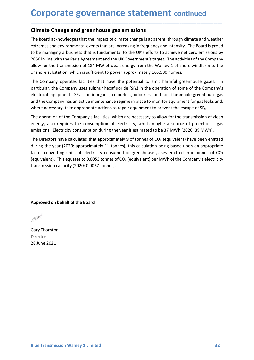**Corporate governance statement continued**<br> **Climate Change and greenhouse gas emissions**<br>
The Board acknowledges that the impact of climate change is apparent, through climate and weather<br>
extremes and environmental event **Corporate governance statement continued**<br>
Climate Change and greenhouse gas emissions<br>
The Board acknowledges that the impact of climate change is apparent, through climate and weather<br>
extremes and environmental events **Corporate governance statement continued**<br> **Climate Change and greenhouse gas emissions**<br>
The Board acknowledges that the impact of climate change is apparent, through climate and weather<br>
extremes and environmental event **Corporate governance statement continued**<br>
The Board acknowledges that the impact of climate change is apparent, through climate and weather<br>
extremes and environmental events that are increasing in frequency and intensit **Corporate governance statement continued**<br>
The Board acknowledges that the impact of climate change is apparent, through climate and weather<br>
extremes and environmental events that are increasing in frequency and intensit **Corporate governance statement continued**<br> **Climate Change and greenhouse gas emissions**<br>
The Board acknowledges that the impact of climate change is apparent, through climate and weather<br>
extremes and environmental event **Corporate governance statement continued**<br>The Board acknowledges that the impact of climate change is apparent, through climate and weather<br>extremes and enviromental elevents that are increasing in frequency and intensity **Corporate governance statement** continued<br>
Climate Change and greenhouse gas emissions<br>
The Board acknowledges that the impact of climate change is apparent, through climate and weather<br>
extremes and environmental events **Corporate governance statement** continued<br>
Climate Change and greenhouse gas emissions<br>
The Board acknowledges that the impact of climate change is apparent, through climate and weather<br>
extremes and environmental events **Corporate governance statement** continued<br>
Climate Change and greenhouse gas emissions<br>
The Board acknowledges that the impact of climate change is apparent, through climate and weather<br>
extremes and environmental events **Corporate governance statement** continued<br> **Climate Change and greenhouse gas emissions**<br>
The Board acknowledges that the impact of climate change is apparent, through climate and weather<br>
extremes and environmental event **Corporate governance statement** continued<br> **Climate Change and greenhouse gas emissions**<br>
The Board acknowledges that the impact of climate change is apparent, through climate and weather<br>
extremes and environmental event **Corporate governance statement** continued<br>The Board acknowledges that the impact of climate change is apparent, through climate and weather<br>textremes and environmental events that are increasing in frequency and intensity **Climate Change and greenhouse gas emissions**<br>The Board acknowledges that the impact of climate change is apparent, through climate and weather<br>extremes and environmental events that are increasing in frequency and intensi **Climate Change and greenhouse gas emissions**<br>The Board acknowledges that the impact of climate change is apparent, through climate and weather<br>extremes and environmental events that are increasing in frequency and intensi The Board acknowledges that the limated for limate change is apparent, through climate and weather<br>extremes and environmental events that are increasing in frequency and intensity. The Board is proud<br>to be managing a busin The Board acknowledges that the impact of climate change is apparent, through climate and weather<br>textremes and environmental events that are increasing in frequency and intensity. The Board is proud<br>to be managing a busin

\_\_\_\_\_\_\_\_\_\_\_\_\_\_\_\_\_\_\_\_\_\_\_\_\_\_\_\_\_\_\_\_\_\_\_\_\_\_\_\_\_\_\_\_\_\_\_\_\_\_\_\_\_\_\_\_\_\_\_\_\_\_\_\_\_\_\_\_\_\_\_\_\_\_\_\_\_\_\_\_\_\_\_\_\_\_\_\_\_\_

externes and environmental events that are increasing in frequency and intensity. The Board is provided by to emanging a business that is fundamental to the UK's efforts to achieve net zero emissions by 2050 in line with t to be managing a business that is fundamental to the UK's etrofts to achieve net zero emissions by a 2050 in line with the Paris Agreement and the UK Government's target. The activities of the Company allow for the transmi 2050 in line with the Paris Agreement and the US Government's tranget. The activities of the Company<br>allow for the transmission of 184 MW of clean energy from the Walney 1 offshore windfarm to the<br>onshore substation, whic electurical equipmenti. Siris an intugrante, contomiess, acoutiess and internalminance regime in place to monitor equipment for gas leaks and<br>and the Company has an active maintenance regime in place to monitor equipment f energy, also requires the consumption of electricity, which maybe a sour-<br>emissions. Electricity consumption during the year is estimated to be 37 MWh<br>The Directors have calculated that approximately 9 of tonnes of CO<sub>2</sub> ( The Directors have calculated that approximately 9 of tonnes of CO<sub>2</sub> (equivalent)<br>during the year (2020: approximately 11 tonnes), this calculation being based u<br>factor converting units of electricity consumed or greenho

Director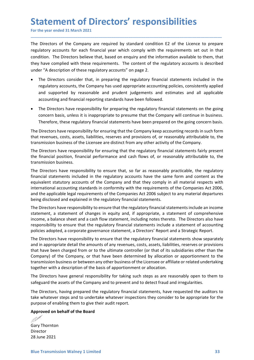Statement of Directors' responsibilities<br>For the year ended 31 March 2021<br>The Directors of the Company are required by standard condition E2 of the Licence to prepare<br>regulatory accounts for each financial year which compl Statement of Directors' responsibilities<br>For the year ended 31 March 2021<br>The Directors of the Company are required by standard condition E2 of the Licence to prepare<br>regulatory accounts for each financial year which compl **Statement of Directors' responsibilities**<br>For the year ended 31 March 2021<br>The Directors of the Company are required by standard condition E2 of the Licence to prepare<br>regulatory accounts for each financial year which com **Statement of Directors' responsibilities**<br>For the year ended 31 March 2021<br>The Directors of the Company are required by standard condition E2 of the Licence to prepare<br>regulatory accounts for each financial year which com **Statement of Directors' responsibilities**<br>For the year ended 31 March 2021<br>The Directors of the Company are required by standard condition E2 of the Licence to prepare<br>regulatory accounts for each financial year which com **Statement of Directors' responsibilities**<br>For the year ended 31 March 2021<br>The Directors of the Company are required by standard condition E2 of the Licence to prepare<br>regulatory accounts for each financial year which com **Statement of Directors' responsibilities**<br>For the year ended 31 March 2021<br>The Directors of the Company are required by standard condition E2 of the Licence to prepare<br>regulatory accounts for each financial year which com The Directors of the Company are required by standard condition E2 of the Licence to prepare<br>Directors of the Company are required by standard condition E2 of the Licence to prepare<br>latory accounts for each financial year **Example 18 The Company are required by standard condition E2 of the Licence to prepare**<br>Directors of the Company are required by standard condition E2 of the Licence to prepare<br>alatory accounts for each financial year whi **Example 18 And Sumple and Sumple and Sumple and Sumple 19 and the system of the system of the company are required by standard condition E2 of the Licence to prepare latory accounts for each financial year which comply wi Example 18 The Compary are standard controlloging and financial statements and SI and the Comparty Directors of the Company are required by standard condition E2 of the Licence to prepare latatory accounts for each financ The Mathem State School of Directors' responsibilities**<br>
Directors of the Company are required by standard condition E2 of the Licence to prepare<br>
Directors of the Company are required by standard condition E2 of the Lice **CONCITY THE STAND INTERT ASSEM CONCE THE SET ASSEM INTERT AND DREAD DREAD TO THE SURVEY ONCE THE SURVEY ONCE THE CONCEPT ON THE UNITED AND DREAD THE UNITED AND THE DIFFERENT CONCEPT ON THE DIFFERENT OF THE CONCEPT ON THE Examement of Directors' responsibilities**<br>the year ended 31 March 2021<br>Directors of the Company are required by standard condition E2 of the Licence to prepare<br>latory accounts for each financial year which comply with the The Directors of the Company are required by standard condition E2 of the Licence to prepare<br>The birectors of the Company are required by standard condition E2 of the Licence to prepare<br>regulatory accounts for each financi For the year ended 31 March 2021<br>
The Directors of the Company are required by standard condition E2 of the licence to prepare<br>
regulatory accounts for each financial year which comply with the requirements set out in that The Directors of the Company are required by standard condition E2 of the Licence to prepare<br>regulatory accounts for each financial year which comply with the requirements set out in that<br>condition. The Directors believe t Ine Directors for the Company are required by standard condition EZ of the Licence to prepare<br>regulatory accounts for each financial year which comply with the requirements set out in that<br>condition. The Directors believe

\_\_\_\_\_\_\_\_\_\_\_\_\_\_\_\_\_\_\_\_\_\_\_\_\_\_\_\_\_\_\_\_\_\_\_\_\_\_\_\_\_\_\_\_\_\_\_\_\_\_\_\_\_\_\_\_\_\_\_\_\_\_\_\_\_\_\_\_\_\_\_\_\_\_\_\_\_\_\_\_\_\_\_\_\_\_\_\_\_\_

- regulatory accounts for each financial year which comply with the requirements set out in that condition. The Directors believe that, based on enquiry and the information available to them, that they have complied with the
- 

condition. The Directors believe that, based on enquiry and the information available<br>they have compiled with these requirements. The content of the regulatory account<br>under "A description of these regulatory accounts" on The Directors have responsibility for ensuring the content of the comparison of the seregulatory accounts" on page 2.<br>
• The Directors consider that, in preparing the regulatory financial statements included in the regulat onder "A description of these regulatory accounts" on page 2.<br>
• The Directors consider that, in preparing the regulatory financial statements included in the regulatory accounts, the Company has used appropriate accountin FRE Directors consider that, in preparing the regulatory financial statements included in the regulatory accounts, the Company has used appropriate accounting policies, consistently applied and supported by reasonable and incellatory accounts, in p-treaming in c-tegnical are required and subplied<br>
interaction and supported by reasonable and prudent judgements and estimates and all applicable<br>
and supported by reasonable and prudent judgemen reguestowy accounts, the Company has used appropriate accounting political subplicable accounting and financial reporting standards have been followed.<br>
• The Directors have responsibility for preparing the regulatory fina and supported by reasonable and prudent judgements and estimates and all applicable<br>
• The Directors financial reporting standards have been followed.<br>
• The Directors have responsibility for preparing the regulatory finan **The Directors have responsibility for pergonsimal statements on the going concern basis, The Directors have responsibility for pergoning the regulatory financial statements have been prepared on the going concern basis. T** • The Directors have responsibility for preparing the regulatory financial statements on the going<br>
concern basis, unless it is inappropriate to presume that the Company will continue in business.<br>
The Directors have respo Concern basis, unless it is inappropriate to presume that the Company will continue in business.<br>
The Directors have responsibility for ensuring that the Company keep accounting records in such form<br>
That Freundes, costs, Therefore, these regulatory financial statements have been prepared on the going concern basis.<br>The Directors have responsibility for ensuring that the Company keep accounting records in such form<br>that revenues, costs, ass meteroid, the literation of the literation and a corporate product and the company keep accoonubing records in such form<br>that revenues, costs, assets, liabilities, reserves and provisions of, or reasonably attributable to,

and in appropriate detail the amounts of any revenues, costs, assets, liabilities, reserves or provisions that have been charged from or to the ultimate controller (or that of its subsidiaries other than the Company) of th The Directors have responsibility of ensuring watchet Complex productions and reductions and revisions of, or reasonably attributable to, the transmission business of the Licensee are distinct from any other activity of th Internative totals, ousse, assets, inadimental of any revenues, costs, assets, liabilities, the Directors have responsibility for ensuring that the regulatory financial statements fairly present the financial postion, fina The Directors have responsibility for ensuring that the regulatory in an uniformation and the Directors have reponsibility for ensuring that the regulatory financial statements fairly present the financial position, financ The Directors have responsibility for ensuring that the regulatory financial statements fairly present<br>the financial position, financial performance and cash flows of, or reasonably attributable to, the<br>transmission busine the financial position, financial performance and cash flows of, or reasonably attributable to, the transmission business.<br>The Directors have responsibility to ensure that, so far as reasonably practicable, the regulatory<br> transmission business.<br>The Directors have responsibility to ensure that, so far as reasonably practicable, the regulatory<br>financial statements included in the regulatory accounts have the same form and content as the<br>equiv The Directors have responsibility to ensure that, so far as reasonably practicable, the regulatory<br>diriancial statements included in the regulatory accounts have the same form and content as the<br>equivalent statutory accoun financial statements included in the regulatory accounts have the same form and content as the supply in all material respects with international accounting standards in conformity with the requirements of the Companies Ac international accounting standards in conformity with the requirements of the Companies Act 2006,<br>
and the applicable legal requirements of the Companies Act 2006 subject to any material departures<br>
Deing disclosed and exp and the applicable legal requirements of the Companies Act 2006 subject to any material departures<br>being disclosed and explained in the regulatory financial statements.<br>The Directors have responsibility to ensure that he r being disclosed and explained in the regulatory financial statements.<br>The Directors have responsibility to ensure that the regulatory financial statements include an income<br>tratement, a statement of changes in equity and, The Directors have responsibility to ensure that the regulatory financial statements include an income<br>income, a statement of changes in equity and, if appropriate, a statement of comprehensive<br>income, a balance sheet and income, a balance sheet and a cash flow statement, including notes thereto. The speoralibility to ensure that the regulatory financial statements include a statement in equidatory financial statements include a statement i policies adopted, a corporate governance statement, a Directors' Report and a St<br>The Directors have responsibility to ensure that the regulatory financial stateme<br>and in appropriate detail the amounts of any revenues, cost

Director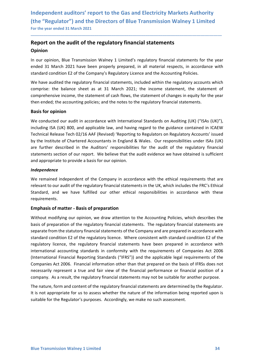### Independent auditors' report to the Gas and Electricity Markets Authority<br>(the "Regulator") and the Directors of Blue Transmission Walney 1 Limited<br>For the year ended 31 March 2021<br>Report on the audit of the regulatory fin Independent auditors' report to the Gas and Electricity Markets Authority<br>(the "Regulator") and the Directors of Blue Transmission Walney 1 Limited<br>For the year ended 31 March 2021<br>Report on the audit of the regulatory fin Independent auditors' report to the Gas and Electricity Markets Authority<br>
(the "Regulator") and the Directors of Blue Transmission Walney 1 Limited<br>
For the year ended 31 March 2021<br> **Report on the audit of the regulatory** Independent auditors' report to the Gas and Electricity Markets Authority<br>
(the "Regulator") and the Directors of Blue Transmission Walney 1 Limited<br>
For the year ended 31 March 2021<br>
Report on the audit of the regulatory Independent auditors' report to the Gas and Electricity Markets Authority<br>
(the "Regulator") and the Directors of Blue Transmission Walney 1 Limited<br>
For the year ended 31 March 2021<br> **Report on the audit of the regulatory** Independent auditors' report to the Gas and Electricity Markets Authority<br>
(the "Regulator") and the Directors of Blue Transmission Walney 1 Limited<br>
For the year ended 31 March 2021<br> **Report on the audit of the regulatory**

### Opinion

\_\_\_\_\_\_\_\_\_\_\_\_\_\_\_\_\_\_\_\_\_\_\_\_\_\_\_\_\_\_\_\_\_\_\_\_\_\_\_\_\_\_\_\_\_\_\_\_\_\_\_\_\_\_\_\_\_\_\_\_\_\_\_\_\_\_\_\_\_\_\_\_\_\_\_\_\_\_\_\_\_\_\_\_\_\_\_\_\_\_

Independent auditors' report to the Gas and Electricity Markets Authority<br>
(the "Regulator") and the Directors of Blue Transmission Walney 1 Limited<br>
For the year ended 31 March 2021<br> **Report on the audit of the regulatory** Independent auditors' report to the Gas and Electricity Markets Authority<br>
(the "Regulator") and the Directors of Blue Transmission Walney 1 Limited<br>
For the year ended 31 March 2021<br> **Report on the audit of the regulatory** Independent auditors' report to the Gas and Electricity Markets Authority<br>
(the "Regulator") and the Directors of Blue Transmission Walney 1 Limited<br>
For the year ended 31 March 2021<br> **Report on the audit of the regulatory** Independent auditors' report to the Gas and Electricity Markets Authority<br>
(the "Regulator") and the Directors of Blue Transmission Walney 1 Limited<br>
For the year ended 31 March 2021<br> **Report on the audit of the regulatory** Independent auditors' report to the Gas and Electricity Markets Authority<br>
(the "Regulator") and the Directors of Blue Transmission Walney 1 Limited<br>
For the year ended 31 March 2021<br> **Report on the audit of the regulatory** 

Independent auditors' report to the Gas and Electricity Markets<br>
(the "Regulator") and the Directors of Blue Transmission Walney<br>
For the year ended 31 March 2021<br> **Report on the audit of the regulatory financial statement** If the "Regulator") and the Directors of Blue Transmission Walney 1 Limited<br>
for the year ended 31 March 2021<br> **Report on the audit of the regulatory financial statements**<br> **Dominon**<br>
In our opinion, Blue Transmission Waln (the "Regulator") and the Directors of Blue Transmission Walney 1 Limited<br>For the year ended 31 March 2021<br>**Report on the audit of the regulatory financial statements**<br>**Opinion**<br>In our opinion, Blue Transmission Walney 1 L For the year ended 31 March 2021<br> **Report on the audit of the regulatory financial statements**<br> **Opinion**<br>
In our opinion, Blue Transmission Walney 1 Limited's regulatory financial statements for the year<br>
ended 31 March 2 **Report on the audit of the regulatory financial statements**<br> **Opinion**<br>
In our opinion, Blue Transmission Walney 1 Limited's regulatory financial statements for the year<br>
eneded 31 March 2021 have been properly prepared, **Report on the audit of the regulatory financial statements**<br> **Opinion**<br>
In our opinion, Blue Transmission Walney 1 Limited's regulatory financial statements for the year<br>
In our opinion, Blue Transmission Walney 1 Limited **Opinion**<br>
In our opinion, Blue Transmission Walney 1 Limited's regulatory financial statements for the year<br>
standard condition E2 of the Company's Regulatory Licence and the Accounting Policies.<br>
Standard condition E2 of In our opinion, Blue Transmission Walney 1 Limited's regulatory financial statements for the year<br>ended 31 March 2021 have been properly prepared, in all material respects, in accordance with<br>standard condition E2 of the C standard condition E2 of the Company's Regulatory Licence and the Accounting Policies.<br>We have audited the regulatory financial statements, included within the regulatory accounts which<br>comprise: the balance sheet as at 31 We have audited the regulatory financial statements, included within the regulatory accounts which<br>comprise: the balance sheet as at 31 March 2021; the income statement, the statement of<br>comprehensive income, the statement comprise: the balance sheet as at 31 March 2021; the income statement, the statement of comprehensive income, the statement of cash flows, the statement of changes in equity for the year<br>then ended; the accounting policies then ended; the accounting policies; and the notes to the regulatory financial statements.<br>**Basis for opinion**<br>We conducted our audit in accordance with International Standards on Auditing (UK) ("ISAs (UK)"),<br>including ISA **Basis for opinion**<br>We conducted our audit in accordance with International Standards on Auditing (UK) ("ISAs (UK)"),<br>including ISA (UK) 800, and applicable law, and having regard to the guidance contained in ICAEW<br>Technic We conducted our audit in accordance with International Standards on Auditing (UK) ("ISAs (UK)"),<br>including ISA (UK) 800, and applicable law, and having regard to the guidance contained in ICAEW<br>Technical Release Tech 02/1

### Independence

requirements.

regulatory licence, the regulatory financial statements have been prepared in accordance with<br>international accounting standards in conformity with the requirements of Companies Act 2006<br>Companies Act 2006. Financial infor including ISA (UK) 800, and applicable law, and having regard to the guidance contained in ICAEW<br>Technical Release Tech 02/16 AAF (Revised) 'Reporting to Regulators on Regulatory Accounts' issued<br>by the Institute of Charte Technical Release Tech 02/16 AAF (Revised) 'Reporting to Regulators on Regulatory Accounts' issued<br>by the Institute of Chartered Accountants in England & Wales. Our responsibilities under ISAs (UK)<br>are further described in by the Institute of Chartered Accountants in England & Wales. Our responsibilities under ISAs (UK)<br>are further described in the Auditors' responsibilities for the audit of the regulatory financial<br>statements section of our are further described in the Auditors' responsibilities for the audit of the regulatory financial statements section of our report. We believe that the audit evidence we have obtained is sufficient and appropriate to provi statements section of our report. We believe that the audit evidence we have obtained is sufficient<br>and appropriate to provide a basis for our opinion.<br>We remained independent of the Company in accordance with the ethical and appropriate to provide a basis for our opinion.<br>
Independence<br>
We remained independent of the company in accordance with the ethical requirements that are<br>
relevant to our audit of the regulatory financial statements i **Independence**<br>We remained independent of the Company in accordance with the ethical requirements that are<br>relevant to our audit of the regulatory financial statements in the UK, which includes the FRC's Ethical<br>Standard, **We remained independent of the Company in accordance with the thical requirements that are Welveranito our audit of the regulatory financial statements in the UK, which includes the FRC's Ethical Standard, and we have ful** We remainted innegendent or the Company in a accoroance with the etincal requirements that are<br>trelevant to our audit of the regulatory financial statements in the UK, which includes the FRC's Ethical<br>Standard, and we have relevant to our autor the regulatory innancial statements in the UK, which includes the FRC s Etnical Standard, and we have fulfilled our other ethical responsibilities in accordance with these requirements.<br> **Emphasis of** standard, and we have fulfilled our other ethical responsibilities in accordance with these<br>requirements.<br>**Emphasis of matter - Basis of preparation**<br>Without modifying our opinion, we draw attention to the Accounting Polic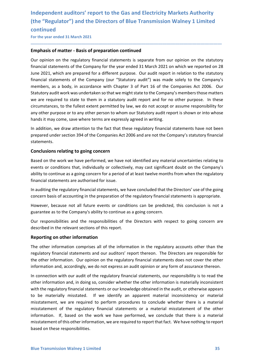## Independent auditors' report to the Gas and Electricity Markets Authority<br>(the "Regulator") and the Directors of Blue Transmission Walney 1 Limited<br>continued<br>For the year ended 31 March 2021 Independent auditors' report to the Gas and Electricity Markets Authority<br>(the "Regulator") and the Directors of Blue Transmission Walney 1 Limited<br>continued<br>For the year ended 31 March 2021<br>Emphasis of matter - Basis of p continued Independent auditors' report to the Gas and Electricity Markets Authority<br>
(the "Regulator") and the Directors of Blue Transmission Walney 1 Limited<br>
continued<br>
For the year ended 31 March 2021<br> **Emphasis of matter - Basis**

\_\_\_\_\_\_\_\_\_\_\_\_\_\_\_\_\_\_\_\_\_\_\_\_\_\_\_\_\_\_\_\_\_\_\_\_\_\_\_\_\_\_\_\_\_\_\_\_\_\_\_\_\_\_\_\_\_\_\_\_\_\_\_\_\_\_\_\_\_\_\_\_\_\_\_\_\_\_\_\_\_\_\_\_\_\_\_\_\_\_

Independent auditors' report to the Gas and Electricity Markets Authority<br>
(the "Regulator") and the Directors of Blue Transmission Walney 1 Limited<br>
continued<br>
For the year ended 31 March 2021<br> **Emphasis of matter - Basis** Independent auditors' report to the Gas and Electricity Markets Authority<br>
(the "Regulator") and the Directors of Blue Transmission Walney 1 Limited<br>
continued<br>
For the year ended 31 March 2021<br> **Emphasis of matter - Basis** Independent auditors' report to the Gas and Electricity Markets Authority<br>(the "Regulator") and the Directors of Blue Transmission Walney 1 Limited<br>continued<br>Company for the year ended 31 March 2021<br>Hinphasis of matter - B Independent auditors' report to the Gas and Electricity Markets Authority<br>
(the "Regulator") and the Directors of Blue Transmission Walney 1 Limited<br>
For the year ended 31 March 2021<br> **Emphasis of matter - Basis of prepara** Independent auditors' report to the Gas and Electricity Markets Authority<br>(the "Regulator") and the Directors of Blue Transmission Walney 1 Limited<br>continued<br>For the year ended 31 March 2021<br>**Emphasis of matter - Basis of** Independent auditors' report to the Gas and Electricity Markets Authority<br>
(the "Regulator") and the Directors of Blue Transmission Walney 1 Limited<br>
For the year ended 31 March 2021<br> **Emphasis of matter - Basis of prepara** Independent auditors' report to the Gas and Electricity Markets Authority<br>(the "Regulator") and the Directors of Blue Transmission Walney 1 Limited<br>continued<br>For the year ended 31 March 2021<br>**Emphasis of matter - Basis of** Independent auditors' report to the Gas and Electricity Markets Authority<br>
(the "Regulator") and the Directors of Blue Transmission Walney 1 Limited<br>
For the year ended 31 March 2021<br> **Emphasis of matter - Basis of prepara** Independent auditors' report to the Gas and Electricity Markets Authority<br>
(the "Regulator") and the Directors of Blue Transmission Walney 1 Limited<br>
continued<br>
Eorthe year ended 31 March 2021<br> **Emphasis of matter - Basis** Independent auditors' report to the Gas and Electricity Markets Authority<br>(the "Regulator") and the Directors of Blue Transmission Walney 1 Limited<br>continued<br>For the year ended 31 March 2021<br>**Emphasis of matter - Basis of** Independent auditors' report to the Gas and Electricity Markets Authority<br>
(the "Regulator") and the Directors of Blue Transmission Walney 1 Limited<br>
continued<br>
For the year ended 31 March 2021<br> **Emphasis of matter - Basis** (the Regulator ) and the Directors of bile Transmission walney 1 Limited continued<br>
For the year ended 31 March 2021<br> **Emphasis of matter - Basis of preparation continued**<br>
Our opinion on the regulatory financial statement continued<br>
Emphasis of matter - Basis of preparation continued<br>
Cur opinion on the regulatory financial statements is separate from our opinion on the statutory<br>
financial statements of the Company for the year ended 31 Ma **Emphasis of matter - Basis of preparation continued**<br>Our opinion on the regulatory financial statements is separate from our opinion on the statutory<br>financial statements of the Company for the year ended 31 March 2021 on Our opinion on the regulatory financial statements is separate from our opinion on the statutory<br>financial statements of the Company for the year ended 31 March 2021 on which we reported on 28<br>June 2021, which are prepared Our opinion on the regulatory infancial statements is separate from our opinion on the statutory<br>financial statements of the Company for the year ended 31 March 2021 on which we reported on 28<br>June 2021, which are prepared minarial statements or the Company for the Year endeed is 1 watch 2021 on which we reported on ZS<br>Unne 2021, which are prepared for a different purpose. Our audit report in relation to the statutory<br>financial statements of unner 2012, worm are prepared or a dimerent purpose. Unraulat purpose and be prelated to the statutory<br>tifinancial statements of the Company (our "Statutory audit") was made solely to the Company's<br>members, as a body, in a members, as a body, in accordance with Chapter 3 of Part 16 of the Companies Act 2006. Our<br>Statutory audit work was undertaken so that we might state to the Company's members those matters<br>we are required to state to them Statutory audit work was undertaken so that we might state to the Company's members those matters<br>we are required to state to them in a statutory audit report and for no other purpose. In these<br>circumstances, to the fulles

statements.

we are required to state to them in a statutory audit report and for no other purpose. In these circumstances, to the fullest extent permitted by law, we do not accept or assume responsibility for circumstances, to the ful circumstances, to the fullest extent permitted by law, we do not accept or assume responsibility for<br>any other purpose or to any other person to whom our Statutory audit report is shown or into whose<br>hands it may come, sav any once to use of the responsibilities and the responsibilities and the Directors and the responsible formulation, we draw attention to the fact that these regulatory financial statements have not been prepared under sect mandit in the relevant sections of the fact that these regulatory financial statements have not been<br>In addition, we draw attention to the fact that these regulatory financial statements have not been<br>prepared under sectio

In centraling and the relation and our auditors' report there is the Distance of the Companies Act 2006 and are not the Company's statutory finds that ments are prepared under section 394 of the Companies Act 2006 and are statements.<br> **Conclusions relating to going concern**<br>
Based on the work we have performed, we have not identified any material uncertainties relating to<br>
Based on the voorkitions that, individually or collectively, may cas **Conclusions relating to going concern**<br>Based on the work we have performed, we have not identified any material uncertainties relating to<br>events or conditions that, individually or collectively, may cast significant doubt Example of the work we have not identified any material uncertainties relating to Bosed on the work we have performed, we have not identified any material uncertainties relating to events or conditions that, individually o

The other information comprises all of the information in the regulatory accounts other than the regulatory financial statements and our auditors' report thereon. The Directors are responsible for the other information. Ou Based on the work we have performed, we have not identified any material uncertainties relating to<br>events or conditions that, individually or collectively, may cast significant doubt on the Company's<br>ability to continue as Formation connection with our and the regulatory financial statements from when the regulatory<br>ability to continue as a going concern for a period of a least twelve months from when the regulatory<br>financial statements are binancial statements are authorised for issue.<br>
In auditing the regulatory financial statements, we have concluded that the Directors' use of the going<br>
concern basis of accounting in the preparation of the regulatory fina member succession of the regulatory financial statements, we have concluded that the Directors' use of the going<br>concern basis of accounting in the preparation of the regulatory financial statements is appropriate.<br>However In auditing the regulatory financial statements, we have concluded that the Directors' use of the going<br>concern basis of accounting in the preparation of the regulatory financial statements is appropriate.<br>However, because concern basis of accounting in the preparation of the regulatory financial statements is appropriate.<br>However, because not all future events or conditions can be predicted, this conclusion is not a<br>guarantee as to the Comp However, because not all future events or conditions can be predicted, this conclusion is not a<br>guarantee as to the Company's ability to continue as a going concern.<br>Our responsibilities and the responsibilities of the Dir guarantee as to the Company's ability to continue as a going concern.<br>Our responsibilities and the responsibilities of the Directors with respect to going concern are<br>described in the relevant sections of this report.<br>**Rep** The other information of this other information, we are required to report that fact. We have refluent and the reporting on other information of this report.<br> **Reporting on other information**<br>
The other information compris Our responsibilities and the responsibilities of the Directors with respect to going and described in the relevant sections of this report.<br> **Reporting on other information**<br>
The other information comprises all of the info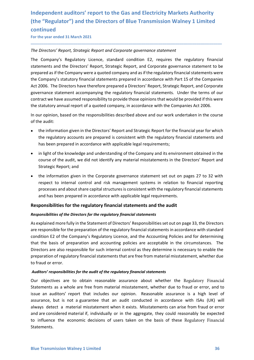### Independent auditors' report to the Gas and Electricity Markets Authority<br>(the "Regulator") and the Directors of Blue Transmission Walney 1 Limited<br>continued<br>For the year ended 31 March 2021 Independent auditors' report to the Gas and Electricity Markets Authority<br>(the "Regulator") and the Directors of Blue Transmission Walney 1 Limited<br>continued<br>For the year ended 31 March 2021<br>The Directors' Report, Strategi continued Independent auditors' report to the Gas and Electricity Markets Authority<br>
(the "Regulator") and the Directors of Blue Transmission Walney 1 Limited<br>
continued<br>
For the year ended 31 March 2021<br>
The Directors' Report, Stra

Independent auditors' report to the Gas and Electricity Markets Authority<br>
(the "Regulator") and the Directors of Blue Transmission Walney 1 Limited<br>
For the year ended 31 March 2021<br>
The Directors' Report, Strategic Repor Independent auditors' report to the Gas and Electricity Markets Authority<br>(the "Regulator") and the Directors of Blue Transmission Walney 1 Limited<br>continued<br>For the year ended 31 March 2021<br>The Directors' Report, Strategi Independent auditors' report to the Gas and Electricity Markets Authority<br>(the "Regulator") and the Directors of Blue Transmission Walney 1 Limited<br>continued<br>The Directors' Report, Strategic Report and Corporate governance Independent auditors' report to the Gas and Electricity Markets Authority<br>
(the "Regulator") and the Directors of Blue Transmission Walney 1 Limited<br>
For the year ended 31 March 2021<br>
The Directors' Report, Strategic Repor Independent auditors' report to the Gas and Electricity Markets Authority<br>(the "Regulator") and the Directors of Blue Transmission Walney 1 Limited<br>continued<br>For the year ended 31 March 2021<br>The Directors' Report, Strategi Independent auditors' report to the Gas and Electricity Markets Authority<br>
(the "Regulator") and the Directors of Blue Transmission Walney 1 Limited<br>
Continued<br>
For the year ended 31 March 2021<br>
The Directors' Report, Stra Independent auditors' report to the Gas and Electricity Markets Authority<br>(the "Regulator") and the Directors of Blue Transmission Walney 1 Limited<br>continued<br>For the year ended 31 March 2021<br>The Directors' Report, Strategi Independent auditors' report to the Gas and Electricity Markets Authority<br>
(the "Regulator") and the Directors of Blue Transmission Walney 1 Limited<br>
For the year ended 31 March 2021<br>
The Directors' Report, Strategic Repor Independent auditors' report to the Gas and Electricity Markets Authority<br>
(the "Regulator") and the Directors of Blue Transmission Walney 1 Limited<br>
continued<br>
The Directors' Report, Strategic Report and Corporate governo Independent auditors' report to the Gas and Electricity Markets Authority<br>
(the "Regulator") and the Directors of Blue Transmission Walney 1 Limited<br>
continued<br>
for the year ended 31 March 2021<br>
The Directors' Report, Stra Interpendent data of substitute of the CMS and Executive (wanted the regulator)<br>
(the "Regulator") and the Directors of Blue Transmission Wall<br>
continued<br>
For the year ended 31 March 2021<br>
The Directors' Report, Strategic Thinued<br>
Directors' Report, Strategic Report and Corporate governance statement<br>
Company's Regulatory Licence, standard condition E2, requires the regulatory financial<br>
company's Regulatory Licence, standard condition E2, Thrue to the state of the regulatory financial Comparation and Corporate governance statement<br>
Company's Regulatory Lieence, standard condition E2, requires the regulatory financial<br>
Company's regulatory Lieence, standard Directors' Report, Strategic Report and Corporate governance statement<br>
Company's Regulatory Licence, standard condition E2, requires the regulatory financial<br>
company's Regulatory Licence, standard condition E2, requires Directors' Report, Strategic Report and Corporate governance statement<br>
Company's Regulatory Licence, standard condition E2, requires the regulatory financial<br>
emements and the Directors' Report, Strategic Report, and Gorp Company's Regulatory Licence, standard condition E2, requires the regulatory financial<br>ements and the Directors' Report, Strategic Report, and Corporate governance statement to be<br>orared as if the Company were a quoted com Company's Regulatory Licence, standard condition Ez, requires the regulatory firm<br>
ements and the Directors' Report, Strategic Report, and Corporate governance statement<br>
Company's statutory financial statements prepared i ared as if the Company were a quoted company and as if the regulatory financial statements were<br>Company's statutory financial statements prepared in accordance with Part 15 of the Companies<br>2006. The Directors have therefo Company's statutory financial statements prepared in accordance with Part 15 of the Companies<br>2006. The Directors have therefore prepared a Directors' Report, Strategic Report, and Corporate<br>remanne e statement accompanyin 2006. The Directors have therefore prepared a Directors' Report, Strategic Report, and Corporate pranance statement accompanying the regulatory financial statements. Under the terms of our pranance statement accompanying t

\_\_\_\_\_\_\_\_\_\_\_\_\_\_\_\_\_\_\_\_\_\_\_\_\_\_\_\_\_\_\_\_\_\_\_\_\_\_\_\_\_\_\_\_\_\_\_\_\_\_\_\_\_\_\_\_\_\_\_\_\_\_\_\_\_\_\_\_\_\_\_\_\_\_\_\_\_\_\_\_\_\_\_\_\_\_\_\_\_\_

- 
- 
- ernance statement accompanying the regulatory financial statements. Under the terms of our arract we have assumed responsibility to provide those opinions that would be provided if this were assumed responsibility to provi

### Responsibilities for the regulatory financial statements and the audit

### Responsibilities of the Directors for the regulatory financial statements

As explained more fully in the Statement of Directors' Responsibilities set out on page 33, the Directors are responsible for the preparation of the regulatory financial statements in accordance with standard condition E2 of the Company's Regulatory Licence, and the Accounting Policies and for determining that the basis of preparation and accounting policies are acceptable in the circumstances. The Directors are also responsible for such internal control as they determine is necessary to enable the preparation of regulatory financial statements that are free from material misstatement, whether due to fraud or error.

### Auditors' responsibilities for the audit of the regulatory financial statements

that the basis of preparation and accounting policies are acceptable in the circumstances. The Directors are also responsible for such internal control as they determine is necessary to enable the Directors are also respon Our objectives are to obtain reasonable assurance about whether the Regulatory Financial Statements as a whole are free from material misstatement, whether due to fraud or error, and to issue an auditors' report that includes our opinion. Reasonable assurance is a high level of assurance, but is not a guarantee that an audit conducted in accordance with ISAs (UK) will always detect a material misstatement when it exists. Misstatements can arise from fraud or error and are considered material if, individually or in the aggregate, they could reasonably be expected to influence the economic decisions of users taken on the basis of these Regulatory Financial Statements.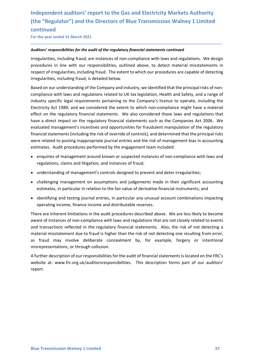### Independent auditors' report to the Gas and Electricity Markets Authority<br>(the "Regulator") and the Directors of Blue Transmission Walney 1 Limited<br>continued<br>For the year ended 31 March 2021 Independent auditors' report to the Gas and Electricity Markets Authority<br>(the "Regulator") and the Directors of Blue Transmission Walney 1 Limited<br>continued<br>For the year ended 31 March 2021<br>Auditors' responsibilities for continued Independent auditors' report to the Gas and Electricity Markets Authority<br>
(the "Regulator") and the Directors of Blue Transmission Walney 1 Limited<br>
continued<br>
For the year ended 31 March 2021<br>
Auditors' responsibilities

Independent auditors' report to the Gas and Electricity Markets Authority<br>
(the "Regulator") and the Directors of Blue Transmission Walney 1 Limited<br>
For the year ended 31 March 2021<br>
Auditors' responsibilities for the aud Independent auditors' report to the Gas and Electricity Markets Authority<br>
(the "Regulator") and the Directors of Blue Transmission Walney 1 Limited<br>
continued<br>
Auditors' responsibilities for the audit of the regulatory fi Independent auditors' report to the Gas and Electricity Markets Authority<br>(the "Regulator") and the Directors of Blue Transmission Walney 1 Limited<br>continued<br>Are the year ended 31 March 2021<br>Auditors' responsibilities for Independent auditors' report to the Gas and Electricity Markets Authority<br>
(the "Regulator") and the Directors of Blue Transmission Walney 1 Limited<br>
For the year ended 31 March 2021<br>
Auditors' responsibilities for the aud

\_\_\_\_\_\_\_\_\_\_\_\_\_\_\_\_\_\_\_\_\_\_\_\_\_\_\_\_\_\_\_\_\_\_\_\_\_\_\_\_\_\_\_\_\_\_\_\_\_\_\_\_\_\_\_\_\_\_\_\_\_\_\_\_\_\_\_\_\_\_\_\_\_\_\_\_\_\_\_\_\_\_\_\_\_\_\_\_\_\_

Independent auditors' report to the Gas and Electricity Markets Authority<br>
(the "Regulator") and the Directors of Blue Transmission Walney 1 Limited<br>
continued<br>
For the year ended 31 March 2021<br>
Auditors' responsibilities Independent auditors' report to the Gas and Electricity Markets Authority<br>
(the "Regulator") and the Directors of Blue Transmission Walney 1 Limited<br>
continued<br>
For the year ended 31 March 2021<br>
Auditors' responsibilities Independent auditors' report to the Gas and Electricity Markets Authority<br>
(the "Regulator") and the Directors of Blue Transmission Walney 1 Limited<br>
Continued<br>
For the year ended 31 March 2021<br>
Auditors' responsibilities Independent auditors' report to the Gas and Electricity Markets Authority<br>
(the "Regulator") and the Directors of Blue Transmission Walney 1 Limited<br>
for the year ended 31 March 2021<br>
Auditors' responsibilities for the aud Independent auditors' report to the Gas and Electricity Markets Authority<br>
(the "Regulator") and the Directors of Blue Transmission Walney 1 Limited<br>
Continued<br>
For the year ended 31 March 2021<br>
Auditors' responsibilities Independent auditors' report to the Gas and Electricity Markets Authority<br>
(the "Regulator") and the Directors of Blue Transmission Walney 1 Limited<br>
continued<br>
For the vear ended 31 March 2021<br>
Auditors' responsibilities If the "Regulator") and the Directors of Blue Transmission Walney 1 Limited<br>
(the "Regulator") and the Directors of Blue Transmission Walney 1 Limited<br>
For the year ended 31 March 2021<br> **Auditors' responsibilities for the** (the "Regulator") and the Directors of Blue Transmission Walney 1 Limited<br>continued<br>For the vear ended 31 March 2021<br>Auditors' responsibilities for the audit of the regulatory financial statements continued<br>Irregularities, continued<br>
For the year ended 31 March 2021<br>
Auditors' responsibilities for the audit of the regulatory financial statements continued<br>
Irregularities, including fraud, are instances of non-compliance with laws and regulat For the year ended 31 March 2021<br>**Auditors' responsibilities for the audit of the regulatory financial statements continued**<br>Irregularities, including fraud, are instances of non-compliance with laws and regulations. We de Auditors' responsibilities for the audit of the regulatory financial statements continued<br>Irregularities, including fraud, are instances of non-compliance with laws and regulations. We design<br>procedures in line with our re entions' responsibilities for the audit of the regulatory financial statements continued<br>gualarities, including fraud, are instances of non-compliance with laws and regulations. We design<br>excelures in line with our respons regularities, including fraud, are instances of non-compliance with laws and regulations. We design<br>cecutures in line with our responsibilities, outlined above, to detect material misstatements in<br>epect of irregularities, receures in ine warn our responsionities, bounded above, to detect material misstatements in epect of irregularities, including fraud, is detailed below.<br>Here the friedly infided to the company and industry, we identified igularities, including fraud, is detailed below.<br>
Explorited that the principal risks of non-<br>
explorition and regulations related to UK tax legislation, Health and Safety, and a range of<br>
purplance with laws and regulatio ed on our understanding of the Company and industry, we identified that the principal risks of non-<br>ppliance with laws and regulations related to UK tax legislation, Health and Safety, and a range of<br>ustry specific legal r mpliance with laws and regulations related to UK tax legislation, Health and Safety, and a range of<br>ustry specific legal requirements pertaining to the Company's licence to operate, including the<br>ustrictly Act 1989, and we ustry specific legal requirements pertaining to the Company's licence to operate, including the<br>criticly Act 1989, and we considered the extent to which non-compliance might have a material<br>ect on the regulatory financial Electricity Act 1989, and we considered the extent to which non-compliance might have a material<br>effect on the regulatory financial statements such as the Companies Act 2006. We<br>evaluated management's incentives and opport

- 
- 
- 
- 

effect on the regulatory financial statements. We also considered those laws and regulations that<br>have a direct impact on the regulatory financial statements such as the Companies Azt 2006. We<br>evaluated management's incent have a direct impact on the regulatory financial statements such as the Companies Act 2006. We<br>evaluated management's incentives and opportunities for fraudulent manipulation of the regulatory<br>financial statements includin evaluated management's incentives rand opportunities for fraudulent manipulation of the regulatory<br>financial statements (including the risk of override of controls), and determined that the principal risks<br>were related to financial statements (including the risk of override of controls), and determined that the principal risks<br>vere related to posting inappropriate journal entries and the risk of management bias in accounting<br>estimates. Audi were related to posting inappropriate journal entries and the risk of management bias in accounting<br>estimates. Audit procedures performed by the engagement team included:<br>
• enquires of management around known or suspected **Examples of management around known or suspected instances of non-compliance with laws and<br>
regulations, claims and litigation, and instances of fraud;<br>
<b>•** understanding of management's controls designed to prevent and d e enquiries of management around known or suspected instances of non-compliance with laws and<br>regulations, claims and litigation, and instances of fraud;<br>understring is of management is controls designed to prevent and det

or incommunity inverve connection<br>emisrepresentations, or through collusion.<br>A further description of our responsibilities for the audit of financial statements is located on the FRC's<br>website at: www.frc.org.uk/auditorsre report.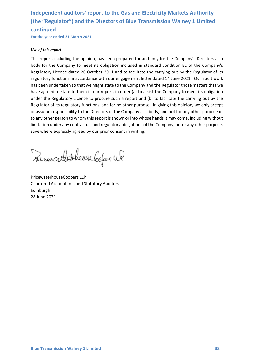### Independent auditors' report to the Gas and Electricity Markets Authority<br>(the "Regulator") and the Directors of Blue Transmission Walney 1 Limited<br>continued<br>For the year ended 31 March 2021 Independent auditors' report to the Gas and Electricity Markets Authority<br>(the "Regulator") and the Directors of Blue Transmission Walney 1 Limited<br>continued<br>For the year ended 31 March 2021<br>Use of this report continued Independent auditors' report to the Gas and Electricity Markets Authority<br>
(the "Regulator") and the Directors of Blue Transmission Walney 1 Limited<br>
continued<br>
For the year ended 31 March 2021<br>
Use of this report<br>
This re

\_\_\_\_\_\_\_\_\_\_\_\_\_\_\_\_\_\_\_\_\_\_\_\_\_\_\_\_\_\_\_\_\_\_\_\_\_\_\_\_\_\_\_\_\_\_\_\_\_\_\_\_\_\_\_\_\_\_\_\_\_\_\_\_\_\_\_\_\_\_\_\_\_\_\_\_\_\_\_\_\_\_\_\_\_\_\_\_\_\_

Independent auditors' report to the Gas and Electricity Markets<br>
(the "Regulator") and the Directors of Blue Transmission Walney<br>
continued<br>
For the year ended 31 March 2021<br>
Use of this report<br>
This report, including the Independent auditors' report to the Gas and Electricity Markets Authority<br>
(the "Regulator") and the Directors of Blue Transmission Walney 1 Limited<br>
continued<br>
For the year ended 31 March 2021<br>
Is eq f this report,<br>
This Independent auditors' report to the Gas and Electricity Markets Authority<br>
(the "Regulator") and the Directors of Blue Transmission Walney 1 Limited<br>
Continued<br>
Continued<br>
Use of this report<br>
This report, including the opi Independent auditors' report to the Gas and Electricity Markets Authority<br>
(the "Regulator") and the Directors of Blue Transmission Walney 1 Limited<br>
For the year ended 31 March 2021<br>
Use of this report<br>
This report, inclu Independent auditors' report to the Gas and Electricity Markets Authority<br>
(the "Regulator") and the Directors of Blue Transmission Walney 1 Limited<br>
For the year ended 31 March 2021<br>
Jee of this report<br>
This report, inclu Independent auditors' report to the Gas and Electricity Markets Authority<br>
(the "Regulator") and the Directors of Blue Transmission Walney 1 Limited<br>
continued<br>
For the year ended 31 March 2021<br>
Use of this report,<br>
This r Independent auditors' report to the Gas and Electricity Markets Authority<br>
(the "Regulator") and the Directors of Blue Transmission Walney 1 Limited<br>
For the vear ended 31 March 2021<br>
Use of this report<br>
This report, inclu Independent auditors' report to the Gas and Electricity Markets Authority<br>
(the "Regulator") and the Directors of Blue Transmission Walney 1 Limited<br>
Continued<br>
Continued<br>
Continued<br>
This report<br>
This report<br>
This report<br> Independent auditors' report to the Gas and Electricity Markets Authority<br>
(the "Regulator") and the Directors of Blue Transmission Walney 1 Limited<br>
Continued<br>
For the vear ended 31 March 2021<br>
156 of this report<br>
This re Independent auditors' report to the Gas and Electricity Markets Authority<br>
(the "Regulator") and the Directors of Blue Transmission Walney 1 Limited<br>
For the year ended 31 March 2021<br>
156 of this report<br>
This report<br>
This Independent auditors' report to the Gas and Electricity Markets Authority<br>
(the "Regulator") and the Directors of Blue Transmission Walney 1 Limited<br>
for the year ended 31 March 2021<br>
Use of this report<br>
This report, inclu (the "Regulator") and the Directors of Blue Transmission Walney 1 Limited<br>
for the year ended 31 March 2021<br>
Use of this report<br>
This report, including the opinion, has been prepared for and only for the Company's Directo For the year ended 31 March 2021<br>
Use of this report, including the opinion, has been prepared for and only for the Company's Directors as a<br>
body for the Company to meet its obligation included in standard condition E2 of Regulatory Licence dated 20 October 2011 and to facilitate the carrying out by the Regulator of regulatory functions in accordance with our engagement letter dated 14 June 2021. Our audit woo has been undertaken so that we regulatory functions in accordance with our engagement letter dated 14 June 2021. Our audit work<br>has been undertaken so that we might state to the Company and the Regulator those matters that we<br>have agreed to state to the have agreed to state to them in our report, in order (a) to assist the Company to<br>under the Regulatory Licence to procure such a report and (b) to facilitate the<br>Regulator of its regulatory functions, and for no other purp

Edinburgh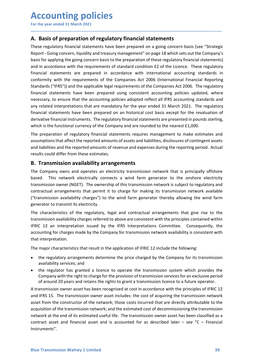**Accounting policies**<br>
For the year ended 31 March 2021<br> **A. Basis of preparation of regulatory financial statements**<br>
These regulatory financial statements have been prepared on a going concern basis (see "Strateg **Accounting policies**<br>
For the year ended 31 March 2021<br> **A. Basis of preparation of regulatory financial statements**<br>
These regulatory financial statements have been prepared on a going concern basis (see "Strategic<br>
Repo **ACCOUNTING POLICIES**<br>For the year ended 31 March 2021<br>**A. Basis of preparation of regulatory financial statements**<br>These regulatory financial statements have been prepared on a going concern basis (see "Strategic<br>Report -Accounting policies<br>
For the year ended 31 March 2021<br>
A. Basis of preparation of regulatory financial statements<br>
These regulatory financial statements have been prepared on a going concern basis (see "Strategic<br>
Report-G Accounting policies<br>For the year ended 31 March 2021<br>A. Basis of preparation of regulatory financial statements<br>These regulatory financial statements have been prepared on a going concern basis (see "Strategic<br>Report-Going **Accounting policies**<br>
For the year ended 31 March 2021<br> **A. Basis of preparation of regulatory financial statements**<br>
These regulatory financial statements have been prepared on a going concern basis (see "Strategic<br>
Repo **Accounting policies**<br>For the year ended 31 March 2021<br>**A. Basis of preparation of regulatory financial statements**<br>These regulatory financial statements have been prepared on a going concern basis (see "Strategic<br>Report-G **Accounting policies**<br>For the year ended 31 March 2021<br>**A. Basis of preparation of regulatory financial statements**<br>These regulatory financial statements have been prepared on a going concern basis (see "Strategic<br>Report-G For the year ended 31 March 2021<br>For the year ended 31 March 2021<br>**A.** Basis of preparation of regulatory financial statements<br>These regulatory financial statements have been prepared on a going concern basis (see "Strateg **Accounting policies**<br>For the year ended 31 March 2021<br>**A.** Basis of preparation of regulatory financial statements<br>These regulatory financial statements have been prepared on a going concern basis (see "Strategic<br>Report-G For the year ended 31 March 2021<br>For the year ended 31 March 2021<br>These regulatory financial statements have been prepared on a going concern basis (see "Strategic<br>Report - Going concern, liquidity and treasury management **Accounting policies**<br>For the year ended 31 March 2021<br>**A. Basis of preparation of regulatory financial statements**<br>These regulatory financial statements have been prepared on a going concern basis (see "Strategic<br>Report-G **Accounting policies**<br>For the year ended 31 March 2021<br>**A. Basis of preparation of regulatory financial statements**<br>These regulatory financial statements have been prepared on a going concern basis (see "Strategic<br>Report-G **Accounting policies**<br>For the year ended 31 March 2021<br>**A. Basis of preparation of regulatory financial statements**<br>These regulatory financial statements have been prepared on a going concern basis (see "Strategic<br>Report -**ACCOUNTIME POLICIES**<br>For the year ended 31 March 2021<br>**A. Basis of preparation of regulatory financial statements**<br>These regulatory financial statements have been prepared on a going concern basis (see "Strategic<br>Report -For the year ended 31 March 2021<br>
A. Basis of preparation of regulatory financial statements<br>
These regulatory financial statements have been prepared on a going concern basis (see "Strategic<br>
Report-Going concern, liquidi **A. Basis of preparation of regulatory financial statements**<br>These regulatory financial statements have been prepared on a going concern basis (see "Strategic<br>Report-Going concern, liquidity and treasury management" on pag **A. Basis of preparation of regulatory financial statements**<br>These regulatory financial statements have been prepared on a going concern hassis (see "Strategic<br>Report - Going concern, liquidity and treasury management" on <sup>2</sup>a mean of **Preporal Constrant Constrant Constrant Constrained Constrained The report of Consequent Consequent The georic Coing concern, liquidity and treasury management" on page 18 which sets out the Company's basis fo** These regulatory imnatial statements have been prepared on a going contern basis (see Strategue Theorem (Republic Report - Going concern, liquidity and treasury management" on page 18 which sets out the Company's basis for basis for applying the going concern basis to the preparation of these regulatory financial statements)<br>and in accordance with the requirements of standard condition E2 of the Licence. These regulatory<br>financial statements and in accordance with the requirements of standard condition E2 of the Licence. These regulatory<br>financial statements are repeared in accordance with international accounting standards in<br>conformity with the requirements financial statements are prepared in accordance with international accounting standards in<br>conformity with the requirements of the Companies Act 2006. [International Financial Reporting<br>Standards ("IFRS")) and the applicab conformity with the requirements of the Companies Act 2006 (International Financial Reporting Standards) ("HRS")) and the applicable legal requirements for the Companies Act 2006. The regulatory Sfinancial statements have Standards ("IFRS")) and the applicable legal requirements of the Companies Act 2006. The regulatory<br>
financial statements have been prepared using consistent accounting policies updated, where<br>
enecessary, to ensure that t financial statements have been prepared using consistent accounting policies updated, where<br>necessary, to ensure that the accounting policies adopted reflect all IFSS accounting standards and<br>any related interpretations th

\_\_\_\_\_\_\_\_\_\_\_\_\_\_\_\_\_\_\_\_\_\_\_\_\_\_\_\_\_\_\_\_\_\_\_\_\_\_\_\_\_\_\_\_\_\_\_\_\_\_\_\_\_\_\_\_\_\_\_\_\_\_\_\_\_\_\_\_\_\_\_\_\_\_\_\_\_\_\_\_\_\_\_\_\_\_\_\_\_\_

necessary, to ensure that the accounting policies adopted reflect all IFRS accounting standards any related interpretations that are mandatory for the year ended 31 March 2021. The regulator financial statements have been rany related interpretations that are mandatory for the year ended 31 March 2021. The regulatory financial statements have been prepared on an historical cost basis except for the revaluation of derivative financial instru thrancial statements have been prepared on an historical cost basis except for the revaluation of<br>therivative financial instruments. The regulatory financial statements are presented in pounds sterling,<br>which is the functi derivative financial instruments. The regulatory financial statements are presented in pounds sterling,<br>which is the functional currency of the Company and are rounded to the nearest £1,000.<br>The preparation of regulatory f Which is the tunctional currency of the Company and are rounded to the nearest £1,000.<br>The preparation of regulatory financial statements requires management to make estimates and<br>assumptions that affect the reported amoun The preparation of regulatory financial statements requires management the symptions that affect the reported amounts of assets and liabilities, disclosur<br>and liabilities and the reported amounts of revenue and expenses du Assumptions that antect the reported amounts or assets and nadiumus, discostives or contingent assets<br>and liabilities and the reported amounts of revenue and expenses during the reporting period. Actual<br>results could diffe Its could differ from these estimates.<br> **Transmission availability arrangements**<br>
Company owns and operates a nelectricity transmission network that is principally offshore<br>
company owns and operates a wind farm generator **Transmission availability arrangements**<br>Company owns and operates an electricity transmission network that is principally offshed. This network electrically connects a wind farm generator to the onshore electric<br>smission **I rransmission availability arrangements**<br>
Company owns and operates a n electricity transmission network that is principally offshore<br>
Company owns and operates an electricity transmission network is subject to regulator Company owns and operates an electricity transmission network that is principally offshore<br>
Solicity Simis network electricity connots a avind farm generator to the onshore electricity<br>
simission owner (NGET). The ownershi ad. This network electrically connects a wind farm generator to the onshore electricity smission ower (NGFT). The ownership of this transmission network is subject to regulatory and stratual arrangements that permit it to

- 
- 

The major characteristics that result in the application of IFRIC 12 include the following:<br>
• the regulatory arrangements determine the price charged by the Company for its transmission<br>
• availability services; and<br>
• t transmission owner (NGET). The ownership of this transmission network is subject to regulatory and<br>contractual arrangements that permit it to charge for making its transmission network available<br>("transmission availablity contractual arrangements that permit it to charge for making its transmission network available<br>("cransmission availability charges") to the wind farm generator thereby allowing the wind farm<br>generator to transmit its elec ("transmission availability charges") to the wind farm generator thereby allowing the wind farm<br>generator to transmit its electricity.<br>The characteristics of the regulatory, legal and contractual arrangements that give ri generator to transmit its electricity.<br>
The characteristics of the regulatory, legal and contractual arrangements that give rise to the<br>
transmission availability charges referred to above are consistent with the principle The characteristics of the regulatory, legal and contractual arrangements that give rise to the transmission availability charges referred to above are consistent with the principles contained within FIRC 12 an interpreta transmission availability charges referred to above are consistent with the principles contained within<br>IFRIC 12 an interpretation issued by the IFRS Interpretations Committee. Consequently, the<br>accounting for charges made Instruments".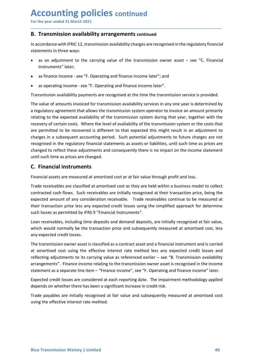# **Accounting policies continued**<br>
For the year ended 31 March 2021<br> **B. Transmission availability arrangements continued**<br>
In accordance with IFRIC 12, transmission availability charges are recognised in the regulatory fina

**Accounting policies continued<br>
For the year ended 31 March 2021**<br> **B. Transmission availability arrangements continued**<br>
In accordance with IFRIC 12, transmission availability charges are recognised in the regulatory fina Accounting policies continued<br>
For the year ended 31 March 2021<br>
B. Transmission availability arrangements continued<br>
In accordance with IFRIC 12, transmission availability charges are recognised in the regulatory financia **ACCOUNTING POLICIES continued**<br> **Example 131 March 2021**<br> **B. Transmission availability arrangements continued**<br>
In accordance with IFRIC 12, transmission availability charges are recognised in the regulatory financial<br>
s Accounting policies continued<br>
For the year ended 31 March 2021<br>
B. Transmission availability arrangements continued<br>
In accordance with IFRIC 12, transmission availability charges are recognised in the regulatory f<br>
state **CCOUNTIME POLICIES continued**<br>
Transmission availability arrangements continued<br>
ccordance with IFRIC12, transmission availability charges are recognised in the regulatory financial<br>
ements in three ways:<br>
as an adjustmen **ECOUNTIME POLICIES continued**<br>
the year ended 31 March 2021<br> **Transmission availability arrangements continued**<br>
ccordance with IFRIC 12, transmission availability charges are recognised in the regulatory financial<br>
ement

\_\_\_\_\_\_\_\_\_\_\_\_\_\_\_\_\_\_\_\_\_\_\_\_\_\_\_\_\_\_\_\_\_\_\_\_\_\_\_\_\_\_\_\_\_\_\_\_\_\_\_\_\_\_\_\_\_\_\_\_\_\_\_\_\_\_\_\_\_\_\_\_\_\_\_\_\_\_\_\_\_\_\_\_\_\_\_\_\_\_

- Instruments" later;
- 
- 

**ECOUNTIME POLICIES continued**<br>
the year ended 31 March 2021<br> **Transmission availability arrangements continued**<br>
ccordance with IFRIC 12, transmission availability charges are recognised in the regulatory financial<br>
ement **Accounting policies continued**<br>
For the year ended 31 March 2021<br> **B. Transmission availability arrangements continued**<br>
In accordance with IFRIC 12, transmission availability charges are recognised in the regulatory fina **Accounting policies continued**<br> **B. Transmission availability arrangements continued**<br> **B. Transmission availability arrangements continued**<br>
In accordance with IFRIC12, transmission availability charges are recognised in **ACCOUNTIME POIICIES** continued<br> **B. Transmission availability arrangements continued**<br>
In accordance with IFRIC 12, transmission availability charges are recognised in the regulatory financial<br>
statements in three ways:<br> **ACCOUNTIME POLICIES continued**<br>
For the year ended 31 March 2021<br> **B. Transmission availability arrangements continued**<br>
In accordance with IFRIC 12, transmission availability charges are recognised in the regulatory fina For the year ended 31 March 2021<br> **B. Transmission availability arrangements continued**<br>
In accordance with IFRIC 12, transmission availability charges are recognised in the regulatory financial<br>
statements in three ways:<br> **B. Transmission availability arrangements continued**<br>
In accordance with IFRIC 12, transmission availability charges are recognised in the regulatory financial<br>
statements in three ways:<br> **are are abustment** to the carryi **B. Transmission availability arrangements continued**<br>
In accordance with IFRIC 12, transmission availability charges are recognised in the regulatory financial<br>
statements in three ways:<br>
• as an adjustment to the carryin In accordance with IFRIC 12, transmission availability charges are recognised in the regulatory financial<br>statements in three ways:<br>
• as an adjustment to the carrying value of the transmission owner asset – see "C. Financ In accordance with IFRIC 12, transmission availability charges are recognised in the regulatory financial<br>
statements in three ways:<br>
Instruments " later;<br> **e** as madjustment to the carrying value of the transmission owner statements in three ways:<br>
• as an adjustment to the carrying value of the transmission owner asset – see "C. Financial<br>
Instruments" later;<br>
• as finance income - see "F. Operating and finance income later", and<br>
• as ope • as an adjustment to the carrying value of the transmission owner asset – see "<br>Instruments" later;<br>• as finance income - see "F. Operating and finance income later"; and<br>• as operating income - see "F. Operating and fina • as finance income - see "F. Operating and finance income later"; and<br>• as operating income - see "F. Operating and finance income later".<br>Transmission availability payments are recognised at the time the transmission ser • as operating income - see "F. Operating and finance income later".<br>
Transmission availability payments are recognised at the time the transmission service is provided.<br>
The value of amounts invoiced for transmission avai • as operating income - see "1. Operating and inance income later".<br>
Transmission availability payments are recognised at the time the transmission service is provided.<br>
The value of amounts invoided for transmission avail Transmission availability payments are recognised at the time the transmission service is provided.<br>The value of amounts invoiced for transmission availability services in any one year is determined by<br>a regulatory agreeme The value of amounts invoiced for transmission availability services in any one year is determined by<br>a regulatory agreement that allows the transmission system operator to invoice an amount primarily<br>relating to the expec Inter uncere through munchand in the transmission system operator to invoice an amount primarily<br>are gulatory agreement that allows the transmission system operator to invoice an amount primarily<br>relating to the expected a relating to the expected availability of the transmission system during that year, together with the recovered is exerower the fevel of availability of the transmission system or the costs that are permitted to be recovere recovery of certain costs. Where the level of availability of the transmission system or the costs that<br>are permitted to be recoored is different to that expected this might result in an adjustment to<br>charges in a subseque are permitted to be recovered is different to that expected this might result in an adjust<br>oharges in a subsequent accounting period. Such potential adjustments to future charges<br>recognised in the regulatory financial stat

reneges in a subsequent accounting period. Such protenta adjustments to truline any forecognised in the regulatory financial statements as assets or liabilities, until such then as prices are changed.<br> **C.** Financial instr recognised in the regulatory funancial statements as assets or inabilities, until such time as prices are<br>changed to reflect these adjustments and consequently there is no impact on the incrome statement<br>until such time as reflect the as prices any sustments and consequently there is no impact on the income statement<br> **C.** Financial instruments<br> **C.** Financial instruments<br>
Financial assets are measured at amortised cost or at fair value thro until such time as prices are changed.<br> **C. Financial instruments**<br>
Financial assets are measured at amortised cost or at fair value through profit and loss.<br>
Trade receivables are classified at amortised cost as they ar **Enancial instruments**<br>Financial assets are measured at amortised cost or at fair value through profit and loss.<br>Trade receivables are classified at amortised cost as they are held within a business model to collect<br>contra Financial assets are measured at amortised cost or at fair value through profit and loss.<br>
Trade receivables are classified at amortised cost as they are held within a business model to collect<br>
contracted cash flows. Such Trade receivables are classified at amortised cost as they are held within a business model to collect<br>contracted cash flows. Such receivables are initially recognised at their transaction price, being the<br>expected amount

The transmission owner asset is classified as a contract asset and a financial instrument and is carried<br>at a mortised cost using the effective interest rate method less any expected credit losses and<br>reflecting adjustment contracted cash flows. Such receivables are initially recognised at their transaction price, being the expected amount of any consideration receivable. Trade receivables continue to be measured at their transaction price b expected amount of any consideration receivable. Trade receivables continue to be measured at their transaction price less any expected credit losses using the simplified approach for determine such losses as permitted by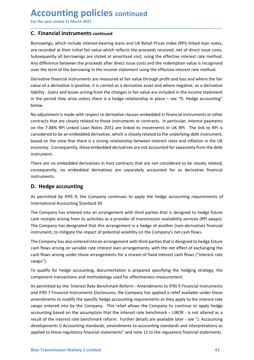# **Accounting policies continued**<br>
For the year ended 31 March 2021<br> **C. Financial instruments continued**<br>
Borrowings, which include interest-bearing loans and UK Retail Prices Index (RPI) linked loan note:

**Accounting policies continued<br>
For the year ended 31 March 2021**<br> **C. Financial instruments continued**<br>
Borrowings, which include interest-bearing loans and UK Retail Prices Index (RPI) linked loan notes,<br>
are recorded at **Accounting policies continued**<br>
For the year ended 31 March 2021<br> **C. Financial instruments continued**<br>
Borrowings, which include interest-bearing loans and UK Retail Prices Index (RPI) linked<br>
are recorded at their initi **Accounting policies continued**<br>
For the year ended 31 March 2021<br> **C. Financial instruments continued**<br>
Borrowings, which include interest-bearing loans and UK Retail Prices Index (RPI) linked loan notes,<br>
are recorded at **Accounting policies continued**<br>
For the year ended 31 March 2021<br> **C. Financial instruments continued**<br>
Borrowings, which include interest-bearing loans and UK Retail Prices Index (RPI) linked loan notes,<br>
are recorded at **Accounting policies continued**<br>For the year ended 31 March 2021<br>C. Financial instruments continued<br>Borrowings, which include interest-bearing loans and UK Retail Prices Index (RPI) linked loan notes,<br>are recorded at their **Accounting policies continued**<br>For the year ended 31 March 2021<br>**C. Financial instruments continued**<br>Borrowings, which include interest-bearing loans and UK Retail Prices Index (RPI) linked ioan notes,<br>are recorded at the **Accounting policies continued**<br>For the year ended 31 March 2021<br>**C. Financial instruments continued**<br>Borrowings, which include interest-bearing loans and UK Retail Prices Index (RPI) linked loan notes,<br>are recorded at the **Accounting policies continued**<br> **C. Financial instruments continued**<br> **C. Financial instruments continued**<br>
Borrowings, which include interest-bearing loans and UK Retail Prices Index (RPI) linked Ioan notes,<br>
Sare record For the year ended 31 March 2021<br> **C. Financial instruments continued**<br>
Borrowings, which include interest-bearing loans and UK Retail Prices Index (RPI) linked loan notes,<br>
are recorded at their initial fair value which r **Accounting policies continued**<br>
For the year ended 31 March 2021<br> **C. Financial instruments continued**<br>
Borrowings, which include interest-bearing loans and UK Retail Prices Index (RPI) linked loan notes,<br>
are recorded at **Accounting policies** continued<br>
For the year ended 31 March 2021<br> **C. Financial instruments continued**<br>
Borrowings, which include interest-bearing loans and UK Retail Prices Index (RPI) linked loan notes,<br>
sare recorded a

\_\_\_\_\_\_\_\_\_\_\_\_\_\_\_\_\_\_\_\_\_\_\_\_\_\_\_\_\_\_\_\_\_\_\_\_\_\_\_\_\_\_\_\_\_\_\_\_\_\_\_\_\_\_\_\_\_\_\_\_\_\_\_\_\_\_\_\_\_\_\_\_\_\_\_\_\_\_\_\_\_\_\_\_\_\_\_\_\_\_

below.

For the year ended 31 March 2021<br>
C. Financial instruments continued<br>
Borrowings, which include interest-bearing loans and UK Retail Prices Index (RPI) linked loan notes,<br>
Borrowings, which include interest-bearing loans a **COLUTIFY POTICIES CONTINUED**<br>
Correlate are ended 31 March 2021<br> **Contracts are created at their intitial for value which reflects the proceeds received, net of direct issue costs.<br>
Subsequently all borrowings are stated** For the year ended 31 March 2021<br> **C. Financial instruments continued**<br>
Borrowings, which include interest-bearing loans and UK Retail Prices Index (RPI) linked loan notes,<br>
are recorded at their initial fair value which r **C. Financial instruments continued**<br>Borrowings, which include interest-bearing loans and UK Retail Prices Index (RPI) linked loan notes,<br>are recorded at their initial fair value which reflects the proceeds received, net o **C. Prival interval instruments continued**<br>Barrowings, which include interest-bearing loans and UK Retail Prices Index (RPI) linked loan notes,<br>Barre recorded at their initial fair value which reflects the proceeds recei Borrowings, which include interest-bearing loans and UK Retail Prices Index (RPI) linked loan notes,<br>are recorded at heir initial fair value which reflects the proceeds received, net of direct issue costs.<br>Subsequently all instrument. subsequently all boroways are stated at amontsed cost, using the eftective interest rate method.<br>Any difference between the proceeds after direct issue costs and the redemption value is recognised<br>over the term of the borr Any difference between the proceeds after direct issue costs and the redemption value is recognised<br>over the term of the borrowing in the income statement using the effective interest rate method.<br>Derivative financial inst Detervative ininstantion are interestince are interestinct and where into grilp to that the product and the prediction are interesting from the changes in fair value are included in the inco<br>in the period they arise unless Ilability. Gains and losses arising from the changes in fair value are included in the income statement<br>
in the period they arise unless there is a hedge relationship in place – see "D. Hedge accounting"<br>
below.<br>
No adjust in the period they arise unless there is a hedge relationship in place – see "D. Hedge accounting"<br>below.<br>No adjustment is made with respect to derivative clauses embedded in financial instruments or other<br>No adjustment is Delow.<br>
Wo adjustment is made with respect to derivative clauses embedded in financial instruments or other<br>
No adjustment is nade with respect to those instruments or contracts. In particular, interest payments<br>
on the 7. No adjustment is made with respect to derivative clauses embedded in financial instruments or other activatats that are closely related to those instruments or contracts. In particular, interest payments to not the 7.88% R contracts that are closely related to those instruments or contracts. In particular, interest payments<br>on the 7.88% RPI Linked Loan Notes 2031 are linked to movements in UK RPL. The link to RPI is<br>considered to be an embed on the 7.88% RPI Linked Loan Notes 2031 are linked to movements in UK RPI. The link to RPI is<br>considered to be an embedded derivative, which is closely related to the underlying debt instrument,<br>based on the view that ther

instruments.

considered to be an embedded cerviative, whire is orosely related to the underlying deet instrument.<br>
Based on the view that there is a strong relationship between interest rates and inflation in the UK<br>
economy. Consequen assed on the wew that there is a strong relationship between interest rates and inflation in the UK<br>economy. Consequently, these embedded derivatives are not accounted for separately from the debt<br>instrument.<br>There are no economy. Consequently, these embedded derivatives are not accounted for separately from the debt<br>
instrument.<br>
There are no embedded derivatives in host contracts that are not considered to be closely related;<br>
consequentl Inere are no emneedoe derivatives in nost contracts that are not considered to be closely related;<br>consequently, no embedded derivatives are separately accounted for as derivative financial<br>instruments.<br>**D. Hedge accountin** 

swaps").

Inc. Dempty house Chretechino and analysime wind whe person and a chress data of excelsion arising on variable rate interest loan arrangements, with the net effect of exchanging the cash flows arising under those arrangeme consequently, no embedoed derivatives are separately accounted for as derivative inhandal<br>cinstruments.<br>**D. Hedge accounting**<br>As permitted by IFRS 9, the Company continues to apply the hedge accounting requirements of<br>inte **D. Hedge accounting**<br>As permitted by IFRS 9, the Company continues to apply the hedge accounting requirements of<br>International Accounting Standard 39<br>The Company has entered into an arrangement with third parties that is **D. Hedge accounting**<br>As permitted by IFRS 9, the Company continues to apply the hedge accounting requirements of<br>International Accounting Standard 39<br>The Company has dentered into an arrangement with third parties that is As permitted by IFRS 9, the Company continues to apply the hedge accounting requirements of<br>International Accounting Standard 39<br>The Company has entered into an arrangement with third parties that is designed to hedge futu International Accounting Standard 39<br>The Company has entered into an arrangement with third parties that is designed to hedge future<br>cash receipts arising from its activities as a provider of transmission availability serv The Company has entered into an arrangement with third parties that is designed to hedge future<br>cash receipts arising from its activities as a provider of transmission availability services (RPI swaps).<br>The Company has des The Company has entered into an arrangement with third parties that is designed to hedge future<br>cash receipts arising from its activities as a provider of transmission availability services (RPI swaps).<br>The Company has des cash receipts ansing from its activuties as a provider of transmission availability services (RPI swaps).<br>The Company has designated that this arrangement is a hedge of another (non-derivative) financial<br>instrument, to mit The Company has designated that this arrangement is a hedge of another (non-derivative) financial<br>instrument, to mitigate the impact of potential volatility on the Company's net can flows.<br>The Company has also entered into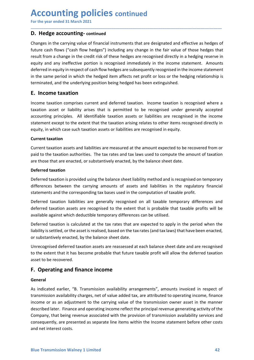# **Accounting policies continued**<br>
For the year ended 31 March 2021<br> **D. Hedge accounting-continued**<br>
Changes in the carrying value of financial instruments that are designated and effective as hedges of

**Accounting policies continued<br>
For the year ended 31 March 2021**<br> **D. Hedge accounting-continued**<br>
Changes in the carrying value of financial instruments that are designated and effective as hedges of<br>
future cash flows ( **Accounting policies continued**<br>
For the year ended 31 March 2021<br> **D. Hedge accounting-continued**<br>
Changes in the carrying value of financial instruments that are designated and effective<br>
future cash flows ("cash flow he **Accounting policies continued**<br> **D. Hedge accounting-continued**<br> **Changes in the carrying value of financial instruments that are designated and effective as hedges of<br>
future cash flows ("cash flow hedges") including any Accounting policies continued**<br> **D. Hedge accounting-continued**<br> **D. Hedge accounting-continued**<br> **Changes in the carrying value of financial instruments that are designated and effective as hedges of<br>
future cash flows ( ACCOUNTIME POLICIES continued**<br>For the year ended 31 March 2021<br>D. Hedge accounting-continued<br>Changes in the carrying value of financial instruments that are designated and effective as hedges of<br>future cash flows ("cash **Accounting policies continued**<br>For the year ended 31 March 2021<br>D. Hedge accounting-continued<br>Changes in the carrying value of financial instruments that are designated and effective as hedges of<br>future cash flows ("cash **Accounting policies continued**<br>For the year ended 31 March 2021<br>**D. Hedge accounting-continued**<br>Changes in the carrying value of financial instruments that are designated and effective as hedges of<br>future cash flows ("cas **ACCOUNTIME POLICIES continued**<br>
For the year ended 31 March 2021<br> **D. Hedge accounting-continued**<br>
Changes in the carrying value of financial instruments that are designated and effective as hedges of<br>
future cash flows ( **Accounting policies continued**<br>
For the year ended 3.1 March 2021<br> **D. Hedge accounting-continued**<br> **Changes** in the carrying value of financial instruments that are designated and effective as hedges of<br>
future cash flow **Accounting policies continued**<br>For the year ended 31 March 2021<br>D. Hedge accounting-continued<br>Changes in the carrying value of financial instruments that are designated and effective<br>future cash flows ("cash flow hedges") **Accounting policies continued**<br> **D. Hedge accounting-continued**<br> **D. Hedge accounting-continued**<br> **Changes** in the carrying value of financial instruments that are designated and effective as hedges of<br>
future cash flows **ACCOUNTIME POLICIES** continued<br>
D. Hedge accounting-continued<br>
D. Hedge accounting-continued<br>
Changes in the carrying value of financial instruments that are designated and effective as hedges of<br>
tructure cash flows ("ca **ACCOUNTIME POLICIES continued**<br> **D. Hedge accounting-continued**<br> **D. Hedge accounting-continued**<br> **Changes in the carrying value of financial instruments that are designated and effective as hedges of<br>
future cash flows ( For the year ended 31 March 2021**<br> **D. Hedge accounting-continued**<br> **Changes in the carrying value of financial instruments that are designated and effective as hedges of<br>
future cash flows ("cash flow hedges") including D. Hedge accounting-continued**<br> **Changes in the carrying value of financial instruments that are designated and effective as hedges of<br>
fruture cash flows ("cash flow hedges") including any change in the fair value of tho D. Hedge accounting-continued**<br> **Changes in the carrying value of financial instruments that are designated and effuture cash flows ("cash flow hedges") including any change in the fair value of<br>
result from a change in t** Changes in the carrying value of financial instruments that are designated and effective as hedges of<br>
frucre cash flows ("cash flow hedges") including any change in the fair value of those hedges trat<br>
result from a chang future cash flows ("cash flow hedges") including any change in the fair value of those hedges that result from a schare leven in escapinsed inferenchies are recognised interchies and required directly in a hedging reserves result from a change in the credit risk of these hedges are recognised directly in a hedging reserve in<br>equity and any ineffective portion is recognised immediately in the income statement. Amounts<br>deferred in equity in re

\_\_\_\_\_\_\_\_\_\_\_\_\_\_\_\_\_\_\_\_\_\_\_\_\_\_\_\_\_\_\_\_\_\_\_\_\_\_\_\_\_\_\_\_\_\_\_\_\_\_\_\_\_\_\_\_\_\_\_\_\_\_\_\_\_\_\_\_\_\_\_\_\_\_\_\_\_\_\_\_\_\_\_\_\_\_\_\_\_\_

equity and any inerrective portion is recognised immediately in the income state<br>deferred in equity in respect of cash flow hedges are subsequently recognised in the<br>in the same period in which the hedged item affects net in the same period in which the hedged item affects net profit or loss or the hedging relationship is<br>terminated, and the underlying position being hedged has been extinguished.<br> **E. Income taxation**<br>
Income taxation asset terminated, and the underlying position being hedged has been extinguished.<br> **E. Income taxation**<br>
Income taxation comprises current and deferred taxation. Income taxation is recognised where a<br>
taxation asset or liability **E. Income taxation**<br>Income taxation comprises current and deferred taxation. Income taxation is recognised where a<br>taxation asset or liability arises that is permitted to be recognised under generally accepted<br>accounting **Example 12**<br>Income taxation comprises current and deferred taxation. Income taxation is recognised where a<br>latxation asset or liability arises that is permitted to be recognised under generally accepted<br>accounting princip Income taxation comprises current and deferred taxation. Income taxation is recognised where a<br>taxation asset or liability arises that is permitted to be recognised under generally accepted<br>eaccounting principles. All iden taxation asset or liablitly arises that is permitted to be recognised under generally accepted<br>accounting principles. All identifiable taxation assists or liablilities are recognised in the income<br>statement except to the e

actualining principles. An internaline taxation assess or inabilities are recognised internet except to the extent that the taxation assests or liabilities are recognised in equity.<br>Current taxation assests and liabilities station the except to the extent that the taxation ansing relates to other items recognised unectry in<br>Exprement taxation assets and liabilities are measured at the amount expected to be recovered from or<br>paid to the taxat equity, in which cases such taxation assets or nabilities are recugnised in equity.<br>Current taxation assets and liabilities are measured at the amount expected to be recovered from or<br>Current taxation authorities. The tax Current taxation assets and liabilities are measured at the amount expected to be recovered from or<br>Current taxation authorities. The tax rates and tax laws used to compute the amount of taxation<br>are those that are enacted Current taxation assets and liabilities are measured at the amount expected to be recovered from or<br>paid to the taxation authorities. The tax rates and tax laws used to compute the amount of taxation<br>are those that are ena paid to the taxation authorities. The tax rates and tax laws used to compute the am<br>are those that are enacted, or substantively enacted, by the balance sheet date.<br>Deferred taxation is provided using the balance sheet lia **Deferred taxation**<br> **Deferred taxation**<br> **Deferred taxation**<br> **Deferred taxation**<br> **Deferred taxation** is provided using the balance sheet liability method and is recognised on temporary<br>
differences between the carrying

### General

Unrecognised deferred taxation assets are reassessed at each balance sheet date and are recognised<br>to the extent that it has become probable that future taxable profit will allow the deferred taxation<br>asset to be recovered differences between the carrying amounts of assets and liabilities in the regulatory financial<br>statements and the corresponding tax bases used in the computation of taxable profit.<br>Deferred taxation iasibilities are genera statements and the corresponding tax bases used in the computation of taxable profit.<br>Deferred taxation assets are recognised to the extent that is probable that taxable profits will be<br>available against which decottible t Deferred taxation liabilities are generally recognised on all taxable temporary differences and<br>deferred taxation assets are recognised to the extent that is probable that taxable profits will be<br>available against which de Deterred taxation inanimics are generally recognised on all taxable emporary dimerences and<br>deferred taxation assets are recognised to the extent that is probable that taxable profits will be<br>available against which deduct derered transmission assets are recognised to the extent that is probable that at axable profits will be being revenue associated at the tax rates that are expected to apply in the period when the liability is settled, or available against winch deductible temporary differences can be utilised.<br>Deferred taxation is calculated at the tax rates that are expected to apply in the preriod when the<br>liability is settled, or the asset is realised, Deferred taxation is calculated at the tax rates that are expected to apply in the perioc<br>ilability is settled, or the asset is realised, based on the tax rates (and tax laws) that have been substantively enacted, by the b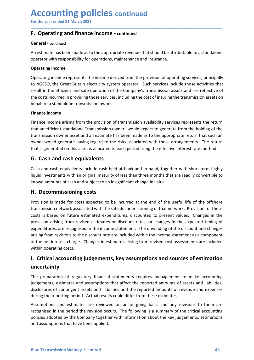## Accounting policies continued<br>For the year ended 31 March 2021<br>F. Operating and finance income - continued<br>General - continued **Accounting policies continued<br>
For the year ended 31 March 2021**<br> **F. Operating and finance income - continued<br>
General - continued**<br>
An estimate has been made as to the appropriate revenue that should be attributable to

### General - continued

Accounting policies continued<br>
For the year ended 31 March 2021<br>
F. Operating and finance income - continued<br>
General - continued<br>
An estimate has been made as to the appropriate revenue that should be attributable to a st **ACCOUNTING POLICIES continued**<br>
F. Operating and finance income - continued<br>
F. Operating and finance income - continued<br>
An estimate has been made as to the appropriate revenue that should be attributable to a standalone

\_\_\_\_\_\_\_\_\_\_\_\_\_\_\_\_\_\_\_\_\_\_\_\_\_\_\_\_\_\_\_\_\_\_\_\_\_\_\_\_\_\_\_\_\_\_\_\_\_\_\_\_\_\_\_\_\_\_\_\_\_\_\_\_\_\_\_\_\_\_\_\_\_\_\_\_\_\_\_\_\_\_\_\_\_\_\_\_\_\_

**ACCOUNTING POLICIES continued**<br>
For the year ended 31 March 2021<br> **F. Operating and finance income** - continued<br>
An estimate has been made as to the appropriate revenue that should be attributable to a standalone<br>
operati **ACCOUNTING POLICIES continued**<br>For the year ended 31 March 2021<br>**F. Operating and finance income** - continued<br>**General** - continued<br>An estimate has been made as to the appropriate revenue that should be attributable<br>opera **ACCOUNTING POLICIES continued**<br>For the year ended 31 March 2021<br>**F. Operating and finance income** - continued<br>An estimate has been made as to the appropriate revenue that should be attributable to a standalone<br>operating i For the year ended 31 March 2021<br>
For the year ended 31 March 2021<br>
F. Operating and finance income - continued<br>
An estimate has been made as to the appropriate revenue that should be attributable to a standalone<br>
operator **Accounting policies continued**<br>
For the year ended 31 March 2021<br> **F. Operating and finance income** - continued<br>
An estimate has been made as to the appropriate revenue that should be attributable to a standalone<br>
aperato **ACCOUNTIME POICIES continued**<br>
For the year ended 31 March 2021<br> **F. Operating and finance income - continued**<br>
An estimate has been made as to the appropriate revenue that should be attributable to a standalone<br>
operatin **Accounting policies continued**<br>
For the year ended 31 March 2021<br> **F. Operating and finance income - continued**<br>
An estimate has been made as to the appropriate revenue that should be attributable to a standalone<br>
operati **ACCOUNTIME POLICIES continued**<br>For the year ended 31 March 2021<br>F. Operating and finance income - continued<br>General - continued<br>An estimate has been made as to the appropriate revenue that should be attributa<br>operator wit For the year ended 31 March 2021<br> **F. Operating and finance income - continued**<br> **Eneral - continued**<br> **Contrarie has been made as to the appropriate revenue that should be attributable to a standalone<br>
anestime has been** F. Operating and finance income - continued<br>
F. Operating and finance income - continued<br>
An estimate has been made as to the appropriate revenue that should be attributable to a standalone<br>
operating income<br>
operating inc **F. Operating and finance income - continued**<br> **Seneral - continued**<br>
An estimate has been made as to the appropriate revenue that should be attributable to a standalone<br>
operating income<br> **Operating income**<br> **Operating in Constrained Solution** and interactive commisted that should be attributable to a standalone<br>An estimate has been made as to the appropriate revenue that should be attributable to a standalone<br>operator with responsibility General - continued<br>An estimate has been made as to the appropriate revenue that should be attributable to a standalone<br>operating income<br>Coperating income<br>Coperating income<br>coloreating income<br>contains in the efficient and An estimate has been made as to the appropriate revenue that should be attributable to a standa<br>operator with responsibility for operations, maintenance and insurance.<br>Operating income<br>represents the income derived from th **Operating income**<br>
Operating income represents the income derived from the provision of operating services, principally<br>
to NGESO, the Great Britain electricity system operator. Such services include those activities that **Operating income**<br>
Operating income represents the income derived from the provision of operating services, principally<br>
bo NGESO, the Great Britain electricity system operator. Such services include those activities that Operating income represents the income derived from the provision of operating services, principally<br>to NGESO, the Great Birtain electricity system operator. Such services include those activities that<br>tresult in the effic

or vocuso, une or user unturn electurity system operator. Jours Jerusal consideration arising the consistion assets and are reflective of the Company's transmission assets and are reflective of the costs incurred in provid

the costs incurred in providing those services, including the cost of insuring the transmission assets on<br>
behalf of a standalone transmission owner.<br> **Finance income**<br> **Finance income arising from the provision of transmi** Ethance income<br> **Ethance income**<br> **Ethance income**<br> **Ethance income**<br> **Ethance income**<br> **Ethance income**<br> **Ethance income**<br> **Ethance income**<br> **Constant and fiction stance associated with the safe decommended with the same<br>** Finance income<br>
Finance income arising from the provision of transmission availability services represents the return<br>
that an efficient standione "transmission ower" would expect to generate from the holding of the<br>
trans <sup>2</sup><br>**Ethance income** arising from the provision of transmission availability services represents the return<br>that an efficient standalone "transmission owner" would expect to generate from the holding of the<br>transmission ow Finance income arising from the provision of transmission availability services represents the return<br>that an efficient statelate "transmission owner" would expect to generate from the holding of the<br>transmission owner ass that an efficient standalone "transmission owner" would expect to generate from the holding of the<br>transmission owner axet and an estimate has been made as to the appropriate return that such an<br>owner would generate having transmission owner asset and an estimate has been made as to the appropriate return that such an<br>owner would generate having regard to the risks associated with those arrangements. The return<br>owner would generated on this owner would generate having regard to the risks associated with those arrangements. That is generated on this asset is allocated to each period using the effective interest rate resp. G. Cash and cash equivalents<br>
Gash and **G. Cash and cash equivalents**<br>Cash and cash equivalents include cash held at bank and in hand, together with short-term highly<br>liquid investments with an original maturity of less than three months that are readily conver Cosin and casn equirewaris micrude casar inet a cas in each man in instate, together with the micruity of less than the months that are readily convertible to known amounts of cash and subject to an insignificant change in my<br>universaments what an original maturity of ressons that the rinotials under the rinotial<br>**H. Decommissioning costs**<br>**Provision** is made for costs expected to be incurred at the end of the useful life of the offshore<br>tra Khowin amounts of cash and subject to an insignmeant change in varioe.<br> **H. Decommissioning costs**<br>
Provision is made for costs expected to be incurred at the end of the useful life of the offshore<br>
transmission network as **H. Decommissioning costs**<br>Provision is made for costs expected to be incurred at the end of the useful life of the offshore<br>transmission network associated with the safe decommissioning of that network. Provision for thes Provision is made for costs expected to be incurred at the end of the useful life of the offshore<br>transmission network associated with the safe decommissioning of that network. Provision for these<br>costs is based on future recognised on the recognised with the safe decommissioning of that network. Provision for these costs is based on future estimated expenditures, discounted to present values. Changes in the provision arising from revised e end to the company together with information about the key judgements, environment and assumptions and assumptions and assign from revised estimates or discount rates, or changes in the expected timing of expenditures, are Expectively and the text and the extended expenditurely, subcounted to present where the reported timing of<br>provision arising from revised estimates or discount rates, or changes in the expected timing of<br>expenditures, are

### uncertainty

or the retrievels changes in estimates ansing non-revised cost assessments are included<br> **I. Critical accounting judgements, key assumptions and sources of estimation**<br> **Invertigal accounting judgements, exploresy and sump**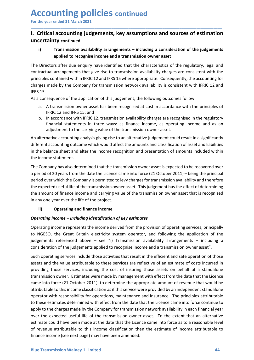### Accounting policies continued<br>For the year ended 31 March 2021<br>1. Critical accounting judgements, key assumptions and sources of estimatio<br>uncertainty continued **Accounting policies continued<br>
For the year ended 31 March 2021**<br>
I. Critical accounting judgements, key assumptions and sources of estimation<br>
uncertainty continued<br>
i) Transmission availability arrangements – including Accounting policies continued<br>
For the year ended 31 March 2021<br>
I. Critical accounting judgements, key assumptions and sources of estimation<br>
uncertainty continued<br>
i) Transmission availability arrangements – including a uncertainty continued

\_\_\_\_\_\_\_\_\_\_\_\_\_\_\_\_\_\_\_\_\_\_\_\_\_\_\_\_\_\_\_\_\_\_\_\_\_\_\_\_\_\_\_\_\_\_\_\_\_\_\_\_\_\_\_\_\_\_\_\_\_\_\_\_\_\_\_\_\_\_\_\_\_\_\_\_\_\_\_\_\_\_\_\_\_\_\_\_\_\_

**CCOUNTING POLICIES continued**<br>
Tritical accounting judgements, key assumptions and sources of estimation<br>
rertainty continued<br>
(i) Transmission availability arrangements – including a consideration of the judgements<br>
appl **Inting policies continued**<br>accounting judgements, key assumptions and sources of estimation<br>ty continued<br>Transmission availability arrangements – including a consideration of the judgements<br>applied to recognise income and For the year ended 31 March 2021<br> **I. Critical accounting judgements, key assumptions and sources of estimation**<br>
uncertainty continued<br>
(i) Transmission availability arrangements – including a consideration of the judgeme **Accounting policies continued**<br>For the year ended 31 March 2021<br>1. Critical accounting judgements, key assumptions and sources of estimation<br>uncertainty continued<br>1) Transmission availability arrangements – including a co **Accounting policies continued**<br>
For the year ended 31 March 2021<br> **1. Critical accounting judgements, key assumptions and sources of estimation**<br> **uncertainty continued**<br> **i)** Transmission availability arrangements – incl **Accounting policies continued**<br>
For the year ended 31 March 2021<br> **1. Critical accounting judgements, key assumptions and sources of estimation**<br> **1) Transmission availability arrangements – including a consideration of Accounting policies continued**<br>
For the year ended 31 March 2021<br> **I. Critical accounting judgements, key assumptions and sourcertainty continued**<br>
(i) Transmission availability arrangements – including a considerat<br>
The **Accounting policies** continued<br>
For the year ended 31 March 2021<br>
1. **Critical accounting judgements, key assumptions and sources of estimation**<br>
i) Transmission availability arrangements - including a consideration of t **ECOUNTIME POLICIES** continued<br>
the year ended 31 March 2021<br> **Critical accounting judgements, key assumptions and sources of estimation**<br>
(a. Transmission availability arrangements – including a consideration of the judg **OUNTIME POLICIES continued**<br>
Color Case and a state and a state and solutions and solutions of estimation<br>
Color and a accounting judgements, key assumptions and sources of estimation<br>
Transmission availability arrangemen **CCOUNTIME POLICIES continued**<br>
the year ended 31 March 2021<br>
Critical accounting judgements, key assumptions and sources of estimation<br>
(accordance with availability arrangements – including a consideration of the judgeme ear ended 31 March 2021<br>
ical accounting judgements, key assumptions and sources of estimation<br>
cial accounting judgements, key assumptions and sources of estimation<br>
calinty continued<br>
Transmission availability arrangemen Example of a considerate of the carrying yindiperpents, key assumptions and sources of estimation<br>Transmission availability arrangements – including a consideration of the judgements<br>applied to recognise income and a trans **I. Critical accounting judgements, key assumptions and sources of estimation uncertainty continued**<br>
i) Transmission availability arrangements – including a consideration of the judgements<br>
applied to recognise income and **uncertainty continued**<br>
i) Transmission availability arrangements – including a consideration of the judgements<br>
applied to recognise income and a transmission owner asset<br>
The Directors affer due enquiry have identified i) Transmission availability arrangements – including a consideration of the judgements<br>The Directors after due enquiry have identified that the characteristics of the regulatory, legal and<br>contractual arrangements that gi rammission availability analysis income and a transmission owner asset<br>The Directors after due enquiry have identified that the characteristics of the regul<br>contractual arrangements that give rise to transmission availabil

- 
- 

The Directors after due enquiry have identified that the characteristics of the regulatory, legal and<br>contractual arrangements that give rise to transmission availability charges are consistent with the<br>principles containe The Uncortainal arrangements that give rise to transmission availability charges are consistent with the principles contained within IFRIC 12 and IFRS 15 where appropriate. Consequently, the accounting for charges made by contational an emergenties or the rise to transmission availability contations are company for charges are company for transmission network availability is considered to the FIRC 12 and FIRS 15 where appropriate. Consequen phore of the transmission of this judgement, the converted useful life of 12 and<br>the chromany for transmission network availability is consistent with IFRIC 12 and<br>IFRS 15.<br>As a consequence of the application of this judge EIFRS 15.<br>
EIFRS 15.<br>
As a consequence of the application of this judgement, the following outcomes follow:<br>
a. A transmission ower asset has been recognised at cost in accordance with the principles of<br>
IFRC 12 and IFRS 1 in a 13.<br>
in any content and interest and the income following outcomes follow:<br>
As a consequence of the application of this judgement, the following outcomes follow:<br>
a. A transmission owner asset has been recognised at a. A transmission owner asset has been recognised at cost in accordance with the principles of<br>
IFRIC 12 and IFRS 15; and<br>
In accordance with IRP(12), transmission availability charges are recognised in the regulatory<br>
In IFRIC 12 and IFRS 15; and<br>
In FIRC 12, transmission availability charges are recognised in the regulatory<br>
In accordance with IFRIC 12, transmission availability charges are recognised in the regulatory<br>
financial stateme financial statements in three ways: as finance income, as operating income and as an adjustment to the carrying value of the transmission owner asset.<br>
An alternative accounting analysis giving rise to an alternative judge adjustment to the carrying value of the transmission owner asset.<br>An alternative accounting analysis giving rise to an alternative judgement could result in a significantly<br>different accounting outcome which would affect t An alternative accounting analysis giving rise to an alternative judgement could result in a significantly<br>different accounting outcome which would affect the amounts and classification of asset and liabilities<br>in the bala different accounting outcome which would affect the amounts and classification of asset and liabilities<br>in the balance sheet and alter the income recognition and presentation of amounts included within<br>the income statement in the balance sheet and alter the income recognition and presentation of amounts included within<br>the incomeny has also determined that the transmission owner asset is expected to be recovered over<br>a period of 20 years fro

consideration of the judgements applied to recognise income and a transmission owner asset".<br>Such operating services include those activities that result in the efficient and safe operation of those<br>assets and the value at the income statement.<br>The Company has also determined that the transmission owner asset is expected to be recovered over<br>period of 20 years from the date the Licence came into force (21 October 2011) – being the principal<br> The Company has also determined that the transmission owner asset is expected to be recovered over<br>period of 20 years from the date the licence came into force (21 October 2011) – being the principal<br>period over which the a period of 20 years from the date the Licence came into force (21 October 2011) – being the principal<br>period over which the Company is permitted to levy charges for transmission availability and therefore<br>period over whic period over which the Company is permitted to levy charges for transmission availability and therefore<br>the expected useful life of the transmission owner asset. This judgement has the effect of determining<br>the amount of fi the expected useful life of the transmission owner asset. This judgement has the effect of determining<br>the amount of finance income and carrying value of the transmission owner asset that is recognised<br>in any one year over the amount of finance income and carrying value of the transmission owner asset that is recognised<br>in any one year over the life of the project.<br> **ii)** Operating income – including identification of key estimates<br>
Operatin In any one year over the life of the project.<br>
ii) Operating income – including identification of key estimates<br>
Operating income – including identification of key estimates<br>
Operating income represents the income derived **ii) O perating and finance income**<br> **Operating income --including identification of key estimates**<br>
Operating income represents the income derived from the provision of operating services, principally<br>
to NGESO, the Gre **Operating and tinance income**<br> **Operating income – including identification of key estimates**<br>
Operating income represents the income derived from the provision of operating services, principally<br>
Dto NGESO, the Great Bri **Operating income – including identification of key estimates**<br>
Operating income represents the income derived from the provision of operating services, principally<br>
by ONGESO, the Great Britain electricity system operator Operating income represents the income derived from the provision of operating services, principally<br>to NGESO, the Great Britain electricity system operator, and following the application of the<br>judgements referenced above by computer vepresens we monte current current provision of or peratomic properator, simplent properator, and following the application of the judgements referenced above – see "i) Transmission availability arrangements –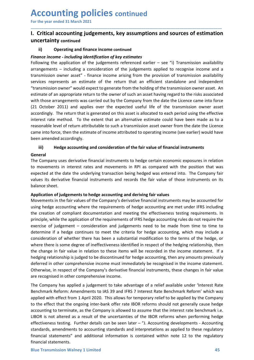### Accounting policies continued<br>For the year ended 31 March 2021<br>1. Critical accounting judgements, key assumptions and sources of estimatio<br>uncertainty continued **Accounting policies** continued<br>
For the year ended 31 March 2021<br>
I. Critical accounting judgements, key assumptions and sources of estimation<br>
uncertainty continued<br>
ii) Operating and finance income continued Accounting policies continued<br>
For the year ended 31 March 2021<br>
I. Critical accounting judgements, key assumptions and sources of estimation<br>
uncertainty continued<br>
ii) operating and finance income continued<br>
Following th uncertainty continued

\_\_\_\_\_\_\_\_\_\_\_\_\_\_\_\_\_\_\_\_\_\_\_\_\_\_\_\_\_\_\_\_\_\_\_\_\_\_\_\_\_\_\_\_\_\_\_\_\_\_\_\_\_\_\_\_\_\_\_\_\_\_\_\_\_\_\_\_\_\_\_\_\_\_\_\_\_\_\_\_\_\_\_\_\_\_\_\_\_\_

**CCOUNTIME POLICIES continued**<br>
Separate the year ended 31 March 2021<br>
Critical accounting judgements, key assumptions and sources of estimation<br>
(ii) Operating and finance income continued<br>
ii) Operating and finance inco **ACCOUNTIME POLICIES continued**<br>
For the year ended 31 March 2021<br> **I. Critical accounting judgements, key assumptions and sources of estimation**<br>
uncertainty continued<br>
(ii) Operating and finance income continued<br>
Finance **Accounting policies continued**<br>For the year ended 31 March 2021<br> **I.** Critical accounting judgements, key assumptions and sources of estimation<br>
uncertainty continued<br>
(ii) Operating and finance income continued<br>
Finance **Accounting policies continued**<br>For the year ended 31 March 2021<br> **I. Critical accounting judgements, key assumptions and sources of estimation**<br>
uncertainty continued<br>
ii) Operating and finance income continued<br>
Finance **ACCOUNTIME POLICIES continued**<br>For the year ended 31 March 2021<br>1. **Critical accounting judgements, key assumptions and sources of estimation**<br>interestintly continued<br>Finance income *including identification of teey esti* **Accounting policies continued**<br>For the year ended 3.1 March 2021<br> **1. Critical accounting judgements, key assumptions and sources of estimation**<br> **iii)** Operating and finance income continued<br> **Following the application Accounting policies continued**<br> **Expectively**<br> **I. Critical accounting judgements, key assumptions and sources of estimation<br>
uncertainty continued<br>
ii) operating and finance income continued<br>
Finance income - including i Accounting policies continued**<br>
For the year ended 31 March 2021<br> **I. Critical accounting judgements, key assumptions and sources of estimation**<br> **uncertainty continued**<br> **ii)** Operating and finance income continued<br> **EFO Accounting policies** continued<br>
For the year ended 31 March 2021<br>
1. **Critical accounting judgements, key assumptions and sources of estimation**<br>
uncertainty continued<br>
ii) Operating and finance income continued<br>
iii) Op **Accounting policies** continued<br>
For the year ended 31 March 2021<br>
1. Critical accounting judgements, key assumptions and sources of estimation<br>
ii) Operating and finance income continued<br>
Following the application of the **ACCOUNTIME POLICIES continued**<br>
For the year ended 31 March 2021<br>
1. Critical accounting judgements, key assumptions and sources of estimation<br>
uncertainty continued<br>
ii) Operating and finance income continued<br>
Finance in **ACCOUNTIME POUICIES** contrinued<br>
I. Critical accounting judgements, key assumptions and sources of estimation<br>
ii) Operating and finance income continued<br>
Finance income including identification of key estimates<br>
Followi For the year ended 31 March 2021<br> **I. Critical accounting judgements, key assumptions and sources of estimation**<br> **III** Operating and finance income continued<br>
Following the application of the judgements referenced earlier **I. Critical accounting judgements, key assumptions and sources of estimation uncertainty continued**<br> **ii)** Operating and finance income continued<br> **Finance income - including identification of key estimates**<br> **Finance inc I. Critical accounting judgements, key assumptions and sources of e<br>
uncertainty continued**<br>
ii) Operating and finance income continued<br> *Einance income - including identification of key estimates*<br>
forelowing the applica **iii) Continued**<br> **iii) Concerting and finance income continued**<br> **iii) Concerting and finance income continued**<br> **Diversion of the judgements referenced earlier – see "i)** Transmission availability<br>
by a consider a **Finance income - including identification of key estimates**<br>
Following the application of the judgements referenced earlier – see "i) Transmission availability<br>
Following the application of the judgements applied to recog Following the application of the judgements referenced earlier – see "i) Transmission availability<br>arrangements – including a consideration of the judgements applied to recognise income and a<br>transmission owner asset" – fi arrangements – including a consideration of the judgements applied to recognise income and a<br>transmission owner asset" – finance income arising from the provision of transmission availability<br>transmission owner" would expe transmission owner asset" - finance income arising from the provision of transmission availability<br>errorices represents an estimate of the return that an efficient standalone and independent<br>"transmission owner" would expe services represents an estimate of the return that an efficient standalone<br>"transmission owner" would expect to generate from the holding of the transmissi<br>estimate of an appropriate return to the owner of such an asset ha "transmission owner" would expect to generate from the holding of the framsmission owner a ssect. An anytopical exert with those arrangements was carried out by the Company from the date the Licence came into force 2011) a estimate of an appropriate return to the owner of such an anset having regard to the risks associated<br>with those arrangements was carried out by the Company from the date the licence carne into force<br>(21 October 2011) and with those arrangements was carried out by the Company from the date the Lience came into force<br>condingly. The return that is generated on this asset is allocated to each period using the effective<br>interest rate method. To

### General

(21 October 2011) and applies over the expected ustiful life of the transmission ower asset<br>accordingly. The return that is generated on this asset is allocated to each period using the effective<br>interest rate method. To t accordingly. The return that is generated on this asset is allocated to each period using the effective<br>tinerest rate method. To the extent that an alternative estimate could have been made as to a<br>reasonable level of retu interest trate method. To the exercit that an alternative estimate could have been made as to a<br>reasonable level of return attributable to such a transmission asset owner from the date the Lience<br>came into force, then the reasonable level of return attitudiable to such a transmission asset owner from the date the Licence<br>carne into force, then the estimate of incrome attributed to operating income (see earlier) would have<br>been amended accor came into force, then the estimate of income attributed to operating income (see earlier) would have<br>been amended according and consideration of the fair value of financial instruments<br>The Company using a derivative financ there are are the sometic in the trace is some degree of infinite there is a property of the format and the company uses derivative financial instruments to hedge ecrtain economic exposures in relation<br>The Company uses der **Groughly Hedge accounting and consideration of the fair value of financial instruments<br>The Company uses derivative financial instruments to hedge certain economic exposures in relation<br>to movements in interest rates and m General**<br>The Company uses derivative financial instruments to hedge certain economic exposures in relation<br>The Company uses derivative financial instruments in RPI as compared with the position that was<br>expected at the da Dhe Company uses derivative financial instruments to hedge certain economic exposures in relation<br>to movements in interest rates and movements in RPI as compared with the position that was<br>expected at the date the underlyi to movements in interest rates and movements in RPI as compared with the position that was<br>expected at the date the underlying transaction being hedged was entered into. The Company fair<br>values its derivative financial ins expected at the date the underlying transaction being hedged was entered into. The Company fair balance sits derivative financial instruments and records the fair value of those instruments on its balance sheet.<br>Applicatio values its derivative financial instruments and records the fair value of those instruments on its<br>
baplication of judgements to hedge accounting and deriving fair values<br>
Movements in the fair values of the Company's deri balance sheet.<br>
Application of judgements to hedge accounting and deriving fair values<br>
Application of company's derivative financial instruments may be accounted for<br>
using hedge accounting where the requirements of hedge Application of judgements to hedge accounting and deriving fair values<br>Movements in the fair values of the Company's derivative financial instruments may be accounted for<br>Movements in the fair values of the Company's deriv Movements in the fair values of the Company's derivative financial instruments may be accountde for the rigis accounting where the requirements of hedge accounting rare net under lFRS including<br>the creation of compliant do using hedge accounting where the requirements of hedge accounting are met under IFRS including<br>the creation of compliant documentation and meeting the effectiveness testing requirements. In<br>the criation of compliant docume the creation of compliant documentation and meeting the effectiveness testing requirements. In<br>pivriciple, while the application of the requirements of lFRSS hedge accounting rules do not require the<br>pivriciple weights of principle, while the application of the requirements of IFRS hedge accounting rules do not require the totercise of judgement - consideration and judgements need to be eade from time to the red the consideration of whether

where there is some degree of ineffectiveness identified in respect of the hedging relationship, then<br>the change in fair value in relation to these items will be recorded in the income statement. If a<br>hedging relationship exercise of judgement – consideration and judgements need to be made from time to time to accounting; which may include a doctermine if a hedge controlling with may include a docustideration of whether there has been a sub determine if a hedge continues to meet the criteria for hedge accounting, which may include a<br>consideration of whether there has been a substantial modification to the terms of the hedge, or<br>where there is some degree of i consideration of whether there has been a substantial modification to the term<br>where there is some degree of ineffectiveness identified in respect of the hedging<br>the change in fair value in relation to these items will be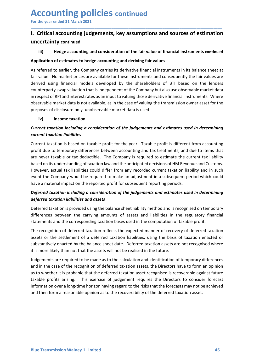### Accounting policies continued<br>For the year ended 31 March 2021<br>1. Critical accounting judgements, key assumptions and sources of estimatio<br>uncertainty continued **Accounting policies continued<br>
For the year ended 31 March 2021**<br>
I. Critical accounting judgements, key assumptions and sources of estimation<br>
uncertainty continued<br>
iii) Hedge accounting and consideration of the fair va Accounting policies continued<br>
For the year ended 31 March 2021<br>
I. Critical accounting judgements, key assumptions and sources of estimation<br>
uncertainty continued<br>
iii) Hedge accounting and consideration of the fair valu uncertainty continued

\_\_\_\_\_\_\_\_\_\_\_\_\_\_\_\_\_\_\_\_\_\_\_\_\_\_\_\_\_\_\_\_\_\_\_\_\_\_\_\_\_\_\_\_\_\_\_\_\_\_\_\_\_\_\_\_\_\_\_\_\_\_\_\_\_\_\_\_\_\_\_\_\_\_\_\_\_\_\_\_\_\_\_\_\_\_\_\_\_\_

**CCOUNTING POLICIES continued**<br>
Critical accounting judgements, key assumptions and sources of estimation<br>
Critical accounting independents, key assumptions and sources of estimation<br>
iii) Hedge accounting and consideratio **Accounting policies continued**<br>For the year ended 31 March 2021<br>1. Critical accounting judgements, key assumptions and sources of estimation<br>uncertainty continued<br>iii) Hedge accounting and consideration of the fair values **Accounting policies continued**<br>For the year ended 31 March 2021<br>1. Critical accounting judgements, key assumptions and sources of estimation<br>uncertainty continued<br>iii) Hedge accounting and consideration of the fair value For the year ended 31 March 2021<br> **1. Critical accounting judgements, key assumptions and sources of estimation**<br> **1. Critical accounting judgements, key assumptions and sources of estimation**<br> **1. Critical accounting judg** For the year ended 31 March 2021<br>
1. Critical accounting judgements, key assumptions and sources of estimation<br>
uncertainty continued<br>
iii) Hedge accounting and consideration of the fair value of financial instruments cont **Accounting policies continued**<br>
I. Critical accounting judgements, key assumptions and sources of estimation<br>
uncertainty continued<br>
iii) Hedge accounting and consideration of the fair value of financial instruments conti **Accounting policies continued**<br>For the year ended 31 March 2021<br>1. **Critical accounting judgements, key assumptions and sources of estimation**<br>uncertainty continued<br>ii) Hedge accounting and consideration of the fair value **Accounting policies continued**<br>
For the year ended 31 March 2021<br>
1. **Critical accounting judgements, key assumptions and sources of estimation**<br>
uncertainty continued<br>
(ii) Hedge accounting and consideration of the fair **ACCOUNTIME POLICIES** continued<br>
For the year ended 31 March 2021<br>
1. Critical accounting judgements, key assumptions and sources of estimation<br>
uncertainty continued<br>
iii) Hedge accounting and consideration of the fair va **CCOUNTING POIICIES continued**<br>
Server ended 31 March 2021<br>
Tritical accounting judgements, key assumptions and sources of estim<br>
Circlical accounting and consideration of the fair value of financial instruments co<br>
III) H For the year ended 31 March 2021<br>
1. Critical accounting judgements, key assumptions and sources of estimation<br>
uncertainty continued<br>
iii) Hedge accounting and consideration of the fair value of financial instruments cont **I. Critical accounting judgements, key assumptions and sources of est**<br>
uncertainty continued<br>
iii) Hedge accounting and consideration of the fair value of financial instruments<br>
Application of estimates to hedge accounti **uncertainty continued**<br> **Current tax**<br> **Current taxable for the standard instruments on the Set of Application of estimates to hedge accounting and deriving fair values**<br>
As referred to earlier, the Company carries its de **Expression of the fair value of financial instruments continued**<br>**Application of estimates to hedge accounting and deriving fair values**<br>As referred to earlier, the Company carries its derivative financial instruments in **iii)** Hedge accounting and consideration of the fair value of financial instruments continued<br>Application of estimates to hedge accounting and deriving fair values<br>As referred to earlier, the Company carries its derivativ Application of estimates to hedge accounting and deriving fair values<br>As referred to earlier, the Company carries its derivative financial instruments in its balance sheet at<br>fair value. No market prices are available for As referred to earlier, the Company carries its derivative financial instruments in its balance sheet at fair value. No market prices are available for these instruments and consequently the fair values are derived using f

As reterred to earlier, the Company carries its derivative liminatial instruments in its balance sheet at<br>fair value. No market prices are available for these instruments and consequently the fair values are<br>derived using riar value. No market prices are available tor these instruments and consequently the fair values are<br>derived using financial models developed by the shareholders of BTI based on the lenders<br>counterparty swap valuation tha counterparty swap valuation that is independent of the Company but also use observable market data<br>in respect of RPI and interest rates as an input to valuing those derivative financial instruments. Where<br>observable market in respect of RPI and interest rates as an input to valuing those derivative financial instruments. Where<br>observable market data is not available, as in the case of valuing the transmission owner asset for the<br>purposes of observable market data is not available, as in the case of valuing the transmission owner asset for the<br>
iv) Income taxation<br>
iv) Income taxation including<br>
current taxation liabilities<br>
Current taxation liabilities<br>
Curre purposes of disclosure only, unobservable market data is used.<br> **Current taxation including a consideration of the judgements and estimates used in determining<br>
current taxation liabilities<br>
Current traxation is based on t** iv) Income taxation<br>
Current taxation including a consideration of the judgements and estimates used in determining<br>
current taxation liabilities<br>
Current taxation is based on taxable profit for the year. Taxable profit is Current taxation including a consideration of the judgements and estimates used in determining<br>Current taxation is based on taxable profit for the year. Taxable profit is different from accounting<br>profit due to temporary d **Current taxation liabilities**<br>
Current taxation is based on taxable profit for the year. Taxable profit is different from accounting<br>
profit due to temporary differences between accounting and tax treatments, and due to i Current taxation is based on taxable profit for the year. Taxable profit is different from accounting<br>profit due to temporary differences between accounting and tax treatments, and due to items that<br>are never taxable or ta Current traxtion is based on taxable profit for the year. Taxable profit is different from accounting<br>profit due to temporary differences between accounting and tax treatments, and due to items that<br>are never taxable or ta

substantively enacted by the balance sheet date. Deferred taxation assets are not recognised where<br>it is more likely than not that the assets will not be realised in the future.<br>Judgements are required to be made as to the Frace never taxable or tax deductible. The Company is required to estimate the current tax liability based on its understanding of taxation law and the anticipated decisions of HM Revenue and Customs.<br>However, actual tax l based on its understanding of taxation law and the anticipated decisions of HM Revenue and Customs.<br>However, actual tax liabilities could differ from any recorded current taxation liability and in such<br>However, actual tax However, actual tax liabilities could differ from any recorded current taxation liability and in such<br>event the Company would be required to make an adjustment in a subsequent period which could<br>ahave a material impact on event the Company would be required to make an adjustment in a subsequent period which could<br>have a material impact on the reported profit for subsequent reporting periods.<br>Deferred traxation liabilities and assets<br>for the have a material impact on the reported profit for subsequent reporting periods.<br>Deferred taxation including a consideration of the judgements and estimates used in determining<br>deferred taxation is provided using the balanc Deferred taxation including a consideration of the judgements and estimates used in determining deferred taxation inabilities and assets<br>Deferred taxation is provided using the balance sheet liability method and is recogni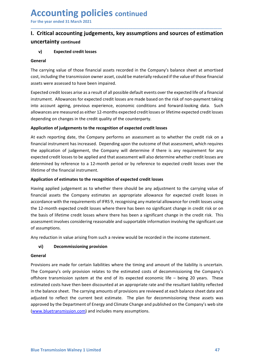### Accounting policies continued<br>For the year ended 31 March 2021<br>1. Critical accounting judgements, key assumptions and sources of estimatio<br>uncertainty continued **Accounting policies** continued<br>
For the year ended 31 March 2021<br>
I. Critical accounting judgements, key assumptions and sources of estimation<br>
uncertainty continued<br>
v) Expected credit losses Accounting policies continued<br>
For the year ended 31 March 2021<br>
I. Critical accounting judgements, key assumptions and sources of estimation<br>
uncertainty continued<br>
v) Expected credit losses<br>
General uncertainty continued

\_\_\_\_\_\_\_\_\_\_\_\_\_\_\_\_\_\_\_\_\_\_\_\_\_\_\_\_\_\_\_\_\_\_\_\_\_\_\_\_\_\_\_\_\_\_\_\_\_\_\_\_\_\_\_\_\_\_\_\_\_\_\_\_\_\_\_\_\_\_\_\_\_\_\_\_\_\_\_\_\_\_\_\_\_\_\_\_\_\_

### General

**CCOUNTING POLICIES continued**<br>
the year ended 31 March 2021<br>
Critical accounting judgements, key assumptions and sources of estimation<br>
v) Expected credit losses<br>
eral<br>
carrying value of those financial assets recorded in For the year ended 31 March 2021<br> **I. Critical accounting judgements, key assumptions and sources of estimation**<br> **uncertainty** continued<br>
v) Expected credit losses<br>
General<br>
The carrying value of those financial assets re

**ACCOUNTIME POLICIES continued**<br>For the year ended 31 March 2021<br>1. Critical accounting judgements, key assumptions and sources of estimation<br>uncertainty continued<br>v) Expected credit losses<br>General<br>The carrying value of th For the year ended 31 March 2021<br> **1. Critical accounting judgements, key assumptions and sources of estimation**<br> **1. Critical accounting judgements, key assumptions and sources of estimation**<br> **1. Critical accounting judg Accounting policies continued**<br>For the year ended 31 March 2021<br>1. Critical accounting judgements, key assumptions and sources of estimation<br>uncertainty continued<br>1. Expected credit losses<br>Seneral<br>The carrying value of th **Accounting policies continued**<br>For the year ended 31 March 2021<br>1. Critical accounting judgements, key assumptions and sources of estimation<br>uncertainty continued<br>The carrying value of those financial assets recorded in t **Accounting policies** continued<br>
For the year ended 31 March 2021<br> **I. Critical accounting judgements, key assumptions and sources of estimation**<br> **uncertainty continued**<br>
(**v**) Expected credit losses<br> **Seneral**<br>
The carry **ACCOUNTIME POLICIES continued**<br>
For the year ended 31 March 2021<br> **I. Critical accounting judgements, key assumptions and sources of estimation**<br> **OFFICE CONTEX CONTEX CONTEX CONTEX CONTEX CONTEX CONTEX CONTEX CONTEX CONT** For the year ended 31 March 2021<br> **I.** Critical accounting judgements, key assumptions and sources of estimation<br>
I. Critical accounting judgements, key assumptions and sources of estimation<br>
where the carrying value of th For the year ended 31 March 2021<br>
1. **Critical accounting judgements, key assumptions and sources of estimation**<br>
1. **Critical accounting judgements, key assumptions and sources of estimation**<br>
1. The carrying value of tho

**I. Critical accounting judgements, key assumptions and sources of estimation**<br>
uncertainty continued<br>
"by Expected credit losses<br>
General<br>
The carrying value of those financial assets recorded in the Company's balance she **uncertainty continued**<br> **v**) Expected credit losses<br> **General**<br>
The carrying value of those financial assets recorded in the Company's balance sheet at amortised<br>
cost, including the transmission owner asset, could be mat The considered and the session of the company's balance sheet at amortised<br>The carrying value of those financial assets recorded in the Company's balance sheet at amortised<br>The carrying value of those financial assets reco v) Expected credit losses<br>
General<br>
The carrying value of those financial assets recorded in the Company's balance sheet at amortised<br>
costs, including the transmission owner asset, could be materially reduced if the value **General**<br>The carrying value of those financial assets recorded in the Company's balance sheet at amortised<br>cost, including the transmission owner asset, could be materially reduced if the value of those financial<br>assets w The carrying value of those financial assets recorded in the Company's balance sheet at amort<br>cost, including the transmission owner asset, could be materially reduced if the value of those finar<br>assets were assessed to ha cost, including the transmission owner asset, could be materially reduced if the value of those financial<br>assets were assessed to have been impaired.<br>Expected credit losses arise as a result of all possible default events assets were assessed to have been impaired.<br>
Expected credit losses arise as a result of all possible default events over the expected life of a financial<br>
intrument. Allowances for expected credit losses are made based on

Expected credit losses arise as a result of all possible default events over the expected life of a financial<br>instrument. Allowances for expected credit losses are made based on the risk of non-payment taking<br>into account Instrument. Allowances for expected credit losses are made based on the risk of non-payment taking<br>into account ageing, previous experience, economic conditions and forward-looking data. Such<br>allowances are measured as eit into account ageing, previous experience, economic conditions and forward-looking data. Such<br>allowances are measured as either 12-months expected credit losses or lifetime expected credit losses<br>depending on changes in the and a more than the requirements of the comparison of expected credit losses or lifetime expected credit losses<br>depending on changes in the credit quality of the counterparty.<br>Application of judgements to the recognition o depending on changes in the credit quality of the counterparty.<br> **Application of judgements to the recognition of expected credit losses**<br>
At each reporting date, the Company performs an assessment as to whether the credit Experiency and the recognition of expected credit losses<br>
At each reporting date, the Company performs an assessment as to where<br>
frinancial instrument has increased. Depending upon the outcome of that as<br>
the application <sup>1</sup><br>At each reporting date, the Company performs an assessment as to whether the credit risk on a<br>financial instrument has increased. Depending upon the outcome of that assessment, which requires<br>the application of judgeme inclainstrument has increased. Depending upon the outcome of that assessment, which requires<br>application of judgement, the Company will determine if there is any requirement for any<br>application of judgement, the Company wi Expected treations are to the provisions are made for certain liabilities where the balance sheet. The carrying amount of the balance of the financial instrument.<br>Application of estimates to the recognition of expected cre Difference to a 22-monting the Company relates to the estimate of the particle in the particle in the carrying value of the financial instrument.<br>
Application of estimates to the recognition of expected credit losses havin

### General

vi) Decommissioning provision<br>
General<br>
Provisions are made for certain liabilities where the timing and amount of the liability is uncertain.<br>
The Company's only provision relates to the estimated costs of decommissioning metaine of the imanual mistuation.<br> **Application of estimates to the recognition of expected credit losses**<br>
Having applied judgement as to whether there should be any adjustment to the carrying value of<br>
financial assets **Application of estimates to the recognition of expected credit losses**<br>Having applied judgement as to whether there should be any adjustment to the carrying value of<br>financial assets the Company estimates an appropriate a Having applied judgement as to whether there should be any adjustment to the carrying value of<br>financial assets the Company estimates an appropriate allowance for expected credit losses usin<br>accordance with the requirement financial assets the Company estimates an appropriate allowance for expected credit losses in accordance with the requirements of IFRS 9, recognising any material allowance for credit losses using accordance with the requi accordance with the requirements of IFRS 9, recognising any material allowance for credit losses using<br>the 12-month expected credit losses where there has been no significant change in credit risk or on<br>the basis of lifeti (www.bluetransmission.com) and includes many assumptions.<br>
(www.bluetransmission.com) and includes many assumptions.<br>
(www.bluetransmission.com) and includes many assumptions.<br>
Any reduction in value arising from such a re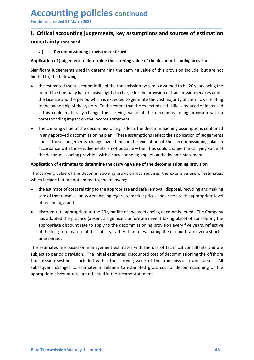### Accounting policies continued<br>For the year ended 31 March 2021<br>1. Critical accounting judgements, key assumptions and sources of estimatio<br>uncertainty continued **Accounting policies continued<br>
For the year ended 31 March 2021**<br>
I. Critical accounting judgements, key assumptions and sources of estimation<br>
uncertainty continued<br>
vi) Decommissioning provision continued Accounting policies continued<br>
For the year ended 31 March 2021<br>
I. Critical accounting judgements, key assumptions and sources of estimation<br>
uncertainty continued<br>
vi) Decommissioning provision continued<br>
Application of uncertainty continued **CCOUNTING POLICIES** continued<br>
Server ended 31 March 2021<br>
Critical accounting judgements, key assumptions and sources of estimation<br>
vi) Decommissioning provision continued<br>
lication of judgement to determine the carryin For the year ended 31 March 2021<br> **1. Critical accounting judgements, key assumptions and sources of estimation**<br>
uncertainty continued<br>
vi) Decommissioning provision continued<br>
Application of judgement to determine the ca

\_\_\_\_\_\_\_\_\_\_\_\_\_\_\_\_\_\_\_\_\_\_\_\_\_\_\_\_\_\_\_\_\_\_\_\_\_\_\_\_\_\_\_\_\_\_\_\_\_\_\_\_\_\_\_\_\_\_\_\_\_\_\_\_\_\_\_\_\_\_\_\_\_\_\_\_\_\_\_\_\_\_\_\_\_\_\_\_\_\_

- **Accounting policies continued**<br>
For the year ended 31 March 2021<br> **I. Critical accounting judgements, key assumptions and sources of estimation**<br>
uncertainty continued<br>
vi) Decommissioning provision continued<br>
Application **ACCOUNTIME POLICIES continued**<br>
For the year ended 31 March 2021<br> **I. Critical accounting judgements, key assumptions and sources of**  $\epsilon$ **<br>
uncertainty continued<br>
vi) Decommissioning provision continued<br>
Application of jud** the estimated useful economic life of the transmission system is assumed to be 20 years being the **CCOUNTIME POLICIES continued**<br>
Service and the vear ended 31 March 2021<br>
Critical accounting judgements, key assumptions and sources of estimation<br>
servicitizal accounting judgements, key assumptions and sources of estima **CCOUNT EXECT AS CONTITIVE CONTITIVE CONTITIVE CONTITIVE CONTITIVE CONTITIVE CONTITIVE SCALL ACCOUNTIFY CONTITIVE JUMBE CONTITIVE CONTITIVE CONTITIVE CONTITIVE DECONTITIVE DECONTITIVE DECONTITIVE UNIT<br>
EXPECTED IN THE VIDE CCOUNTIME POLICIES continued**<br>
the year ended 31 March 2021<br>
Critical accounting judgements, key assumptions and sources of estimation<br>
vilical accounting judgements, key assumptions and sources of estimation<br>
vilicant ju **CCOUNTIME POLICIES continued**<br>
the year ended 31 March 2021<br>
Critical accounting judgements, key assumptions and sources of estimation<br>
(w) Decommissioning provision continued<br>
lifticant judgement to determine the carryin **CCOUNTIME POIICIES continued**<br>
the year ended 31 March 2021<br>
Critical accounting judgements, key assumptions and sources of estimation<br>
wi) Decommissioning provision continued<br>
wi) Decommissioning provision continue<br>
dica The year ended 31 March 2021<br>
Critical accounting judgements, key assumptions and sources of estimation<br>
wi)<br>
Decommissioning provision continued<br>
Wi)<br>
Decommissioning provision continued<br>
Ilication of judgement to determi **Critical accounting judgements, key assumptions and sources of estimation**<br>
Critainty continued<br>
Wicken becommissioning provision continued<br>
Ilication of judgement to determine the carrying value of the decommissioning pr Exertainty continues programments, we y assumptions and solarces or estimation<br>and interaction of judgement to determine the carrying value of the decommissioning provision<br>ificant judgements used in determining the carryi **Certainty continued**<br> **Certainty continisation of judgement to determine the carrying value of the decommissioning provision<br>
ifficant judgements used in determining the carrying value of this provision include, but are n usly Decommissioning provision continued**<br> **Ilication of judgement to determine the carrying value of the decommissioning provision**<br>
Ificant judgements used in determining the carrying value of this provision include, bu **Application of judgement to determine the carrying value of the decommissioning provision**<br>
Significant judgements used in determining the carrying value of this provision include, but are not<br>
limited to, the following:<br> Significant judgements used in determining the carrying value of this provision include, but are not<br>imited to, the following:<br>
• the estimated useful economic life of the transmission system is assumed to be 20 years bei Imited to, the following:<br>
■
• the estimated useful economic life of the transmission system is assumed to be 20 years being the<br>
period the Company has exclusive rights to charge for the provision of transmission servic the estimated useful economic life of the transmission system is assumed to be 20 years being the<br>period the Company has exclusive rights to charge for the provision of transmission services under<br>the Licence and the perio period the Company has exclusive rights to charge for the provision of transmission services under<br>the Licence and the period which is expected to generate the vast majority of cash flows relating<br>to the ownership of the s
- i.<br>The Licence and the period which is expected to generate the vast majority of cash flows<br>to the ownership of the system. To the extent that the expected useful life is reduced or i<br>— this could materially change the car

- 
- to the ownership of the system. To the extent that the expected useful life is reduced or increased<br>— this could materially change the carrying value of the decommissioning provision with a<br>corresponding impact on the inco – this could materially change the carrying value of the decommissioning provision with a<br>
corresponding impact on the incommissioning reflects the decommissioning assumptions contained<br>
The carrying value of the decommiss corresponding impact on the income statement;<br>The carrying value of the decommissioning reflects the decommissioning assumptions contained<br>in any approved decommissioning plan. These assumptions reflect the application of The carrying value of the decommissioning reflects the decommissioning assumptions contained<br>in any approved decommissioning plan. These assumptions reflect the application of judgements<br>and if those judgements change over in any approved decommissioning plan. These assumptions reflect the applicate and if those judgements change over time or the execution of the decommaccordance with those judgements is not possible – then this could change and if those judgements change over time or the execution of the decommissioning plan in<br>
accordance with those judgements is not possible – then this could change the carrying value of<br>
the decommissioning provision with accordance with those judgements is not possible – then this could change the carrying value of<br>the decommissioning provision with a corresponding impact on the income statement.<br>
The carrying value of the decommissioning the decommissioning provision with a corresponding impact on the income statement.<br> **Application of estimates to determine the carrying value of the decommissioning provision**<br>
The carrying value of the decommissioning pro **Application of estimates to determine the carrying value of the decommissioning provision**<br>The carrying value of the decommissioning provision has required the extensive use of estimates,<br>which include but are not limited The carrying value of the decommissioning provision has required the extensive use of estimates,<br>which include but are not limited to, the following:<br>
• the estimate of costs relating to the appropriate and safe removal, d

The estimates are based on management estimates with the use of technical consultants and are subject to periodic revision. The initial estimated discounted cost of decommissioning the offshore transmission system is inclu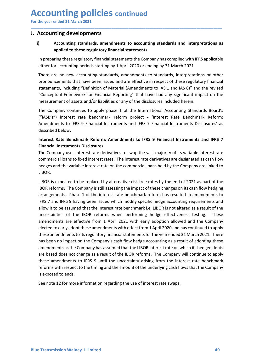# Accounting policies continued<br>
For the year ended 31 March 2021<br>
J. Accounting developments<br>
i) Accounting standards, amendments to accounting standards and interpretations a

## Accounting policies continued<br>
For the year ended 31 March 2021<br>
J. Accounting developments<br>
i) Accounting standards, amendments to accounting standards and interpretations as<br>
applied to these regulatory financial stateme **Accounting policies continued**<br>
For the year ended 31 March 2021<br>
J. Accounting developments<br>
i) Accounting standards, amendments to accounting standards and interpret<br>
applied to these regulatory financial statements<br>
In **Inting policies continued**<br> **Example of the SCALL And Analytical Statements**<br> **Accounting standards, amendments to accounting standards and interpretations as**<br> **Applied to these regulatory financial statements**<br>
Fing the

\_\_\_\_\_\_\_\_\_\_\_\_\_\_\_\_\_\_\_\_\_\_\_\_\_\_\_\_\_\_\_\_\_\_\_\_\_\_\_\_\_\_\_\_\_\_\_\_\_\_\_\_\_\_\_\_\_\_\_\_\_\_\_\_\_\_\_\_\_\_\_\_\_\_\_\_\_\_\_\_\_\_\_\_\_\_\_\_\_\_

**CCOUNTING POLICIES continued**<br>
the year ended 31 March 2021<br> **Accounting developments**<br>
i) Accounting standards, amendments to accounting standards and interpretations as<br>
applied to these regulatory financial statements

**CCOUNTING POLICIES continued**<br> **Accounting developments**<br> **Accounting standards, amendments to accounting standards and interpretations as<br>
applied to these regulatory financial statements<br>
In preparing these regulatory f ECOUNTIME POLICIES continued**<br>
Mecounting developments<br>
Accounting standards, amendments to accounting standards and interpretations as<br>
applied to these regulatory financial statements<br>
In preparing these regulatory fina **CCOUNTIME POLICIES continued**<br>
Mecounting developments<br> **Accounting developments**<br>
Accounting standards, amendments to accounting standards and interpretations as<br>
in preparing these regulatory financial statements the Co **CCOUNTIME POLICIES continued**<br>
Accounting developments<br>
Accounting developments<br>
Accounting standards, amendments to accounting standards and interpretations as<br>
applied to these regulatory financial statements<br>
In prepar **CCOUNTIME POLICIES continued**<br>
Accounting developments<br>
accounting developments<br>
applied to these regulatory financial statements<br>
In preparing these regulatory financial statements<br>
In preparing these regulatory financia **CCOUNTIME POLICIES CONTINUE CONT AND ANTIFICATE CONTINUES CONTINUES ACCOUNTING ACCOUNTING developments**<br>
Accounting standards, amendments to accounting standards and interpretations as<br>
applied to these regulatory financi **CCOUNTIME POLICIES CONTINUED**<br>
Accounting developments<br>
Accounting standards, amendments to accounting standards and interpretations as<br>
applied to these regulatory financial statements<br>
In preparing these regulatory fina **CCOUNTIME POLICIES** continued<br>
Accounting developments<br>
Accounting standards, amendments to accounting standards and interpretations as<br>
applied to these regulatory financial statements<br>
In preparing these regulatory fina **CCOUNTIME POLICIES CONTINUED**<br>
Accounting developments<br>
Accounting developments<br>
Accounting standards, amendments to accounting standards and interpretations as<br>
applied to these regulatory financial statements<br>
In prepar The comparison of Sicket atternative and HFRS 9 Financial Instruments and EXPLET Compary uses the compary has compiled with IFRS applicable either for accounting standards, amendments to accounting standards and interpreta Accounting developments<br>
Accounting developments<br>
Accounting standards, amendments to accounting standards and inter<br>
applied to these regulatory financial statements<br>
In preparing these regulatory financial statements the **Accounting developments**<br> **Accounting standards, amendments to accounting standards and interpretations as**<br> **In preparing these regulatory financial statements**<br> **In preparing these regulatory financial statements the Co Example 18 Alternal Soluting standards, amendments to accounting standards and interpretations a poplied to these regulatory financial statements the Company has complied with IFRS applicable there for accounting periods Example 18** applied to these regulatory financial statements<br>In preparing these regulatory financial statements the Company has complied with IFRS applicable<br>either for accounting periods starting by 1 April 2020 or endin In preparing these regulatory financial statements the Company has complied with IFRS applicable<br>either for accounting periods starting by 1 April 2020 or ending by 31 March 2021.<br>There are no new accounting standards, ame In perparing these regulatory financial statements the Company has complied with HRS applicable<br>either for accounting periods starting by 1 April 2020 or ending by 31 March 2021.<br>There are no new accounting standards, amen

LIBOR.

an endments as the Company has assumed that the LIBOR interest rate on which its hedged debts<br>are based does not change as a result of the IBOR reforms. The Company will continue to apply<br>these amendments to IFRS 9 until t There are no new accounting standards, amendments to standards, interpretations or other<br>pronouncements that have been issued and are effective in respect of these regulatory financial<br>statements, including "Definition of pronouncements that have been issued and are effective in respect of these regulatory thinancial<br>
statements, including "Definition of Material Reporting" that have had any significant impact on the<br>
"Conceptual Framework statements, including "Delintion of Material (Amendments to IAS 1 and IAS 9" and the revised<br>
"Conceptual Framework for Financial Reporting" that have had any significant impact on the<br>
measurement of assets and/or liabili "Conceptual Framework for Financial Reporting" that have had any significant impact on the<br>measurement of assets and/or liabilities or any of the disclosures included herein.<br>The Company continues to apply phase 1 of the I measurement of assets and/or liabilities or any of the disclosures included herein.<br>The Company continues to apply phase 1 of the international Accounting Standards Board's<br>("ASB's") interest rate benchmark reform project The Company continues to apply phase 1 of the International Accounting Standards Board's ("ASB's") interest rate benchmark reform project - 'Interest Rate Benchmark Reform:<br>Amendments to IFRS 9 Financial Instruments and IF ("AGB's") interest rate benchmark reform project - 'Interest Rate Benchmark Reform:<br>Amendments to IFRS 9 Financial Instruments and IFRS 7 Financial Instruments Disclosures' as<br>described below.<br>Interest Rate Benchmark Refor Amendments to IFRS 9 Financial Instruments and IFRS 7 Financial Instruments Disclosures' as<br>
described below.<br> **Interest Rate Benchmark Reform:** Amendments to IFRS 9 Financial Instruments and IFRS 7<br>
Financial Instruments described below.<br>
Interest Rate Benchmark Reform: Amendments to IFRS 9 Financial Instruments and IFRS 7<br>
Financial Instruments Disclosures<br>
The Company uses interest rate derivatives to swap the vast majority of its variab Interest Rate Benchmark Reform: Amendments to IFRS 9 Financial Instruments and IFRS 7<br>Financial Instruments Disclosures<br>The Company uses interest rate derivatives to swap the vast majority of its variable interest rate<br>com mendments are effective from 1 April 2021 with early as a result of about the Company wests interest rate cerivatives to swap the vast majority of its variable interest rate the Company uses interest rate derivatives to sw mindian instudiments solutions absolutions of the interest and the ICO company uses interest rate derivatives to swap the vast majority of its variable interest rate commercial loans to fixed interest rates. The interest r The Company was ninetest are derivatives to Swap the vasts insplaint and the company of the state interest rate of the company are linked to the verifical that we interest rate on the commercial loans held by the company a commetrationals of the variable interest rate on the commercial loans held by the Company are linked to LIBOR is expected to be replaced by atternative risk-free rates by the eard of 2021 as part of the UIBOR is expected t is used of the relationship is the telescontrol of the momental means in the diversity and HBOR.<br>HBOR is expected to be replaced by alternative risk-free rates by the end of 2021 as J<br>HBOR reforms. The Company is still ass LIBOR is expected to be replaced by alternative risk-free rates by the end of 2021 as part of the IBOR reforms. The Company is still assessing the impact of these changes on its cash flow hedging arreast rarrangements. Pha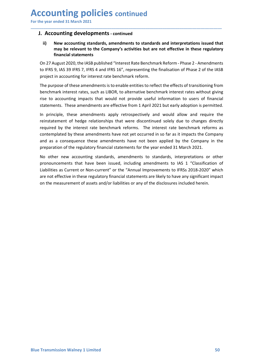# Accounting policies continued<br>
For the year ended 31 March 2021<br>
J. Accounting developments - continued<br>
ii) New accounting standards, amendments to standards and interpretations issued that

Accounting policies continued<br>
For the year ended 31 March 2021<br>
J. Accounting developments - continued<br>
ii) New accounting standards, amendments to standards and interpretations issued that<br>
may be relevant to the Company **CCOUNTING POLICIES continued**<br>
The year ended 31 March 2021<br> **J. Accounting developments - continued<br>
ii)**<br>
New accounting standards, amendments to standards and interpretations issued<br>
may be relevant to the Company's ac **COUNTIME POLICIES continued**<br> **Accounting developments - continued**<br> **ii)**<br>
New accounting standards, amendments to standards and interpretations issued that<br>
may be relevant to the Company's activities but are not effect

\_\_\_\_\_\_\_\_\_\_\_\_\_\_\_\_\_\_\_\_\_\_\_\_\_\_\_\_\_\_\_\_\_\_\_\_\_\_\_\_\_\_\_\_\_\_\_\_\_\_\_\_\_\_\_\_\_\_\_\_\_\_\_\_\_\_\_\_\_\_\_\_\_\_\_\_\_\_\_\_\_\_\_\_\_\_\_\_\_\_

**Inting policies continued**<br>
mated 31 March 2021<br> **Ounting developments - continued**<br>
New accounting standards, amendments to standards and interpretations issued that<br>
may be relevant to the Company's activities but are n **Inting policies continued**<br> **Solution Continued**<br> **Solution Continued**<br> **New accounting standards, amendments to standards and interpretations issue<br>
may be relevant to the Company's activities but are not effective in th COUNTIME POLICIES continued**<br> **Example 18 August 2021**<br> **Example 2020,**<br> **Example 2020, the IASB published "interest Rate Benchmark Reform - Phase 2 - Amendments<br>
On 27 August 2020, the IASB published "interest Rate Bench** 

**Example 18 IFRS 9, ISS 49 IFRS 4 and IFRS 16%** to reflect the ferects of the finalistic one counting the relevant to the Company's activities but are not effective in these regulatory<br>financial statements<br>on 27 August 202 project in accounting for interest rate benchmark reform. **COUNTIME POLICIES continued**<br>
I. Accounting developments - continued<br>
ii) New accounting standards, amendments to standards and interpretations issued that<br>
may be relevant to the Company's activities but are not effectiv **COUNTIME POLICIES CONTINUED**<br> **Example 12 ACCOUNTIFY**<br> **Example 13 ACCOUNTIFY**<br> **Example 12 ACCOUNTIFY**<br> **Example 12 ACCOUNTER INTERENT CONTINUES INTERENT CONTAINS IN THE RESOUNDER TO DEFAUSE THE RESOUNDER ON THE AUST ON ECOUNT EXECTS CONTITUES CONTITUES**<br> **Resoluting developments - continued**<br> **ii)** New accounting stendards, amendments to standards and interpretations issued that<br>
may be relevant to the Company's activities but are not e

**ECOUNT EXECT CONSECT CONTITY CONTIFICATE CONTIFICATE CONTIFICATE CONTIFICATE CONTIFICATE IN A CONTIFICATE IN New accounting standards, amendments to standards and interpretations issued that may be relevant to the Company ICOUNTIME POOIICIES** continued<br>
III) New accounting developments - continued<br>
III) New accounting standards, amendments to standards and interpretations issued that<br>
may be relevant to the Company's activities but are not **EXECUTE THE THE PUTTLE SOMITTING CONTURED ASSET (ACCOLUMB)**<br> **REPAREMENT OF THE ASSET CONTINUES CONTERNATES**<br> **REPAREMENT OF THE ASSET OF THE ASSET OF THE ASSET (ASSET OF THE ASSET OF THE ASSET OF THE ASSET OF THE ASSET O** required at a March 2021<br> **ii)** New accounting standards, amendments to standards and interpretations issued that<br>
may be relevant to the Company's activities but are not effective in these regulatory<br>
financial statements **i. Accounting developments - continued**<br>
ii) New accounting standards, amendments to standards and interpretations issued that<br>
may be relevant to the Company's activities but are not effective in these regulatory<br>
finan and as a consequence these amendments have not been applied by the Company in the ii) New accounting standards, amendments to standards and interpretations issued that<br>mapy be relevant to the Company's activities but are not effective in these regulatory<br>financial statements<br>On 27 August 2020, the IASB If the relevant to the Comparing Sactivities and are into the there is representing to a the motified of the mandal statements on 27 August 2020, the IASB published "Interest Rate Benchmark Reform - Phase 2 - Amendments to Dreading a statement is that have been issued, including amendments to IFRS 9, IAS 39 IFRS 7, IFRS 4 and IFRS 16", representing the finalisation of Phase 2 of the IASB project in accounting for interest rate benchmark refo On 2/ August 2020, the IASb published "Interest kate lenchmark Retorm - Phase 2 - Amendments<br>To LIFRS 9, IAS 39 IFRS 7, IFRS 4 and IFRS 16%, representing the finalisation of Phase 2 of the IASB<br>project in accounting for in to likely JAS 39 HKS /, IHSN 4 and IHSN 16°, representing the tinalisation of Phase 2 of the IASB<br>project in accounting for interest rate benchmark reform.<br>The purpose of these amendments is to enable entities to reflect t project in accounting for interest rate benchmark reform.<br>The purpose of these amendments is to enable entities to reflect the effects of transitioning from<br>Benchmark interest rates, such as LIBOR, to alternative benchmark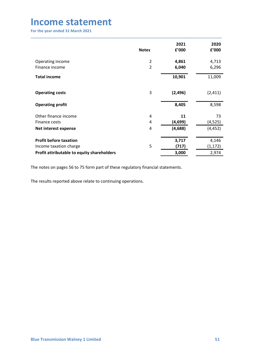| <b>Income statement</b><br>For the year ended 31 March 2021 |                |          |          |
|-------------------------------------------------------------|----------------|----------|----------|
|                                                             |                |          |          |
|                                                             |                |          |          |
|                                                             |                | 2021     | 2020     |
|                                                             | <b>Notes</b>   | £'000    | £'000    |
| Operating income                                            | $\overline{2}$ | 4,861    | 4,713    |
| Finance income                                              | $\overline{2}$ | 6,040    | 6,296    |
| <b>Total income</b>                                         |                | 10,901   | 11,009   |
| <b>Operating costs</b>                                      | $\mathbf{3}$   | (2, 496) | (2, 411) |
| <b>Operating profit</b>                                     |                | 8,405    | 8,598    |
| Other finance income                                        | 4              | 11       | 73       |
| Finance costs                                               | 4              | (4,699)  | (4, 525) |
| Net interest expense                                        | 4              | (4, 688) | (4, 452) |
|                                                             |                |          |          |
| <b>Profit before taxation</b>                               |                | 3,717    | 4,146    |
| Income taxation charge                                      | $\mathsf S$    | (717)    | (1, 172) |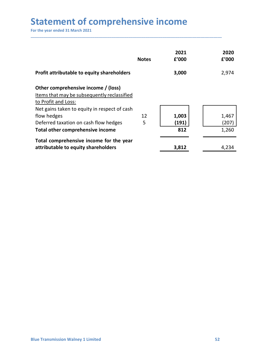| <b>Statement of comprehensive income</b>                                                                                                                                                                |              |               |                |
|---------------------------------------------------------------------------------------------------------------------------------------------------------------------------------------------------------|--------------|---------------|----------------|
| For the year ended 31 March 2021                                                                                                                                                                        |              |               |                |
|                                                                                                                                                                                                         | <b>Notes</b> | 2021<br>£'000 | 2020<br>£'000  |
|                                                                                                                                                                                                         |              |               |                |
|                                                                                                                                                                                                         |              | 3,000         |                |
|                                                                                                                                                                                                         |              |               | 2,974          |
| Profit attributable to equity shareholders<br>Other comprehensive income / (loss)<br>Items that may be subsequently reclassified<br>to Profit and Loss:<br>Net gains taken to equity in respect of cash |              |               |                |
|                                                                                                                                                                                                         | 12           | 1,003         | 1,467          |
| flow hedges<br>Deferred taxation on cash flow hedges<br>Total other comprehensive income                                                                                                                | 5            | (191)<br>812  | (207)<br>1,260 |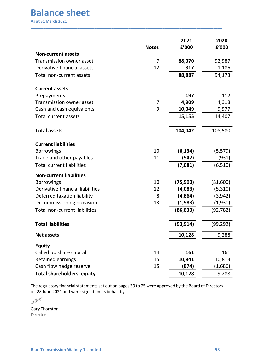Director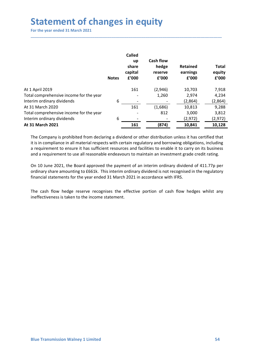# Statement of changes in equity<br>
For the year ended 31 March 2021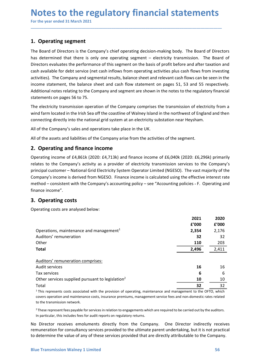\_\_\_\_\_\_\_\_\_\_\_\_\_\_\_\_\_\_\_\_\_\_\_\_\_\_\_\_\_\_\_\_\_\_\_\_\_\_\_\_\_\_\_\_\_\_\_\_\_\_\_\_\_\_\_\_\_\_\_\_\_\_\_\_\_\_\_\_\_\_\_\_\_\_\_\_\_\_\_\_\_\_\_\_\_\_\_\_\_\_

**Notes to the regulatory financial statement (For the year ended 31 March 2021)**<br>For the year ended 31 March 2021<br>1. Operating segment<br>The Board of Directors is the Company's chief operating decision-making body. The Board **Notes to the regulatory financial statements**<br>For the year ended 31 March 2021<br>The Board of Directors is the Company's chief operating decision-making body. The Board of Directors<br>has determined that there is only one ope **Notes to the regulatory financial statements**<br>For the year ended 31 March 2021<br>**1. Operating segment**<br>The Board of Directors is the Company's chief operating decision-making body. The Board of Directors<br>has determined tha **Notes to the regulatory financial statements**<br>For the year ended 31 March 2021<br>1. Operating segment<br>The Board of Directors is the Company's chief operating decision-making body. The Board of Directors<br>Directors evaluates **Notes to the regulatory financial statements**<br>For the year ended 31 March 2021<br>The Board of Directors is the Company's chief operating decision-making body. The Board of Directors<br>has determined that there is only one ope **Notes to the regulatory financial statements**<br>For the year ended 31 March 2021<br>1. Operating segment<br>The Board of Directors is the Company's chief operating decision-making body. The Board of Directors<br>has determined that **Notes to the regulatory financial statements**<br>For the year ended 31 March 2021<br>**1. Operating segment**<br>The Board of Directors is the Company's chief operating decision-making body. The Board of Directors<br>has determined tha **Notes to the regulatory financial statements**<br>For the year ended 31 March 2021<br>1. Operating segment<br>The Board of Directors is the Company's chief operating decision-making body. The Board of Directors<br>has determined that **Notes to the regulatory financial statements**<br>For the year ended 31 March 2021<br>1. **Operating segment**<br>1. **Operating segment**<br>1. **Operating segment**<br>1. **Operating segment**<br>1. **Operating segment**<br>1. **Operating segment**<br>1. **Notes to the regulatory financial statements**<br>For the year ended 31 March 2021<br>The Board of Directors is the Company's chief operating decision-making body. The Board of Directors<br>has determined that there is only one ope **Notes to the regulatory financial statements**<br>For the year ended 31 March 2021<br>1. Operating segment<br>The Board of Directors is the Company's chief operating decision-making body. The Board of Directors<br>has determined that **TO LEE THE THE THE THE THE THE THE THE THE STAND THE THE S**<br>To the year ended 31 March 2021<br>The Board of Directors is the Company's chief operating decision-making body. The Board of Directors<br>The basa determined that the The Deparation of the Company's chief operating decision-making body. The Board of Directors<br>The Board of Directors is the Company's chief operating decision-making body. The Board of Directors<br>has determined that there is **1. Operating segment**<br>The Board of Directors is the Company's chief operating decision-making body. The Board of Directors<br>has determined that there is only one operating segment – electricity transmission. The Board of<br>D **1. Operating segment**<br>
The Board of Directors is the Company's chief operating decision-making body. The Board of Directors<br>
The Board of Directors is the Company's chief operating segment – electricity transmission. The The Board of Directors is the Company's chief operating decision-making body. The Board of Directors<br>Thas determined that there is only one operating esgenent — electricly transmission. The Board of Directors evaluates the has determined that there is only one operating segment – electricity transmission. The Board of<br>Directors evoluates the performance of this segment on the basis of profit before and after taxation and<br>cash available for d

Directors evaluates the performance of this segment on the basis of profit before and after taxation and<br>cash available for debt service (net cash inflows from operating activities plus cash flows from investing<br>activities cash available for debt service (net cash inflows from operating activities plus cash flows from investing<br>exitytites). The Company and segmental results, balance sheet and relevant cash flows can be seen in the<br>income sta activities). The Company and segmental results, balance sheet and relevant cash flows can be seen in the balance sheet and cash flow statement on pages 5.6 5. 53 and 55 respectively.<br>Additional notes relating to the Compan finance income". statements on pages 56 to 75.<br>
The electricity transmission operation of the Company comprises the transmission of electricity transmission operation of the Company comprises the transmission of electricity substation fram The electricity transmission operation of the Company comprises the transmission of electricity from<br>
wind farm located in the Irish Sea off the coastline of Walney Island in the northwest of England and the<br>
connecting di of England and then<br>
sham.<br>
t.t.<br>
t.t.<br>
2020<br>
to the Company's<br>
vast majority of the<br>
ffective interest rate<br>
5 - F. Operating and<br>
2021<br>
2020<br>
2'000<br>
2'000<br>
2'000<br>
2'176<br>
32<br>
2.496<br>
2.496<br>
2.411 proprimation<br>
2001: E6,296k) primarily<br>
2001: E6,296k) primarily<br>
2001: exast majority of the<br>
ffective interest rate<br>
2021: 2020<br>
2021: 2020<br>
2021: 2020<br>
2021: 2020<br>
2021: 2020<br>
2021: 2020<br>
2021: 2020<br>
2021: 2020<br>
2021: 2

| All of the Company's sales and operations take place in the UK.                                                                                                                                                                                                                                                                                                                                                                                                                                                                                                  |                        |                        |
|------------------------------------------------------------------------------------------------------------------------------------------------------------------------------------------------------------------------------------------------------------------------------------------------------------------------------------------------------------------------------------------------------------------------------------------------------------------------------------------------------------------------------------------------------------------|------------------------|------------------------|
| All of the assets and liabilities of the Company arise from the activities of the segment.                                                                                                                                                                                                                                                                                                                                                                                                                                                                       |                        |                        |
| 2. Operating and finance income                                                                                                                                                                                                                                                                                                                                                                                                                                                                                                                                  |                        |                        |
| Operating income of £4,861k (2020: £4,713k) and finance income of £6,040k (2020: £6,296k) primarily<br>relates to the Company's activity as a provider of electricity transmission services to the Company's<br>principal customer - National Grid Electricity System Operator Limited (NGESO). The vast majority of the<br>Company's income is derived from NGESO. Finance income is calculated using the effective interest rate<br>method – consistent with the Company's accounting policy – see "Accounting policies - F. Operating and<br>finance income". |                        |                        |
| 3. Operating costs                                                                                                                                                                                                                                                                                                                                                                                                                                                                                                                                               |                        |                        |
| Operating costs are analysed below:                                                                                                                                                                                                                                                                                                                                                                                                                                                                                                                              |                        |                        |
| Operations, maintenance and management <sup>1</sup>                                                                                                                                                                                                                                                                                                                                                                                                                                                                                                              | 2021<br>f'000<br>2,354 | 2020<br>f'000<br>2,176 |
| Auditors' remuneration<br>Other<br><b>Total</b>                                                                                                                                                                                                                                                                                                                                                                                                                                                                                                                  | 32<br>110<br>2,496     | 32<br>203<br>2,411     |
|                                                                                                                                                                                                                                                                                                                                                                                                                                                                                                                                                                  |                        |                        |
| Auditors' remuneration comprises:                                                                                                                                                                                                                                                                                                                                                                                                                                                                                                                                |                        |                        |
| Audit services<br>Tax services                                                                                                                                                                                                                                                                                                                                                                                                                                                                                                                                   | 16<br>6                | 16<br>6                |
| Other services supplied pursuant to legislation <sup>2</sup>                                                                                                                                                                                                                                                                                                                                                                                                                                                                                                     | 10                     | 10                     |
| Total                                                                                                                                                                                                                                                                                                                                                                                                                                                                                                                                                            | 32                     | 32                     |
| <sup>1</sup> This represents costs associated with the provision of operating, maintenance and management to the OFTO, which<br>covers operation and maintenance costs, insurance premiums, management service fees and non-domestic rates related<br>to the transmission network.                                                                                                                                                                                                                                                                               |                        |                        |
| <sup>2</sup> These represent fees payable for services in relation to engagements which are required to be carried out by the auditors.<br>In particular, this includes fees for audit reports on regulatory returns.                                                                                                                                                                                                                                                                                                                                            |                        |                        |
| No Director receives emoluments directly from the Company. One Director indirectly receives<br>remuneration for consultancy services provided to the ultimate parent undertaking, but it is not practical<br>to determine the value of any of these services provided that are directly attributable to the Company.                                                                                                                                                                                                                                             |                        |                        |
|                                                                                                                                                                                                                                                                                                                                                                                                                                                                                                                                                                  |                        |                        |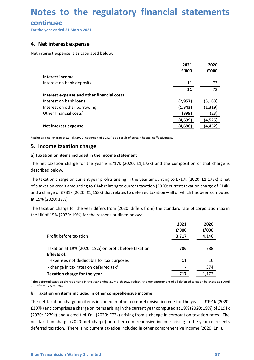# Notes to the regulatory financial statements<br>continued<br>For the year ended 31 March 2021<br>4. Net interest expense **Notes to the regulatory financial statemen**<br>
continued<br>
For the year ended 31 March 2021<br> **4. Net interest expense**<br>
Net interest expense is as tabulated below:

### continued

| continued<br>For the year ended 31 March 2021                                                                                                                                                                                                                                                                                        |                    |                      |
|--------------------------------------------------------------------------------------------------------------------------------------------------------------------------------------------------------------------------------------------------------------------------------------------------------------------------------------|--------------------|----------------------|
|                                                                                                                                                                                                                                                                                                                                      |                    |                      |
|                                                                                                                                                                                                                                                                                                                                      |                    |                      |
| 4. Net interest expense                                                                                                                                                                                                                                                                                                              |                    |                      |
| Net interest expense is as tabulated below:                                                                                                                                                                                                                                                                                          |                    |                      |
|                                                                                                                                                                                                                                                                                                                                      | 2021               | 2020                 |
|                                                                                                                                                                                                                                                                                                                                      | £'000              | f'000                |
| Interest income<br>Interest on bank deposits                                                                                                                                                                                                                                                                                         | 11                 | 73                   |
|                                                                                                                                                                                                                                                                                                                                      | 11                 | 73                   |
| Interest expense and other financial costs                                                                                                                                                                                                                                                                                           |                    |                      |
| Interest on bank loans                                                                                                                                                                                                                                                                                                               | (2,957)            | (3, 183)             |
| Interest on other borrowing                                                                                                                                                                                                                                                                                                          | (1, 343)           | (1, 319)             |
| Other financial costs <sup>1</sup>                                                                                                                                                                                                                                                                                                   | (399)              | (23)                 |
| Net interest expense                                                                                                                                                                                                                                                                                                                 | (4,699)<br>(4,688) | (4, 525)<br>(4, 452) |
|                                                                                                                                                                                                                                                                                                                                      |                    |                      |
| $1$ Includes a net charge of £144k (2020: net credit of £232k) as a result of certain hedge ineffectiveness.                                                                                                                                                                                                                         |                    |                      |
| 5. Income taxation charge                                                                                                                                                                                                                                                                                                            |                    |                      |
| a) Taxation on items included in the income statement                                                                                                                                                                                                                                                                                |                    |                      |
| The net taxation charge for the year is £717k (2020: £1,172k) and the composition of that charge is<br>described below.                                                                                                                                                                                                              |                    |                      |
| The taxation charge on current year profits arising in the year amounting to £717k (2020: £1,172k) is net<br>of a taxation credit amounting to £14k relating to current taxation (2020: current taxation charge of £14k)<br>and a charge of £731k (2020: £1,158k) that relates to deferred taxation - all of which has been computed |                    |                      |
| at 19% (2020: 19%).                                                                                                                                                                                                                                                                                                                  |                    |                      |
| The taxation charge for the year differs from (2020: differs from) the standard rate of corporation tax in<br>the UK of 19% (2020: 19%) for the reasons outlined below:                                                                                                                                                              |                    |                      |
|                                                                                                                                                                                                                                                                                                                                      | 2021               | 2020                 |
|                                                                                                                                                                                                                                                                                                                                      | £'000              | £'000                |
| Profit before taxation                                                                                                                                                                                                                                                                                                               | 3,717              | 4,146                |

| Net interest expense                                                                                                                                                                                                                                                                                                                                                                                                                                                                                                                       | (4,699)<br>(4,688) | (4,525)<br>(4, 452) |  |
|--------------------------------------------------------------------------------------------------------------------------------------------------------------------------------------------------------------------------------------------------------------------------------------------------------------------------------------------------------------------------------------------------------------------------------------------------------------------------------------------------------------------------------------------|--------------------|---------------------|--|
| $1$ Includes a net charge of £144k (2020: net credit of £232k) as a result of certain hedge ineffectiveness.                                                                                                                                                                                                                                                                                                                                                                                                                               |                    |                     |  |
| 5. Income taxation charge                                                                                                                                                                                                                                                                                                                                                                                                                                                                                                                  |                    |                     |  |
| a) Taxation on items included in the income statement                                                                                                                                                                                                                                                                                                                                                                                                                                                                                      |                    |                     |  |
| The net taxation charge for the year is £717k (2020: £1,172k) and the composition of that charge is<br>described below.                                                                                                                                                                                                                                                                                                                                                                                                                    |                    |                     |  |
| The taxation charge on current year profits arising in the year amounting to £717k (2020: £1,172k) is net<br>of a taxation credit amounting to £14k relating to current taxation (2020: current taxation charge of £14k)<br>and a charge of £731k (2020: £1,158k) that relates to deferred taxation - all of which has been computed<br>at 19% (2020: 19%).                                                                                                                                                                                |                    |                     |  |
| The taxation charge for the year differs from (2020: differs from) the standard rate of corporation tax in<br>the UK of 19% (2020: 19%) for the reasons outlined below:                                                                                                                                                                                                                                                                                                                                                                    |                    |                     |  |
|                                                                                                                                                                                                                                                                                                                                                                                                                                                                                                                                            | 2021<br>£'000      | 2020<br>f'000       |  |
| Profit before taxation                                                                                                                                                                                                                                                                                                                                                                                                                                                                                                                     | 3,717              | 4,146               |  |
| Taxation at 19% (2020: 19%) on profit before taxation<br><b>Effects of:</b>                                                                                                                                                                                                                                                                                                                                                                                                                                                                | 706                | 788                 |  |
| - expenses not deductible for tax purposes                                                                                                                                                                                                                                                                                                                                                                                                                                                                                                 | 11                 | 10                  |  |
| - change in tax rates on deferred tax <sup>1</sup>                                                                                                                                                                                                                                                                                                                                                                                                                                                                                         |                    | 374                 |  |
| Taxation charge for the year                                                                                                                                                                                                                                                                                                                                                                                                                                                                                                               | 717                | 1,172               |  |
| $1$ The deferred taxation charge arising in the year ended 31 March 2020 reflects the remeasurement of all deferred taxation balances at 1 April<br>2019 from 17% to 19%.                                                                                                                                                                                                                                                                                                                                                                  |                    |                     |  |
| b) Taxation on items included in other comprehensive income                                                                                                                                                                                                                                                                                                                                                                                                                                                                                |                    |                     |  |
| The net taxation charge on items included in other comprehensive income for the year is £191k (2020:<br>£207k) and comprises a charge on items arising in the current year computed at 19% (2020: 19%) of £191k<br>(2020: £279k) and a credit of £nil (2020: £72k) arising from a change in corporation taxation rates. The<br>net taxation charge (2020: net charge) on other comprehensive income arising in the year represents<br>deferred taxation. There is no current taxation included in other comprehensive income (2020: £nil). |                    |                     |  |
| <b>Blue Transmission Walney 1 Limited</b>                                                                                                                                                                                                                                                                                                                                                                                                                                                                                                  |                    | 57                  |  |

Taxation at 19% (2020: 19%) on profit before taxation 706 788<br>
Effects of:<br>
- expenses not deductible for tax purposes 11 1 10<br>
- change in tax rates on deferred tax<sup>1</sup><br>
Taxation charge for the year<br>
Taxation charge for t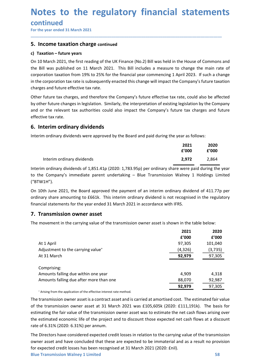# Notes to the regulatory financial statements<br>continued<br>For the year ended 31 March 2021<br>5. Income taxation charge continued **Notes to the regulatory financial statemen**<br>
For the year ended 31 March 2021<br>
For the year ended 31 March 2021<br> **5. Income taxation charge continued**<br> **c)** Taxation – future years<br>
On 10 March 2021 the first reading of t

\_\_\_\_\_\_\_\_\_\_\_\_\_\_\_\_\_\_\_\_\_\_\_\_\_\_\_\_\_\_\_\_\_\_\_\_\_\_\_\_\_\_\_\_\_\_\_\_\_\_\_\_\_\_\_\_\_\_\_\_\_\_\_\_\_\_\_\_\_\_\_\_\_\_\_\_\_\_\_\_\_\_\_\_\_\_\_\_\_\_

### continued

**Notes to the regulatory financial statemer**<br>
For the year ended 31 March 2021<br> **5. Income taxation charge continued**<br> **c) Taxation – future years**<br>
On 10 March 2021, the first reading of the UK Finance (No.2) Bill was hel **Notes to the regulatory financial statem**<br>
For the year ended 31 March 2021<br> **For the year ended 31 March 2021**<br> **S. Income taxation charge continued**<br>
c) Taxation – future years<br>
On 10 March 2021, the first reading of th **Notes to the regulatory financial statements**<br>
For the year ended 31 March 2021<br> **5.** Income taxation charge continued<br>
c) Taxation – future years<br>
On 10 March 2021, the first reading of the UK Finance (No.2) Bill was hel **Notes to the regulatory financial statements**<br>
For the year ended 31 March 2021<br> **5.** Income taxation charge continued<br>
c) Taxation – future years<br>
On 10 March 2021, the first reading of the UK Finance (No.2) Bill was hel **Notes to the regulatory financial statements**<br>
For the year ended 31 March 2021<br> **5. Income taxation charge continued**<br> **c)** Taxation – future years<br>
On 10 March 2021, the first reading of the UK Finance (No.2) Bill was h **Notes to the regulatory financial statements**<br>
For the year ended 31 March 2021<br> **5. Income taxation charge continued**<br> **c)** Taxation – future years<br> **5. Income taxation charge continued**<br>
the Bill was published on 11 Mar **Notes to the regulatory financial statements**<br>
For the year ended 31 March 2021<br> **5. Income taxation charge continued**<br> **c**) Taxation – future years<br>
On 10 March 2021, the first reading of the UK Finance (No.2) Bill was h **Notes to the regulatory financial statements**<br>
For the year ended 31 March 2021<br> **5. Income taxation charge** continued<br> **c**) Taxation – future years<br>
On 10 March 2021, the first reading of the UK Finance (No.2) Bill was h **Notes to the regulatory financial statements**<br>
For the year ended 31 March 2021<br> **5. Income taxation charge continued**<br> **c**) **Taxation – future years**<br>
On 10 March 2021, the first reading of the UK Finance (No.2) Bill was **Notes to the regulatory financial statements**<br>
For the year ended 31 March 2021<br> **5. Income taxation charge continued**<br> **c) Taxation – future years**<br>
On 10 March 2021, the first reading of the UK Finance (No.2) Bill was h **Notes to the regulatory financial stand continued**<br>For the year ended 31 March 2021<br>**5. Income taxation charge continued**<br>**c)** Taxation - future years<br>On 10 March 2021, the first reading of the UK Finance (No.2) Bill was **EXECUTE THE CONTINUM CONTROO CONTROV**<br> **EXECUTE THE CONTROO CONTROO CONTROV**<br> **EXECUTE CONTROO CONTROO CONTROO CONTROO CONTROO CONTROO CONTROO CONTROO CONTROO CONTROO CONTROO CONTROO CONTROO CONTROO CONTROO CONTROO CONTR** For the year ended 31 March 2021<br> **5. Income taxation charge continued**<br> **c)** Taxation – future years<br>
On 10 March 2021, the first reading of the UK Finance (No.2) Bill was held in the House of Commons and<br>
the Bill was p Expredience the main rate of<br>
Expredience the main rate of<br>
2023. If such a change<br>
2023. If such a change<br>
2021 by the Company<br>
12021 cannot rate of<br>
2021 2020<br>
2021 2020<br>
2020 2'000 2'000<br>
2,972 2,864<br>
2021 2,864<br>
2021 2 e House of Commons and<br>
change the main rate of<br>
ril 2023. If such a change<br>
company's future taxation<br>
te, could also be affected<br>
gislation by the Company<br>
e tax charges and future<br>
e tax charges and future<br> **2021 2020<br>** Interim or dinary dividends<br>
March 2021, the first reading of the UK Finance (No.2) Bill was held in the House of Commons and<br>
Il was published on 11 March 2021. This Bill includes a measure to change the main rate of<br>
ati Un U Watern CUZL, the Irst recating of the Using Heading Coral Burlary and the house of Commons and<br>the Bill vas published on 11 March 2021. This Bill includes a measure to change the main rate of<br>corporation taxation fro

the Bill was published on 11 March 2021. Intis Bill includes a measure to change the main rate of the Company<br>corporation taxinate is subsequently enacted this change will impact the Company's future exaction<br>charges and d charges and future effective tax rate.<br>
Other future tax charges, and therefore the Company's future effective tax rate, could also be affected<br>
by other future changes in legislation. Similarly, the interpretation of exis Other future tax charges, and therefore the Company's future effective tax rate, could also be affected<br>by other future changes in legislation. Similarly, the interpretation of existing legislation by the Company<br>and or th Unter future tax cranges, and therefore the Company's future entective tax rate, could also be affected<br>by other future changes in legislation. Similarly, the interpretation of existing legislation by the Company<br>and or th

|                           | 2021  | 2020  |
|---------------------------|-------|-------|
|                           | f'000 | f'000 |
| nterim ordinary dividends | 2.972 | 2.864 |

| 6. Interim ordinary dividends<br>Interim ordinary dividends were approved by the Board and paid during the year as follows:<br>2021<br>2020<br>f'000<br>£'000                                                                                                                               |
|---------------------------------------------------------------------------------------------------------------------------------------------------------------------------------------------------------------------------------------------------------------------------------------------|
|                                                                                                                                                                                                                                                                                             |
|                                                                                                                                                                                                                                                                                             |
|                                                                                                                                                                                                                                                                                             |
| Interim ordinary dividends<br>2,972<br>2,864                                                                                                                                                                                                                                                |
| Interim ordinary dividends of 1,851.41p (2020: 1,783.95p) per ordinary share were paid during the year<br>to the Company's immediate parent undertaking - Blue Transmission Walney 1 Holdings Limited<br>("BTW1H").                                                                         |
| On 10th June 2021, the Board approved the payment of an interim ordinary dividend of 411.77p per<br>ordinary share amounting to £661k. This interim ordinary dividend is not recognised in the regulatory<br>financial statements for the year ended 31 March 2021 in accordance with IFRS. |
| 7. Transmission owner asset                                                                                                                                                                                                                                                                 |
| The movement in the carrying value of the transmission owner asset is shown in the table below:                                                                                                                                                                                             |
| 2021<br>2020                                                                                                                                                                                                                                                                                |
| £'000<br>f'000                                                                                                                                                                                                                                                                              |
| At 1 April<br>97,305<br>101,040                                                                                                                                                                                                                                                             |
| Adjustment to the carrying value <sup>+</sup><br>(4,326)<br>(3, 735)                                                                                                                                                                                                                        |
| At 31 March<br>92,979<br>97,305                                                                                                                                                                                                                                                             |
| Comprising:                                                                                                                                                                                                                                                                                 |
| Amounts falling due within one year<br>4,909<br>4,318                                                                                                                                                                                                                                       |
| Amounts falling due after more than one<br>88,070<br>92,987                                                                                                                                                                                                                                 |
| 92,979<br>97,305                                                                                                                                                                                                                                                                            |
| * Arising from the application of the effective interest rate method.                                                                                                                                                                                                                       |
| The transmission owner asset is a contract asset and is carried at amortised cost. The estimated fair value                                                                                                                                                                                 |
| of the transmission owner asset at 31 March 2021 was £105,605k (2020: £111,191k). The basis for                                                                                                                                                                                             |
| estimating the fair value of the transmission owner asset was to estimate the net cash flows arising over                                                                                                                                                                                   |
| the estimated economic life of the project and to discount those expected net cash flows at a discount                                                                                                                                                                                      |
| rate of 6.31% (2020: 6.31%) per annum.                                                                                                                                                                                                                                                      |
| The Directors have considered expected credit losses in relation to the carrying value of the transmission                                                                                                                                                                                  |
| owner asset and have concluded that these are expected to be immaterial and as a result no provision                                                                                                                                                                                        |
| for expected credit losses has been recognised at 31 March 2021 (2020: £nil).                                                                                                                                                                                                               |
| <b>Blue Transmission Walney 1 Limited</b><br>58                                                                                                                                                                                                                                             |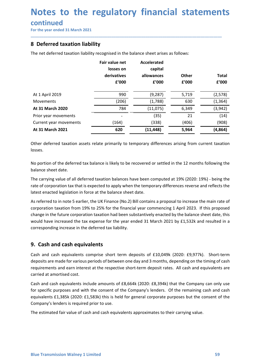### continued

| continued<br>For the year ended 31 March 2021<br>8 Deferred taxation liability                                                        |                                                     |                                                      |                       |                       |
|---------------------------------------------------------------------------------------------------------------------------------------|-----------------------------------------------------|------------------------------------------------------|-----------------------|-----------------------|
| The net deferred taxation liability recognised in the balance sheet arises as follows:                                                |                                                     |                                                      |                       |                       |
|                                                                                                                                       | Fair value net<br>losses on<br>derivatives<br>£'000 | <b>Accelerated</b><br>capital<br>allowances<br>f'000 | <b>Other</b><br>f'000 | <b>Total</b><br>£'000 |
| At 1 April 2019                                                                                                                       | 990                                                 | (9, 287)                                             | 5,719                 | (2, 578)              |
| <b>Movements</b>                                                                                                                      | (206)                                               | (1,788)                                              | 630                   | (1, 364)              |
| At 31 March 2020                                                                                                                      | 784                                                 | (11,075)                                             | 6,349                 | (3, 942)              |
| Prior year movements                                                                                                                  |                                                     | (35)                                                 | 21                    | (14)                  |
| Current year movements                                                                                                                | (164)                                               | (338)                                                | (406)                 | (908)                 |
| At 31 March 2021<br>Other deferred taxation assets relate primarily to temporary differences arising from current taxation<br>losses. | 620                                                 | (11, 448)                                            | 5,964                 | (4, 864)              |

**At 31 March 2020**<br>
Pion year movements<br>
Current year movements<br> **Corpor at an Amach 2021**<br> **At 31 March 2021**<br> **At 41 March 2021**<br> **Corpor at also assets relate primarily to temporary differences arising from current tax** Prior year movements<br>
Current year movements<br> **At 31 March 2021**<br> **At 31 March 2021**<br> **Collect deferred tax balance is likely to temporary differences arising from current taxation<br>
obsess.<br>
Mo portion of the deferred tax** Current year movements<br> **At 31 March 2021**<br> **At 31 March 2021**<br> **Correct deferred taxis relate primarily to temporary differences arising from current taxation losses.**<br>
No portion of the deferred tax balance is likely to Other deferred taxation assets relate primarily to temporary differences arising from current<br>Vosses.<br>No portion of the deferred tax balance is likely to be recovered or settled in the 12 months follo<br>balance sheet date.<br>T Iosses.<br>
No portion of the deferred tax balance is likely to be recovered or settled in the 12 months following the<br>
balance sheet date.<br>
The carrying value of all deferred taxation balances have been computed at 19% (2020 No portion of the deferred tax balance is likely to be recovered or settled in the 12 months following the<br>balance sheet date.<br>The carrying value of all deferred taxation balances have been computed at 19% (2020: 19%) - be No portion of the deferred tax balance is likely to be recovered or settled in the 12 months following the<br>The carrying value of all deferred taxation balances have been computed at 19% (2020: 19%) - being the<br>The carrying balance sheet date.<br>The carrying value of all deferred taxation balances have been computed at 19% (2020: 19%)<br>rate of corporation tax that is expected to apply when the temporary differences reverse and r<br>latest enacted l The carrying value of all deferred taxation balances have been computed at 19% (2020: 19%) - being the<br>rate of corporation tax that is expected to apply when the temporary differences reverse and reflects the<br>latest enacte rate of corporation tax that is expected to apply when the temporary differences reverse and reflects the<br>das referred to in note 5 earlier, the UK Finiarc (Ro.2) Bill contains a proposal to increase the main rate of<br>As re latest enacted legislation in force at the balance sheet date.<br>
As referred to in note 5 earlier, the UK Finance (No.2) Bill contains a proposal to increase the main rate of<br>
corporation taxation from 19% to 25% for the fi As referred to in note 5 earlier, the UK Finance (No.2) Bill contains a proposal to increase the main rate of<br>corporation taxation from 19% to 25% for the financial year commencing 1 April 2023. If this proposed<br>change in corporation taxation from 19% to 25% for the financial year commencing 1 April 2023. If this proposed<br>change in the future corporation taxation had been substantively enacted by the balance sheet date, this<br>would have incr

Cash and cash equivalents comprise short term deposits of £10,049k (2020: £9,977k). Short-term<br>deposits are made for various periods of between one day and 3 months, depending on the timing of cash<br>requirements and earn in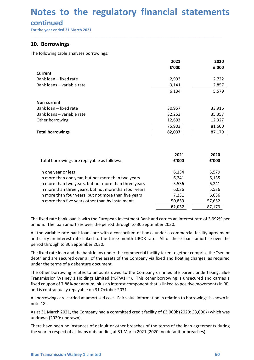# Notes to the regulatory financial statements<br>continued<br>For the year ended 31 March 2021<br>10. Borrowings **Notes to the regulatory financial statemen**<br>
continued<br>
For the year ended 31 March 2021<br> **10. Borrowings**<br>
The following table analyses borrowings:<br>
The following table analyses borrowings:

### continued

| continued<br>For the year ended 31 March 2021          |               | Notes to the regulatory financial statements |
|--------------------------------------------------------|---------------|----------------------------------------------|
| 10. Borrowings                                         |               |                                              |
| The following table analyses borrowings:               |               |                                              |
|                                                        |               |                                              |
|                                                        | 2021<br>£'000 | 2020<br>f'000                                |
| <b>Current</b>                                         |               |                                              |
| Bank loan - fixed rate                                 | 2,993         | 2,722                                        |
| Bank loans - variable rate                             | 3,141         | 2,857                                        |
|                                                        | 6,134         | 5,579                                        |
|                                                        |               |                                              |
| Non-current                                            |               |                                              |
| Bank loan - fixed rate                                 | 30,957        | 33,916                                       |
| Bank loans - variable rate                             | 32,253        | 35,357                                       |
| Other borrowing                                        | 12,693        | 12,327                                       |
|                                                        | 75,903        | 81,600                                       |
| <b>Total borrowings</b>                                | 82,037        | 87,179                                       |
|                                                        |               |                                              |
|                                                        | 2021          | 2020                                         |
| Total borrowings are repayable as follows:             | £'000         | £'000                                        |
| In one year or less                                    | 6,134         | 5,579                                        |
| In more than one year, but not more than two years     | 6,241         | 6,135                                        |
| In more than two years, but not more than three years  | 5,536         | 6,241                                        |
| In more than three years, but not more than four years |               |                                              |
|                                                        | 6,036         | 5,536                                        |
| In more than four years, but not more than five years  | 7,231         | 6,036                                        |
| In more than five years other than by instalments      | 50,859        | 57,652                                       |
|                                                        | 82,037        | 87,179                                       |

| Bank loans - variable rate                                                                                                                                                                                                                                                                                                                                            | 3,141  | 2,857  |
|-----------------------------------------------------------------------------------------------------------------------------------------------------------------------------------------------------------------------------------------------------------------------------------------------------------------------------------------------------------------------|--------|--------|
|                                                                                                                                                                                                                                                                                                                                                                       | 6,134  | 5,579  |
| Non-current                                                                                                                                                                                                                                                                                                                                                           |        |        |
| Bank loan - fixed rate                                                                                                                                                                                                                                                                                                                                                | 30,957 | 33,916 |
| Bank loans - variable rate                                                                                                                                                                                                                                                                                                                                            | 32,253 | 35,357 |
| Other borrowing                                                                                                                                                                                                                                                                                                                                                       | 12,693 | 12,327 |
|                                                                                                                                                                                                                                                                                                                                                                       | 75,903 | 81,600 |
| <b>Total borrowings</b>                                                                                                                                                                                                                                                                                                                                               | 82,037 | 87,179 |
|                                                                                                                                                                                                                                                                                                                                                                       |        |        |
|                                                                                                                                                                                                                                                                                                                                                                       | 2021   | 2020   |
| Total borrowings are repayable as follows:                                                                                                                                                                                                                                                                                                                            | £'000  | £'000  |
| In one year or less                                                                                                                                                                                                                                                                                                                                                   | 6,134  | 5,579  |
| In more than one year, but not more than two years                                                                                                                                                                                                                                                                                                                    | 6,241  | 6,135  |
| In more than two years, but not more than three years                                                                                                                                                                                                                                                                                                                 | 5,536  | 6,241  |
| In more than three years, but not more than four years                                                                                                                                                                                                                                                                                                                | 6,036  | 5,536  |
| In more than four years, but not more than five years                                                                                                                                                                                                                                                                                                                 | 7,231  | 6,036  |
| In more than five years other than by instalments                                                                                                                                                                                                                                                                                                                     | 50,859 | 57,652 |
|                                                                                                                                                                                                                                                                                                                                                                       | 82,037 | 87,179 |
|                                                                                                                                                                                                                                                                                                                                                                       |        |        |
| The fixed rate bank loan is with the European Investment Bank and carries an interest rate of 3.992% per<br>annum. The loan amortises over the period through to 30 September 2030.                                                                                                                                                                                   |        |        |
| All the variable rate bank loans are with a consortium of banks under a commercial facility agreement<br>and carry an interest rate linked to the three-month LIBOR rate. All of these loans amortise over the<br>period through to 30 September 2030.                                                                                                                |        |        |
| The fixed rate loan and the bank loans under the commercial facility taken together comprise the "senior<br>debt" and are secured over all of the assets of the Company via fixed and floating charges, as required<br>under the terms of a debenture document.                                                                                                       |        |        |
| The other borrowing relates to amounts owed to the Company's immediate parent undertaking, Blue<br>Transmission Walney 1 Holdings Limited ("BTW1H"). This other borrowing is unsecured and carries a<br>fixed coupon of 7.88% per annum, plus an interest component that is linked to positive movements in RPI<br>and is contractually repayable on 31 October 2031. |        |        |
| All borrowings are carried at amortised cost. Fair value information in relation to borrowings is shown in<br>note 18.                                                                                                                                                                                                                                                |        |        |
| As at 31 March 2021, the Company had a committed credit facility of £3,000k (2020: £3,000k) which was<br>undrawn (2020: undrawn).                                                                                                                                                                                                                                     |        |        |

The fixed rate loan and the bank loans under the commercial facility taken together comprise the "senior debt" and are secured over all of the assets of the Company via fixed and floating charges, as required under the ter In more than four years, but not more than five years<br>
In more than four years, but not more than five years<br>
In more than four years, but not more than five years<br>  $\frac{50,552}{82,037}$ <br>
The fixed rate bank loan is with th In more than five years other than by instalments<br>
In more than five years other than by instalments<br>
In more than five years other than by instalments<br>
In more than five years other than by instalments<br>
az.01:<br>
The fixed **EXECUTE:** The fixed rate bank loan is with the European Investment Bank and carries an interest rate of 3.992% per annum, The loan amortises over the period through to 30 September 2030.<br>All the variable rate bank loans The fixed rate bank loan is with the European Investment Bank and carries an interest rate<br>annum. The loan amortises over the period through to 30 September 2030.<br>All the variable rate bank loans are with a consortium of b Ine There have bank loan is with the European Investment Bank and Carries an interest rate or 3.992% per<br>annum. The loan amortises over the period through to 30 September 2030.<br>All the variable rate lank loans are with a c annum. The loan amortises over the period through to 30 september 2030.<br>All the variable rate bank loans are with a consortium of banks under a commercial facility agreement<br>and carry an interest rate linked to the three-m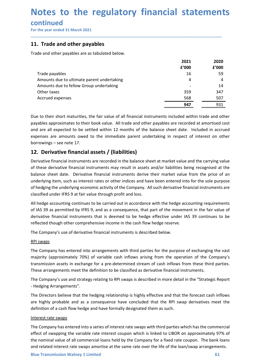# Notes to the regulatory financial statements<br>continued<br>For the year ended 31 March 2021<br>11. Trade and other pavables **Notes to the regulatory financial statemen**<br>
For the year ended 31 March 2021<br>
For the year ended 31 March 2021<br> **11. Trade and other payables are as tabulated below.**<br>
Trade and other payables are as tabulated below.

### continued

| Notes to the regulatory financial statements<br>continued                                                                                                                                                                                                                                                                                                                                                                                                                                                                                                                                                                |               |               |
|--------------------------------------------------------------------------------------------------------------------------------------------------------------------------------------------------------------------------------------------------------------------------------------------------------------------------------------------------------------------------------------------------------------------------------------------------------------------------------------------------------------------------------------------------------------------------------------------------------------------------|---------------|---------------|
|                                                                                                                                                                                                                                                                                                                                                                                                                                                                                                                                                                                                                          |               |               |
| For the year ended 31 March 2021                                                                                                                                                                                                                                                                                                                                                                                                                                                                                                                                                                                         |               |               |
| 11. Trade and other payables                                                                                                                                                                                                                                                                                                                                                                                                                                                                                                                                                                                             |               |               |
| Trade and other payables are as tabulated below.                                                                                                                                                                                                                                                                                                                                                                                                                                                                                                                                                                         |               |               |
|                                                                                                                                                                                                                                                                                                                                                                                                                                                                                                                                                                                                                          | 2021<br>f'000 | 2020<br>f'000 |
| Trade payables                                                                                                                                                                                                                                                                                                                                                                                                                                                                                                                                                                                                           | 16            | 59            |
| Amounts due to ultimate parent undertaking                                                                                                                                                                                                                                                                                                                                                                                                                                                                                                                                                                               | 4             | 4             |
| Amounts due to fellow Group undertaking<br>Other taxes                                                                                                                                                                                                                                                                                                                                                                                                                                                                                                                                                                   | 359           | 14<br>347     |
| Accrued expenses                                                                                                                                                                                                                                                                                                                                                                                                                                                                                                                                                                                                         | 568           | 507           |
|                                                                                                                                                                                                                                                                                                                                                                                                                                                                                                                                                                                                                          | 947           | 931           |
| Due to their short maturities, the fair value of all financial instruments included within trade and other<br>payables approximates to their book value. All trade and other payables are recorded at amortised cost                                                                                                                                                                                                                                                                                                                                                                                                     |               |               |
| and are all expected to be settled within 12 months of the balance sheet date. Included in accrued<br>expenses are amounts owed to the immediate parent undertaking in respect of interest on other<br>borrowings – see note 17.                                                                                                                                                                                                                                                                                                                                                                                         |               |               |
| 12. Derivative financial assets / (liabilities)                                                                                                                                                                                                                                                                                                                                                                                                                                                                                                                                                                          |               |               |
| Derivative financial instruments are recorded in the balance sheet at market value and the carrying value<br>of these derivative financial instruments may result in assets and/or liabilities being recognised at the<br>balance sheet date. Derivative financial instruments derive their market value from the price of an<br>underlying item, such as interest rates or other indices and have been entered into for the sole purpose<br>of hedging the underlying economic activity of the Company. All such derivative financial instruments are<br>classified under IFRS 9 at fair value through profit and loss. |               |               |

Trade payables<br>
Amounts due to ultimate parent undertaking<br>  $\frac{4}{4}$ <br>
Amounts due to fellow Group undertaking<br>
Other taxes<br>  $\frac{568}{39}$ <br>  $\frac{568}{347}$ <br>
Due to their short maturities, the fair value of all financial inst Trane payabres.<br>
In the munnts due to dilimate parent undertaking<br>
Amounts due to dilimate parent undertaking<br>
Due to their short maturities, the fair value of all financial instruments included within trade and other<br>
pay Amounts due to durinde parent unterclaining<br>
Amounts due to frellow Group undertaking<br>
Other taxes<br>
Accrued expenses<br>
Accrued expenses<br>
Due to their short maturities, the fair value of all financial instruments included wi Cher taxes<br>
Cher taxes<br>
Cher taxes<br>
Cher taxes<br>
Cher taxes<br>
Cher taxes<br>
Solve to their short maturities, the fair value of all financial instruments included within trade and other<br>
payables approximates to their book valu Accrued expenses  $\overline{\hspace{1cm}}$  568  $\overline{\hspace{1cm}}$  567  $\overline{\hspace{1cm}}$  567  $\overline{\hspace{1cm}}$  931  $\overline{\hspace{1cm}}$  2014  $\overline{\hspace{1cm}}$  2014  $\overline{\hspace{1cm}}$  2014  $\overline{\hspace{1cm}}$  2014  $\overline{\hspace{1cm}}$  2014  $\overline{\hspace{1cm}}$  2014  $\overline{\hspace{1cm}}$  2014  $\overline{\hspace{1cm$ **3947**<br> **OBATE 120**<br> **OBATE 120**<br> **OBATE 20**<br> **OBATE 20**<br> **OBATE 20**<br> **OBATE 20**<br> **OBATE 20**<br> **OBATE 20**<br> **OBATE 20**<br> **OBATE 20**<br> **OBATE 20**<br> **OBATE 20**<br> **OBATE 20**<br> **OBATE 20**<br> **OBATE 20**<br> **OBATE 20**<br> **OBATE 20**<br> **OBATE 2** Due to their short maturities, the fair value of all financial instruments included within trade and other payables approximates to their book value. All trade and other payables are recorded at amortised cost<br>and are all Due to their short maturities, the tair value of all financial instruments included within trade and other payables approximates to their book value. All trade and other payables are recorded at amortised cost<br>and are all and are all expected to be settled within 12 months of the balance sheet date. Included in accrued<br>expenses are amounts owed to the immediate parent undertaking in respect of interest on other<br>borrowings – see note 17.<br>**12** expenses are amounts owed to the immediate parent undertaking in resorrowings – see note 17.<br> **12. Derivative financial assets / (liabilities)**<br>
Derivative financial instruments are recorded in the balance sheet at market Duriowings – see inote 17.<br> **12. Derivative financial assets / (liabilities)**<br>
Derivative financial instruments are recorded in the balance sheet at market value and the carrying value<br>
Derivative financial instruments may **12. Derivative financial assets / (liabilities)**<br>Derivative financial instruments are recorded in the balance sheet at market value and the carrying value<br>of these derivative financial instruments may result in assets and Derivative financial instruments are recorded in the balance sheet at market value and the carrying value<br>of these derivative financial instruments may result in assets and/or liabilities being recognised at the<br>balance sh of these derivative financial instruments may result in assets and/or liabilities being recognised at the balance sheet date. Derivative financial instruments derive their market value from the price of an underlying item,

balance sheet date. Derivative financial instruments derive their market value from the price of an underlying item, such as interest rates or ther indices and have been entered into for the sole purpose of hedging the und or neuging the unatinying economic activity or ine complany. A institute the hedge accounting requirements<br>classified under IFRS 9 at fair value through profit and loss.<br>All hedge accounting continues to be carried out in are simult under into 3 at rain value through profit and tossa.<br>All hedge accounting continues to be carried out in accordance with the hedge accounting requirements<br>of 1AS 39 as permitted by IFRS 9, and as a consequence, All hedge accounting continues to be carried out in accordance with the hedge accounting requirements<br>of IAS 39 as permitted by IFRS 9, and as a consequence, that part of the movement in the fair value of<br>derivative financ

- Hedging Arrangements".

The Company has entered into arrangements with third parties for the purpose of exchanging the vast<br>majority (approximately 70%) of variable cash inflows arising from the operation of the Company's<br>transmission assets in e or as 3 sy perminted by rens 3, and as a consequence, that part to the movement radiculative financial instruments that is deemed to be hedge effective under IAS 39<br>derivative financial instruments that is deemed to be hed reflected though other comprehensive income in the cash flow hedge reserve.<br>The Company's use of derivative financial instruments is described below.<br>
<u>RPI swaps</u><br>
The Company has entered into arrangements with third parti The Company's use of derivative financial instruments is described below.<br>
<u>RPI swaps</u><br>
The Company has entered into arrangements with third parties for the purpose of exchanging the vast<br>
majority (approximately 70%) of v The Company suse of derivative infinition instruments is described derivative.<br>The Company has entered into arrangements with third parties for the purpose of exchanging the vast<br>The Company's tapproximately 70%) of variab RPI swaps<br>The Company has entered into arrangements with third parties for the purpose of exchanging the vast<br>majority (approximately 70%) of variable cash inflows arising from the operation of the Company's<br>transmission a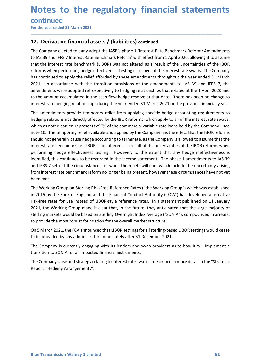# Notes to the regulatory financial statements<br>
continued<br>
For the year ended 31 March 2021<br> **12.** Derivative financial assets / (liabilities) continued **Notes to the regulatory financial statemen**<br>
For the year ended 31 March 2021<br> **12. Derivative financial assets / (liabilities)** continued<br>
The Company elected to early adopt the IASB's phase 1 'Interest Rate Benchmark Re

\_\_\_\_\_\_\_\_\_\_\_\_\_\_\_\_\_\_\_\_\_\_\_\_\_\_\_\_\_\_\_\_\_\_\_\_\_\_\_\_\_\_\_\_\_\_\_\_\_\_\_\_\_\_\_\_\_\_\_\_\_\_\_\_\_\_\_\_\_\_\_\_\_\_\_\_\_\_\_\_\_\_\_\_\_\_\_\_\_\_

continued

**Notes to the regulatory financial statements**<br>
For the year ended 31 March 2021<br>
12. Derivative financial assets / (liabilities) continued<br>
The Company elected to early adopt the IASB's phase 1 'Interest Rate Benchmark Re **Notes to the regulatory financial statements**<br>
For the year ended 31 March 2021<br> **12. Derivative financial assets / (liabilities)** continued<br>
The Company elected to early adopt the IASB's phase 1 'Interest Rate Benchmark **Notes to the regulatory financial statements**<br>
For the year ended 31 March 2021<br> **12. Derivative financial assets / (liabilities)** continued<br>
The Company elected to early adopt the IASB's phase 1 'Interest Rate Benchmark **Notes to the regulatory financial statements**<br>
For the year ended 31 March 2021<br> **12. Derivative financial assets / (liabilities)** continued<br>
The Company elected to early adopt the IASB's phase 1 'Interest Rate Benchmark **Notes to the regulatory financial statements**<br>For the year ended 31 March 2021<br>The Company elected to early adopt the IASB's phase 1 'Interest Rate Benchmark Reform: Amendments<br>The Company elected to early adopt the IASB' **Notes to the regulatory financial statements**<br>For the year ended 31 March 2021<br>**12. Derivative financial assets / (liabilities)** continued<br>The Company elected to early adopt the IASB's phase 1 'Interest Rate Benchmark Ref **Notes to the regulatory financial statements**<br>
For the year ended 31 March 2021<br> **12. Derivative financial assets / (liabilities)** continued<br>
The Company elected to early adopt the IASB's phase 1 'Interest Rate Benchmark **Notes to the regulatory financial statements**<br>For the year ended 31 March 2021<br>**12. Derivative financial assets / (liabilities)** continued<br>The Company elected to early adopt the IASB's phase 1 'Interest Rate Benchmark Ref **Notes to the regulatory financial statements**<br> **Continued**<br> **The Company elected to early adopt the IASB's phase 1 'Interest Rate Benchmark Reform: Amendments<br>
The Company elected to early adopt the IASB's phase 1 'Intere Notes to the regulatory financial statements**<br>
For the year ended 31 March 2021<br> **12. Derivative financial assets / (liabilities)** continued<br>
The Company elected to early adopt the IASB's phase 1 'Interest Rate Benchmark **Notes to the regulatory financial statements**<br>For the year ended 31 March 2021<br>The providing american assets / (liabilities) continued<br>The Company elected to early adopt the IASB's phase 1 'Interest Rate Benchmark Reform: **CONTINUME CONTROVERT CONTROVERT SUGLEMENT CONTROVERT CONTINUES CONTINUES CONTINUES CONTROVERT TO THE VALUE CONTROVERT TO THE VALUE CONTROVERT TO THE COMPARY REFORM TO THE CONTROVERT TO A THE CONTROVERT CONTROVERT TO THE CONTLINUE CONTERT (EXECT)**<br> **12. Derivative financial assets / (liabilities)** continued<br>
The Company elected to early adopt the IASB's phase 1 'Interest Rate Benchmark Reform: Amendments<br>
to IAS 39 and IFR5 7 Interest Rat For the year ended 31 March 2021<br>
12. Derivative financial assets / (liabilities) continued<br>
The Company elected to early adopt the IASB's phase 1 'Interest Rate Benchmark Reform: Amendments<br>
to IAS 39 and IFRS 7 Interest

**12. Derivative financial assets / (liabilities) continued**<br>The Company elected to early adopt the IASB's phase 1 'Interest Rate Benchmark Reform: Amendments<br>to IAS 39 and IFRS 7 Interest Rate Benchmark Reform' with effect **12. Derivative financial assets / (liabilities)** continued<br>The Company elected to early adopt the IASB's phase 1 'Interest Rate Benchmark Reform: Amendments<br>to IAS 39 and IFRS 7 Interest Rate Benchmark Reform in Wherffect The Company elected to early adopt the IASB's phase 1 'Interest Rate Benchmark Reform: Amendments<br>to IAS 39 and IFRS 7 Interest Rate Benchmark Reform' with effect from 1 April 2020, allowing it to assume<br>that the interest inte Company records of the interact of the company is and the incomediate and the incomediate when the interact and the interact and the interact and the interact rate benchmark Reform' with effect from 1 April 2020, allo to Associate the circumstant Network (LIBOR) was not altered as a result of the uncertainties of the IBOR proforms when performing hedge effectiveness testing in respect of the interest rate swaps. The Company reforms when met the meterst react enchmark (actor), was not attacted as a result of the interest rate swaps. The Company<br>Instructions when performing hedge effectiveness testing in respect of the interest rate swaps. The Company<br>has c From the certains where percurrent and the Financial Conduct Authority ("FCA") the metherest stand in the transition provisions of the amendments to apply the relief afforded by these amendments throughout 2021. In accorda 2021. In accordance with the transition provisions of the amendments to IAS 39 and IFRS 7, the<br>amendments were adopted retrospectively to hedging relationships that existed at the 1 April 2020 and<br>to the amount accumulated amendments were adopted retrospectively to hedging relationships that existed at the 1 April 2020 and<br>to the amount accumulated in the cash flow hedge restere at that date. There has been no change to<br>tinterest rate hedgin to the amount accumulated in the cash flow hedge reserve at that date. There has been no change to<br>interest rate hedging relationships during the year ended 31 March 2021 or the previous financial year.<br>The amendments prov interest rate hedging relationships during the year ended 31 March 2021 or the previous financial year.<br>The amendments provide temporary relief from applying specific hedge accounting requirements to<br>hedging relationships The amendments provide temporary relief from applying specific hedge accounting requirements to<br>hedging relationships directly affected by the IBOR reforms, which apply to all of the interest rate swaps,<br>which as noted ear me amomenta power entry whet norm sppying spectrure is the most provided by the sincertix to the interest rate swaps, which as noted earlier, represents c97% of the commercial variable rate loans held by the Company – see which as noted earlier, represents c97% of the commercial variable rate loans held by the Company – see<br>note 10. The temporary relief available and applied by the Company has the effect that the IBOR reforms<br>should not gen note 10. The temporary relief available and applied by the Company has the effect that the IBOR reforms<br>should not generally cause hedge accounting to terminate, as the Company is allowed to assume that the<br>interest rate b should not generally cause heedge accounting to terminate, as the Company is allowed to assume that the uncertainties of the IBOR reforms when performing hedge effectiveness testing. However, to the extent that any hedge i

interest rate benchmark i.e. LIBOR is not altered as a result of the uncertainties of the IBOR reforms when the<br>performing hedge effectiveness testing. However, to the extent that any hedge ineffectiveness is<br>identified, t identified, this continues to be recorded in the income statement. The phase 1 amendments to IAS 39 and IFRS 7 set out the circumstances for when the reliefs will end, which include the uncertainty arising from interest ra

me company is using the impacted financial instruments.<br>
The Company's use and strategy relating to interest rate swaps is described in more detail in the "Strategic<br>
Report - Hedging Arrangements".<br>
Report - Hedging Arran Report - Hedging Arrangements".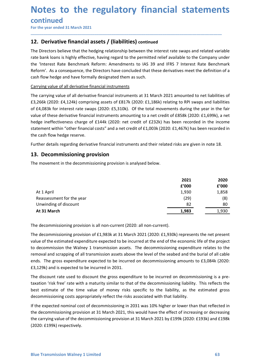# Notes to the regulatory financial statements<br>
continued<br>
For the year ended 31 March 2021<br> **12.** Derivative financial assets / (liabilities) continued **Notes to the regulatory financial statemen**<br>
For the year ended 31 March 2021<br> **The Directors believe that the hedging relationship between the interest rate swaps and related variate bank loans is highly effective, havin**

\_\_\_\_\_\_\_\_\_\_\_\_\_\_\_\_\_\_\_\_\_\_\_\_\_\_\_\_\_\_\_\_\_\_\_\_\_\_\_\_\_\_\_\_\_\_\_\_\_\_\_\_\_\_\_\_\_\_\_\_\_\_\_\_\_\_\_\_\_\_\_\_\_\_\_\_\_\_\_\_\_\_\_\_\_\_\_\_\_\_

continued

**Notes to the regulatory financial statements**<br>
For the year ended 31 March 2021<br>
12. Derivative financial assets / (liabilities) continued<br>
The Directors believe that the hedging relationship between the interest rate swa **Notes to the regulatory financial statements**<br>
For the year ended 31 March 2021<br> **12. Derivative financial assets / (liabilities)** continued<br>
The Directors believe that the hedging relationship between the interest rate s **Notes to the regulatory financial statements**<br>
For the year ended 31 March 2021<br>
The Directors believe that the hedging relationship between the interest rate swaps and related variable<br>
The Directors believe that the hed **Notes to the regulatory financial statements**<br>
For the year ended 31 March 2021<br>
12. Derivative financial assets / (liabilities) continued<br>
The Directors believe that the hedging relationship between the interest rate swa **Notes to the regulatory financial statements**<br>
For the year ended 31 March 2021<br> **12. Derivative financial assets / (liabilities)** continued<br>
The Directors believe that the hedging relationship between the interest rate s **Notes to the regulatory financial statements**<br>
For the year ended 31 March 2021<br> **12. Derivative financial assets / (liabilities)** continued<br>
The Directors believe that the hedging relationship between the interest rate s **Notes to the regulatory financial statements**<br>
For the year ended 31 March 2021<br> **12. Derivative financial assets / (liabilities) continued**<br>
The Directors believe that the hedging relationship between the interest rate s

**Notes to the regulatory financial statements**<br>
For the year ended 31 March 2021<br> **12. Derivative financial assets / (liabilities)** continued<br>
The Directors believe that the hedging relationship between the interest rate s **Notes to the regulatory financial statements**<br>
For the year ended 31 March 2021<br> **12. Derivative financial assets / (liabilities)** continued<br>
The Directors believe that the hedging relationship between the interest rate s **Notes to the regulatory financial statements**<br>
For the year ended 31 March 2021<br> **12. Derivative financial assets / (liabilities)** continued<br>
The Directors believe that the hedging relationship between the interest rate s **NOTES TO The regulatory financial statements**<br>For the year ended 31 March 2021<br>12. Derivative financial assets / (liabilities) continued<br>The Directors believe that the hedging relationship between the interest rate swaps **Continued**<br> **12. Derivative financial assets / (liabilities) continued**<br> **12. Derivative financial assets / (liabilities)** continued<br>
The Directors believe that the hedging relationship between the interest rate swaps and **EXECTIFY THE STATE ASSOCITES (SET)**<br>The Directors believe than that hedging relationship between the interest rate swaps and related variable<br>The Directors believe that the hedging relationship between the interest rate s For the year ended 3.1 Martin 2021<br>
12. Derivative financial assets / (liabilities) continued<br>
The Directors believe that the hedging relationship between the interest rate swaps and relat<br>
rate bank loans is highly effect **12. Derivative financial assets / (liabilities) continued**<br>The Directors believe that the hedging relationship between the interest rate swaps and related variable<br>rate bank loans is highly effective, having regard to the The Directors believe that the hedging relationship between the interest rate swaps and related variable to the Directors listing the permitted relief available to the Company und<br>the 'Interest Rate Benchmark Reform: Amend rate bank loans is highly effective, having regard to the permitted relief available to the Company under<br>the "interest Rate Benchmark Reform: Amendments to IAS 39 and IFRS 7 Interest Rate Benchmark<br>Reform". As a consequen %<br>
wunted to net liabilities of<br>
luring the year in the fair<br>
8k (2020: £1,699k), a net<br>
recorded in the income<br>
57k) has been recorded in<br>
are given in note 18.<br>
2021<br>
2020<br>
2020<br>
2020<br>
2020<br>
2020<br>
4000<br>
1,930<br>
1,858<br>
( ounted to net liabilities of<br>
o RPI swaps and liabilities<br>
during the year in the fair<br>
58k (2020: £1,699k), a net<br>
n recorded in the income<br>
67k) has been recorded in<br>
s are given in note 18.<br>
2021 2020<br>
2020<br>
2020 6'000<br> rrying value of all derivative financial instruments<br>
et carrying value of all derivative financial instruments at 31 March 2021 amounted to net liabilities of<br>
266k (2020: E4,124k) comprising assets of E817k (2020: E1,18 e carrying value of all derivative financial instruments at 31 March 2021 amounted to net liabilities of<br>266k (2020: £4,124k) comprising assets of £817k (2020: £1,186k) relating to RPI swaps and liabilities<br>46,083k for int Example the term of the matter in the matter of the section of the section of the section of the discount and the set of 6317k (2020: £1,186k) relating to RPI swaps and liabilities<br>
4.068k for interest rate swaps (2020: £

| of £4,083k for interest rate swaps (2020: £5,310k). Of the total movements during the year in the fair<br>value of these derivative financial instruments amounting to a net credit of £858k (2020: £1,699k), a net<br>hedge ineffectiveness charge of £144k (2020: net credit of £232k) has been recorded in the income<br>statement within "other financial costs" and a net credit of £1,003k (2020: £1,467k) has been recorded in<br>the cash flow hedge reserve.                                                                                                                                                |               |               |
|----------------------------------------------------------------------------------------------------------------------------------------------------------------------------------------------------------------------------------------------------------------------------------------------------------------------------------------------------------------------------------------------------------------------------------------------------------------------------------------------------------------------------------------------------------------------------------------------------------------------|---------------|---------------|
| Further details regarding derivative financial instruments and their related risks are given in note 18.                                                                                                                                                                                                                                                                                                                                                                                                                                                                                                             |               |               |
| 13. Decommissioning provision                                                                                                                                                                                                                                                                                                                                                                                                                                                                                                                                                                                        |               |               |
| The movement in the decommissioning provision is analysed below.                                                                                                                                                                                                                                                                                                                                                                                                                                                                                                                                                     |               |               |
|                                                                                                                                                                                                                                                                                                                                                                                                                                                                                                                                                                                                                      | 2021<br>f'000 | 2020<br>£'000 |
| At 1 April                                                                                                                                                                                                                                                                                                                                                                                                                                                                                                                                                                                                           | 1,930         | 1,858         |
| Reassessment for the year                                                                                                                                                                                                                                                                                                                                                                                                                                                                                                                                                                                            | (29)          | (8)           |
| Unwinding of discount                                                                                                                                                                                                                                                                                                                                                                                                                                                                                                                                                                                                | 82            | 80            |
| At 31 March                                                                                                                                                                                                                                                                                                                                                                                                                                                                                                                                                                                                          | 1,983         | 1,930         |
| The decommissioning provision is all non-current (2020: all non-current).<br>The decommissioning provision of £1,983k at 31 March 2021 (2020: £1,930k) represents the net present<br>value of the estimated expenditure expected to be incurred at the end of the economic life of the project<br>to decommission the Walney 1 transmission assets. The decommissioning expenditure relates to the<br>removal and scrapping of all transmission assets above the level of the seabed and the burial of all cable<br>ends. The gross expenditure expected to be incurred on decommissioning amounts to £3,084k (2020: |               |               |
|                                                                                                                                                                                                                                                                                                                                                                                                                                                                                                                                                                                                                      |               |               |

the cash flow hedge reserve.<br>
Further details regarding derivative financial instruments and their related risks are given in note 18.<br> **13. Decommissioning provision**<br>
The movement in the decommissioning provision is ana Further details regarding derivative financial instruments and their related risks are given in note 18.<br> **13. Decommissioning provision** is analysed below.<br>
The movement in the decommissioning provision is analysed below **13. Decommissioning provision**<br> **14. April 14. April 14. April 14. April 14. April 14. April 14. April 14. April 14. April 14. April 14. April 14. April 14. April 14. April 14. April 14. April 14. April 14. April 14. Apr 13. Decommissioning provision**<br>
The movement in the decommissioning provision is analysed below.<br> **2021**<br> **2021**<br> **2021**<br> **2021**<br> **2021**<br> **2021**<br> **2021**<br> **2021**<br> **2021**<br> **2021**<br> **2021**<br> **2021**<br> **2021**<br> **2021**<br> **2021**<br> **2** The movement in the decommissioning provision is analysed below.<br> **2021** 2020<br> **EVOOO** 2000<br> **EVOOO** 2000<br> **EVOOO** 2000<br> **EVOOO** 2000<br> **EVOOO** 2000<br> **EVOOO** 2000<br> **EVOOO** 2000<br> **EVOOO** 2000<br> **EVOOO** 2000<br> **EVOOO** 2000<br> **E EXECUTE:** 199201 11 April<br> **EXECUTE:** 19930 1.858<br>
1.930 1.858<br>
1.930 1.858<br>
1.930 1.858<br>
1.930 1.858<br>
1.930 1.858<br>
1.930 1.858<br>
1.930 1.82<br> **2.90**<br> **2.90**<br> **1.930** 1.933<br>
1.930 1.92<br> **1.930**<br> **1.930**<br> **1.930**<br> **1.930**<br> **2021** 2020<br> **ECO 200**<br> **ECO 200**<br> **ECO 200**<br> **ECO 200**<br> **ECO**<br> **ECO**<br> **ECO**<br> **ECO**<br> **ECO**<br> **ECO**<br> **ECO**<br> **ECO**<br> **ECO**<br> **ECO**<br> **ECO**<br> **ECO**<br> **ECO**<br> **ECO**<br> **ECO**<br> **ECO**<br> **ECO**<br> **ECO**<br> **ECO**<br> **ECO**<br> **ECO**<br> **ECO**<br> **ECO**<br> **EC EVELOO EVALUAT APTILE CONDUM CONTREST ENTIRE ANTIAS CONTREST ENTIRE AND A 1938 CONTREST CONDUM CONTREST CONTREST CONDUCT THE decommissioning provision is all non-current (2020: all non-current).<br>
The decommissioning prov** At 1 April 1.930 1.858<br>
1.830 1.858<br>
Unwinding of discount (2020: all non-current)<br>
2.82 80<br>
1.933 1.933 1.939 1.938 1.939 1.939 1.939 1.939 1.939 1.939 1.939 1.939 1.939 1.939 1.939 1.939 1.939 1.939 1.939 1.939 1.939 1. If the decommissioning provision is all non-current (2020: all non-current).<br>
In winding of discount<br>
The decommissioning provision is all non-current (2020: all non-current).<br>
The decommissioning provision of £1,983k at 3 The decommissioning provision is all non-current (2020: all non-current).<br>
The decommissioning provision is all non-current (2020: all non-current).<br>
The decommissioning provision of £1,983k at 31 March 2021 (2020: £1,930k The decommissioning provision is all non-current (2020: all non-current).<br>The decommissioning provision of £1,983k at 31 March 2021 (2020: £1,930k) represents the net present<br>value of the estimated expenditure expected to

to decommission the Walney 1 transmission assets. The decommissioning expenditure relates to the conducted and scrapping of all transmission assets above the level of the seabed and the burial of all celebered. The gross e

(2020: £199k) respectively.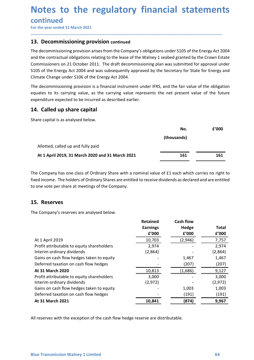# Notes to the regulatory financial statements<br>
continued<br>
For the year ended 31 March 2021<br> **13.** Decommissioning provision continued **Notes to the regulatory financial statemen**<br>
For the year ended 31 March 2021<br> **The decommissioning provision continued**<br>
The decommissioning provision arises from the Company's obligations under S105 of the Energy Act 2<br>

\_\_\_\_\_\_\_\_\_\_\_\_\_\_\_\_\_\_\_\_\_\_\_\_\_\_\_\_\_\_\_\_\_\_\_\_\_\_\_\_\_\_\_\_\_\_\_\_\_\_\_\_\_\_\_\_\_\_\_\_\_\_\_\_\_\_\_\_\_\_\_\_\_\_\_\_\_\_\_\_\_\_\_\_\_\_\_\_\_\_

continued

**Notes to the regulatory financial statement<br>
Continued**<br>
For the year ended 31 March 2021<br> **13. Decommissioning provision continued**<br>
The decommissioning provision arises from the Company's obligations under \$105 of the E **Notes to the regulatory financial statements**<br>
For the year ended 31 March 2021<br> **13. Decommissioning provision continued**<br>
The decommissioning provision arises from the Company's obligations under S105 of the Energy Act **Notes to the regulatory financial statements**<br>
For the year ended 31 March 2021<br>
The decommissioning provision continued<br>
The decommissioning provision arises from the Company's obligations under \$105 of the Energy Act 20 **Notes to the regulatory financial statements**<br>
For the year ended 31 March 2021<br> **13. Decommissioning provision continued**<br>
The decommissioning provision arises from the Company's obligations under 5105 of the Energy Act **Notes to the regulatory financial statements**<br>
For the year ended 31 March 2021<br> **13. Decommissioning provision continued**<br>
The decommissioning provision arises from the Company's obligations under 5105 of the Energy Act **Notes to the regulatory financial statements**<br>
For the year ended 31 March 2021<br> **13. Decommissioning provision continued**<br> **13. Decommissioning provision arises from the Company's obligations under 5105 of the Energy Act Notes to the regulatory financial statements**<br>
For the year ended 31 March 2021<br> **13. Decommissioning provision arises** from the Company's obligations under 5105 of the Energy Act 2004<br>
and the contractual obligations rel **Notes to the regulatory financial statements**<br>
For the year ended 31 March 2021<br> **13. Decommissioning provision continued**<br>
The decommissioning provision arises from the Company's obligations under \$105 of the Energy Act **Notes to the regulatory financial statements**<br> **Continued**<br> **Experiment as 31 March 2021**<br> **13. Decommissioning provision continued**<br>
The decommissioning provision arises from the Company's obligations under S105 of the E 14. Called up share capital For the year ended 31 March 2021<br> **Solution Continued**<br>
The decommissioning provision continued<br>
The decommissioning provision critical<br>
The decommissioning provision critical<br>
The decommissioning provision critical to the

| 13. Decommissioning provision continued                                                                                                                                                                                                                                                                                                                                                                                                                                            |                                             |                                    |                       |
|------------------------------------------------------------------------------------------------------------------------------------------------------------------------------------------------------------------------------------------------------------------------------------------------------------------------------------------------------------------------------------------------------------------------------------------------------------------------------------|---------------------------------------------|------------------------------------|-----------------------|
| The decommissioning provision arises from the Company's obligations under S105 of the Energy Act 2004<br>and the contractual obligations relating to the lease of the Walney 1 seabed granted by the Crown Estate<br>Commissioners on 21 October 2011. The draft decommissioning plan was submitted for approval under<br>S105 of the Energy Act 2004 and was subsequently approved by the Secretary for State for Energy and<br>Climate Change under S106 of the Energy Act 2004. |                                             |                                    |                       |
| The decommissioning provision is a financial instrument under IFRS, and the fair value of the obligation<br>equates to its carrying value, as the carrying value represents the net present value of the future<br>expenditure expected to be incurred as described earlier.                                                                                                                                                                                                       |                                             |                                    |                       |
| 14. Called up share capital                                                                                                                                                                                                                                                                                                                                                                                                                                                        |                                             |                                    |                       |
| Share capital is as analysed below.                                                                                                                                                                                                                                                                                                                                                                                                                                                |                                             |                                    |                       |
|                                                                                                                                                                                                                                                                                                                                                                                                                                                                                    |                                             | No.                                | £'000                 |
|                                                                                                                                                                                                                                                                                                                                                                                                                                                                                    |                                             | (thousands)                        |                       |
| Allotted, called up and fully paid                                                                                                                                                                                                                                                                                                                                                                                                                                                 |                                             |                                    |                       |
| At 1 April 2019, 31 March 2020 and 31 March 2021                                                                                                                                                                                                                                                                                                                                                                                                                                   |                                             | 161                                | 161                   |
| The Company has one class of Ordinary Share with a nominal value of £1 each which carries no right to<br>fixed income. The holders of Ordinary Shares are entitled to receive dividends as declared and are entitled<br>to one vote per share at meetings of the Company.                                                                                                                                                                                                          |                                             |                                    |                       |
| 15. Reserves                                                                                                                                                                                                                                                                                                                                                                                                                                                                       |                                             |                                    |                       |
| The Company's reserves are analysed below.                                                                                                                                                                                                                                                                                                                                                                                                                                         |                                             |                                    |                       |
|                                                                                                                                                                                                                                                                                                                                                                                                                                                                                    | <b>Retained</b><br><b>Earnings</b><br>£'000 | <b>Cash flow</b><br>Hedge<br>f'000 | <b>Total</b><br>£'000 |
| At 1 April 2019                                                                                                                                                                                                                                                                                                                                                                                                                                                                    | 10,703                                      | (2,946)                            | 7,757                 |
|                                                                                                                                                                                                                                                                                                                                                                                                                                                                                    |                                             |                                    |                       |

| Share capital is as analysed below.                                                                                                                                                                                                                                       |                                             |                                           |                       |
|---------------------------------------------------------------------------------------------------------------------------------------------------------------------------------------------------------------------------------------------------------------------------|---------------------------------------------|-------------------------------------------|-----------------------|
|                                                                                                                                                                                                                                                                           |                                             | No.                                       | f'000                 |
|                                                                                                                                                                                                                                                                           |                                             | (thousands)                               |                       |
| Allotted, called up and fully paid                                                                                                                                                                                                                                        |                                             |                                           |                       |
| At 1 April 2019, 31 March 2020 and 31 March 2021                                                                                                                                                                                                                          |                                             | 161                                       | 161                   |
|                                                                                                                                                                                                                                                                           |                                             |                                           |                       |
| The Company has one class of Ordinary Share with a nominal value of £1 each which carries no right to<br>fixed income. The holders of Ordinary Shares are entitled to receive dividends as declared and are entitled<br>to one vote per share at meetings of the Company. |                                             |                                           |                       |
| 15. Reserves                                                                                                                                                                                                                                                              |                                             |                                           |                       |
| The Company's reserves are analysed below.                                                                                                                                                                                                                                |                                             |                                           |                       |
|                                                                                                                                                                                                                                                                           | <b>Retained</b><br><b>Earnings</b><br>f'000 | <b>Cash flow</b><br><b>Hedge</b><br>£'000 | <b>Total</b><br>£'000 |
| At 1 April 2019                                                                                                                                                                                                                                                           | 10,703                                      | (2,946)                                   | 7,757                 |
| Profit attributable to equity shareholders                                                                                                                                                                                                                                | 2,974                                       |                                           | 2,974                 |
| Interim ordinary dividends                                                                                                                                                                                                                                                | (2,864)                                     |                                           | (2,864)               |
| Gains on cash flow hedges taken to equity                                                                                                                                                                                                                                 |                                             | 1,467                                     | 1,467                 |
| Deferred taxation on cash flow hedges                                                                                                                                                                                                                                     |                                             | (207)                                     | (207)                 |
| At 31 March 2020                                                                                                                                                                                                                                                          |                                             |                                           |                       |
|                                                                                                                                                                                                                                                                           | 10,813                                      | (1,686)                                   | 9,127                 |
| Profit attributable to equity shareholders<br>Interim ordinary dividends                                                                                                                                                                                                  | 3,000<br>(2, 972)                           |                                           | 3,000<br>(2, 972)     |
| Gains on cash flow hedges taken to equity                                                                                                                                                                                                                                 |                                             | 1,003                                     | 1,003                 |
| Deferred taxation on cash flow hedges                                                                                                                                                                                                                                     |                                             | (191)                                     | (191)                 |
| At 31 March 2021                                                                                                                                                                                                                                                          | 10,841                                      | (874)                                     | 9,967                 |
|                                                                                                                                                                                                                                                                           |                                             |                                           |                       |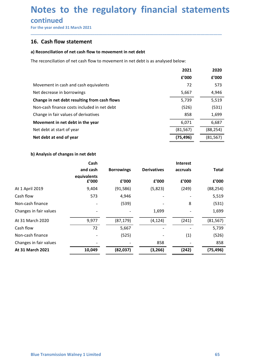## Notes to the regulatory financial statements<br>
continued<br>
For the year ended 31 March 2021<br> **16.** Cash flow statement Notes to the regulatory financial statemen<br>
For the year ended 31 March 2021<br> **To Cash flow statement**<br> **a) Reconciliation of net cash flow to movement in net debt Notes to the regulatory financial stater**<br>
For the year ended 31 March 2021<br> **16.** Cash flow statement<br>
a) Reconciliation of net cash flow to movement in net debt<br>
The reconciliation of net cash flow to movement in net de

### continued

|                                               | Notes to the regulatory financial statements                                      |                   |                    |                        |               |  |
|-----------------------------------------------|-----------------------------------------------------------------------------------|-------------------|--------------------|------------------------|---------------|--|
| continued<br>For the year ended 31 March 2021 |                                                                                   |                   |                    |                        |               |  |
| 16. Cash flow statement                       |                                                                                   |                   |                    |                        |               |  |
|                                               | a) Reconciliation of net cash flow to movement in net debt                        |                   |                    |                        |               |  |
|                                               | The reconciliation of net cash flow to movement in net debt is as analysed below: |                   |                    |                        |               |  |
|                                               |                                                                                   |                   |                    | 2021                   |               |  |
|                                               |                                                                                   |                   |                    | £'000                  | 2020<br>£'000 |  |
|                                               | Movement in cash and cash equivalents                                             |                   |                    | 72                     | 573           |  |
| Net decrease in borrowings                    |                                                                                   |                   |                    | 5,667                  | 4,946         |  |
|                                               | Change in net debt resulting from cash flows                                      |                   |                    | 5,739                  | 5,519         |  |
|                                               | Non-cash finance costs included in net debt                                       |                   |                    | (526)                  | (531)         |  |
|                                               | Change in fair values of derivatives                                              |                   |                    | 858                    | 1,699         |  |
|                                               | Movement in net debt in the year                                                  |                   |                    | 6,071                  | 6,687         |  |
| Net debt at start of year                     |                                                                                   |                   |                    | (81, 567)              | (88, 254)     |  |
| Net debt at end of year                       |                                                                                   |                   |                    | (75, 496)              | (81, 567)     |  |
| b) Analysis of changes in net debt            |                                                                                   |                   |                    |                        |               |  |
|                                               | Cash                                                                              |                   |                    | Interest               |               |  |
|                                               | and cash                                                                          | <b>Borrowings</b> | <b>Derivatives</b> | accruals               | <b>Total</b>  |  |
|                                               | equivalents<br>£'000                                                              | £'000             | £'000              | ${\bf f}^{\prime}$ 000 | £'000         |  |
| il 2019                                       | 9,404                                                                             | (91, 586)         | (5,823)            | (249)                  | (88, 254)     |  |
| N                                             | 573                                                                               | 4,946             |                    |                        | 5,519         |  |
| h finance                                     |                                                                                   | (539)             |                    | 8                      | (531)         |  |
| in fair values                                |                                                                                   |                   | 1,699              |                        | 1,699         |  |

| Movement in cash and cash equivalents        |                          |                          |                          | 72                       | 573          |  |
|----------------------------------------------|--------------------------|--------------------------|--------------------------|--------------------------|--------------|--|
| Net decrease in borrowings                   |                          |                          |                          | 5,667                    | 4,946        |  |
| Change in net debt resulting from cash flows |                          |                          |                          | 5,739                    | 5,519        |  |
| Non-cash finance costs included in net debt  |                          |                          |                          | (526)                    | (531)        |  |
| Change in fair values of derivatives         |                          |                          |                          | 858                      | 1,699        |  |
| Movement in net debt in the year             |                          |                          |                          | 6,071                    | 6,687        |  |
| Net debt at start of year                    |                          |                          |                          | (81, 567)                | (88, 254)    |  |
| Net debt at end of year                      |                          |                          |                          | (75, 496)                | (81, 567)    |  |
| b) Analysis of changes in net debt           |                          |                          |                          |                          |              |  |
|                                              | Cash                     |                          |                          | Interest                 |              |  |
|                                              | and cash                 | <b>Borrowings</b>        | <b>Derivatives</b>       | accruals                 | <b>Total</b> |  |
|                                              | equivalents<br>£'000     | ${\bf f}^{\prime}$ 000   | £'000                    | £'000                    | £'000        |  |
| At 1 April 2019                              | 9,404                    | (91, 586)                | (5,823)                  | (249)                    | (88, 254)    |  |
| Cash flow                                    | 573                      | 4,946                    |                          |                          | 5,519        |  |
| Non-cash finance                             |                          | (539)                    |                          | 8                        | (531)        |  |
| Changes in fair values                       | $\overline{\phantom{a}}$ | $\qquad \qquad -$        | 1,699                    | $\overline{a}$           | 1,699        |  |
| At 31 March 2020                             | 9,977                    | (87, 179)                | (4, 124)                 | (241)                    | (81, 567)    |  |
| Cash flow                                    | 72                       | 5,667                    | $\overline{\phantom{a}}$ | $\sim$                   | 5,739        |  |
| Non-cash finance                             |                          | (525)                    |                          | (1)                      | (526)        |  |
| Changes in fair values                       |                          | $\overline{\phantom{a}}$ | 858                      | $\overline{\phantom{a}}$ | 858          |  |
| At 31 March 2021                             | 10,049                   | (82, 037)                | (3, 266)                 | (242)                    | (75, 496)    |  |
|                                              |                          |                          |                          |                          |              |  |
|                                              |                          |                          |                          |                          |              |  |
|                                              |                          |                          |                          |                          |              |  |
|                                              |                          |                          |                          |                          |              |  |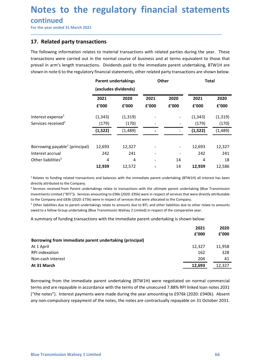# Notes to the regulatory financial statements<br>
continued<br>
For the year ended 31 March 2021<br> **17.** Related party transactions **Notes to the regulatory financial statemen**<br>
For the year ended 31 March 2021<br> **Tor the year ended 31 March 2021**<br> **The following information relates to material transactions with related parties during the year. The foll**

### continued

**Notes to the regulatory financial stateme<br>
For the year ended 31 March 2021**<br> **17. Related party transactions**<br>
The following information relates to material transactions with related parties during the year.<br>
transaction **Notes to the regulatory financial statements**<br>
For the year ended 31 March 2021<br>
T. Related party transactions<br>
The following information relates to material transactions with related parties during the year. These<br>
trans **Notes to the regulatory financial statements**<br>
For the year ended 31 March 2021<br>
T. Related party transactions<br>
The following information relates to material transactions with related parties during the year. These<br>
trans **Notes to the regulatory financial statements**<br>
For the year ended 31 March 2021<br> **17. Related party transactions**<br>
The following information relates to material transactions with related parties during the year. These<br>
tr

| continued<br>For the year ended 31 March 2021                                                                                                                                                                                                                                                                                                                                                                                                                                                                                                                                                                                                                                                                                                                                                                                                                                                                                 |          |                              |       |       |              |               |
|-------------------------------------------------------------------------------------------------------------------------------------------------------------------------------------------------------------------------------------------------------------------------------------------------------------------------------------------------------------------------------------------------------------------------------------------------------------------------------------------------------------------------------------------------------------------------------------------------------------------------------------------------------------------------------------------------------------------------------------------------------------------------------------------------------------------------------------------------------------------------------------------------------------------------------|----------|------------------------------|-------|-------|--------------|---------------|
| 17. Related party transactions                                                                                                                                                                                                                                                                                                                                                                                                                                                                                                                                                                                                                                                                                                                                                                                                                                                                                                |          |                              |       |       |              |               |
| The following information relates to material transactions with related parties during the year. These<br>transactions were carried out in the normal course of business and at terms equivalent to those that<br>prevail in arm's length transactions. Dividends paid to the immediate parent undertaking, BTW1H are<br>shown in note 6 to the regulatory financial statements, other related party transactions are shown below.                                                                                                                                                                                                                                                                                                                                                                                                                                                                                            |          |                              |       |       |              |               |
|                                                                                                                                                                                                                                                                                                                                                                                                                                                                                                                                                                                                                                                                                                                                                                                                                                                                                                                               |          | <b>Parent undertakings</b>   |       | Other | <b>Total</b> |               |
|                                                                                                                                                                                                                                                                                                                                                                                                                                                                                                                                                                                                                                                                                                                                                                                                                                                                                                                               | 2021     | (excludes dividends)<br>2020 | 2021  | 2020  | 2021         | 2020          |
|                                                                                                                                                                                                                                                                                                                                                                                                                                                                                                                                                                                                                                                                                                                                                                                                                                                                                                                               | f'000    | £'000                        | £'000 | £'000 | f'000        | £'000         |
| Interest expense <sup>1</sup>                                                                                                                                                                                                                                                                                                                                                                                                                                                                                                                                                                                                                                                                                                                                                                                                                                                                                                 | (1, 343) | (1, 319)                     |       |       | (1, 343)     | (1, 319)      |
| Services received <sup>2</sup>                                                                                                                                                                                                                                                                                                                                                                                                                                                                                                                                                                                                                                                                                                                                                                                                                                                                                                | (179)    | (170)                        |       |       | (179)        | (170)         |
|                                                                                                                                                                                                                                                                                                                                                                                                                                                                                                                                                                                                                                                                                                                                                                                                                                                                                                                               | (1, 522) | (1,489)                      |       |       | (1,522)      | (1,489)       |
| Borrowing payable <sup>1</sup> (principal)                                                                                                                                                                                                                                                                                                                                                                                                                                                                                                                                                                                                                                                                                                                                                                                                                                                                                    | 12,693   | 12,327                       |       |       | 12,693       | 12,327        |
| Interest accrual                                                                                                                                                                                                                                                                                                                                                                                                                                                                                                                                                                                                                                                                                                                                                                                                                                                                                                              | 242      | 241                          |       |       | 242          | 241           |
| Other liabilities <sup>3</sup>                                                                                                                                                                                                                                                                                                                                                                                                                                                                                                                                                                                                                                                                                                                                                                                                                                                                                                | 4        | 4                            |       | 14    |              | 18            |
|                                                                                                                                                                                                                                                                                                                                                                                                                                                                                                                                                                                                                                                                                                                                                                                                                                                                                                                               | 12,939   | 12,572                       |       | 14    | 12,939       | 12,586        |
| <sup>1</sup> Relates to funding related transactions and balances with the immediate parent undertaking (BTW1H) all interest has been<br>directly attributed to the Company.<br><sup>2</sup> Services received from Parent undertakings relate to transactions with the ultimate parent undertaking (Blue Transmission<br>Investments Limited ("BTI")). Services amounting to £96k (2020: £95k) were in respect of services that were directly attributable<br>to the Company and £83k (2020: £75k) were in respect of services that were allocated to the Company.<br><sup>3</sup> Other liabilities due to parent undertakings relate to amounts due to BTI; and other liabilities due to other relate to amounts<br>owed to a fellow Group undertaking (Blue Transmission Walney 2 Limited) in respect of the comparative year.<br>A summary of funding transactions with the immediate parent undertaking is shown below: |          |                              |       |       |              |               |
|                                                                                                                                                                                                                                                                                                                                                                                                                                                                                                                                                                                                                                                                                                                                                                                                                                                                                                                               |          |                              |       |       | 2021         | 2020          |
|                                                                                                                                                                                                                                                                                                                                                                                                                                                                                                                                                                                                                                                                                                                                                                                                                                                                                                                               |          |                              |       |       | £'000        | £'000         |
| Borrowing from immediate parent undertaking (principal)<br>At 1 April                                                                                                                                                                                                                                                                                                                                                                                                                                                                                                                                                                                                                                                                                                                                                                                                                                                         |          |                              |       |       | 12,327       |               |
| RPI indexation                                                                                                                                                                                                                                                                                                                                                                                                                                                                                                                                                                                                                                                                                                                                                                                                                                                                                                                |          |                              |       |       | 162          | 11,958<br>328 |
| Non-cash interest                                                                                                                                                                                                                                                                                                                                                                                                                                                                                                                                                                                                                                                                                                                                                                                                                                                                                                             |          |                              |       |       | 204          | 41            |
|                                                                                                                                                                                                                                                                                                                                                                                                                                                                                                                                                                                                                                                                                                                                                                                                                                                                                                                               |          |                              |       |       |              | 12.327        |

| Borrowing payable <sup>1</sup> (principal)<br>12,693<br>12,327<br>12,693<br>12,327<br>Interest accrual<br>242<br>241<br>242<br>241<br>Other liabilities <sup>3</sup><br>4<br>4<br>14<br>4<br>18<br>12,572<br>12,939<br>14<br>12,939<br>12,586                                                                                                                                                                                                                                                                                                                                                                                                                                                                                                                                                                                      |
|------------------------------------------------------------------------------------------------------------------------------------------------------------------------------------------------------------------------------------------------------------------------------------------------------------------------------------------------------------------------------------------------------------------------------------------------------------------------------------------------------------------------------------------------------------------------------------------------------------------------------------------------------------------------------------------------------------------------------------------------------------------------------------------------------------------------------------|
|                                                                                                                                                                                                                                                                                                                                                                                                                                                                                                                                                                                                                                                                                                                                                                                                                                    |
|                                                                                                                                                                                                                                                                                                                                                                                                                                                                                                                                                                                                                                                                                                                                                                                                                                    |
|                                                                                                                                                                                                                                                                                                                                                                                                                                                                                                                                                                                                                                                                                                                                                                                                                                    |
|                                                                                                                                                                                                                                                                                                                                                                                                                                                                                                                                                                                                                                                                                                                                                                                                                                    |
|                                                                                                                                                                                                                                                                                                                                                                                                                                                                                                                                                                                                                                                                                                                                                                                                                                    |
| <sup>1</sup> Relates to funding related transactions and balances with the immediate parent undertaking (BTW1H) all interest has been<br>directly attributed to the Company.<br><sup>2</sup> Services received from Parent undertakings relate to transactions with the ultimate parent undertaking (Blue Transmission<br>Investments Limited ("BTI")). Services amounting to £96k (2020: £95k) were in respect of services that were directly attributable<br>to the Company and £83k (2020: £75k) were in respect of services that were allocated to the Company.<br><sup>3</sup> Other liabilities due to parent undertakings relate to amounts due to BTI; and other liabilities due to other relate to amounts<br>owed to a fellow Group undertaking (Blue Transmission Walney 2 Limited) in respect of the comparative year. |
| A summary of funding transactions with the immediate parent undertaking is shown below:                                                                                                                                                                                                                                                                                                                                                                                                                                                                                                                                                                                                                                                                                                                                            |
| 2021<br>2020                                                                                                                                                                                                                                                                                                                                                                                                                                                                                                                                                                                                                                                                                                                                                                                                                       |
| £'000<br>f'000                                                                                                                                                                                                                                                                                                                                                                                                                                                                                                                                                                                                                                                                                                                                                                                                                     |
| Borrowing from immediate parent undertaking (principal)                                                                                                                                                                                                                                                                                                                                                                                                                                                                                                                                                                                                                                                                                                                                                                            |
| At 1 April<br>12,327<br>11,958                                                                                                                                                                                                                                                                                                                                                                                                                                                                                                                                                                                                                                                                                                                                                                                                     |
| 162<br>328<br>RPI indexation                                                                                                                                                                                                                                                                                                                                                                                                                                                                                                                                                                                                                                                                                                                                                                                                       |
| Non-cash interest<br>204<br>41                                                                                                                                                                                                                                                                                                                                                                                                                                                                                                                                                                                                                                                                                                                                                                                                     |
| 12,693<br>12,327<br>At 31 March                                                                                                                                                                                                                                                                                                                                                                                                                                                                                                                                                                                                                                                                                                                                                                                                    |

At 31 March<br>
RPI indexation<br>
At 31 March<br>
At 31 March<br>
At 31 March<br>
At 31 March<br>
Borrowing from the immediate parent undertaking (BTW1H) were negotiated on normal commercial<br>
derms and are repayable in accordance with the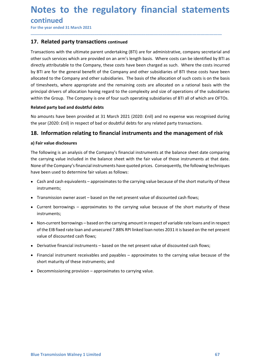# Notes to the regulatory financial statements<br>
continued<br>
For the year ended 31 March 2021<br> **17.** Related party transactions continued **Notes to the regulatory financial statemen**<br>
For the year ended 31 March 2021<br> **Transactions with the ultimate parent undertaking (BTI)** are for administrative, company secretarial<br>
Transactions with the ultimate parent u

\_\_\_\_\_\_\_\_\_\_\_\_\_\_\_\_\_\_\_\_\_\_\_\_\_\_\_\_\_\_\_\_\_\_\_\_\_\_\_\_\_\_\_\_\_\_\_\_\_\_\_\_\_\_\_\_\_\_\_\_\_\_\_\_\_\_\_\_\_\_\_\_\_\_\_\_\_\_\_\_\_\_\_\_\_\_\_\_\_\_

### continued

**Notes to the regulatory financial stateme**<br>
For the year ended 31 March 2021<br>
Transactions with the ultimate parent undertaking (BTI) are for administrative, company secreta<br>
Of ther such services which are provided on an **Notes to the regulatory financial statements**<br>
For the year ended 31 March 2021<br> **17.** Related party transactions continued<br>
Transactions with the ultimate parent undertaking (BTI) are for administrative, company secretar **Notes to the regulatory financial statements**<br>
For the year ended 31 March 2021<br> **17. Related party transactions continued**<br> **Transactions with the ultimate parent undertaking (BTI)** are for administrative, company secret **Notes to the regulatory financial statements**<br>
For the year ended 31 March 2021<br> **17. Related party transactions continued**<br> **Transactions with the ultimate parent undertaking (BTI)** are for administrative, company secret **Notes to the regulatory financial statements**<br>
For the year ended 31 March 2021<br> **17. Related party transactions continued**<br> **Transactions with the ultimate parent undertaking (BTI)** are for administrative, company secret **Notes to the regulatory financial statements**<br>For the year ended 31 March 2021<br>**17.** Related party transactions continued<br>Transactions with the ultimate parent undertaking (BTI) are for administrative, company secretarial **Notes to the regulatory financial statements**<br>
For the year ended 31 March 2021<br> **17. Related party transactions continued**<br> **17. Related party transactions continued**<br> **17. Related party transactions continued**<br> **17.** Re **Notes to the regulatory financial statements**<br>For the year ended 31 March 2021<br>**17. Related party transactions continued**<br>Transactions with the ultimate parent undertaking (BTI) are for administrative, company secretarial **Notes to the regulatory financial statements**<br>
For the year ended 31 March 2021<br> **17. Related party transactions continued**<br> **Transactions with the ultimate parent undertaking (9T1) are for administrative, company secreta Notes to the regulatory financial statements**<br>
For the year ended 31 March 2021<br> **17. Related party transactions continued**<br> **Transactions with the ultimate parent undertaking (BTI) are for administrative, company secreta INOTES TO THE FEGUIATOFY TIMANCIAL STATEMPHTS**<br>
For the year ended 31 March 2021<br>
17. Related party transactions continued<br>
Transactions with the ultimate parent undertaking (BTI) are for administrative, company secretari **Example 1**<br> **17. Related party transactions continued**<br> **17. Related party transactions continued**<br> **Transactions with the ultimate parent undertaking (6T1) are for administrative, company secretarial and<br>
orber such serv** For the year ended 31 March 2021<br>
17. Related party transactions continued<br>
Transactions with the ultimate parent undertaking (BTI) are for administrative, company secretarial and<br>
other such services which are provided on **17. Related party transactions continued**<br> **17. Related party transactions continued**<br>
Transactions with the ultimate parent undertaking (BTI) are for administrative, compa<br>
other such services which are provided on an ar Transactions with the ultimate parent undertaking (BTI) are for administrative, company secretarial and<br>other such services which are provided on an arm's length basis. Where costs can be identified by BTI as<br>directly attr Iransactons with the utilmate parent uncertaking (811) are for administrative, company secretatial and<br>the such services which are provided on an arm's length basis. Where costs can be identified by BTI are<br>directly attrib other such services which are provided on an arm's slength passi. Where const can be dentitied by 9TI are for the general benefit of the Company and other subsidiaries of BTI these costs have been<br>by BTI are for the genera directly attrouutable to the Company, these costs have been charged as such. Where the costs incurred<br>by BTI are for the general benefit of the Company and other subsidiaries of BTI these costs incurred<br>allocated to the Co cated to the Company and other subsidiaries. The basis of the allocation of such costs is on the basis<br>timesheets, where appropriate and the remaining costs are allocated on a rational basis with the<br>cicipal drivers of all

nighal drivers of allocation having regard to the complexity and size of operations of the subsidiaries<br>hin the Group. The Company is one of four such operating subsidiaries of BTI all of which are OFTOs.<br> **and doubtful de** mate a party bad and doubtful debts<br>and party bad and doubtful debts<br>anounts have been provided at 31 March 2021 (2020: Enil) and no expense was recognised during<br>year (2020: Enil) in respect of bad or doubtful debts for a amounts have been provided at 31 March 2021 (2020: fail) and no expense was recognised during<br>year (2020: fail) in respect of bad or doubtful debts for any related party transactions.<br>
1. **Information relating to financial** year (2020: Enil) in respect of bad or doubttul debts for any related party transactions.<br> **. Information relating to financial instruments and the management of risk**<br>
diar value disclosures<br>
carrying value included in th **. Information relating to financial instruments and the management of risk**<br> **Castivalue disclosures**<br> **Castivalue disclosures**<br> **Castivalue of the Company's financial instruments at the balance sheet date comparearrying** riair value disclosures<br>
following is an analysis of the Company's financial instruments at the balance sheet date comparing<br>
carrying value included in the balance sheet with the fair value of those instruments at that da Following is an analysis of the Company's financial instruments at the balance sheet date comparing carrying value included in the balance sheet with the fair value of those instruments at that date. Correspony S financial carrying value included in the balance sheet with the fair value of those instruments at that date.<br>
ne of the Company's financial instruments have quoted prices. Consequently, the following techniques<br>
e been used to dete

- instruments;
- 
- instruments;
- ne of the Company's financial instruments have quoted prices. Consequently, the following techniques<br>e been used to determine fair values as follows:<br>Cash and cash equivalents approximates to the carrying value because o
- 
- Beinard Instrumental Passed on the net present value of absolutes a controlled in the province of the short maturity of these instruments; and<br>
Short maturity of these instruments; and<br>
Decommissioning provision approxim
-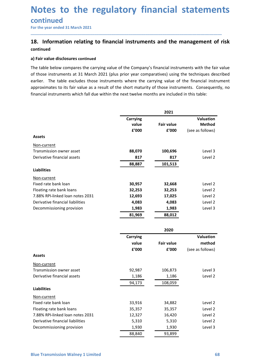### Notes to the regulatory financial statements<br>
continued<br>
For the year ended 31 March 2021<br> **18.** Information relating to financial instruments and the management of risk continued **Notes to the regulatory financial statemen**<br>
For the year ended 31 March 2021<br> **Tor the year ended 31 March 2021**<br> **18.** Information relating to financial instruments and the management of r<br>
continued<br>
a) Fair value disc **Notes to the regulatory financial statements**<br>
continued<br>
For the year ended 31 March 2021<br> **18.** Information relating to financial instruments and the management of risk<br>
continued<br>
a) Fair value disclosures continued<br>
T

### continued

**Notes to the regulatory financial stam-**<br>
For the year ended 31 March 2021<br> **Exercity Continued**<br> **A) Fair value disclosures continued**<br> **a) Fair value disclosures continued**<br>
The table below compares the carrying value o **Notes to the regulatory financial statements**<br>
For the year ended 31 March 2021<br> **18.** Information relating to financial instruments and the management of risk<br>
continued<br>
a) Fair value disclosures continued<br>
The table be **Notes to the regulatory financial statements**<br>
For the year ended 31 March 2021<br> **18.** Information relating to financial instruments and the management of risk<br>
continued<br>
a) Fair value disclosures continued<br>
The table be **Notes to the regulatory financial statements**<br>
For the year ended 31 March 2021<br> **18.** Information relating to financial instruments and the management of risk<br>
continued<br>
a) Fair value disclosures continued<br>
The table be **Notes to the regulatory financial statements**<br>
For the year ended 31 March 2021<br> **18.** Information relating to financial instruments and the management of risk<br>
continued<br>
a) Fair value disclosures continued<br>
The table be **Notes to the regulatory financial statements**<br> **Continued**<br> **Financial 31 March 2021**<br> **18.** Information relating to financial instruments and the management of risk<br>
continued<br> **a)** Fair value disclosures continued<br>
The

| a) Fair value disclosures continued<br>The table below compares the carrying value of the Company's financial instruments with the fair value<br>of those instruments at 31 March 2021 (plus prior year comparatives) using the techniques described<br>earlier. The table excludes those instruments where the carrying value of the financial instrument<br>approximates to its fair value as a result of the short maturity of those instruments. Consequently, no<br>financial instruments which fall due within the next twelve months are included in this table:<br>2021<br>Valuation<br>Carrying<br>Method<br>value<br><b>Fair value</b><br>£'000<br>£'000<br>(see as follows)<br><b>Assets</b><br>Non-current<br>Transmission owner asset<br>88,070<br>100,696<br>Level 3<br>Derivative financial assets<br>817<br>Level 2<br>817<br>88,887<br>101,513<br><b>Liabilities</b><br>Non-current<br>Fixed rate bank loan<br>30,957<br>32,668<br>Level 2<br>Floating rate bank loans<br>32,253<br>32,253<br>Level 2<br>7.88% RPI-linked loan notes 2031<br>12,693<br>17,025<br>Level 2<br>4,083<br>4,083<br>Level 2<br>Derivative financial liabilities<br>Decommissioning provision<br>1,983<br>1,983<br>Level 3<br>81,969<br>88,012<br>2020<br>Valuation<br>Carrying<br>method<br>value<br><b>Fair value</b><br>£'000<br>£'000<br>(see as follows)<br><b>Assets</b><br>Non-current<br>92,987<br>106,873<br>Level 3<br>Transmission owner asset<br>Derivative financial assets<br>1,186<br>1,186<br>Level 2<br>108,059<br>94,173<br><b>Liabilities</b><br>Non-current<br>Fixed rate bank loan<br>33,916<br>34,882<br>Level 2<br>Floating rate bank loans<br>35,357<br>35,357<br>Level 2<br>7.88% RPI-linked loan notes 2031<br>12,327<br>16,420<br>Level 2 |
|----------------------------------------------------------------------------------------------------------------------------------------------------------------------------------------------------------------------------------------------------------------------------------------------------------------------------------------------------------------------------------------------------------------------------------------------------------------------------------------------------------------------------------------------------------------------------------------------------------------------------------------------------------------------------------------------------------------------------------------------------------------------------------------------------------------------------------------------------------------------------------------------------------------------------------------------------------------------------------------------------------------------------------------------------------------------------------------------------------------------------------------------------------------------------------------------------------------------------------------------------------------------------------------------------------------------------------------------------------------------------------------------------------------------------------------------------------------------------------------------------------------------------------------------------------------------------------------------------------------------------------------------------------------------------------------------------------------------------------------------------------------|
|                                                                                                                                                                                                                                                                                                                                                                                                                                                                                                                                                                                                                                                                                                                                                                                                                                                                                                                                                                                                                                                                                                                                                                                                                                                                                                                                                                                                                                                                                                                                                                                                                                                                                                                                                                |
|                                                                                                                                                                                                                                                                                                                                                                                                                                                                                                                                                                                                                                                                                                                                                                                                                                                                                                                                                                                                                                                                                                                                                                                                                                                                                                                                                                                                                                                                                                                                                                                                                                                                                                                                                                |
|                                                                                                                                                                                                                                                                                                                                                                                                                                                                                                                                                                                                                                                                                                                                                                                                                                                                                                                                                                                                                                                                                                                                                                                                                                                                                                                                                                                                                                                                                                                                                                                                                                                                                                                                                                |
|                                                                                                                                                                                                                                                                                                                                                                                                                                                                                                                                                                                                                                                                                                                                                                                                                                                                                                                                                                                                                                                                                                                                                                                                                                                                                                                                                                                                                                                                                                                                                                                                                                                                                                                                                                |
|                                                                                                                                                                                                                                                                                                                                                                                                                                                                                                                                                                                                                                                                                                                                                                                                                                                                                                                                                                                                                                                                                                                                                                                                                                                                                                                                                                                                                                                                                                                                                                                                                                                                                                                                                                |
|                                                                                                                                                                                                                                                                                                                                                                                                                                                                                                                                                                                                                                                                                                                                                                                                                                                                                                                                                                                                                                                                                                                                                                                                                                                                                                                                                                                                                                                                                                                                                                                                                                                                                                                                                                |
|                                                                                                                                                                                                                                                                                                                                                                                                                                                                                                                                                                                                                                                                                                                                                                                                                                                                                                                                                                                                                                                                                                                                                                                                                                                                                                                                                                                                                                                                                                                                                                                                                                                                                                                                                                |
|                                                                                                                                                                                                                                                                                                                                                                                                                                                                                                                                                                                                                                                                                                                                                                                                                                                                                                                                                                                                                                                                                                                                                                                                                                                                                                                                                                                                                                                                                                                                                                                                                                                                                                                                                                |
|                                                                                                                                                                                                                                                                                                                                                                                                                                                                                                                                                                                                                                                                                                                                                                                                                                                                                                                                                                                                                                                                                                                                                                                                                                                                                                                                                                                                                                                                                                                                                                                                                                                                                                                                                                |
|                                                                                                                                                                                                                                                                                                                                                                                                                                                                                                                                                                                                                                                                                                                                                                                                                                                                                                                                                                                                                                                                                                                                                                                                                                                                                                                                                                                                                                                                                                                                                                                                                                                                                                                                                                |
|                                                                                                                                                                                                                                                                                                                                                                                                                                                                                                                                                                                                                                                                                                                                                                                                                                                                                                                                                                                                                                                                                                                                                                                                                                                                                                                                                                                                                                                                                                                                                                                                                                                                                                                                                                |
|                                                                                                                                                                                                                                                                                                                                                                                                                                                                                                                                                                                                                                                                                                                                                                                                                                                                                                                                                                                                                                                                                                                                                                                                                                                                                                                                                                                                                                                                                                                                                                                                                                                                                                                                                                |
|                                                                                                                                                                                                                                                                                                                                                                                                                                                                                                                                                                                                                                                                                                                                                                                                                                                                                                                                                                                                                                                                                                                                                                                                                                                                                                                                                                                                                                                                                                                                                                                                                                                                                                                                                                |
|                                                                                                                                                                                                                                                                                                                                                                                                                                                                                                                                                                                                                                                                                                                                                                                                                                                                                                                                                                                                                                                                                                                                                                                                                                                                                                                                                                                                                                                                                                                                                                                                                                                                                                                                                                |
|                                                                                                                                                                                                                                                                                                                                                                                                                                                                                                                                                                                                                                                                                                                                                                                                                                                                                                                                                                                                                                                                                                                                                                                                                                                                                                                                                                                                                                                                                                                                                                                                                                                                                                                                                                |
|                                                                                                                                                                                                                                                                                                                                                                                                                                                                                                                                                                                                                                                                                                                                                                                                                                                                                                                                                                                                                                                                                                                                                                                                                                                                                                                                                                                                                                                                                                                                                                                                                                                                                                                                                                |
|                                                                                                                                                                                                                                                                                                                                                                                                                                                                                                                                                                                                                                                                                                                                                                                                                                                                                                                                                                                                                                                                                                                                                                                                                                                                                                                                                                                                                                                                                                                                                                                                                                                                                                                                                                |
|                                                                                                                                                                                                                                                                                                                                                                                                                                                                                                                                                                                                                                                                                                                                                                                                                                                                                                                                                                                                                                                                                                                                                                                                                                                                                                                                                                                                                                                                                                                                                                                                                                                                                                                                                                |
|                                                                                                                                                                                                                                                                                                                                                                                                                                                                                                                                                                                                                                                                                                                                                                                                                                                                                                                                                                                                                                                                                                                                                                                                                                                                                                                                                                                                                                                                                                                                                                                                                                                                                                                                                                |
|                                                                                                                                                                                                                                                                                                                                                                                                                                                                                                                                                                                                                                                                                                                                                                                                                                                                                                                                                                                                                                                                                                                                                                                                                                                                                                                                                                                                                                                                                                                                                                                                                                                                                                                                                                |
|                                                                                                                                                                                                                                                                                                                                                                                                                                                                                                                                                                                                                                                                                                                                                                                                                                                                                                                                                                                                                                                                                                                                                                                                                                                                                                                                                                                                                                                                                                                                                                                                                                                                                                                                                                |
| Derivative financial liabilities<br>5,310<br>5,310<br>Level 2<br>Decommissioning provision<br>1,930<br>1,930<br>Level 3                                                                                                                                                                                                                                                                                                                                                                                                                                                                                                                                                                                                                                                                                                                                                                                                                                                                                                                                                                                                                                                                                                                                                                                                                                                                                                                                                                                                                                                                                                                                                                                                                                        |
| 93,899<br>88,840                                                                                                                                                                                                                                                                                                                                                                                                                                                                                                                                                                                                                                                                                                                                                                                                                                                                                                                                                                                                                                                                                                                                                                                                                                                                                                                                                                                                                                                                                                                                                                                                                                                                                                                                               |
|                                                                                                                                                                                                                                                                                                                                                                                                                                                                                                                                                                                                                                                                                                                                                                                                                                                                                                                                                                                                                                                                                                                                                                                                                                                                                                                                                                                                                                                                                                                                                                                                                                                                                                                                                                |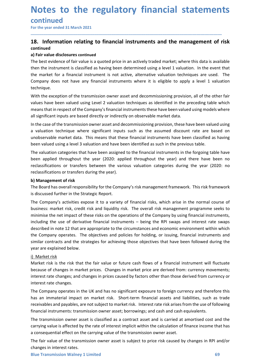### Notes to the regulatory financial statements<br>
continued<br>
For the year ended 31 March 2021<br> **18.** Information relating to financial instruments and the management of risk continued Notes to the regulatory financial statemen<br>
For the year ended 31 March 2021<br>
For the year ended 31 March 2021<br>
18. Information relating to financial instruments and the management of r<br>
continued<br>
a) Fair value disclosure **Notes to the regulatory financial statements**<br>
For the year ended 31 March 2021<br>
18. Information relating to financial instruments and the management of risk<br>
continued<br>
The best evidence of fair value is a quoted price i

### continued

\_\_\_\_\_\_\_\_\_\_\_\_\_\_\_\_\_\_\_\_\_\_\_\_\_\_\_\_\_\_\_\_\_\_\_\_\_\_\_\_\_\_\_\_\_\_\_\_\_\_\_\_\_\_\_\_\_\_\_\_\_\_\_\_\_\_\_\_\_\_\_\_\_\_\_\_\_\_\_\_\_\_\_\_\_\_\_\_\_\_

**Notes to the regulatory financial stame**<br>
For the year ended 31 March 2021<br> **Exercity Exerce** and the manageontinued<br> **a)** Fair value disclosures continued<br>
The best evidence of fair value is a quoted price in an actively **Notes to the regulatory financial statements**<br>
For the year ended 31 March 2021<br> **18.** Information relating to financial instruments and the management of risk<br>
continued<br>
a) Fair value disclosures continued<br>
The best evi **Notes to the regulatory financial statements**<br>
For the year ended 31 March 2021<br> **18.** Information relating to financial instruments and the management of risk<br>
continued<br>
a) Fair value disclosures continued<br>
IThe best ev **Notes to the regulatory financial statements**<br>
For the year ended 31 March 2021<br> **18.** Information relating to financial instruments and the management of risk<br>
continued<br>
a) Fair value disclosures continued<br>
The best evi **Notes to the regulatory financial statements**<br>
For the year ended 31 March 2021<br> **18.** Information relating to financial instruments and the management of risk<br>
continued<br>
a) Fair value disclosures continued<br>
then be is e technique. **Notes to the regulatory financial statements**<br>
For the year ended 31 March 2021<br> **18.** Information relating to financial instruments and the management of risk<br>
continued<br>
The best evidence of fair value is a quoted price **Notes to the regulatory financial statements**<br>
For the year ended 31 March 2021<br> **18.** Information relating to financial instruments and the management of risk<br>
continued<br>
The best evidence of fair value is a quoted price **Notes to the regulatory financial statements**<br>
For the vear ended 31 March 2021<br> **18.** Information relating to financial instruments and the management of risk<br>
continued<br>
a) Fair value disclosures continued<br>
a) Fair valu **NOTES TO THE PEGUIATORY TIMANCIAI STATEMMENTS**<br>
For the year ended 31 March 2021<br> **18.** Information relating to financial instruments and the management of risk<br>
continued<br>
The best evidence of fair value is a quoted pric **EXECT THE CONTITIVE CONTIFY CONTIFY CONTIFY CONTIFY AND ALL THE CONTIFY CONTIFY AND A SUPPRENT THE CONTIFY THE CONTIFY THE CONTIFY THE CONTIFY THE SET CONTIFY THE SET CHROMOTION THE SET CHROMOTION THE SET CHROMOTION THE S** For the year ended 31 March 2021<br> **18. Information relating to financial instruments and the management of risk**<br> **continued**<br> **a) Fair value disclosures continue is a quoted price in an actively traded market; where this 18. Information relating to financial instruments and the management of risk continued**<br>a) Fair value disclosures continued<br>The best evidence of fair value is a quoted price in an actively traded market, where this data i **18. Information relating to financial instruments and the management of risk**<br>ontinued<br>The best evidence of fair value is a quoted price in an actively traded market; where this data is available<br>The best evidence of fair continued<br>all Fair value disclosures continued<br>The best evidence of fair value is a quoted price in an actively traded market; where this data is available<br>then the instrument is classified as having been determined using a) Fair value disclosures continued<br>The best evidence of fair value is a quoted price in an actively traded market; where this data is available<br>The hest evidence of fair value is a quoted price in an actively traded marke The best evidence of fair value is a quoted price in an actively traded market; where this data is available<br>then the instrument is classified as having been determined using a level 1 valuation. In the event that<br>the mark then the instrument is classified as having been determined using a level 1 valuation. In the event that<br>the market for a financial instrument is not active, alternative valuation techniques are used. The<br>Company does not

the market for a financial instrument is not active, alternative valuation techniques are<br>Company does not have any financial instruments where it is eligible to apply a level<br>technique.<br>With the exception of the transmiss Company does not have any financial instruments where it is eligible to apply a level 1 valuation<br>etchnique.<br>
With the exception of the transmission owner asset and decommissioning provision, all of the other fair<br>
values

technique.<br>
With the exception of the transmission owner asset and decommissioning provision, all of the other fair<br>
With the exception of the Company's financial instruments these have been valued using models where<br>
valu With the exception of the transmission owner asset and decommissioning provision, all of the other fair<br>values have been valued using Level 2 valuation techniques as identified in the preceding table which<br>all significant values have been valued using Level 2 valuation techniques as identified in the preceding table which<br>means that in respect of the Company's financial instruments these have been valued using models where<br>all significant i means that in respect of the Company's financial instruments these have been valued using models where<br>all significant inputs are based directly or indirectly on observable market data.<br>
In the case of the transmission own all significant inputs are based directly or indirectly on observable market data.<br>In the case of the transmission owere asset and decommissioning provision, these have been valued using in a valuation technique where sign In the case of the transmission owner asset and decommissioning provision, these have been valued using<br>a valuation technique where significant inputs such as the assumed discount rate are based on<br>unobservable market data a valuation technique where significant inputs such as the assumed discount rate are based on unobservable market data. This means that these financial instruments have been classiried as having theen valued using a level unobservable market data. This means that these financial instruments have been classified as having<br>the valuation categories that have been assigned to the financial instruments in the forgoing table have<br>the valuation ca been valued using a level 3 valuation and have been identified as such in the previous table.<br>The valuation categories that have been assigned to the financial instruments in the forgoin<br>been applied throughout the year (2 The valuation categories that have been assigned to the financial instruments in the<br>been applied throughout the year (2020: applied throughout the year) and t<br>reclassifications or transfers between the various valuation c been applied throughout the year (2020: applied throughout the year) and there have been no<br>reclassifications or transfers during the year).<br>The reclassifications or transfers during the year).<br>
b) Management of risk<br>
The reclassifications or transfers between the various valuation categories during the year (2020: no<br>
b) Management of risk<br>
Difference of risk<br>
The Board has overall responsibility for the Company's risk management framework reclassifications or transfers during the year).<br> **b) Management of risk**<br>
The Board has overall responsibility for the Company's risk management framework. This risk framework<br>
is discussed durther in the Strategic Report **b) Management of risk**<br>The Board has overall responsibility for the Company's risk management framework. The discussed further in the Strategic Report.<br>The Company's activities expose it to a variety of financial risks, w The Board has overall responsibility for the Company's risk management framework. This risk framework<br>
oris discussed further in the Strategic Report.<br>
The Company's activities expose it to a variety of financial risks, wh is discussed further in the Strategic Report.<br>The Company's activities expose it to a variety of financial risks, which arise in the normal course of<br>business: market risk, reedit risk and liquidity risk. The overall risk The Company's activities expose it to a variety of financial risks, which arise in the normal course of business: market risk, credit risk and liquidity risk. The overall risk management programme seeks to minimism ies the financial instruments: transmission owner asset is classified as a contract asset and is carried at morrise the prior and a compacted by the state of the transmission of the Company by using financial instruments, includin minimise the net impact of these risks on the operations of the Company by using financial instruments, including the use of derivative financial instruments – being the RPI swaps and insterers rate swaps described in note including the use of derivative financial instruments – being the RPI swaps and interest rate swaps<br>terribed in note 12 that are appropriate to the circurransness and economic envirronment within which<br>the Company operates described in note 12 that are appropriate to the circumstances and economic environment within which<br>the Company operates. The objectives and policies for holding, or issuing, financial instruments and<br>similar contracts an

similar contracts and the strategies for achieving those objectives that have been followed<br>
Solution the strategies in market prices can be a market price are derived from: currency r<br>
10. Market risk is the risk that the

Solution and the first wise the reading the reading than the comparation will fluctuate Market risk is the risk that the fair value or future cash flows of a financial instrument will fluctuate Market risk is the risk that the Company operates. The objectives and policies for holding, or issuing, financial instruments and<br>similar contracts and the strategies for achieving those objectives that have been followed during the<br>year are explained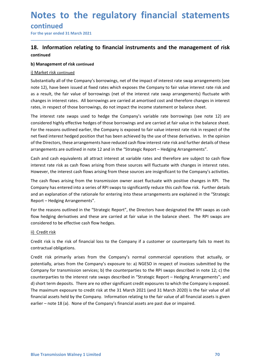# Notes to the regulatory financial statements<br>
continued<br>
For the year ended 31 March 2021<br> **18.** Information relating to financial instruments and the management of risk

### continued

## **Notes to the regulatory financial statement<br>
Continued<br>
For the year ended 31 March 2021<br>
18. Information relating to financial instruments and the management of r<br>
continued<br>
b) Management of risk continued Notes to the regulatory financial statements**<br>
For the year ended 31 March 2021<br>
Ta. Information relating to financial instruments and the management of risk<br>
continued<br>
b) Management of risk continued<br>
i) Market risk con continued

\_\_\_\_\_\_\_\_\_\_\_\_\_\_\_\_\_\_\_\_\_\_\_\_\_\_\_\_\_\_\_\_\_\_\_\_\_\_\_\_\_\_\_\_\_\_\_\_\_\_\_\_\_\_\_\_\_\_\_\_\_\_\_\_\_\_\_\_\_\_\_\_\_\_\_\_\_\_\_\_\_\_\_\_\_\_\_\_\_\_

**Notes to the regulatory financial statem**<br>
For the year ended 31 March 2021<br> **18.** Information relating to financial instruments and the management<br>
ontinued<br>
b) Management of risk continued<br>
i) Market risk continued<br>
Sub **Notes to the regulatory financial st**<br>
continued<br>
For the year ended 31 March 2021<br> **13.** Information relating to financial instruments and the mar<br>
continued<br>
b) Management of risk continued<br>
i) Market risk continued<br>
Su **Notes to the regulatory financial statements**<br>
For the year ended 31 March 2021<br> **18.** Information relating to financial instruments and the management of risk<br>
continued<br>
b) Management of risk continued<br>
Substantially al **Notes to the regulatory financial statements**<br>For the year ended 31 March 2021<br>18. Information relating to financial instruments and the management of risk<br>continued<br>b) Management of risk continued<br>50 Management of risk c **Notes to the regulatory financial statements**<br>
For the year ended 31 March 2021<br> **18.** Information relating to financial instruments and the management of risk<br>
continued<br>
b) Management of risk continued<br>
Substantially al **Notes to the regulatory financial statements**<br>
For the year ended 31 March 2021<br> **18.** Information relating to financial instruments and the management of risk<br>
continued<br>
b) Management of risk continued<br>
contailly all of **Notes to the regulatory financial statements**<br>
For the year ended 31 March 2021<br> **18.** Information relating to financial instruments and the management of risk<br>
continued<br>
b) Management of risk continued<br>
i) Market risk c

**Notes to the regulatory financial statements**<br>
For the year ended 31 March 2021<br> **18.** Information relating to financial instruments and the management of risk<br>
continued<br>
b) Management of risk continued<br>
i) Management of **COLLES LO LIFE FEGUIDENTS INTERNATE SCALEMENTS**<br> **CONTINUED CONTIFICATE:**<br> **18.** Information relating to financial instruments and the management of risk<br>
continued<br>
b) Management of risk continued<br>
continued<br>
continued i **EXECT THE ROT THE ROT THE ROT THE ROT THE ROT THE ROT THE ROT CONDIDENT THE CONDIDENT CONDIDENT CONDIDENT CONDIDENT CONDIDENT THE UNIT CONDIDENT CONDIDENT THE UNIT CONDIDENT THE UNIT CONDIDENT THE UNIT CONDIDENT CONDIDENT** For the year ended 31 March 2021<br> **18. Information relating to financial instruments and the management of risk**<br>
continued<br>
b) Management of risk continued<br>
b) Management of risk continued<br>  $\frac{1}{10}$  Market risk continue **18. Information relating to financial instruments and the management of risk continued**<br>
b) Management of risk continued<br>
Substantially all of the Company's borrowings, net of the impact of interest rate wap arrangements **18. Information relating to financial instruments and the management of risk**<br> **continued**<br> **b)** Management of risk continued<br> **i**) Market risk continued<br>
Substantially all of the Company's borrowings, net of the impact o **Continued**<br> **Charagement of risk continued**<br> **Charagements** (see<br>
Substantially all of the Company's borrowings, net of the impact of interest rate swap arrangements (see<br>
anote 12), have been issued at fixed rates which **b) Management of risk continued**<br>
<u>i) Market risk continued</u><br>
Substantially all of the Company's borrowings, net of the impact of interest rate swap arrangements (see<br>
12), have been issued at fixed rates which exposes th g) Management of risk continued<br>
Substantially all of the Company's borrowings, net of the impact of interest rate swap arrangements (see<br>
note 12), have been issued at fixed rates which exposes the Company to fair value i The cash flows arising from the controlling from the controlling of the company is and a result, the fair value of borrowings, net of the interest rate swap arrangements (see<br>note 12), have been issued at fixed rates which substratully all of the Company's orrowings, net of the impact of interest rate swap arrangements (see<br>10.0.1 have been issued at fixed rates which exposes the Company to fair value interest rate risk and<br>as a result, the note 12), have been issued at hixed rates which exposes the Company to tair value interest rate risk and<br>as a result, the fair value of borrowings (net of the interest rate swap arrangements) fluctuate with<br>changes in inte ntes, in respect of those borrowings, do not impact the income statement or balance sheet.<br>The interest rate swaps used to hedge the Company's variable rate borrowings (see note 12) are<br>considered highly effective hedges o The interest rate swaps used to hedge the Company's variable rate borrowings (see note 12) are considered highly effective hedges of those borrowings and are carried at fair value in the balance sheet.<br>For the reasons outl The interest rate swaps used to heage the Company's variable rate borrowings (see note 12) are<br>considered highly effective hedges of those borrowings and are carried at fair value in the balance sheet.<br>For the reasons outl For the reasons outlined earlier, the Company is exposed to fair value interest rate<br>of the reasons outlined earlier, the Company is exposed to fair value interest rate<br>of the Directors, these arrangements have reduced cas

Report - Hedging Arrangements". net fixed interest hedged position that has been achieved by the use of these derivatives. In the opinion<br>of the Directors, these arrangements have reduced cash flow interest rate risk and further details of these<br>arrangem

contractual obligations.<br>Credit risk primarily arises from the Company's normal commercial operations that actually, or<br>potentially, arises from the Company's exposure to: a) NGESO in respect of invoices submitted by the<br>C of the Directors, these arrangements have reduced cash flow interest rate risk and furt<br>arrangements are outlined in note 12 and in the "Strategic Report – Hedging Arrange<br>Cash and cash equivalents all attract interest at an angerinens are outinee in mote 12 and in the Strategic Report – neugring An angerinents<br>Creash and cash equivalents all attract interest at variable rates and therefore are subject to cash flow<br>interest rate risk as cas Cash and cash equivalents all attract interest at variable rates and therefore are subject to cash flow<br>interest rate risk as cash flows arising from thes sources will fluctuate with changes in interest<br>interest rate is ka interest rate risk as cash flows arising from these sources will fluctuate with changes in interest rates.<br>However, the interest cash flows arising from these sources are insignificant to the Company's activities.<br>The cash However, the interest cash flows arising from these sources are insignificant to the Company's activities.<br>The cash flows arising from the transmission owner asset fluctuate with positive changes in RPI. The<br>Company has en The cash flows arising from the transmission owner asset fluctuate with positive changes in RPI. The<br>Company has entered into a series of RPI swaps to significantly reduce this cash flow risk. Further details<br>and an explan Company has entered into a series of RPI swaps to significantly reduce this cash flow risk. Further details<br>and an explanation of the rationale for entering into these arrangements are explained in the "Strategic<br>Report – and an explanation of the rationale for entering into these arrangements are explained in the "Strategic Report – Hedging Arrangements".<br>
For the reasons outlined in the "Strategic Report", the Directors have designated th Report – Hedging Arrangements".<br>
For the reasons outlined in the "Strategic Report", the Directors have designated the RPI swaps as cash<br>
flow hedging derivatives and these are carried at fair value in the balance sheet. T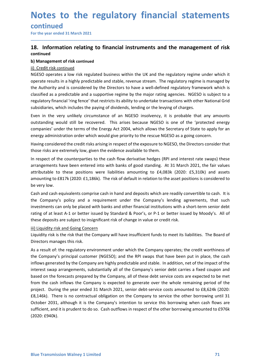# Notes to the regulatory financial statements<br>
continued<br>
For the year ended 31 March 2021<br> **18.** Information relating to financial instruments and the management of risk

### continued

## **Notes to the regulatory financial statemen**<br>
For the year ended 31 March 2021<br>
For the year ended 31 March 2021<br> **18.** Information relating to financial instruments and the management of r<br>
continued<br>
b) Management of ris **Notes to the regulatory financial statements**<br>
For the year ended 31 March 2021<br>
18. Information relating to financial instruments and the management of risk<br>
continued<br>
b) Management of risk continued<br>
ii) Credit risk co continued

\_\_\_\_\_\_\_\_\_\_\_\_\_\_\_\_\_\_\_\_\_\_\_\_\_\_\_\_\_\_\_\_\_\_\_\_\_\_\_\_\_\_\_\_\_\_\_\_\_\_\_\_\_\_\_\_\_\_\_\_\_\_\_\_\_\_\_\_\_\_\_\_\_\_\_\_\_\_\_\_\_\_\_\_\_\_\_\_\_\_

**Notes to the regulatory financial staten<br>
For the year ended 31 March 2021**<br> **18.** Information relating to financial instruments and the management<br>
ob Management of risk continued<br>
i) Credit risk continued<br>
ii) Credit ri **Notes to the regulatory financial st**<br>
For the year ended 31 March 2021<br> **18.** Information relating to financial instruments and the mar<br>
continued<br>
b) Management of risk continued<br>
ii) Credit risk continued<br>
ii) Credit r **Notes to the regulatory financial statements**<br>
For the year ended 31 March 2021<br> **18.** Information relating to financial instruments and the management of risk<br>
continued<br>
b) Management of risk continued<br>
ii) Credit risk **Notes to the regulatory financial statements**<br>
For the year ended 31 March 2021<br> **18.** Information relating to financial instruments and the management of risk<br>
b) Management of risk continued<br>
b) Management of risk conti **Notes to the regulatory financial statements**<br>
For the year ended 31 March 2021<br>
18. Information relating to financial instruments and the management of risk<br>
continued<br>
ii) Credit risk continued<br>
ii) Credit risk continue **Notes to the regulatory financial statements**<br>
For the year ended 31 March 2021<br>
The The year ended 31 March 2021<br> **18.** Information relating to financial instruments and the management of risk<br>
b) Management of risk cont **Notes to the regulatory financial statements**<br>
For the year ended 31 March 2021<br> **18.** Information relating to financial instruments and the management of risk<br>
continued<br>
b) Management of risk continued<br>
ii) Credit risk **Notes to the regulatory financial statements**<br>
For the year ended 31 March 2021<br> **18.** Information relating to financial instruments and the management of risk<br>
continued<br>
b) Management of risk continued<br>
ii) Credit risk **Notes to the regulatory financial statements**<br> **Even the year ended 31 March 2021**<br> **Exertimed**<br> **Exertime of risk continued**<br> **Conditional instruments and the management of risk**<br> **Conditional insolvence of an NGESO** ope **INDLES LO LITE FEGUIE INTY IIMENTENTS**<br> **CONTINUES CONTINUES**<br> **18.** Information relating to financial instruments and the management of risk<br>
continued<br> **ii)** Credit risk continued<br> **ii)** Credit risk continued<br> **ii)** Cre **Continued**<br>
For the year ended 31 March 2021<br> **18.** Information relating to financial instruments and the management of risk<br>
continued<br>
i) Credir risk continued<br>
ii) Credir risk continued<br>
NGESO operates a low risk regul For the year ended 31 March 2021<br> **18. Information relating to financial instruments and the management of risk**<br>
continued<br>
b) Management of risk continued<br>
ii) Credit risk continued<br>
ii) Credit risk continued<br>
ii) Credit **18. Information relating to financial instruments and the management of risk continued**<br>
b) Management of risk continued<br>
ii) Credit risk continued<br>
iii) Credit risk continued<br>
iii) Credit risk continued<br>
operate results **18. Information relating to financial instruments and the management of risk<br>
continued<br>
b) Management of risk continued<br>
ii) Credit risk continued<br>
ii) Credit risk continued<br>
ii) Credit risk continued<br>
ii) Credit risk co b) Management of risk continued**<br> **b)** Credit risk continued<br>
ii) Credit risk continued<br>
MGESO operates a low risk regulated business within the UK and the regulatory regime is managed by<br>
operate results in a highly pred **ii) Credit risk continued**<br>in Credit risk continued<br>in Credit risk consinued<br>in CRSSO operates a low risk regulated business within the UK and the regulatory regime is managed by<br>the Authority and is considered by the Dir <u>ii) Credit risk continued</u><br>NGESO operates a low visk regulated business within the UK and the regulatory regime under which it<br>Noes poerates a low visk regulated business within the UK and the regulatory regime is managed NGESO operates a low risk regulated business within the UK and the regulatory regime under which it<br>operate results in a highly predictable and stable, revenue stream. The regulatory regime is managed by<br>the Authority and operate results in a highly predictable and stable, revenue stream. The regulator<br>the Authority and is considered by the Directors to have a well-defined regulate<br>classified as a predictable and a supportive regime by the

the Authority and is considered by the Directors to have a well-defined regulatory framework which is<br>cassified as a predictable and a supportive regime by the major rating agencies. NGESO is subject to a<br>regulatory financ classified as a predictable and a supportive regime by the major rating agencies. NGESO is subject to a<br>regulatory financial 'ring fence' that restricts its ability to undertake transactions with other National Grid<br>subsid regulatory financial 'ring fence' that restricts its ability to undertake transactions with other National Grid<br>substidiares, which includes the paying of dividends, leading or the levying of charges.<br>Even in the very unli subsidiaries, which includes the paying of dividends, lending or the levying of charges.<br>Even in the very unlikely icrustratione of an NGESO insolvency, it is probable that any amounts<br>coutstanding would still be recovered Even in the very unlikely circumstance of an NGESO insolvency, it is probable that any amounts<br>coutstanding would still be recovered. This arises because NGESO is one of the protected energy<br>companies' under the terms of t outstanding would still be recovered. This arises because NGESO is one of the 'protected en<br>companies' under the terms of the Energy Act 2004, which allows the Secretary of State to apply fo<br>energy administration order whi companies' under the terms of the Energy Act 2004, which allows the Secretary of State to apply for an<br>energy administration order which would give priority to the rescue NGESO, the Directors consider that<br>those risks are energy administration order which would give priority to the rescue NGESO as a going concern.<br>Having considered the credit risks arising in respect of the exposure to NGESO, the Directors consi<br>those risks are extremely lo

As a result of: the regulatory environment under which the Company operates; the credit worthiness of the Company's principal customer (NGESO); and the RPI swaps that have been put in place, the cash inflows generated by t Having considered the credit risks arising in respect of the exposure to NGESO, the Directors consider that<br>those risks are extremely low, given the evidence available to them.<br>In respect of the counterparties to the cash those risks are extremely low, given the evidence available to them.<br>In respect of the counterparties to the cash flow derivative hedges (RPI and interest rate swaps) these<br>arrangements have been entered into with banks of In respect of the counterparties to the cash flow derivative hedges (RPI and interest rate swaps) these<br>artributable to these ne entered into with banks of good standing. At 31 March 2021, the fair values<br>artributable to t arrangements have been entered into with banks of good standing. At 31 March 2021, the fair values<br>attrolutible to these positions were liabilities amounting to £4,083k (2020: £5,310k) and assets<br>amounting to £817k (2020:£ attributable to these positions were liabilities amounting to £4,083k (2020: £5,310k) and assets<br>amounting to £817k (2020: £1,186k). The risk of default in relation to the asset positions is considered to<br>be very low.<br>Cash amounting to £817k (2020: £1,186k). The risk of default in relation to the asset positions is considered to<br>be very low.<br>Cash and cash equivalents comprise cash in hand and deposits which are readily convertible to cash. I be very low.<br>Cash and cash equivalents comprise cash in hand and deposits which are readily convertible to cash. It is<br>the Company's policy and a requirement under the Company's lending agreements, that such<br>threestments c Cash and cash equivalents comprise cash in hand and deposits which are readily convertible to cash. It is the Company's policy and a requirement under the Company's lending agreements, that such investments can only be pla the Company's policy and a requirement under the Company's lending agreements, that such<br>investments can only be placed with banks and other financial institutions with a short-term senior debt<br>rating of at least A-1 or be surestments can only be placed with banks and other financial institutions with a short-term senior debt<br>rating of at least A-1 or better issued by Standard & Poor's, or P-1 or better issued by Moody's. All of<br>these deposi (2020: £940k).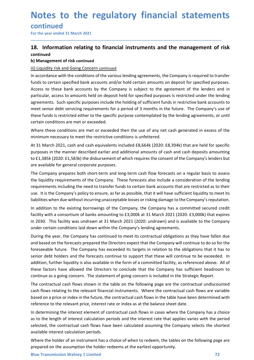# continued

# **Notes to the regulatory financial statemen**<br>
For the year ended 31 March 2021<br>
For the year ended 31 March 2021<br> **18.** Information relating to financial instruments and the management of r<br>
continued<br>
b) Management of ris **Notes to the regulatory financial statements**<br>
For the year ended 31 March 2021<br>
The year ended 31 March 2021<br> **18.** Information relating to financial instruments and the management of risk<br>
continued<br>
(ii) Liguidity risk continued

\_\_\_\_\_\_\_\_\_\_\_\_\_\_\_\_\_\_\_\_\_\_\_\_\_\_\_\_\_\_\_\_\_\_\_\_\_\_\_\_\_\_\_\_\_\_\_\_\_\_\_\_\_\_\_\_\_\_\_\_\_\_\_\_\_\_\_\_\_\_\_\_\_\_\_\_\_\_\_\_\_\_\_\_\_\_\_\_\_\_

**Notes to the regulatory financial staten<br>
For the year ended 31 March 2021**<br> **Example 131 Management of risk continued**<br> **b) Management of risk continued**<br> **b) Management of risk continued**<br> **ln accordance with the condit Notes to the regulatory financial statemen**<br>
For the year ended 31 March 2021<br> **Eor** the year ended 31 March 2021<br> **18.** Information relating to financial instruments and the management of i<br>
continued<br>
b) Management of r **Notes to the regulatory financial statements**<br>
For the year ended 31 March 2021<br> **18.** Information relating to financial instruments and the management of risk<br>
continued<br>
b) Management of risk continued<br>
iii) Liquidity r **Notes to the regulatory financial statements**<br>For the year ended 31 March 2021<br>18. Information relating to financial instruments and the management of risk<br>continued<br>b) Management of risk continued<br>iii) Liquidity risk and Notes to the regulatory financial statements<br>
For the year ended 31 March 2021<br>
18. Information relating to financial instruments and the management of risk<br>
continued<br>
iii) Lituidity risk and Going Concern continued<br>
iii) **Notes to the regulatory financial statements**<br>For the year ended 31 March 2021<br>The mevariented as a March 2021<br>**18.** Information relating to financial instruments and the management of risk<br>b) Management of risk continued **Notes to the regulatory financial statements**<br>
For the year ended 31 March 2021<br> **18.** Information relating to financial instruments and the management of risk<br>
continued<br>
bly Management of risk continued<br>
iii) Liquidity **Notes to the regulatory financial statements**<br>
For the year ended 31 March 2021<br>
18. Information relating to financial instruments and the management of risk<br>
continued<br>
b) Management of risk continued<br>
iii) Liquidity ris **Notes to the regulatory financial statements**<br>
For the year ended 31 March 2021<br> **18.** Information relating to financial instruments and the management of risk<br>
continued<br>
bi) Management of risk continued<br>
iii) <u>Uquidity </u> **INOTES TO THE FEGUIDITY TINDINGIT STATEMENT:**<br>
For the year ended 31 March 2021<br> **13.** Information relating to financial instruments and the management of risc<br> **113.** Information relating to financial instruments and the Where these conditions are met or exceeded then the use of any net cash generated in excess of the For the year ended 31 March 2021<br> **18. Information relating to financial instruments and the management of risk**<br>
continued<br>
b) Management of risk continued<br>
iii) Liquidity risk and Going Concern continued<br>
iiii) Liquidity **18. Information relating to financial instruments and the management of risk continued**<br>
b) Management of risk continued<br>
iii) Liquidity risk and Going Concern continued<br>
iii) Liquidity risk and Going Concern continued<br>
f **18. Information relating to financial instruments and the management of risk**<br>
continued<br>
bi Management of risk continued<br>
iii) <u>Uquidity risk and Going Concern continued</u><br>
iii) <u>Uquidity risk and Going Concern continued</u> continued<br>
ii) Management of risk continued<br>
iii) Liquidity risk and Going Concern continued<br>
iii) Liquidity risk and Going Concern continued<br>
in accordance with the conditions of the various lending agreements, the Compan **b) Management of risk continued**<br> **iii) Liquidity risk and Going Concern continued**<br>
In accordance with the conditions of the various lending agreements, the Company is required to transfer<br>
francs to certain specified ba iii) Liquidity risk and Going Concern continued<br>In accordance with the conditions of the various lending agreements, the Company is required to transfer<br>In constants to certain specified bank accounts and/or hold certain a In accordance with the conditions of the various lending agreements, the Company is required to transfer<br>Accests to these bank accounts and/or hold certain amounts on deposit for specified purposes.<br>Access to these bank ac funds to certain specified bank accounts and/or hold certain amounts on deposit for specified purposes.<br>Access to these bank accounts by the Company is subject to the agreement of the lenders and in<br>particular, access to a Access to these bank accounts by the Company is subject to the agreement of the lenders and in<br>particular, access to amounts held on deposit held for specified purposes in estricted under the lending<br>agreements. Such speci particular, access to amounts held on deposit held for specified purposes is restricted under the lending<br>agreements. Such specific purposes include the holding of sufficient funds in restrictive bank accounts to<br>meet seni

agreements. Such specific purposes include the holding of sufficient funds in restrictive bank accounts to<br>meet senior deb servicing requirements for a period of 3 months in the future. The Company's use of<br>these funds is meet senior debt servicing requirements for a period of 3 months in the future. The Company's use of<br>these funds is restricted either to the specific purpose contemplated by the lending agreements, or until<br>certain conditi these funds is restricted either to the specific purpose contemplated by the lending agreements, or until<br>externic conditions are met or exceeded.<br>
Where these conditions are met or exceeded then the use of any net cash ge certain conditions are met or exceeded.<br>Where these conditions are met or exceeded then the use of any net cash generated in excess of the<br>Whiere these conditions are met or exceeded then the use of any net cash generated

foreseeable future. The Company has exceeded its targets in relation to the obligations that it has to send of holders and the forecasts continue to support that these will continue to be exceeded. In addition, further liq Where these conditions are met or exceeded then the use of any net cash generated in excess of the<br>minimum necessary to meet the restrictive conditions is unfertered.<br>
At 31 March 2021, cash and cash equivalents included £ minimum necessary to meet the restrictive conditions is unfettered.<br>At 31 Morch 2021, cash and cash equivalents included £8,664k (2020: £8,394k) that are held for specific<br>At 31 Morch 2021, cash and cash equivalents includ At 31 March 2021, cash and cash equivalents included £8,664k (2020: £8,394k) that are held for specific<br>purposes in the manner described earlier and additional amounts of cash and cash deposits amounting<br>to £1,385k (2020: purposes in the manner described earlier and additional amounts of cash and cash deposits amounting<br>to f 1,385k (2020: E.1,583k) the disburement of which requires the consent of the Company's lenders but<br>are available for to £1,385k (2020: £1,583k) the disbursement of which requires the consent of the Company's lenders but<br>are available for general corporate purposes.<br>The Company prepares both short-term and long-term cash flow forecasts on are available for general corporate purposes.<br>The Company prepares both short-term and long-term cash flow forecasts on a regular basis to assess<br>the liquidity requirements of the Company. These forecasts also include a co The Company prepares both short-term and long-term cash flow forecasts on a regular basis to assess<br>the liquidity requirements of the Company. These forecasts also include a consideration of the lending<br>requirements includ the liquidity requirements of the Company. These forecasts also include a consideration of the lending<br>requirements including the need to transfer funds to certain bank accounts that are restricted as to their<br>use. It is t requirements including the need to transfer funds to certain bank accounts that are restricted as to their<br>use. It is the Company's policy to ensure, as far as possible, that it will have sufficient liquidity to meet its<br>l use. It is the Company's policy to ensure, as far as possible, that it will have sufficient liquidity to meet its<br>ilabilities when due without incurring unacceptable losses or risking damage to the Company's reputation.<br>In liabilities when due without incurring unacceptable losses or risking damage to the Company's reputation.<br>In addition to the existing borrowings of the Company, the Company has a committed secured credit<br>facility with a co In addition to the existing borrowings of the Company, the Company has a committed secured credit<br>
fiacity with a consortium of banks amounting to £3,000k at 31 March 2021 (2020: £3,000k) that expires<br>
in 2030. This facili facility with a consortium of banks amounting to £3,000k at 31 March 2021 (2020: £3,000k) that expires<br>in 2030. This facility was undrawn at 31 March 2021 (2020: undrawn) and is available to the Company<br>under certain condi in 2030. This facility was undrawn at 31 March 2021 (2020: undrawn) and is available to the Company under certain conditions laid down within the Company's lending agreements.<br>During the year, the Company has continued to under certain conditions laid down within the Company's lending agreements.<br>During the year, the Company has continued to meet its contractual obligations as they have fallen during the based on the forecasts prepared the During the year, the Company has continued to meet its contractual obligations as they have fallen due<br>and based on the forecasts prepared the Directors expect that the Company will continue to do so for the<br>foreseeable fu and based on the forecasts prepared the Directors expect that the Company will continue to do so for the foreseeable future. The Company has exceeded its targets in relation to the obligations that it has to senior debt ho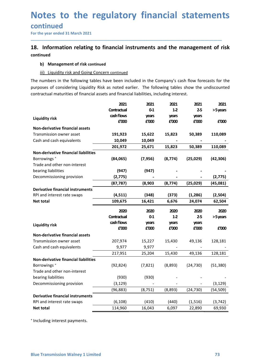# continued

# **Notes to the regulatory financial statement<br>
For the year ended 31 March 2021**<br> **18.** Information relating to financial instruments and the management of r<br>
continued<br>
b) Management of risk continued **Notes to the regulatory financial statements**<br>
For the year ended 31 March 2021<br>
18. Information relating to financial instruments and the management of risk<br>
continued<br>
b) Management of risk continued<br>
iii) Liquidity ris continued

**Change 15 The State State Continued**<br> **Changement of risk continued**<br> **Changement of risk continued**<br> **Changement of risk continued**<br> **Changement of risk continued**<br> **Changement of risk continued**<br> **Changement of risk con CORPORT COMMON CONCERT CONCERT CONCERT CONCERT CONCERT CONCERT CONCERT CONCERT CONCERT CONCERT CONCERT CONCERT<br>
Information relating to financial instruments and the management of risk<br>
inued<br>
b) Management of risk contin Notes to the regulatory financial statements**<br>
For the year ended 31 March 2021<br> **18.** Information relating to financial instruments and the management of risk<br>
continued<br>
b) Management of risk continued<br>
iii) Liquidity r **Notes to the regulatory financial statements**<br>
For the year ended 31 March 2021<br>
18. Information relating to financial instruments and the management of risk<br>
continued<br>
b) Management of risk continued<br>
iii) Liquidity ris

| For the year ended 31 March 2021                                                                                                                                                                                                                                                                        |                     |                  |                |                    |                   |
|---------------------------------------------------------------------------------------------------------------------------------------------------------------------------------------------------------------------------------------------------------------------------------------------------------|---------------------|------------------|----------------|--------------------|-------------------|
| 18. Information relating to financial instruments and the management of risk                                                                                                                                                                                                                            |                     |                  |                |                    |                   |
| continued                                                                                                                                                                                                                                                                                               |                     |                  |                |                    |                   |
| <b>Management of risk continued</b><br>b)                                                                                                                                                                                                                                                               |                     |                  |                |                    |                   |
| <b>Liquidity risk and Going Concern continued</b><br>iii)                                                                                                                                                                                                                                               |                     |                  |                |                    |                   |
|                                                                                                                                                                                                                                                                                                         |                     |                  |                |                    |                   |
| The numbers in the following tables have been included in the Company's cash flow forecasts for the<br>purposes of considering Liquidity Risk as noted earlier. The following tables show the undiscounted<br>contractual maturities of financial assets and financial liabilities, including interest. |                     |                  |                |                    |                   |
|                                                                                                                                                                                                                                                                                                         | 2021                | 2021             | 2021           | 2021               | 2021              |
|                                                                                                                                                                                                                                                                                                         | Contractual         | 0-1              | $1-2$          | $2-5$              | >5 years          |
| <b>Liquidity risk</b>                                                                                                                                                                                                                                                                                   | cash flows          | years            | years          | years              |                   |
|                                                                                                                                                                                                                                                                                                         | £'000               | £'000            | £'000          | £'000              | £'000             |
| <b>Non-derivative financial assets</b>                                                                                                                                                                                                                                                                  |                     |                  |                |                    |                   |
| Transmission owner asset                                                                                                                                                                                                                                                                                | 191,923             | 15,622           | 15,823         | 50,389             | 110,089           |
| Cash and cash equivalents                                                                                                                                                                                                                                                                               | 10,049<br>201,972   | 10,049<br>25,671 | 15,823         | 50,389             | 110,089           |
| Non-derivative financial liabilities                                                                                                                                                                                                                                                                    |                     |                  |                |                    |                   |
| Borrowings <sup>+</sup>                                                                                                                                                                                                                                                                                 | (84,065)            | (7, 956)         | (8, 774)       | (25,029)           | (42, 306)         |
| Trade and other non-interest                                                                                                                                                                                                                                                                            |                     |                  |                |                    |                   |
| bearing liabilities                                                                                                                                                                                                                                                                                     | (947)               | (947)            |                |                    |                   |
| Decommissioning provision                                                                                                                                                                                                                                                                               | (2, 775)            |                  |                |                    | (2, 775)          |
|                                                                                                                                                                                                                                                                                                         | (87, 787)           | (8,903)          | (8, 774)       | (25, 029)          | (45,081)          |
| <b>Derivative financial instruments</b>                                                                                                                                                                                                                                                                 |                     |                  |                |                    |                   |
| RPI and interest rate swaps<br>Net total                                                                                                                                                                                                                                                                | (4,511)<br>109,675  | (348)<br>16,421  | (373)<br>6,676 | (1, 286)<br>24,074 | (2,504)<br>62,504 |
|                                                                                                                                                                                                                                                                                                         |                     |                  |                |                    |                   |
|                                                                                                                                                                                                                                                                                                         | 2020                | 2020             | 2020           | 2020               | 2020              |
|                                                                                                                                                                                                                                                                                                         | Contractual         | $0-1$            | $1-2$          | $2-5$              | >5 years          |
| <b>Liquidity risk</b>                                                                                                                                                                                                                                                                                   | cash flows<br>£'000 | years<br>£'000   | years<br>£'000 | years              | £'000             |
| Non-derivative financial assets                                                                                                                                                                                                                                                                         |                     |                  |                | £'000              |                   |
| Transmission owner asset                                                                                                                                                                                                                                                                                | 207,974             | 15,227           | 15,430         | 49,136             | 128,181           |
| Cash and cash equivalents                                                                                                                                                                                                                                                                               | 9,977               | 9,977            |                |                    |                   |
|                                                                                                                                                                                                                                                                                                         | 217,951             | 25,204           | 15,430         | 49,136             | 128,181           |
| Non-derivative financial liabilities                                                                                                                                                                                                                                                                    |                     |                  |                |                    |                   |
| Borrowings <sup>+</sup>                                                                                                                                                                                                                                                                                 | (92, 824)           | (7, 821)         | (8,893)        | (24, 730)          | (51, 380)         |
| Trade and other non-interest                                                                                                                                                                                                                                                                            |                     |                  |                |                    |                   |
| bearing liabilities                                                                                                                                                                                                                                                                                     | (930)               | (930)            |                |                    |                   |
| Decommissioning provision                                                                                                                                                                                                                                                                               | (3, 129)            |                  |                |                    | (3, 129)          |
| <b>Derivative financial instruments</b>                                                                                                                                                                                                                                                                 | (96, 883)           | (8, 751)         | (8,893)        | (24, 730)          | (54, 509)         |
| RPI and interest rate swaps                                                                                                                                                                                                                                                                             | (6, 108)            | (410)            | (440)          | (1, 516)           | (3, 742)          |
| Net total                                                                                                                                                                                                                                                                                               | 114,960             | 16,043           | 6,097          | 22,890             | 69,930            |
|                                                                                                                                                                                                                                                                                                         |                     |                  |                |                    |                   |
| Including interest payments.                                                                                                                                                                                                                                                                            |                     |                  |                |                    |                   |
|                                                                                                                                                                                                                                                                                                         |                     |                  |                |                    |                   |
|                                                                                                                                                                                                                                                                                                         |                     |                  |                |                    |                   |
|                                                                                                                                                                                                                                                                                                         |                     |                  |                |                    |                   |
|                                                                                                                                                                                                                                                                                                         |                     |                  |                |                    |                   |
| <b>Blue Transmission Walney 1 Limited</b>                                                                                                                                                                                                                                                               |                     |                  |                |                    | 73                |
|                                                                                                                                                                                                                                                                                                         |                     |                  |                |                    |                   |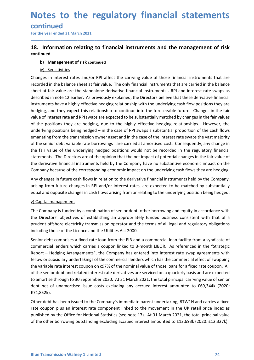# continued

# **Notes to the regulatory financial statemen**<br>
For the year ended 31 March 2021<br> **Tor the year ended 31 March 2021**<br> **18.** Information relating to financial instruments and the management of r<br>
continued<br>
b) Management of r **Notes to the regulatory financial statements**<br>
For the year ended 31 March 2021<br> **18.** Information relating to financial instruments and the management of risk<br>
continued<br>
b) Management of risk continued<br>
<u>iv) Sensitiviti</u> continued

\_\_\_\_\_\_\_\_\_\_\_\_\_\_\_\_\_\_\_\_\_\_\_\_\_\_\_\_\_\_\_\_\_\_\_\_\_\_\_\_\_\_\_\_\_\_\_\_\_\_\_\_\_\_\_\_\_\_\_\_\_\_\_\_\_\_\_\_\_\_\_\_\_\_\_\_\_\_\_\_\_\_\_\_\_\_\_\_\_\_

**b) Season Community:**<br> **b)** Management of risk continued<br> **b)** Management of risk continued<br>
b) Management of risk continued<br>
b) Management of risk continued<br>
iv) Sensitivities<br>
ges in interest rates and/or RPI affect the **Solution 19 and Solution 19 and Solution 19 and Solution 19 and Solution 19 and Solution 19 and Solution 19 and Solution 19 and Solution 19 and Solution 19 and Solution 19 and Solution 19 and Solution 19 and Solution 19 a Notes to the regulatory financial statements**<br>
For the year ended 31 March 2021<br> **18.** Information relating to financial instruments and the management of risk<br>
continued<br>
b) Management of risk continued<br>
in interest rate **Notes to the regulatory financial statements**<br>
For the year ended 31 March 2021<br> **18.** Information relating to financial instruments and the management of risk<br>
continued<br>
b) Management of risk continued<br>
b) Sensitivities **Notes to the regulatory financial statements**<br>
For the year ended 31 March 2021<br> **18.** Information relating to financial instruments and the management of risk<br>
continued<br>
b) Management of risk continued<br>
in Nextandalone **Notes to the regulatory financial statements**<br>
For the year ended 31 March 2021<br> **18.** Information relating to financial instruments and the management of risk<br>
continued<br>
b) Management of risk continued<br>
b) Sensitivities **Notes to the regulatory financial statements**<br>
For the year ended 31 March 2021<br> **18.** Information relating to financial instruments and the management of risk<br>
continued<br>
b) Management of risk continued<br>
in the balance s **Notes to the regulatory financial statements**<br>
For the year ended 31 March 2021<br> **18.** Information relating to financial instruments and the management of risk<br>
continue<br>
b) Management of risk continued<br>
b) Management of **Notes to the regulatory financial statements**<br> **Early and RPI systems** and the management of risk<br> **18.** Information relating to financial instruments and the management of risk<br>
to minude<br>
b) Management of risk continued **COLUTE THE POSITE CONTROLL CONTROLL AS CONTROLL CONTINUES**<br> **Solution Expansion of the position of the positions of the position of the management of risk continued**<br> **IS.** Information relating to financial instruments an **CONTLINUMENT EXECT THE CONTRIMENT CONTRIMENT IS A SURFARE THE CONTRIMENT IS A SURFARENT CONTRIMENT CONTRIMENT IS A SURFARENT CONTRIMENT CONTRIMENT CONTRIMENT CONTRIMENT CONTRIMENT CONTRIMENT CONTRIMENT IS CONTRIMENT INTO** For the year ended 31 March 2021<br> **18. Information relating to financial instruments and the management of risk continued**<br>
b) Management of risk continued<br>
b) Management of risk continued<br>
b) Management of risk continued<br> **18. Information relating to financial instruments and the management of risk continued<br>
b) Management of risk continued<br>
in the balance show and/or RPI affect the carrying value of those financial instruments that are<br>
r 18. Information relating to financial instruments and the management of risk continued<br>
b) Management of risk continued<br>
in Vestivities<br>
Changes in interest rates and/or RPI affect the carrying value of those financial i** statement of the data methanics are of the carrying value of those financial instruments that are changes in interest rates and/or RPI affect the carrying value of those financial instruments that are changes in interest r **b) Management of risk continued**<br>
in <u>Sensitivities</u><br>
Changes in interest rates and/or RPI affect the carrying value of those financial instruments that are<br>
crecorded in the balance sheet at fair value. The only financ or<br>
in Somistivities<br>
Changes in interest rates and/or RPI affect the carrying value of those financial instruments that are<br>
recorded in the balance sheet at fair value. The only financial instruments that are carried in Changes in interest rates and/or RPI affect the carrying value of those financial instruments that are recorded in the balance sheet at fair value. The only financial instruments that are carried in the balance recorded in Examples in interest at eas anyot in Praisive incompleration and an experimental instruments that are carried in the balance precorded in the balance sheet at fair value. The only financial instruments that are carried in exceloce in the banalme as the extraction and the the comparation and a consideration and a consideration and a consideration and a consideration and a consideration or the underlying cash flow positions in the standal neu described in note 12 earlier. As previously explained, the Directors believe that the instruments have a highly effective hedging relationship with the underlying cash fi<br>endging, and they expect this relationship to conti Instruments have a highly effective hedging realtonship with the underlying cash low positions they are<br>hedging, and they expect this relationship to continue into the foreseeable future. Changes in the fair<br>value of inter neaging, and they expect this relationship to continue into the foreseeable tuture. Changes in the fair values<br>of interest atte and RPI swaps are expected to be substantially matched by changes in the fair values<br>of the po walle of Interestrate and RPI swaps are expected to be substantially mattered by changes in the fair values<br>of the positions thely are hedging, due to the highly effective hedging relationships. However, the<br>underlying pos of the positions they are hereging, due to the highly effective hedging relationships. However, the<br>underlying positions being hedged – in the case of RPI swaps a substantial proportion of the cash flows<br>emanating from the emanating from the transmission owner asset and in the case of the interest rate swaps the vast majority<br>of the senior debt variable rate borrowings - are carried at amortised cost. Consequently, any change in<br>the fair va

commetrate renests wind cantes a coupon timed co 3-miontic Loot. As retreted into the state that the state interest of swapping<br>Report – Hedging Arrangements", the Company has entered into interest rate swap agreements wit of the senior debt variable rate borrowings - are carried at amortised cost. Consequently, any change in<br>the fair value of the underlying hedged positions would not be recorded in the regulatory financial<br>statements. The D the fair value of the underlying hedged positions would not be recorded in the regulatory financial<br>statements. The Directors are of the opinion that the net impact of potential changes in the fair value of<br>statements. The statements. The Directors are of the opinion that the net impact of potential changes in the fair value of<br>the derivative financial instruments held by the Company have no substantive economic impact on the<br>Company because the derivative financial instruments held by the Company have no substantive economic impact on the Company because of the corresponding economic impact on the underlying cash flows they are hedging.<br>Any changes in future Company because of the corresponding economic impact on the underlying cash flows they are hedging.<br>Any changes in future cash flows in relation to the derivative financial instruments held by the Company,<br>arising from fut Any changes in future cash flows in relation to the derivative financial instruments held by the Company, arising from future changes in RPI and/or interest rates, are expected to be matched by substantially equal and oppo Any thanges in tuttre cash thows in relation to the derivative financial instruments held by the Company<br>arising from future changes in RPI and/or interest rates, are expected to be matched by substantially<br>equal and oppos £74,852k). V. Capital management<br>
Other Company is funded by a combination of senior debt, other borrowing and equity in accordance with<br>
the Directors' objectives of establishing an appropriately funded business consistent with that Vicapital management<br>The Company is funded by a combination of senior debt, other borrowing and equity in accordance with<br>The Company is funded by a combination of senior debt, there borrowing and equity in accordance with The Company is funded by a combination of senior debt, other borrowing and equity in accordance with<br>the Directors' objectives of estabilishing an appropriately funded business consistent with that of a<br>prudent offshore el the Directors' objectives of establishing an appropriately funded business consistent with that of a<br>production effshore electricity transmission opperator and the terms of all legal and regulatory obligations<br>including th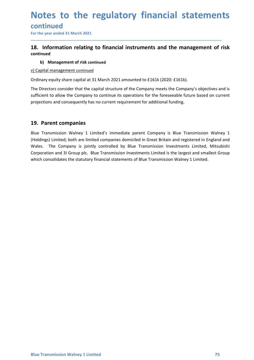# continued

# **Notes to the regulatory financial statemen**<br>
For the year ended 31 March 2021<br> **Tor the year ended 31 March 2021**<br> **18.** Information relating to financial instruments and the management of r<br>
continued<br>
b) Management of r **Notes to the regulatory financial statements**<br>
For the year ended 31 March 2021<br>
The year ended 31 March 2021<br> **18.** Information relating to financial instruments and the management of risk<br>
continued<br>
b) Management of ri continued **b) Solution 19 and Solution Continued**<br>
Devear ended 31 March 2021<br> **Information relating to financial instruments and the management of**<br> **b)** Management of risk continued<br>
pital management continued<br>
nary equity share c

\_\_\_\_\_\_\_\_\_\_\_\_\_\_\_\_\_\_\_\_\_\_\_\_\_\_\_\_\_\_\_\_\_\_\_\_\_\_\_\_\_\_\_\_\_\_\_\_\_\_\_\_\_\_\_\_\_\_\_\_\_\_\_\_\_\_\_\_\_\_\_\_\_\_\_\_\_\_\_\_\_\_\_\_\_\_\_\_\_\_

**Notes to the regulatory financial strangential strangential management of risk continued**<br> **18.** Information relating to financial instruments and the man<br>
continued<br>
b) Management of risk continued<br>
v) Capital management **Notes to the regulatory financial statements**<br>
For the year ended 31 March 2021<br> **18.** Information relating to financial instruments and the management of risk<br>
continued<br>
b) Management of risk continued<br>
b) Management co **Notes to the regulatory financial statements**<br>
For the year ended 31 March 2021<br>
The The year ended 31 March 2021<br> **18.** Information relating to financial instruments and the management of risk<br>
continued<br>
b) Management o **Notes to the regulatory financial statements**<br>
For the year ended 31 March 2021<br> **18.** Information relating to financial instruments and the management of risk<br>
continued<br>
b) Management of risk continued<br>
v) Capital manag **Notes to the regulatory financial statements**<br>
For the year ended 31 March 2021<br> **18.** Information relating to financial instruments and the management of risk<br>
continued<br>
b) Management of risk continued<br>
v) Capital manag

**CONTITUATE IS CONTROVITE ISLAM**<br>
For the year ended 31 March 2021<br> **19.** Information relating to financial instruments and the manage<br>
continued<br>
b) Management of risk continued<br>
Drelial management continued<br>
Drelial mana **CONTIFINER 16**<br>
For the year ended 31 March 2021<br> **18.** Information relating to financial instruments and the management of risk<br>
continued<br>
V) Capital management of risk continued<br>
V) Capital management continued<br>
Ordina For the year ended 31 March 2021<br>
18. Information relating to financial instruments and the management of risk<br>
continued<br>
b) Management of risk continued<br>
Cridinary equity share capital at 31 March 2021 amounted to £161k **18. Information relating to financial instruments and the management of risk**<br> **Company is the Company is the Company is standard and the management of risk**<br> **Company equity share capital at 31 March 2021 amounted to £16 18. Information relating to financial instruments and the management of risk**<br>continued<br>b) Management of risk continued<br>V) Capital management continued<br>Ordinary equity share capital at 31 March 2021 amounted to £161k (202 continued<br>
b) Management of risk continued<br>
ordinary equity share capital at 31 March 2021 amounted to £161k (2020: £161k).<br>
Erice Directors consider that the capital structure of the Company meets the Company's objectives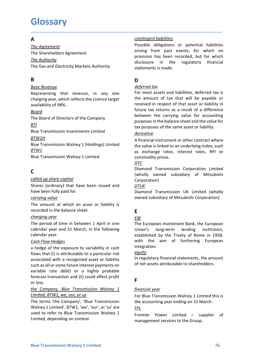# **Glossary**

# $\overline{A}$

**Glossary**<br> **A**<br>
<u>Contingent liabilities</u><br>
The Agreement<br>
The Shareholders Agreement<br>
The Gas and Electricity Markets Authority<br>
The Gas and Electricity Markets Authority<br> **Conting to the Statements is made. Glossary**<br>
The Agreement<br>
The Agreement<br>
The Shareholders Agreement<br>
The Shareholders Agreement<br>
The Shareholders Agreement<br>
The Shareholders Agreement<br>
The Shareholders Agreement<br>
The Gas and Electricity Markets Authorit **Glossary**<br> **A**<br>
The Agreement<br>
The Shareholders Agreement<br>
The Shareholders Agreement<br>
The Authority<br>
The Gas and Electricity Markets Authority<br> **B**<br> **B**<br> **D**<br>
Base Revenue<br> **EXECTE:**<br> **EXECTE CONSTANT CONSIDERS**<br> **EXECTE Glossary**<br>
The Agreement<br>
The Agreement<br>
The Shareholders Agreement<br>
The Shareholders Agreement<br>
The Gas and Electricity Markets Authority<br>
The Gas and Electricity Markets Authority<br>
The Gas and Electricity Markets Author

# B<sub>a</sub> Barat and the second service of the series of the series of the series of the series of the series of the series of the series of the series of the series of the series of the series of the series of the series of the

### Board

### **BTI**

### BTW1H

BTW1

# **C** and the contract of the contract of the contract of the contract of the contract of the contract of the contract of the contract of the contract of the contract of the contract of the contract of the contract of the co

East Flow Hedges<br>
Scape of the exposure to variability in cash<br>
in the aim of furthering European<br>
flows that (i) is attributable to a particular risk<br>
suscoidated with a recognised asset or liability<br>
in regulatory financ Blue Transmission Investments Limited<br>
BIW1H<br>
Blue Transmission Walney 1 (Holdings) Limited<br>
A financial instrument or other and<br>
Blue Transmission Walney 1 (Holdings) Limited<br>
A financial instrument or other<br>
Blue Transm **EXAMPLE TRANSITY (FIRMSITE THE SET AND THE SET AND THE SET AND THE VALUE TRANSITY ON THE SIDE TRANSITION WE Alter EXAMPLE TRANSITION WAT AND THE SIDE TRANSITY (Wholly owned subsidiary Corporation)<br>
Case (ordinary) that h** Blue Transmission Walney 1 (Holdings) Limited<br>
a heroule is linked to an underlying index, such<br>
as exchange rates, interest rates, RPI or<br>
Blue Transmission Walney 1 Limited<br>  $\frac{DTC}{C}$ <br>  $\frac{DTC}{D}$ <br>  $\frac{CDTC}{D}$ <br>  $\frac{CDTC}{D}$ **EVALUAT SET ANTIFICATE CONFIDENT THE CONFIDENT THE VALUE CONSUMITED THE VALUE (SO A particular risk Composition Corporation Limited Corporation (Solid UP share copital (Wholly owned subsidiary of Mitsubishi<br>Shares (ordin EXERCT THE SET THE SET THE SET THE SET THE SET THE SET THE SET THE SET THE SET THE SET THE SET THE SET THE SET THE SET THE SET THE SET THE SET THE SET THE SET THE SET THE SET THE SET THE SET THE SET THE SET THE SET THE SE** such constraints and the the standard vertice of the standard term of the standard term of the standard term of the standard the standard the balance sheet fully paid for.<br>
Shares (ordinary) that have been issued and  $\frac{DT$ **C**<br> **C**<br>
Colled up share capital<br>
(wholly owned subsidiary of Mitsubishi<br>
Shares (ordinary) that have been issued and<br>
Corporation)<br>
The amount at which an asset or liability is<br>
encorded in the balance sheet.<br> **E**<br>
Echo **Comparison**<br> **Comparison** is the comparison of instantinent in the comparison of the comparison of the comparison of the comparison of the comparison of the balance sheet.<br> **E**<br> **Comparison and a** and a comparison of Mit corporation)<br>
Shares (ordinary) that have been issued and<br>
Corporation)<br>
Shares (ordinary) that have been issued and<br>
<u>DTUK</u><br>
Diamond Transmissi<br>
The amount at which an asset or liability is<br>
The amount at which an asset Shares (ordinary) that have been issued and<br>
interest of tully paid for.<br>
Interest tully paid for.<br>
Compared the balance sheet.<br>
The amount at which an asset or liability is<br>
errorded in the balance sheet.<br>
Engerthe Compa have been fully paid for.<br>
Clamond Transmission UK Limited (wholl<br>
contrying value<br>
control at which an asset or liability is<br>
The amount at which an asset or liability is<br>
recorded in the balance sheet.<br>
Engering of thire Ether annount at which an asset or liability is<br>  $\frac{carving value}{\text{R}}$   $\frac{R}{\text{R}}$   $\frac{R}{\text{R}}$   $\frac{R}{\text{R}}$   $\frac{R}{\text{R}}$   $\frac{R}{\text{R}}$   $\frac{R}{\text{R}}$   $\frac{R}{\text{R}}$   $\frac{R}{\text{R}}$   $\frac{R}{\text{R}}$   $\frac{R}{\text{R}}$   $\frac{R}{\text{R}}$   $\frac{R}{\text{R}}$  The amount at which an asset or liability is<br>  $\frac{EB}{The amount at which an asset or liability is  
\nrecorded in the balance sheet.  
\nThe period of time in between 1 April in one  
\ncalendar year and 31 March, in the following  
\ncalendra year and 31 March, in the following  
\ncash *Edsh F Example*  
\n*Cash F Qsh F Qsh Gsh Gsh Gsh Gsh Gsh Gsh*$ Encember of the balance sheet.<br>
The period in the balance sheet.<br>
The period of time in between 1 April in one<br>
The European Investment Bank, the European<br>
calendar year and 31 March, in the following<br>
calendar year and 3 Extracted mite to analog and a March (Englished by the Transmission Walney 1 Limited, depending on context<br>
Edge of the in between 1 April in one The European Investment Bank, the European<br>
calendar year.<br>
Cash Flow Hedge

\_\_\_\_\_\_\_\_\_\_\_\_\_\_\_\_\_\_\_\_\_\_\_\_\_\_\_\_\_\_\_\_\_\_\_\_\_\_\_\_\_\_\_\_\_\_\_\_\_\_\_\_\_\_\_\_\_\_\_\_\_\_\_\_\_\_\_\_\_\_\_\_\_\_\_\_\_\_\_\_\_\_\_\_\_\_\_\_\_\_

**GLOSSATY**<br>
The Agreement<br>
The Shareholders Agreement<br>
The Shareholders Agreement<br>
The Shareholders Agreement<br>
The Shareholders Agreement<br>
The Gas and Electricity Markets Authority<br>
The Gas and Electricity Markets Authorit **Contingent liabilities**<br> **Possible obligations or potential liabilities**<br> **arising from past events, for which no<br>
provision has been recorded, but for which<br>
disclosure in the regulatory financial<br>
statements is made. Contingent liabilities**<br>Possible obligations or potential liabilities<br>arising from past events, for which no<br>provision has been recorded, but for which<br>disclosure in the regulatory financial<br>statements is made. **Example 12**<br> **Example 12**<br> **Example 12**<br> **Example 12**<br> **Example 12**<br> **Example 12**<br> **Example 12**<br> **Example 12**<br> **Example 12**<br> **Example 12**<br> **Example 12**<br> **Example 12**<br> **Example 12**<br> **Example 12**<br> **Example 12**<br> **Example 12 Example 11 Example 11 Example 12 Example 12 Example 12 Example 12 Example 12 Example 12 Example 12 Example 12 Example 12 Example 12 Example 12 Example 12 Example 14 Statements is made.**<br> **D**<br> **D**<br> **D**<br> **D**<br> **D**<br> **D**<br> **def Contingent liabilities**<br> **Example 18**<br> **Possible obligations or potential liabilities**<br> **Alter and the regulatory financial**<br> **CONS**<br> **CONS**<br> **CONS**<br> **CONS**<br> **CONS**<br> **CONS**<br> **CONS**<br> **CONS**<br> **CONS**<br> **CONS**<br> **CONS**<br> **CONS**<br> **Contingent liabilities**<br> **Example 15**<br> **Possible obligations or potential liabilities**<br> **arising from past events, for which no**<br> **provision has been recorded, but for which**<br> **disclosure in the regulatory financial**<br> **Su** 

# D<sub>ar</sub> and the state of the state of the state of the state of the state of the state of the state of the state of the state of the state of the state of the state of the state of the state of the state of the state of the

**Glossary**<br> **A**<br> **A**<br> **EXECUTE CONSCRIPNEE THE Authority**<br>
The Authority<br>
The Shareholders Agreement<br>
The Authority<br>
The Shareholders Agreement<br>
The Gas and Electricity Markets Authority<br>
The Gas and Electricity Markets Au **Glossary**<br> **Charging The Agreement**<br>
The Agreement<br>
The Shareholders Agreement<br>
The Shareholders Agreement<br>
The Shareholders Agreement<br>
The Sas and Electricity Markets Authority<br>
Subscribe and Electricity Markets Authorit **Glossary**<br>
The Agreement<br>
The Shareholders Agreement<br>
The Shareholders Agreement<br>
The Shareholders Agreement<br>
The Authority<br>
The Gas and Electricity Markets Authority<br>
Susclosure in the regulate<br>
Susclosure in the regulat **GIOSSATY**<br> **EXECUTE ADECEMENT AND CONTABLY CONDUCT THE STATE ADECEMENT ARE<br>
The Antendents Agreement Prossible obligations or potential liabilities<br>
The Authority<br>
The Gas and Electricity Markets Authority<br>
The Gas and El EXECUTE:**<br> **EXECUTE:**<br>
The Agreement<br>
The Shareholders Agreement<br>
The Shareholders Agreement<br>
The Gas and Electricity Markets Authority<br>
The Gas and Electricity Markets Authority<br>
Buse Revenue<br> **B**<br> **B**<br>
Buse Revenue<br> **Bu A**<br> **EXERCT THE CONSIDE CONSIDENT CONSIDENT CONSIDE CONSIDE CONSIDE CONSIDER THE Shareholders Agreement<br>
The Shareholders Agreement<br>
The Shareholders Agreement<br>
The Gas and Electricity Markets Authority<br>
The Gas and Elec** The Shareholders Agreement<br>
The Authority<br>
The Authority<br>
The Authority<br>
The Gas and Electricity Markets Authority<br>
The Gas and Electricity Markets Authority<br>
electricity<br>
electricity and the disclosure in the regulatory **B**<br> **B**<br> **Example 18 Example 18 Example 18 Example 18 Example 18 Example 18 Example 18 Example 18 Example 18 Example 18 Example 18 Example 18 Example 18 Example 18 Example 18 Example 18 Example 18 Example 18 Example 18 E B**<br> **Box Revenue**<br> **Box Representing** that revenue, in any one<br> **Expresenting** that revenue, in any one<br> **Expresenting** that the manut of tax that will be payable or<br> **Expresentialistity** of 98%.<br> **Expresentialistical**<br> **EXERUGE SERUGE SERUGE SERUGE SERUGE SERUGE SERUGE SERUGE SERUGE SERUGE SERUGE SERUGE SERUGE SERUGE SERUGE SERUGE SERUGE SERUGE SERUGE SERUGE SERUGE SERUGE SERUGE SERUGE SERUGE SERUGE SERUGE SERUGE SERUGE SERUGE SERUGE SE** Representing that revenue, in any one<br>
For most assets and liability<br>
or charging year, which reflects the Licence target<br>
the amount of tax that a<br>
process of the Company<br>
Bard of Directors of the Company<br>
Bard for the c charging year, which reflects the Licence target<br>
the amount of taxt hat will be payable or<br>
avoid in implication from the company<br>
Beard<br>
The Board of Directors of the Company<br>
The Board of Directors of the Company<br>
EVAL availability of 98%.<br>
Found in repeat of that asset or liability<br>
Engels and of Directors of the Company<br>
future tax returns as a result of a different<br>
EINE The Board of Directors of the Company<br>
EINE The Board of Direct **Contingent liabilities**<br> **Contingent liabilities**<br> **Possible obligations or potential liabilities**<br> **arising from past events, for which no**<br> **provision has been recorded, but for which**<br> **disclosure in the regulatory fin Contingent liabilities**<br> **Possible obligations or potential liabilities**<br> **arising from past events, for which no**<br> **provision has been recorded, but for which**<br> **disclosure in the regulatory financial**<br> **b**<br> **D**<br> **D**<br> **D Contingent liabilities**<br> **Possible obligations or potential liabilities**<br> **arising from past events, for which no**<br> **provision has been recorded, but for which**<br> **disclosure in the regulatory financial**<br> **b**<br> **D**<br> **D**<br> **D Example 12**<br> **Contingent liabilities**<br> **Possible obligations or potential liabilities**<br>
arising from past events, for which no<br>
provision has been recorded, but for which<br>
disclosure in the regulatory financial<br> **D**<br> **D**<br> **Contingent liabilities**<br> **Example condigations** or potential liabilities<br> **Provision has been recorded, but for which no**<br> **provision has been recorded, but for which**<br> **disclosure** in the regulatory financial<br> **Statement Contingent liabilities**<br> **Possible obligations or potential liabilities**<br> **arrising from past events, for which no**<br> **provision has been recorded, but for which disclosure in the regulatory financial<br>
<b>B**<br> **D**<br> **D**<br> **D**<br> **Example 12**<br> **Contingent liabilities**<br> **Possible obligations or potential liabilities**<br>
arising from past events, for which no<br>
provision has been recorded, but for which<br>
statements is made.<br> **D**<br> **D**<br> **D**<br> **D**<br> **D**<br> **D Example 12**<br> **Example 12**<br> **Example 12**<br> **Example 12**<br> **Example 12**<br> **Example 12**<br> **Example 12**<br> **COVE 12**<br> **COVE 12**<br> **COVE 12**<br> **COVE 12**<br> **COVE 12**<br> **COVE 12**<br> **COVE 12**<br> **COVE 12**<br> **COVE 12**<br> **COVE 12**<br> **COVE 12**<br> **CO Contingent liabilities**<br> **Possible obligations or potential liabilities**<br> **arising from past events, for which no**<br> **provision has been recorded, but for which no**<br> **disclosure in the regulatory financial**<br> **BLAC**<br> **D**<br> **Example 11 (Controllation Space Transmission** or potential liabilities Parsising from past events, for which no<br>provision has been recorded, but for which no<br>disclosure in the regulatory financial<br>statements is made.<br>**D**<br> Possible obligations or potential liabilities<br>arising from past events, for which no<br>provision has been recorded, but for which no<br>disclosure in the regulatory financial<br>statements is made.<br>D<br>D<br>deferred tax<br>For most assets arising from past events, for which no<br>provision has been recorded, but for which<br>disclosure in the regulatory financial<br>statements is made.<br><br>**D**<br>**D**<br>**D**<br>**D**<br>**Commodity** is made.<br>**Commodity** financial<br>statements is made.<br><br> disclosure in the regulatory financial<br>statements is made.<br>**D**<br>**D**<br>deferred tax<br>For most assets and liabilities, deferred tax is<br>the amount of tax that will be payable or<br>received in respect of that asset or liability in<br>b statements is made.<br> **D**<br> **D**<br> **D**<br> **D**<br> **Com** most assets and liabilities, deferred tax is<br>
the amount of tax that will be payable or<br>
received in respect of that asset or liability in<br>
future tax returns as a result of a deferred tax<br>For most assets and liabilities, deferred tax is<br>the amount of tax that will be payable or<br>received in respect of that asset or liability in<br>future tax returns as a result of a difference<br>between the carrying For most assets and liabilities, deferred tax is<br>the amount of tax that will be payable or<br>received in respect of that asset or liability in<br>future tax returns as a result of a difference<br>between the carrying value for ac

### derivative

### DTC

Corporation)

### DTUK

# Experience of the state of the state of the state of the state of the state of the state of the state of the state of the state of the state of the state of the state of the state of the state of the state of the state of

# EIB **EIB**

**EXECUTE FOR SECUTE SET THE SET THE SET AN ABOVE THE SET THE BOAT OF THE BOAT OF DIRECT THE SET THE BURE TRANSISION Walney 1 (Holdings) Limited<br>
BILIVE Transmission Walney 1 (Holdings) Limited<br>
BILIVE Transmission Walney** The Board of Directors of the Company<br>  $\frac{BTI}{B}$ <br>
Elue Transmission Investments Limited<br>  $\frac{BTVM2H}{B}$ <br>
Elue Transmission Walney 1 (Holdings) Limited<br>  $\frac{BTVM2}{B}$ <br>  $\frac{BTV}{B}$ <br>
Elue Transmission Walney 1 (Holdings) Limit **EXET ANTIFY THE SET ANTIFY THE SET AND THE SET AND THE SET AND THE SET AND THE SET AND THE SET AND THE SET AND THE SET AND THE SET AND THE SET AND THE SET AND THE SET AND THE SET AND THE SET AND THE SET AND THE SET AND T** between the carrying value for<br>purposes in the balance sheet and the value for<br>tax purposes of the same asset or liability.<br><u>derivative</u><br>A financial instrument or other contract where<br>the value is linked to an underlying i purposes of the same asset and the value of<br>tax purposes of the same asset or liability.<br>
<u>derivative</u><br>
A financial instrument or other contract where<br>
the value is linked to an underlying index, such<br>
as exchange rates, i derivative<br>
derivative<br>
derivative and instrument or other contract where<br>
the value is linked to an underlying index, such<br>
as exchange rates, interest rates, RPI or<br>
commodity prices.<br>
DTC<br>
DTC<br>
Commond Transmission Corp **derivative**<br>
A financial instrument or other contract where<br>
A financial instrument or other contract where<br>
the value is linked to an underlying index, such<br>
as exchange rates, interest rates, RPI or<br>
<u>Commondity</u> prices integration. as exchange rates, interest rates, RPI or<br>
<u>OPTC</u><br>
<u>OPTC</u><br>
Diamond Transmission Corporation Limited<br>
(wholly owned subsidiary of Mitsubishi<br>
Corporation)<br>
<u>DTUK</u><br>
Diamond Transmission UK Limited (wholly<br>
owned subsidiary o commodity prices.<br>
<u>Driam</u>ond Transmission Corporation Limited<br>
(wholly owned subsidiary of Mitsubishi<br>
Corporation)<br>
<u>DTUK</u><br>
Diamond Transmission UK Limited (wholly<br>
owned subsidiary of Mitsubishi Corporation)<br> **E**<br> **E**<br> **EXECTS 1988**<br> **EXECTS 1988**<br> **EXECTS 1988**<br> **EXECTS 1988**<br> **EXECTS 1988**<br> **EXECTS 1988**<br> **EXECTS 1988**<br> **EXECTS 1988**<br> **EXECTS 1988**<br> **EXECTS 1988**<br> **EXECTS 1988**<br> **EXECTS 1988**<br> **EXECTS 1988**<br> **EXECTS 1988**<br> **EXECTS 1988** Diamond Transmission UK Limited (wholly<br>
owned subsidiary of Mitsubishi Corporation)<br> **E**<br> **E**<br> **E**<br>
El<br>
El<br>
El<br>
El<br>
El<br>
metrogean Investment Bank, the European<br>
the simple institution,<br>
established by the Treaty of Rome i or owned subsidiary of Mitsubishi Corporation)<br>
E<br>
<u>EIB</u><br>
The European Investment Bank, the European<br>
Union's long-term lending institution,<br>
setablished by the Treaty of Rome in 1958,<br>
with the aim of furthering European<br> For European Investment Bank, the European<br>
The European Investment Bank, the European<br>
Union's long-term lending institution,<br>
setablished by the Treaty of Rome in 1958,<br>
with the aim of furthering European<br>
integration. THE European Investment Bank, the European<br>The European Investment Bank, the European<br>Union's long-term lending institution,<br>established by the Treaty of Rome in 1958,<br>integration.<br>integration.<br>Integration.<br>Integration.<br>Eq

### equity

# **F F** *F*

FPL **FRU**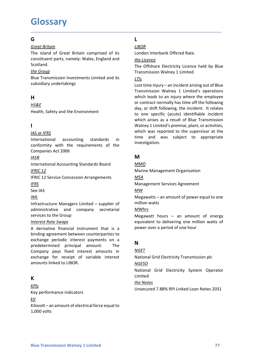# **Glossary**

## Germany and the second service of the service of the service of the series of the series of the series of the series of the series of the series of the series of the series of the series of the series of the series of the

G<br>
G<br>
Great Britain<br>
Great Britain<br>
The island of Great Britain comprised of its<br>
LIBOR<br>
The island of Great Britain comprised of its<br>
London Interbank Offere<br>
constituent parts, namely: Wales, England and<br>
Scotland.<br>
The **Glossary**<br>
Great Britain<br>
The island of Great Britain comprised of its<br>
Constituent parts, namely: Wales, England and<br>
Scotland.<br>
Scotland.<br>
The Offshore Electricity Licence held by Blue<br>
Transmission Investments Limited **Glossary**<br> **G**<br> **Constituent parts, namely: Wales, England and<br>** *LIBOR***<br>
In the sland of Great Britain comprised of its<br>
LIBOR<br>
Constituent parts, namely: Wales, England and<br>
<u>the Group</u><br>
The Offshore Electricity Licence** Scotland. the Group

# H<sub>ar</sub> and the state of the state of the state of the state of the state of the state of the state of the state of the state of the state of the state of the state of the state of the state of the state of the state of the

## HS&E

## **I** and the state of the state

### **IASB International Contract Contract Contract Contract Contract Contract Contract Contract Contract Contract Contract Contract Contract Contract Contract Contract Contract Contract Contract Contract Contract Contract Co**

IFRS

### IML

**ISON THERE SEE TO THE SWAPS TO THE SWAP OF THE SAME INTERNATION AND STANDAPT UNITED AND THE SAME INTERNATIONAL THE SAME INTERNATION ACCOUNT THE SCALE SERVICE CONCESSION AFTAINERED MANY INTERNATION ACCOUNT THE SWAPS INTER A definite the matrix of the matrix of the Mathematical instruments of the matrix of the matrix of the investigation.**<br>
International accounting standards in time and was subject to appropriate conformity with the requir **EXECUTE ASSES**<br> **EXECUTES**<br>
International accounting standards in the agreement between conforming variations.<br>
Companies Act 2006<br>
Companies Act 2006<br> **EXECUTE CONFIDENT**<br>
International Accounting Standards Board<br>
INTERC Example 2017 and the set all the set all the set all the set all the set all the set all the set all the set all the set all the set all the set all the set all the set all the set all the set all the set all the set all International accounting standards in the content of the international companies Act 2006<br>
Companies Act 2006<br>
International Accounting Standards Board<br>
International Accounting Standards Board<br>
International Accounting St conformity with the requirements of the<br>
Incompanies Act 2006<br>
Incompanies Act 2006<br>
Infractical<br>
Infractical<br>
IERC 12<br>
IERC 12<br>
IERC 12<br>
IERC 12<br>
EFRIC 12<br>
Service Concession Arrangements<br>
Management Services Agreement<br> EXECT<br>
EXECT<br>
<u>IASE</u><br>
INTERICILE<br>
IRENCELE CONCESSION Arrangements<br>
IRENCE 12 Service Concession Arrangements<br>
IRENCE 12 Service Concession Arrangements<br>
IRENCE 12<br>
IRENCE 12<br>
IRENCE INTERNATIVE Management Services Agreeme  $\begin{array}{llllllll} \underline{MSR} & & & & & \underline{MMO} \\ \hline Inertential According Standards Board & & & & & & \underline{MMO} \\ \underline{IFRC 12} & & & & & \underline{M8M1} \\ \underline{IFRC 12} & & & & & \underline{M8M1} \\ \underline{IFRS} & & & & & & \underline{M8M1} \\ \underline{IFRS} & & & & & & \underline{M8M1} \\ \underline{H7RS} & & & & & & \underline{M8M1} \\ \underline{H8RS} & & & & & & \underline{M8M1} \\ \underline{H7RS} & & & & & & \underline{M8M1} \\ \underline{H8RS} & & & & & & & \underline$ For the Mothematical force equal to<br>  $\frac{KPL}{K}$ <br>
Key performance in the Automatic services for the Group<br>
administrative and company secretarial  $\frac{MWh_{fs}}{Mw_{fs}}$ <br>
services to the Group<br>
A derivative financial instrument t Example the managers Limited – supplier of<br>
antinstructure Managers Limited – supplier of<br>
antinstructure and company secretarial<br>
Exeriest Rate Suzons<br>
Inferential force example expectrical force equal to delivering one m Intrastructure indiagers united – supplier or minion wates<br>
administrative and company secretarial<br>
A derivative financial instrument that is a<br>
equivalent to delivering<br>
A derivative financial instrument that is a<br>
become

# **K** and the set of the set of the set of the set of the set of the set of the set of the set of the set of the set of the set of the set of the set of the set of the set of the set of the set of the set of the set of the s

exchange periodic interest payments on a<br>
predetermined principal amount. The<br>
Company pays fixed interest amounts in<br>
exchange for receipt of variable interest<br>
antional Grid Electricity Transmission plc<br>
amounts linked t KPIs  $kV$ 

# L<sub>ine</sub> and the state of the state of the state of the state of the state of the state of the state of the state of the state of the state of the state of the state of the state of the state of the state of the state of the

### LIBOR

\_\_\_\_\_\_\_\_\_\_\_\_\_\_\_\_\_\_\_\_\_\_\_\_\_\_\_\_\_\_\_\_\_\_\_\_\_\_\_\_\_\_\_\_\_\_\_\_\_\_\_\_\_\_\_\_\_\_\_\_\_\_\_\_\_\_\_\_\_\_\_\_\_\_\_\_\_\_\_\_\_\_\_\_\_\_\_\_\_\_

LIBOR<br>
London Interbank Offered Rate.<br>
the Licence<br>
The Offshore Electricity Licence held by Blue<br>
Transmission Walney 1 Limited<br>
LIIs<br>
Lect time injury an incident arising out of Plue L<br>
<u>LIBOR</u><br>
London Interbank Offered Rate.<br>
<u>the Licence</u><br>
The Offshore Electricity Licence held by Blue<br>
Transmission Walney 1 Limited<br>
LILS<br>
Lost time injury – an incident arising out of Blue<br>
Transmission Walney 1 Limi

## LTIs

**GLOSSATY**<br> **G**<br> **G**<br> **CALC CONSTATE:**<br>
The island of Great Britain comprised of its<br>
London Interbank Offered Rate.<br>
Constitutint parts, namely: Wales, England and the Licence<br>
Scotland.<br> **EXE SCOTE:**<br>
Scotland Transmiss G<br>
Constant Constant Constant Constant Constant Constant Constant Constituent parts, namely: Wales, England and<br>
the Licence<br>
Subsidiary and Constant Constant Constant Constant Constant Constant<br>
Subsidiary undertakings<br>
H G 10SSATY<br>
General Britain<br>
Great Britain<br>
The island of Great Britain comprised of its<br>
constituent parts, namely: Wales, England and<br>
the Group<br>
the Group<br>
the Group<br>
the Group<br>
Subsidiary undertakings<br>
Blue Transmission **G**<br> **G**<br> **G**<br> **Great Britain**<br>
The island of Great Britain comprised of its<br>
LOOR<br>
The Group<br>
Scotland.<br>
Scotland<br>
Blue Transmission Investments Limited and its<br>
<u>ITIS</u><br>
Subsidiary undertakings<br>
Blue Transmission Investme **G**<br> **Controllering Scatter Scotting Standards Controllering Standards Controllering Scotting Controllering Scotting<br>
Scotting Scotting Scotting Scotting Scotting Scotting Scotting Scotting Scotting Scotting Controllering G**<br>
<u>Great Britain</u><br>
Condon Interbank Offered Rate.<br>
Constituent parts, namely: Wales, England and<br>
the *Litence*<br>
Scontiand interpretent in the refshore Electricity Licence<br>
the Group<br>
Transmission Walney 1 Limited<br>
Blu Great Britain<br>
The island of Great Britain comprised of its<br>
condom Interbank Offered Rate.<br>
Condom Interbank Offered Rate.<br>
Scotland.<br>
Scotland.<br>
Scotland.<br>
Scotland.<br>
Scotland.<br>
Scotland.<br>
Scotland.<br>
Examples Scotland a constituent parts, namely: Wales, England and<br>
Scotland.<br>
Scotland.<br>
Scotland.<br>
Englishing variations investments Limited and its<br>
Elue Transmission Investments Limited and its<br>
subsidiary undertakings<br>
United Standards<br>
I Scotland.<br>
The Offshore Electricity<br>
Blue Transmission Investments Limited and its<br>
Units<br>
subsidiary undertakings<br>
Units<br>
Units<br>
Units<br>
Units<br>
Units<br>
Units<br>
Units<br>
International<br>
International<br>
Assembly has reported to a the Group<br>
Slue Transmission Investments Limited and its<br>
Slue Transmission Valney 1 Limited's operations<br>
unstitute Concession Scheme in the employee the employee<br>
Health, Safety and the Environment<br>
Health, Safety and th subsidiary undertakings<br> **H**<br> **H**<br> **H**<br> **H**<br> **H**<br> **HASKE**<br> **HASKE**<br> **HASKE**<br> **HASKE**<br> **HASKE**<br> **HASKE**<br> **HASKE**<br> **ENGEE INTERT AND THE CONDITIONAL CONDITIONAL CONDITIBATION TO THE WATHER WE WERE CONDENTINE AS A FORMULATIO** HERS<br>
HERSE TRINGTRIES TO THE TRINGTRIES TO THE TRINGTRIES THE TRINGTRIES<br>
HERSE TRINGTRIES TO ONE SPECIFIC (actual plantifical inclusion was reported to the supervisor of the International accounting standards in the and  $HSAE \n**1**\n**1**\n**1**\n**1**\n**1**\n**1**\n**1**\n**1**\n**1**\n**1**\n**1**\n**1**\n**1**\n**1**\n**1**\n**1**\n**1**\n**1**\n**1**\n**1**\n**1**\n**1**\n**1**\n**1**\n**1**\n**1**\n**1**\n**1**\n**1**\n**1**\n$ </u> Health, Safety and the Environment<br>
to one specific (actute) identifia<br>  $\frac{MS \text{ or } JFERS}{M}$ <br>
International<br>
International accounting standards in<br>
time and was reported to the super<br>
International accounting standards in<br>
C L<br>
<u>LIBOR</u><br>
London Interbank Offered Rate.<br>
<u>the Licence</u><br>
The Offshore Electricity Licence held by Blue<br>
Transmission Walney 1 Limited<br>
LIS<br>
Lost time injury – an incident arising out of Blue<br>
Transmission Walney 1 Limite L<br>
<u>LIBOR</u><br>
London Interbank Offered Rate.<br>
<u>the Licence</u><br>
The Offshore Electricity Licence held by Blue<br>
Transmission Walney 1 Limited<br>
LTIS<br>
Lost time injury – an incident arising out of Blue<br>
Transmission Walney 1 Limit L<br>
<u>LIBOR</u><br>
London Interbank Offered Rate.<br>
The Offshore Electricity Licence held by Blue<br>
Transmission Walney 1 Limited<br>
LIIs<br>
Lost time injury – an incident arising out of Blue<br>
Transmission Walney 1 Limited's operations L<br>
<u>LIBOR</u><br>
London Interbank Offered Rate.<br>
<u>the Licence</u><br>
The Offshore Electricity Licence held by Blue<br>
Transmission Walney 1 Limited<br>
LITS<br>
Lost time injury – an incident arising out of Blue<br>
Which leads to an injury wh L<br>
<u>LIBOR</u><br>
LIBOR<br>
London Interbank Offered Rate.<br>
The Offshore Electricity Licence held by Blue<br>
Transmission Walney 1 Limited<br>
LIIs<br>
Lost time injury – an incident arising out of Blue<br>
Transmission Walney 1 Limited's ope **LED EXECTS CONTENT CONTENT CONTENT CONTENT CONTENT CONTENT CONTENT CONTENT CONTENT CONTENT CONTENT USE THE CONTENT CONTENT CONTENT CONTENT CONTENT CONTENT CONTENT CONTENT CONTENT CONTENT CONTENT CONTENT CONTENT CONTENT CO LIBOR**<br> **LIBOR**<br> **LIBOR**<br> **CHOM**<br> **LIBOR**<br> **CHOM**<br> **CHOM**<br> **CHOM**<br> **CHOM**<br> **CHOM**<br> **CHOM**<br> **CHOM**<br> **CHOM**<br> **CHOM**<br> **CHOM**<br> **CHOM**<br> **CHOM**<br> **CHOM**<br> **CHOM**<br> **CHOM**<br> **CHOM**<br> **CHOM**<br> **CHOM**<br> **CHOMP**<br> **CHOMP**<br> **CHOMP**<br> **CHOMP** LIBOR<br>
LIBOR<br>
LIBOR<br>
LONDON Interbank Offered Rate.<br>
the Licence<br>
The Offshore Electricity Licence held by Blue<br>
Transmission Walney 1 Limited's operations<br>
which leads to an nigriv where the employee<br>
or contract normally L<br>
<u>LIBOR</u><br>
LI<u>BOR</u><br>
LIBOR<br>
LIGNE LIGENCIC EXECT DREVERTED THE Offshore Electricity Licence held by Blue<br>
Transmission Walney 1 Limited's operations<br>
Transmission Walney 1 Limited's operations<br>
which leads to an injury whe **LEOR**<br> **LEOR**<br> **CHOMO LEON LEON LEON CONTING CONTING CONTING CONTING CONTING THEORON THEORON THEORON THEORON THEORON THEORON USING THEORON USING THEORON CONTING THEORON CONTING THEORON CONTING THEORON CONTING THEORON CONT** L<br>
<u>LIBOR</u><br>
LOMON Interbank Offered Rate.<br>
the Licence<br>
The Offshore Electricity Licence held by Blue<br>
ITATS INST USENCE Electricity Limited's operations<br>
LOSt time injury – an incident arising out of Blue<br>
Transmission Wa **LIBOR**<br> **LIBOR**<br> **LIBOR**<br> **CIBOR**<br> **CIDER**<br> **CIDER**<br> **CIDER**<br> **CIDER**<br> **CIDER**<br> **CIDER**<br> **CIDER**<br> **CIDER**<br> **CIDER**<br> **CIDER**<br> **CIDER**<br> **CIDER**<br> **CIDER**<br> **CIDER**<br> **CIDER**<br> **CIDER**<br> **CIDER**<br> **CIDER**<br> **CIDER**<br> **CIDER**<br> **CIDE** investigation. The Offshore Electricity Licence held by Blue<br>
Transmission Walney 1 Limited<br>
<u>L71s</u><br>
Lost time injury – an incident arising out of Blue<br>
Iransmission Walney 1 Limited's operations<br>
which leads to an injury where the emplo <u>LTIs</u><br>
Lost time injury – an incident arising out of Blue<br>
Transmission Walney 1 Limited's operations<br>
which leads to an injury where the employee<br>
or contract normally has time off the following<br>
day, or shift following Transmission Walney 1 Limited's operations<br>which leads to an injury where the employee<br>or contract normally has time off the following<br>day, or shift following, the incident. It relates<br>to one specific (acute) identifiable which leads to an injury where the employee<br>or contract normally has time off the following<br>day, or shift following, the incident. It relates<br>to one specific (acute) identifiable incident<br>which arises as a result of Blue T day, or sinct nonlowing, the incluent. The diase<br>to one specific (acute) identifiable incident<br>which arises as a result of Blue Transmission<br>Walney 1 Limited's premise, plant, or activities,<br>which was reported to the super to one spectruct clatter detailed intertuation<br>which arises as a result of Blue Transmission<br>Walney 1 Limited's premise, plant, or activities,<br>which was reported to the supervisor at the<br>time and was subject to appropriate Walney 1 Limited's premise, plant of blue Transinssion<br>Walney 1 Limited's premise, plant, or activities,<br>which was reported to the supervisor at the<br>time and was subject to appropriate<br>investigation.<br>M<br>Management Services

# M<sub>a</sub> and the set of the set of the set of the set of the set of the set of the set of the set of the set of the set of the set of the set of the set of the set of the set of the set of the set of the set of the set of the

<u>MMO</u> and the state of the state of the state of the state of the state of the state of the state of the state o

### MSA PARTICIPATION CONTINUES AND LOCAL CONTINUES.

### MW

## **MWhrs**

M<br>
<u>MMO</u><br>
Marine Management Organisation<br>
<u>MMA</u><br>
Megawatts – an amount of power equal to one<br>
million watts<br>
Megawatt hours – an amount of energy<br>
equivalent to delivering one million watts of<br>
power over a period of one h MMO<br>
Marine Management Organisation<br>
<u>MSA</u><br>
Management Services Agreement<br>
Megawatts – an amount of power equal to one<br>
million watts<br>
Megawatt hours – an amount of energy<br>
equivalent to delivering one million watts of<br>
po MSA<br>
Management Services Agreement<br>
<u>MW</u><br>
Megawatts – an amount of power equal to one<br>
million watts<br>
MWhrs<br>
Megawatt hours – an amount of energy<br>
Megawatt hours – an amount of energy<br>
equivalent to delivering one million Management Services Agreement<br>
<u>MW</u><br>
Megawatts – an amount of power equal to one<br>
million watts<br>
<u>MWhrs</u><br>
Megawatt hours – an amount of energy<br>
Megawate to delivering one million watts of<br>
power over a period of one hour<br>

# N<sub>N</sub>N<sub>N</sub>

### **NGET**

### NGESO

Limited